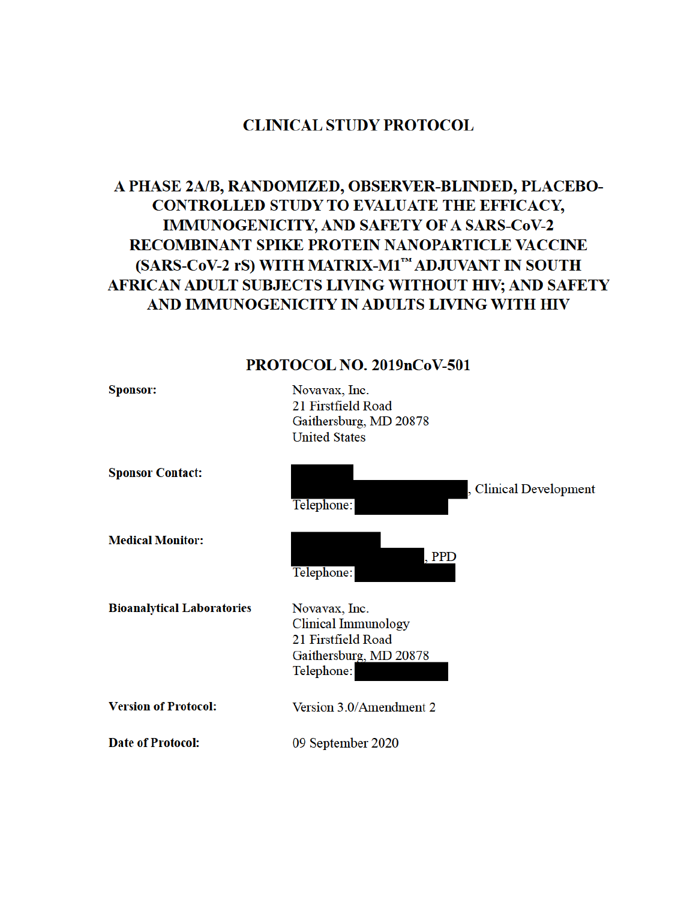# **CLINICAL STUDY PROTOCOL**

# A PHASE 2A/B, RANDOMIZED, OBSERVER-BLINDED, PLACEBO-CONTROLLED STUDY TO EVALUATE THE EFFICACY, **IMMUNOGENICITY, AND SAFETY OF A SARS-CoV-2** RECOMBINANT SPIKE PROTEIN NANOPARTICLE VACCINE (SARS-CoV-2 rS) WITH MATRIX-M1™ ADJUVANT IN SOUTH AFRICAN ADULT SUBJECTS LIVING WITHOUT HIV; AND SAFETY AND IMMUNOGENICITY IN ADULTS LIVING WITH HIV

# PROTOCOL NO. 2019nCoV-501

| <b>Sponsor:</b>                   | Novavax, Inc.<br>21 Firstfield Road<br>Gaithersburg, MD 20878<br><b>United States</b>                     |
|-----------------------------------|-----------------------------------------------------------------------------------------------------------|
| <b>Sponsor Contact:</b>           | , Clinical Development<br>Telephone:                                                                      |
| <b>Medical Monitor:</b>           | , <b>PPD</b><br>Telephone:                                                                                |
| <b>Bioanalytical Laboratories</b> | Novavax, Inc.<br><b>Clinical Immunology</b><br>21 Firstfield Road<br>Gaithersburg, MD 20878<br>Telephone: |
| <b>Version of Protocol:</b>       | Version 3.0/Amendment 2                                                                                   |
| <b>Date of Protocol:</b>          | 09 September 2020                                                                                         |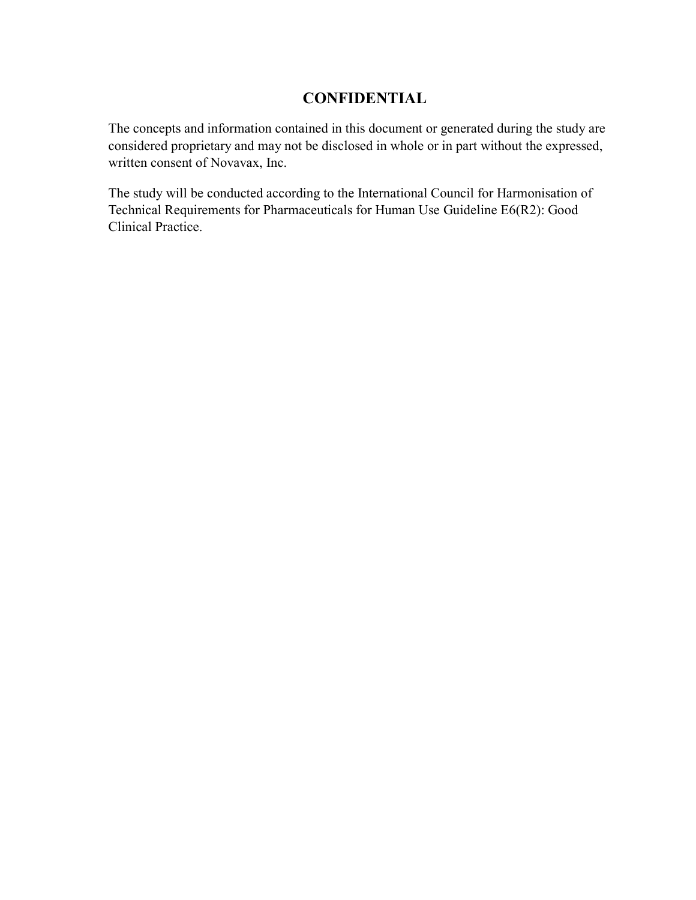# **CONFIDENTIAL**

The concepts and information contained in this document or generated during the study are considered proprietary and may not be disclosed in whole or in part without the expressed, written consent of Novavax, Inc.

The study will be conducted according to the International Council for Harmonisation of Technical Requirements for Pharmaceuticals for Human Use Guideline E6(R2): Good Clinical Practice.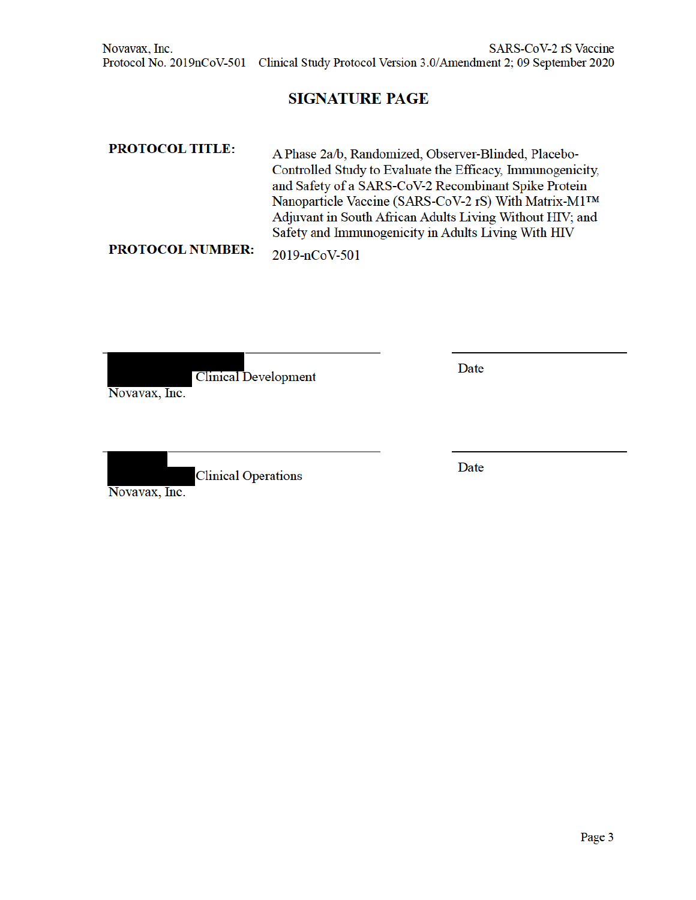# **SIGNATURE PAGE**

| <b>PROTOCOL TITLE:</b>  | A Phase 2a/b, Randomized, Observer-Blinded, Placebo-<br>Controlled Study to Evaluate the Efficacy, Immunogenicity,<br>and Safety of a SARS-CoV-2 Recombinant Spike Protein<br>Nanoparticle Vaccine (SARS-CoV-2 rS) With Matrix-M1™<br>Adjuvant in South African Adults Living Without HIV; and |
|-------------------------|------------------------------------------------------------------------------------------------------------------------------------------------------------------------------------------------------------------------------------------------------------------------------------------------|
|                         | Safety and Immunogenicity in Adults Living With HIV                                                                                                                                                                                                                                            |
| <b>PROTOCOL NUMBER:</b> | $2019 - nCoV-501$                                                                                                                                                                                                                                                                              |

**Clinical Development** Novavax, Inc.

Date

**Clinical Operations** Novavax, Inc.

Date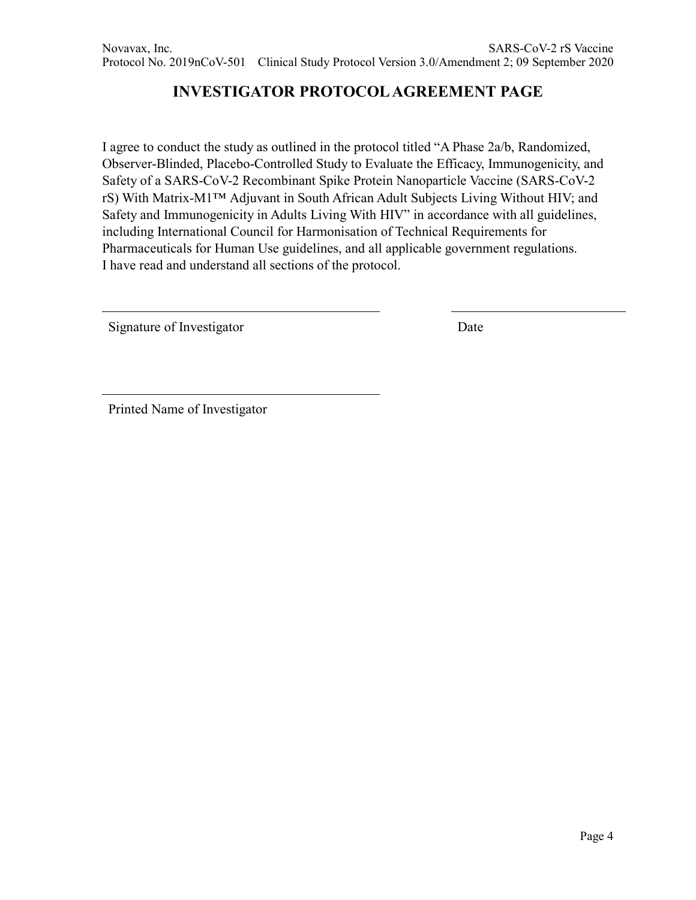# **INVESTIGATOR PROTOCOL AGREEMENT PAGE**

I agree to conduct the study as outlined in the protocol titled "A Phase 2a/b, Randomized, Observer-Blinded, Placebo-Controlled Study to Evaluate the Efficacy, Immunogenicity, and Safety of a SARS-CoV-2 Recombinant Spike Protein Nanoparticle Vaccine (SARS-CoV-2 rS) With Matrix-M1™ Adjuvant in South African Adult Subjects Living Without HIV; and Safety and Immunogenicity in Adults Living With HIV" in accordance with all guidelines, including International Council for Harmonisation of Technical Requirements for Pharmaceuticals for Human Use guidelines, and all applicable government regulations. I have read and understand all sections of the protocol.

Signature of Investigator Date

Printed Name of Investigator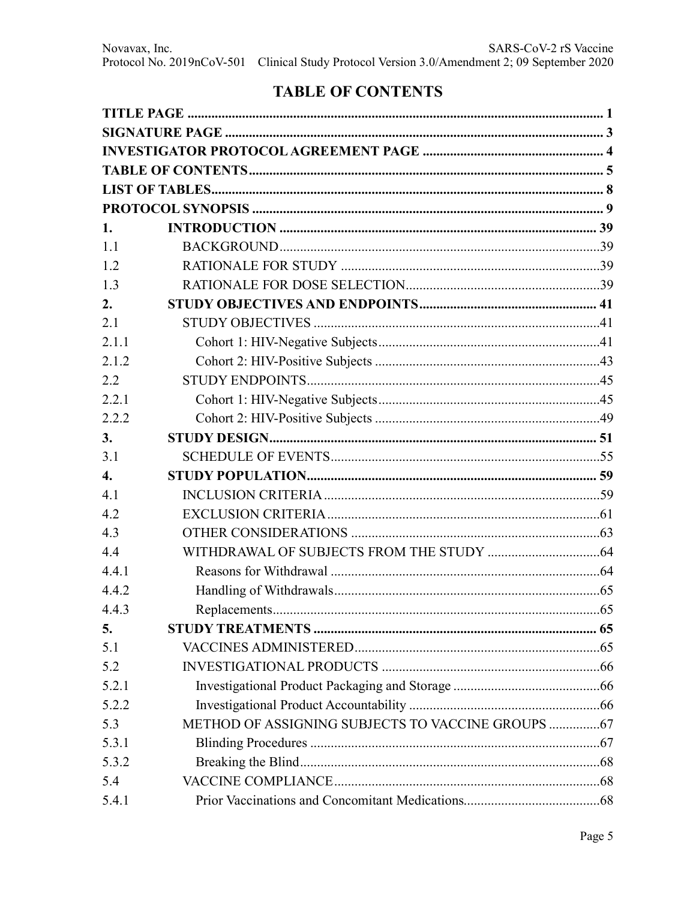# **TABLE OF CONTENTS**

| 1.               |  |
|------------------|--|
| 1.1              |  |
| 1.2              |  |
| 1.3              |  |
| 2.               |  |
| 2.1              |  |
| 2.1.1            |  |
| 2.1.2            |  |
| 2.2              |  |
| 2.2.1            |  |
| 2.2.2            |  |
| 3.               |  |
| 3.1              |  |
| $\overline{4}$ . |  |
| 4.1              |  |
| 4.2              |  |
| 4.3              |  |
| 4.4              |  |
| 4.4.1            |  |
| 4.4.2            |  |
| 4.4.3            |  |
| 5.               |  |
| 5.1              |  |
| 5.2              |  |
| 5.2.1            |  |
| 5.2.2            |  |
| 5.3              |  |
| 5.3.1            |  |
| 5.3.2            |  |
| 5.4              |  |
| 5.4.1            |  |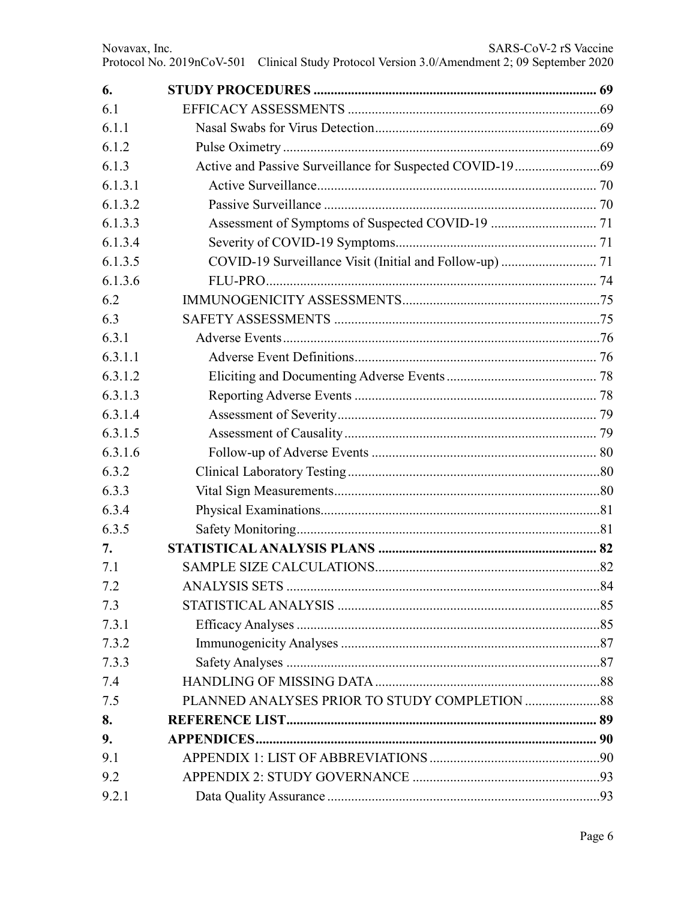| 6.      |  |
|---------|--|
| 6.1     |  |
| 6.1.1   |  |
| 6.1.2   |  |
| 6.1.3   |  |
| 6.1.3.1 |  |
| 6.1.3.2 |  |
| 6.1.3.3 |  |
| 6.1.3.4 |  |
| 6.1.3.5 |  |
| 6.1.3.6 |  |
| 6.2     |  |
| 6.3     |  |
| 6.3.1   |  |
| 6.3.1.1 |  |
| 6.3.1.2 |  |
| 6.3.1.3 |  |
| 6.3.1.4 |  |
| 6.3.1.5 |  |
| 6.3.1.6 |  |
| 6.3.2   |  |
| 6.3.3   |  |
| 6.3.4   |  |
| 6.3.5   |  |
| 7.      |  |
| 7.1     |  |
| 7.2     |  |
| 7.3     |  |
| 7.3.1   |  |
| 7.3.2   |  |
| 7.3.3   |  |
| 7.4     |  |
| 7.5     |  |
| 8.      |  |
| 9.      |  |
| 9.1     |  |
| 9.2     |  |
| 9.2.1   |  |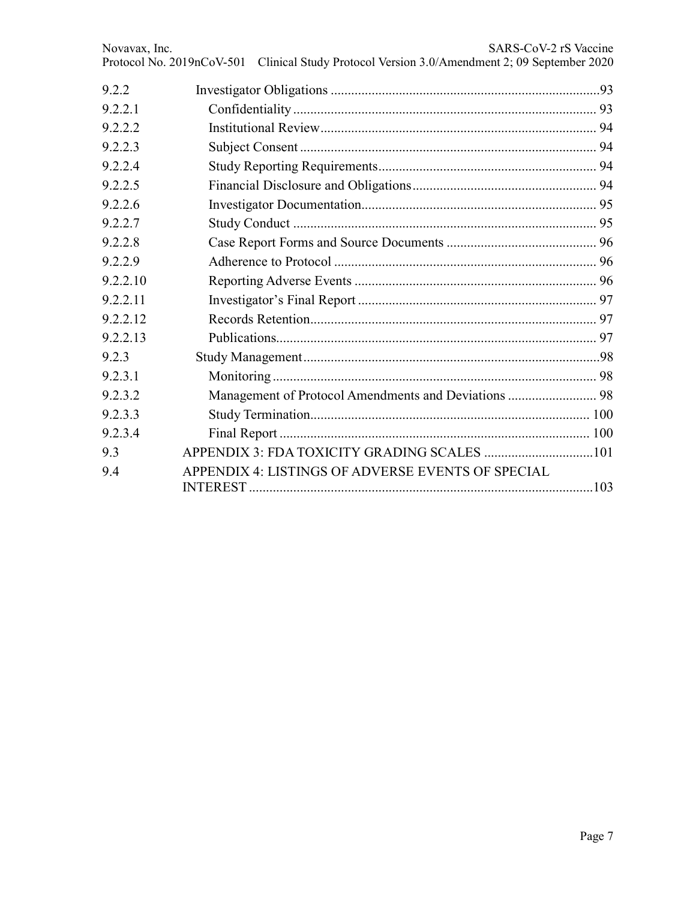| Novavax, Inc.<br>Protocol No. 2019nCoV-501 | SARS-CoV-2 rS Vaccine<br>Clinical Study Protocol Version 3.0/Amendment 2; 09 September 2020 |
|--------------------------------------------|---------------------------------------------------------------------------------------------|
| 9.2.2                                      |                                                                                             |
| 9.2.2.1                                    |                                                                                             |
| 9.2.2.2                                    |                                                                                             |
| 9.2.2.3                                    |                                                                                             |
| 9.2.2.4                                    |                                                                                             |
| 9.2.2.5                                    |                                                                                             |
| 9.2.2.6                                    |                                                                                             |
| 9.2.2.7                                    |                                                                                             |
| 9.2.2.8                                    |                                                                                             |
| 9.2.2.9                                    |                                                                                             |
| 9.2.2.10                                   |                                                                                             |
| 9.2.2.11                                   |                                                                                             |
| 9.2.2.12                                   |                                                                                             |
| 9.2.2.13                                   |                                                                                             |
| 9.2.3                                      |                                                                                             |
| 9.2.3.1                                    |                                                                                             |
| 9.2.3.2                                    |                                                                                             |
| 9.2.3.3                                    |                                                                                             |
| 9.2.3.4                                    |                                                                                             |
| 9.3                                        |                                                                                             |
| 9.4                                        | APPENDIX 4: LISTINGS OF ADVERSE EVENTS OF SPECIAL                                           |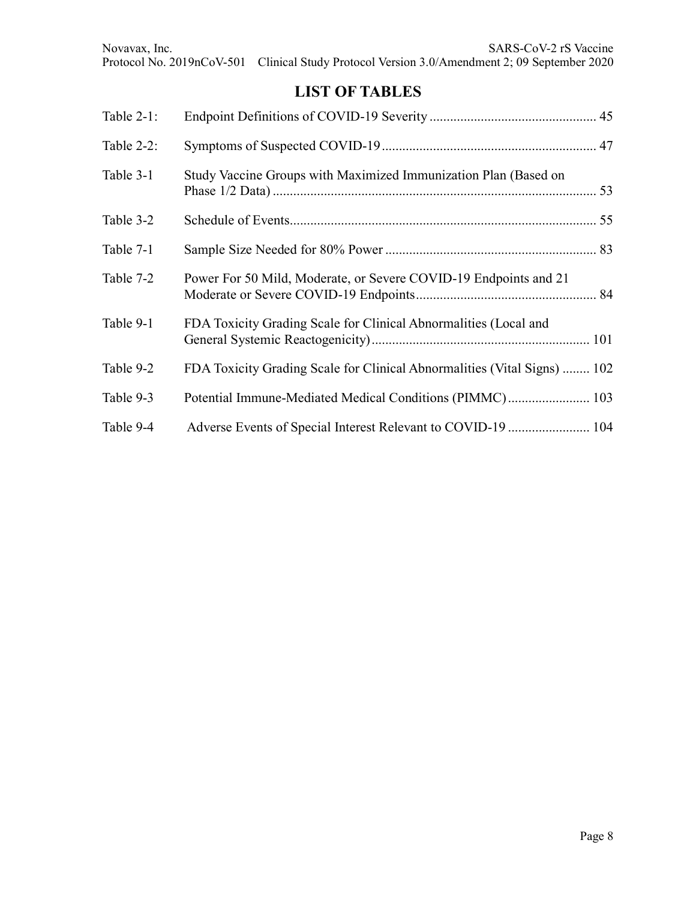# **LIST OF TABLES**

| Table 2-1: |                                                                          |  |
|------------|--------------------------------------------------------------------------|--|
| Table 2-2: |                                                                          |  |
| Table 3-1  | Study Vaccine Groups with Maximized Immunization Plan (Based on          |  |
| Table 3-2  |                                                                          |  |
| Table 7-1  |                                                                          |  |
| Table 7-2  | Power For 50 Mild, Moderate, or Severe COVID-19 Endpoints and 21         |  |
| Table 9-1  | FDA Toxicity Grading Scale for Clinical Abnormalities (Local and         |  |
| Table 9-2  | FDA Toxicity Grading Scale for Clinical Abnormalities (Vital Signs)  102 |  |
| Table 9-3  | Potential Immune-Mediated Medical Conditions (PIMMC) 103                 |  |
| Table 9-4  | Adverse Events of Special Interest Relevant to COVID-19  104             |  |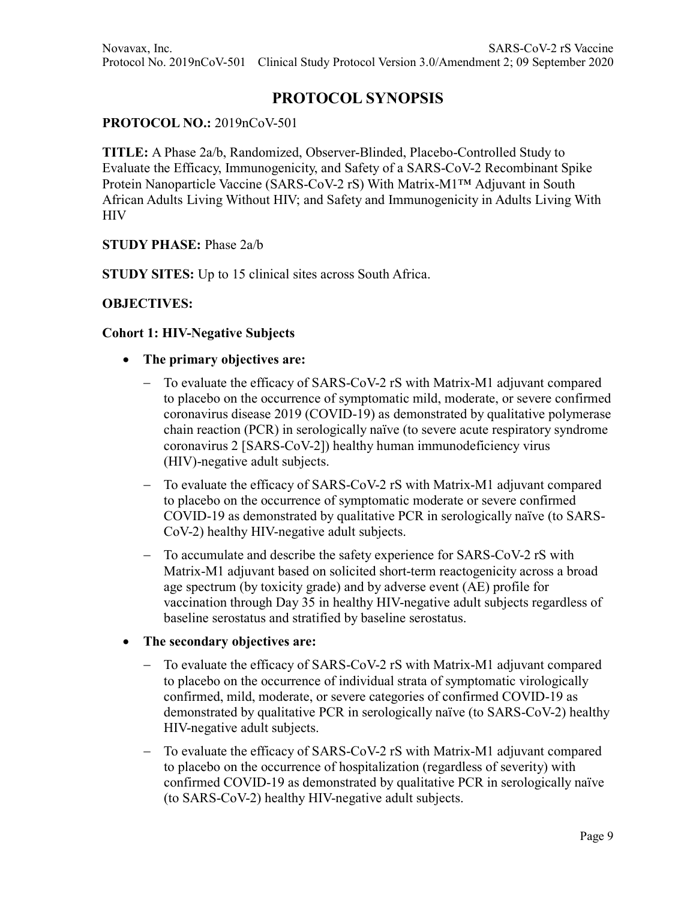# **PROTOCOL SYNOPSIS**

#### **PROTOCOL NO.:** 2019nCoV-501

**TITLE:** A Phase 2a/b, Randomized, Observer-Blinded, Placebo-Controlled Study to Evaluate the Efficacy, Immunogenicity, and Safety of a SARS-CoV-2 Recombinant Spike Protein Nanoparticle Vaccine (SARS-CoV-2 rS) With Matrix-M1™ Adjuvant in South African Adults Living Without HIV; and Safety and Immunogenicity in Adults Living With **HIV** 

#### **STUDY PHASE:** Phase 2a/b

**STUDY SITES:** Up to 15 clinical sites across South Africa.

#### **OBJECTIVES:**

#### **Cohort 1: HIV-Negative Subjects**

- **The primary objectives are:**
	- − To evaluate the efficacy of SARS-CoV-2 rS with Matrix-M1 adjuvant compared to placebo on the occurrence of symptomatic mild, moderate, or severe confirmed coronavirus disease 2019 (COVID-19) as demonstrated by qualitative polymerase chain reaction (PCR) in serologically naïve (to severe acute respiratory syndrome coronavirus 2 [SARS-CoV-2]) healthy human immunodeficiency virus (HIV)-negative adult subjects.
	- − To evaluate the efficacy of SARS-CoV-2 rS with Matrix-M1 adjuvant compared to placebo on the occurrence of symptomatic moderate or severe confirmed COVID-19 as demonstrated by qualitative PCR in serologically naïve (to SARS-CoV-2) healthy HIV-negative adult subjects.
	- − To accumulate and describe the safety experience for SARS-CoV-2 rS with Matrix-M1 adjuvant based on solicited short-term reactogenicity across a broad age spectrum (by toxicity grade) and by adverse event (AE) profile for vaccination through Day 35 in healthy HIV-negative adult subjects regardless of baseline serostatus and stratified by baseline serostatus.

#### • **The secondary objectives are:**

- To evaluate the efficacy of SARS-CoV-2 rS with Matrix-M1 adjuvant compared to placebo on the occurrence of individual strata of symptomatic virologically confirmed, mild, moderate, or severe categories of confirmed COVID-19 as demonstrated by qualitative PCR in serologically naïve (to SARS-CoV-2) healthy HIV-negative adult subjects.
- − To evaluate the efficacy of SARS-CoV-2 rS with Matrix-M1 adjuvant compared to placebo on the occurrence of hospitalization (regardless of severity) with confirmed COVID-19 as demonstrated by qualitative PCR in serologically naïve (to SARS-CoV-2) healthy HIV-negative adult subjects.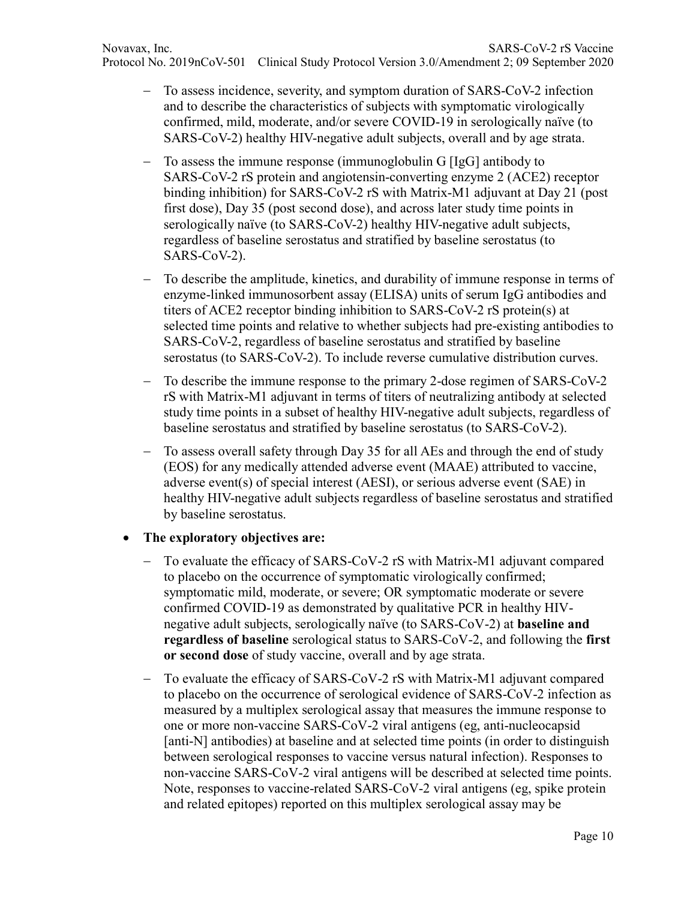- − To assess incidence, severity, and symptom duration of SARS-CoV-2 infection and to describe the characteristics of subjects with symptomatic virologically confirmed, mild, moderate, and/or severe COVID-19 in serologically naïve (to SARS-CoV-2) healthy HIV-negative adult subjects, overall and by age strata.
- − To assess the immune response (immunoglobulin G [IgG] antibody to SARS-CoV-2 rS protein and angiotensin-converting enzyme 2 (ACE2) receptor binding inhibition) for SARS-CoV-2 rS with Matrix-M1 adjuvant at Day 21 (post first dose), Day 35 (post second dose), and across later study time points in serologically naïve (to SARS-CoV-2) healthy HIV-negative adult subjects, regardless of baseline serostatus and stratified by baseline serostatus (to SARS-CoV-2).
- − To describe the amplitude, kinetics, and durability of immune response in terms of enzyme-linked immunosorbent assay (ELISA) units of serum IgG antibodies and titers of ACE2 receptor binding inhibition to SARS-CoV-2 rS protein(s) at selected time points and relative to whether subjects had pre-existing antibodies to SARS-CoV-2, regardless of baseline serostatus and stratified by baseline serostatus (to SARS-CoV-2). To include reverse cumulative distribution curves.
- − To describe the immune response to the primary 2-dose regimen of SARS-CoV-2 rS with Matrix-M1 adjuvant in terms of titers of neutralizing antibody at selected study time points in a subset of healthy HIV-negative adult subjects, regardless of baseline serostatus and stratified by baseline serostatus (to SARS-CoV-2).
- − To assess overall safety through Day 35 for all AEs and through the end of study (EOS) for any medically attended adverse event (MAAE) attributed to vaccine, adverse event(s) of special interest (AESI), or serious adverse event (SAE) in healthy HIV-negative adult subjects regardless of baseline serostatus and stratified by baseline serostatus.

### • **The exploratory objectives are:**

- − To evaluate the efficacy of SARS-CoV-2 rS with Matrix-M1 adjuvant compared to placebo on the occurrence of symptomatic virologically confirmed; symptomatic mild, moderate, or severe; OR symptomatic moderate or severe confirmed COVID-19 as demonstrated by qualitative PCR in healthy HIVnegative adult subjects, serologically naïve (to SARS-CoV-2) at **baseline and regardless of baseline** serological status to SARS-CoV-2, and following the **first or second dose** of study vaccine, overall and by age strata.
- − To evaluate the efficacy of SARS-CoV-2 rS with Matrix-M1 adjuvant compared to placebo on the occurrence of serological evidence of SARS-CoV-2 infection as measured by a multiplex serological assay that measures the immune response to one or more non-vaccine SARS-CoV-2 viral antigens (eg, anti-nucleocapsid [anti-N] antibodies) at baseline and at selected time points (in order to distinguish between serological responses to vaccine versus natural infection). Responses to non-vaccine SARS-CoV-2 viral antigens will be described at selected time points. Note, responses to vaccine-related SARS-CoV-2 viral antigens (eg, spike protein and related epitopes) reported on this multiplex serological assay may be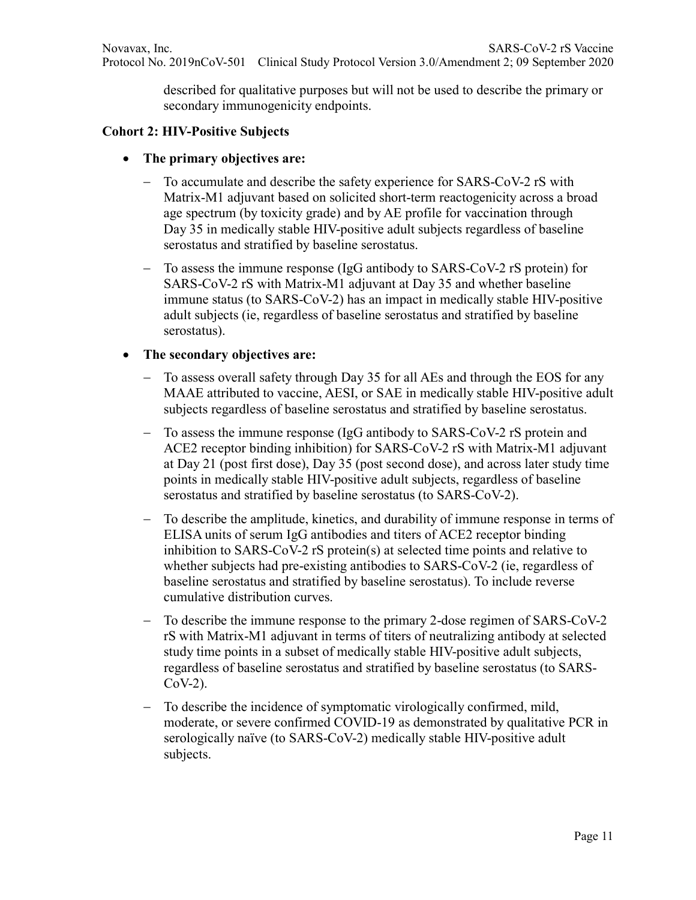described for qualitative purposes but will not be used to describe the primary or secondary immunogenicity endpoints.

### **Cohort 2: HIV-Positive Subjects**

- **The primary objectives are:**
	- To accumulate and describe the safety experience for SARS-CoV-2 rS with Matrix-M1 adjuvant based on solicited short-term reactogenicity across a broad age spectrum (by toxicity grade) and by AE profile for vaccination through Day 35 in medically stable HIV-positive adult subjects regardless of baseline serostatus and stratified by baseline serostatus.
	- − To assess the immune response (IgG antibody to SARS-CoV-2 rS protein) for SARS-CoV-2 rS with Matrix-M1 adjuvant at Day 35 and whether baseline immune status (to SARS-CoV-2) has an impact in medically stable HIV-positive adult subjects (ie, regardless of baseline serostatus and stratified by baseline serostatus).

### • **The secondary objectives are:**

- To assess overall safety through Day 35 for all AEs and through the EOS for any MAAE attributed to vaccine, AESI, or SAE in medically stable HIV-positive adult subjects regardless of baseline serostatus and stratified by baseline serostatus.
- To assess the immune response (IgG antibody to SARS-CoV-2 rS protein and ACE2 receptor binding inhibition) for SARS-CoV-2 rS with Matrix-M1 adjuvant at Day 21 (post first dose), Day 35 (post second dose), and across later study time points in medically stable HIV-positive adult subjects, regardless of baseline serostatus and stratified by baseline serostatus (to SARS-CoV-2).
- − To describe the amplitude, kinetics, and durability of immune response in terms of ELISA units of serum IgG antibodies and titers of ACE2 receptor binding inhibition to SARS-CoV-2 rS protein(s) at selected time points and relative to whether subjects had pre-existing antibodies to SARS-CoV-2 (ie, regardless of baseline serostatus and stratified by baseline serostatus). To include reverse cumulative distribution curves.
- − To describe the immune response to the primary 2-dose regimen of SARS-CoV-2 rS with Matrix-M1 adjuvant in terms of titers of neutralizing antibody at selected study time points in a subset of medically stable HIV-positive adult subjects, regardless of baseline serostatus and stratified by baseline serostatus (to SARS- $CoV-2$ ).
- To describe the incidence of symptomatic virologically confirmed, mild, moderate, or severe confirmed COVID-19 as demonstrated by qualitative PCR in serologically naïve (to SARS-CoV-2) medically stable HIV-positive adult subjects.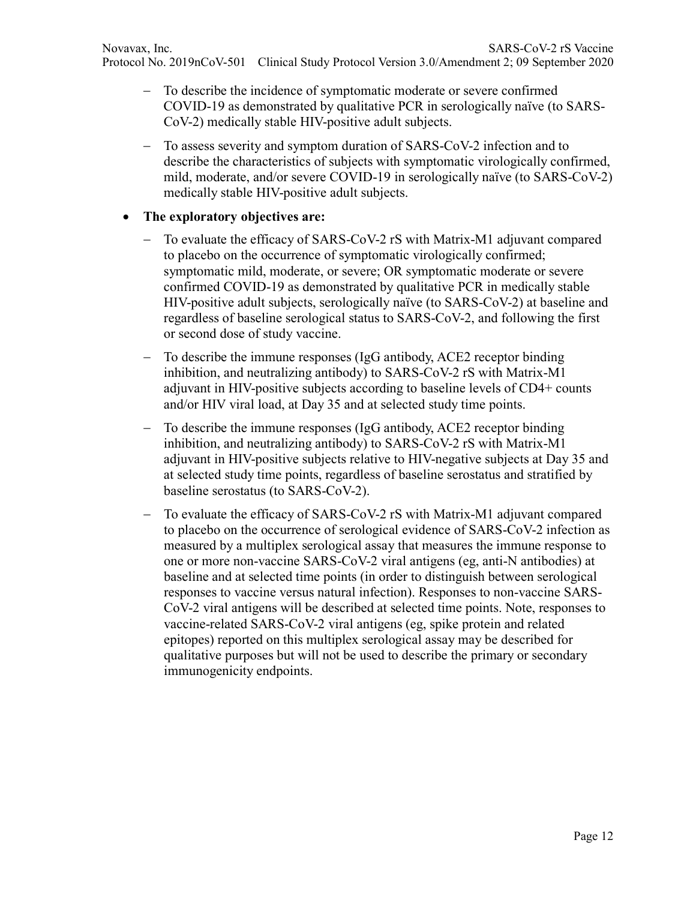- − To describe the incidence of symptomatic moderate or severe confirmed COVID-19 as demonstrated by qualitative PCR in serologically naïve (to SARS-CoV-2) medically stable HIV-positive adult subjects.
- − To assess severity and symptom duration of SARS-CoV-2 infection and to describe the characteristics of subjects with symptomatic virologically confirmed, mild, moderate, and/or severe COVID-19 in serologically naïve (to SARS-CoV-2) medically stable HIV-positive adult subjects.

## • **The exploratory objectives are:**

- To evaluate the efficacy of SARS-CoV-2 rS with Matrix-M1 adjuvant compared to placebo on the occurrence of symptomatic virologically confirmed; symptomatic mild, moderate, or severe; OR symptomatic moderate or severe confirmed COVID-19 as demonstrated by qualitative PCR in medically stable HIV-positive adult subjects, serologically naïve (to SARS-CoV-2) at baseline and regardless of baseline serological status to SARS-CoV-2, and following the first or second dose of study vaccine.
- − To describe the immune responses (IgG antibody, ACE2 receptor binding inhibition, and neutralizing antibody) to SARS-CoV-2 rS with Matrix-M1 adjuvant in HIV-positive subjects according to baseline levels of CD4+ counts and/or HIV viral load, at Day 35 and at selected study time points.
- − To describe the immune responses (IgG antibody, ACE2 receptor binding inhibition, and neutralizing antibody) to SARS-CoV-2 rS with Matrix-M1 adjuvant in HIV-positive subjects relative to HIV-negative subjects at Day 35 and at selected study time points, regardless of baseline serostatus and stratified by baseline serostatus (to SARS-CoV-2).
- To evaluate the efficacy of SARS-CoV-2 rS with Matrix-M1 adjuvant compared to placebo on the occurrence of serological evidence of SARS-CoV-2 infection as measured by a multiplex serological assay that measures the immune response to one or more non-vaccine SARS-CoV-2 viral antigens (eg, anti-N antibodies) at baseline and at selected time points (in order to distinguish between serological responses to vaccine versus natural infection). Responses to non-vaccine SARS-CoV-2 viral antigens will be described at selected time points. Note, responses to vaccine-related SARS-CoV-2 viral antigens (eg, spike protein and related epitopes) reported on this multiplex serological assay may be described for qualitative purposes but will not be used to describe the primary or secondary immunogenicity endpoints.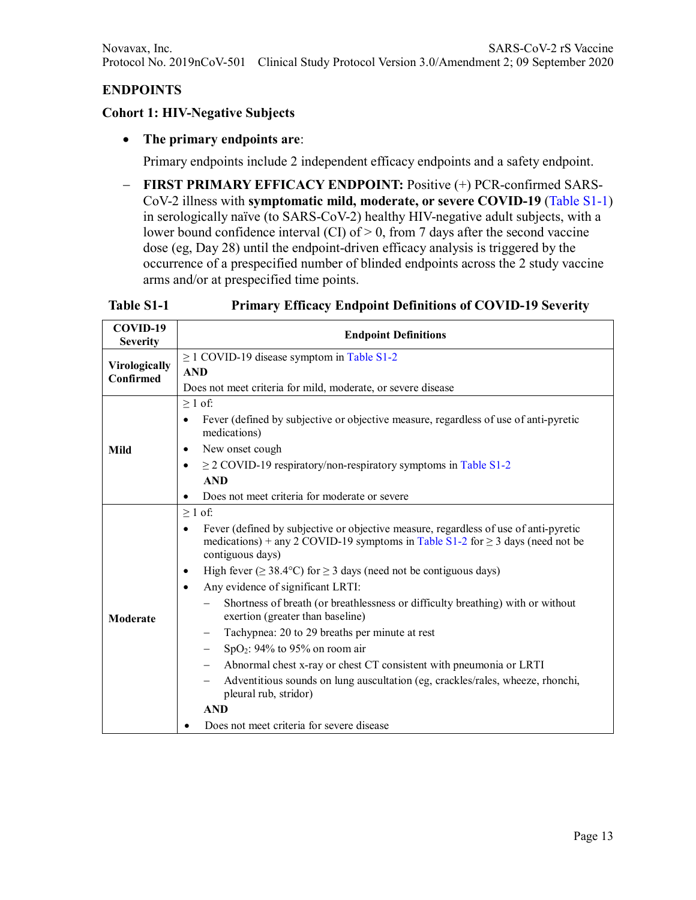# **ENDPOINTS**

#### **Cohort 1: HIV-Negative Subjects**

#### • **The primary endpoints are**:

Primary endpoints include 2 independent efficacy endpoints and a safety endpoint.

− **FIRST PRIMARY EFFICACY ENDPOINT:** Positive (+) PCR-confirmed SARS-CoV-2 illness with **symptomatic mild, moderate, or severe COVID-19** (Table S1-1) in serologically naïve (to SARS-CoV-2) healthy HIV-negative adult subjects, with a lower bound confidence interval (CI) of > 0, from 7 days after the second vaccine dose (eg, Day 28) until the endpoint-driven efficacy analysis is triggered by the occurrence of a prespecified number of blinded endpoints across the 2 study vaccine arms and/or at prespecified time points.

### **Table S1-1 Primary Efficacy Endpoint Definitions of COVID-19 Severity**

| COVID-19<br><b>Severity</b> | <b>Endpoint Definitions</b>                                                                                                                                                                                  |  |  |  |  |
|-----------------------------|--------------------------------------------------------------------------------------------------------------------------------------------------------------------------------------------------------------|--|--|--|--|
|                             | $\geq$ 1 COVID-19 disease symptom in Table S1-2                                                                                                                                                              |  |  |  |  |
| Virologically<br>Confirmed  | <b>AND</b>                                                                                                                                                                                                   |  |  |  |  |
|                             | Does not meet criteria for mild, moderate, or severe disease                                                                                                                                                 |  |  |  |  |
|                             | $\geq 1$ of:                                                                                                                                                                                                 |  |  |  |  |
|                             | Fever (defined by subjective or objective measure, regardless of use of anti-pyretic<br>$\bullet$<br>medications)                                                                                            |  |  |  |  |
| Mild                        | New onset cough<br>٠                                                                                                                                                                                         |  |  |  |  |
|                             | $\geq$ 2 COVID-19 respiratory/non-respiratory symptoms in Table S1-2                                                                                                                                         |  |  |  |  |
|                             | <b>AND</b>                                                                                                                                                                                                   |  |  |  |  |
|                             | Does not meet criteria for moderate or severe                                                                                                                                                                |  |  |  |  |
|                             | $\geq 1$ of:                                                                                                                                                                                                 |  |  |  |  |
|                             | Fever (defined by subjective or objective measure, regardless of use of anti-pyretic<br>$\bullet$<br>medications) + any 2 COVID-19 symptoms in Table S1-2 for $\geq$ 3 days (need not be<br>contiguous days) |  |  |  |  |
|                             | High fever ( $\geq$ 38.4°C) for $\geq$ 3 days (need not be contiguous days)<br>٠                                                                                                                             |  |  |  |  |
|                             | Any evidence of significant LRTI:<br>$\bullet$                                                                                                                                                               |  |  |  |  |
| Moderate                    | Shortness of breath (or breathlessness or difficulty breathing) with or without<br>exertion (greater than baseline)                                                                                          |  |  |  |  |
|                             | Tachypnea: 20 to 29 breaths per minute at rest                                                                                                                                                               |  |  |  |  |
|                             | SpO <sub>2</sub> : 94% to 95% on room air<br>$\overline{\phantom{0}}$                                                                                                                                        |  |  |  |  |
|                             | Abnormal chest x-ray or chest CT consistent with pneumonia or LRTI<br>-                                                                                                                                      |  |  |  |  |
|                             | Adventitious sounds on lung auscultation (eg, crackles/rales, wheeze, rhonchi,<br>pleural rub, stridor)                                                                                                      |  |  |  |  |
|                             | <b>AND</b>                                                                                                                                                                                                   |  |  |  |  |
|                             | Does not meet criteria for severe disease                                                                                                                                                                    |  |  |  |  |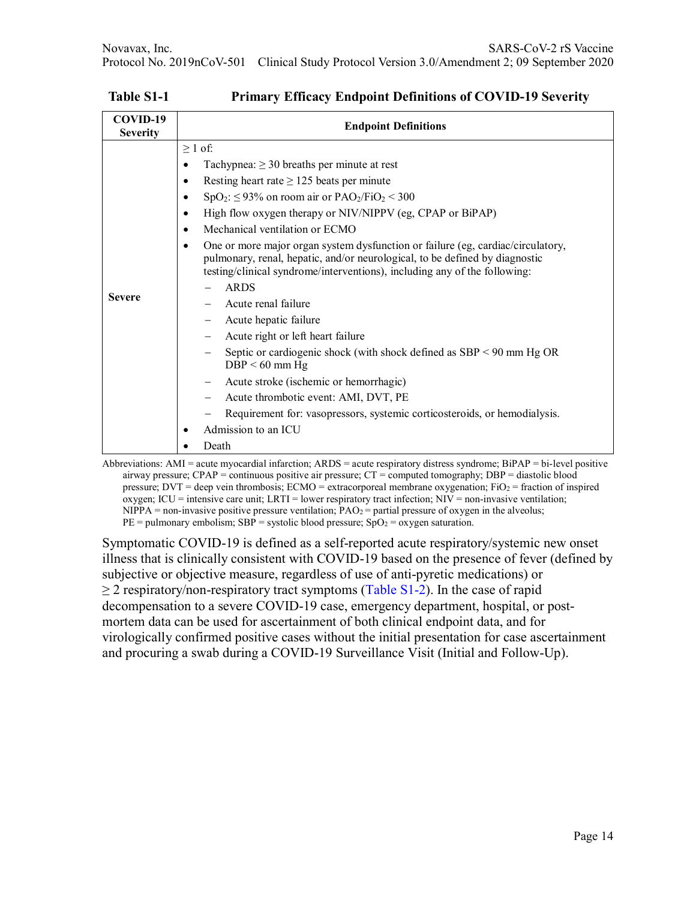| $\geq 1$ of:<br>Tachypnea: $\geq$ 30 breaths per minute at rest<br>$\bullet$<br>Resting heart rate $\geq$ 125 beats per minute<br>$\bullet$<br>$SpO_2$ : $\leq$ 93% on room air or PAO <sub>2</sub> /FiO <sub>2</sub> < 300<br>$\bullet$<br>High flow oxygen therapy or NIV/NIPPV (eg, CPAP or BiPAP)<br>$\bullet$<br>Mechanical ventilation or ECMO<br>$\bullet$<br>One or more major organ system dysfunction or failure (eg, cardiac/circulatory,<br>$\bullet$<br>pulmonary, renal, hepatic, and/or neurological, to be defined by diagnostic<br>testing/clinical syndrome/interventions), including any of the following:<br><b>ARDS</b><br><b>Severe</b><br>Acute renal failure<br>Acute hepatic failure<br>Acute right or left heart failure<br>Septic or cardiogenic shock (with shock defined as $SBP < 90$ mm Hg OR<br>$DBP < 60$ mm Hg<br>Acute stroke (ischemic or hemorrhagic)<br>Acute thrombotic event: AMI, DVT, PE<br>Requirement for: vasopressors, systemic corticosteroids, or hemodialysis.<br>Admission to an ICU<br>٠<br>Death |
|------------------------------------------------------------------------------------------------------------------------------------------------------------------------------------------------------------------------------------------------------------------------------------------------------------------------------------------------------------------------------------------------------------------------------------------------------------------------------------------------------------------------------------------------------------------------------------------------------------------------------------------------------------------------------------------------------------------------------------------------------------------------------------------------------------------------------------------------------------------------------------------------------------------------------------------------------------------------------------------------------------------------------------------------------|
|                                                                                                                                                                                                                                                                                                                                                                                                                                                                                                                                                                                                                                                                                                                                                                                                                                                                                                                                                                                                                                                      |

**Table S1-1 Primary Efficacy Endpoint Definitions of COVID-19 Severity**

Abbreviations: AMI = acute myocardial infarction; ARDS = acute respiratory distress syndrome; BiPAP = bi-level positive airway pressure; CPAP = continuous positive air pressure; CT = computed tomography; DBP = diastolic blood pressure; DVT = deep vein thrombosis; ECMO = extracorporeal membrane oxygenation; FiO<sub>2</sub> = fraction of inspired oxygen; ICU = intensive care unit; LRTI = lower respiratory tract infection;  $NIV =$  non-invasive ventilation;  $NIPPA =$  non-invasive positive pressure ventilation;  $PAO<sub>2</sub> =$  partial pressure of oxygen in the alveolus;  $PE = \text{pulmonary embolism}; SBP = \text{systolic blood pressure}; SpO<sub>2</sub> = \text{oxygen saturation}.$ 

Symptomatic COVID-19 is defined as a self-reported acute respiratory/systemic new onset illness that is clinically consistent with COVID-19 based on the presence of fever (defined by subjective or objective measure, regardless of use of anti-pyretic medications) or  $\geq$  2 respiratory/non-respiratory tract symptoms (Table S1-2). In the case of rapid decompensation to a severe COVID-19 case, emergency department, hospital, or postmortem data can be used for ascertainment of both clinical endpoint data, and for virologically confirmed positive cases without the initial presentation for case ascertainment and procuring a swab during a COVID-19 Surveillance Visit (Initial and Follow-Up).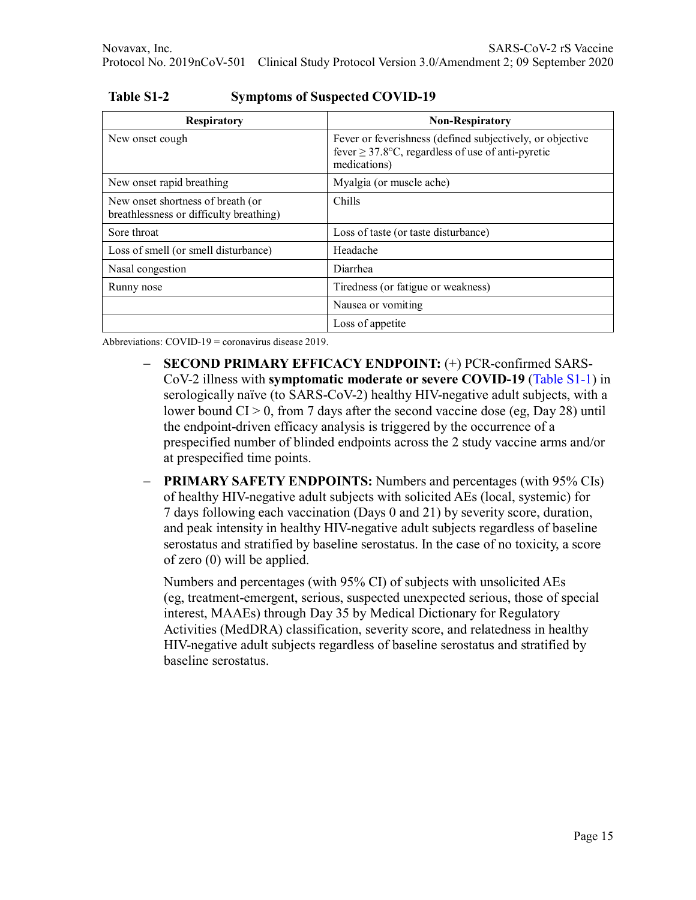| <b>Respiratory</b>                                                           | <b>Non-Respiratory</b>                                                                                                              |
|------------------------------------------------------------------------------|-------------------------------------------------------------------------------------------------------------------------------------|
| New onset cough                                                              | Fever or feverishness (defined subjectively, or objective<br>fever $\geq$ 37.8°C, regardless of use of anti-pyretic<br>medications) |
| New onset rapid breathing                                                    | Myalgia (or muscle ache)                                                                                                            |
| New onset shortness of breath (or<br>breathlessness or difficulty breathing) | Chills                                                                                                                              |
| Sore throat                                                                  | Loss of taste (or taste disturbance)                                                                                                |
| Loss of smell (or smell disturbance)                                         | Headache                                                                                                                            |
| Nasal congestion                                                             | Diarrhea                                                                                                                            |
| Runny nose                                                                   | Tiredness (or fatigue or weakness)                                                                                                  |
|                                                                              | Nausea or vomiting                                                                                                                  |
|                                                                              | Loss of appetite                                                                                                                    |

**Table S1-2 Symptoms of Suspected COVID-19**

Abbreviations: COVID-19 = coronavirus disease 2019.

- − **SECOND PRIMARY EFFICACY ENDPOINT:** (+) PCR-confirmed SARS-CoV-2 illness with **symptomatic moderate or severe COVID-19** (Table S1-1) in serologically naïve (to SARS-CoV-2) healthy HIV-negative adult subjects, with a lower bound  $CI > 0$ , from 7 days after the second vaccine dose (eg, Day 28) until the endpoint-driven efficacy analysis is triggered by the occurrence of a prespecified number of blinded endpoints across the 2 study vaccine arms and/or at prespecified time points.
- − **PRIMARY SAFETY ENDPOINTS:** Numbers and percentages (with 95% CIs) of healthy HIV-negative adult subjects with solicited AEs (local, systemic) for 7 days following each vaccination (Days 0 and 21) by severity score, duration, and peak intensity in healthy HIV-negative adult subjects regardless of baseline serostatus and stratified by baseline serostatus. In the case of no toxicity, a score of zero (0) will be applied.

Numbers and percentages (with 95% CI) of subjects with unsolicited AEs (eg, treatment-emergent, serious, suspected unexpected serious, those of special interest, MAAEs) through Day 35 by Medical Dictionary for Regulatory Activities (MedDRA) classification, severity score, and relatedness in healthy HIV-negative adult subjects regardless of baseline serostatus and stratified by baseline serostatus.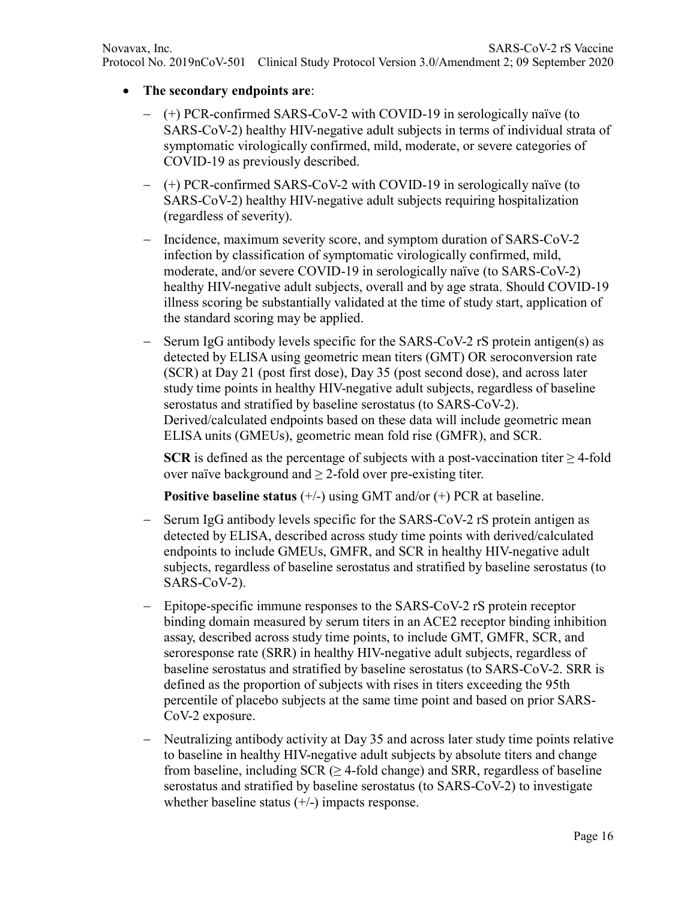- **The secondary endpoints are**:
	- − (+) PCR-confirmed SARS-CoV-2 with COVID-19 in serologically naïve (to SARS-CoV-2) healthy HIV-negative adult subjects in terms of individual strata of symptomatic virologically confirmed, mild, moderate, or severe categories of COVID-19 as previously described.
	- − (+) PCR-confirmed SARS-CoV-2 with COVID-19 in serologically naïve (to SARS-CoV-2) healthy HIV-negative adult subjects requiring hospitalization (regardless of severity).
	- − Incidence, maximum severity score, and symptom duration of SARS-CoV-2 infection by classification of symptomatic virologically confirmed, mild, moderate, and/or severe COVID-19 in serologically naïve (to SARS-CoV-2) healthy HIV-negative adult subjects, overall and by age strata. Should COVID-19 illness scoring be substantially validated at the time of study start, application of the standard scoring may be applied.
	- Serum IgG antibody levels specific for the SARS-CoV-2 rS protein antigen(s) as detected by ELISA using geometric mean titers (GMT) OR seroconversion rate (SCR) at Day 21 (post first dose), Day 35 (post second dose), and across later study time points in healthy HIV-negative adult subjects, regardless of baseline serostatus and stratified by baseline serostatus (to SARS-CoV-2). Derived/calculated endpoints based on these data will include geometric mean ELISA units (GMEUs), geometric mean fold rise (GMFR), and SCR.

**SCR** is defined as the percentage of subjects with a post-vaccination titer  $\geq$  4-fold over naïve background and  $\geq$  2-fold over pre-existing titer.

**Positive baseline status** (+/-) using GMT and/or (+) PCR at baseline.

- − Serum IgG antibody levels specific for the SARS-CoV-2 rS protein antigen as detected by ELISA, described across study time points with derived/calculated endpoints to include GMEUs, GMFR, and SCR in healthy HIV-negative adult subjects, regardless of baseline serostatus and stratified by baseline serostatus (to SARS-CoV-2).
- − Epitope-specific immune responses to the SARS-CoV-2 rS protein receptor binding domain measured by serum titers in an ACE2 receptor binding inhibition assay, described across study time points, to include GMT, GMFR, SCR, and seroresponse rate (SRR) in healthy HIV-negative adult subjects, regardless of baseline serostatus and stratified by baseline serostatus (to SARS-CoV-2. SRR is defined as the proportion of subjects with rises in titers exceeding the 95th percentile of placebo subjects at the same time point and based on prior SARS-CoV-2 exposure.
- − Neutralizing antibody activity at Day 35 and across later study time points relative to baseline in healthy HIV-negative adult subjects by absolute titers and change from baseline, including  $SCR$  ( $\geq$  4-fold change) and SRR, regardless of baseline serostatus and stratified by baseline serostatus (to SARS-CoV-2) to investigate whether baseline status  $(+/-)$  impacts response.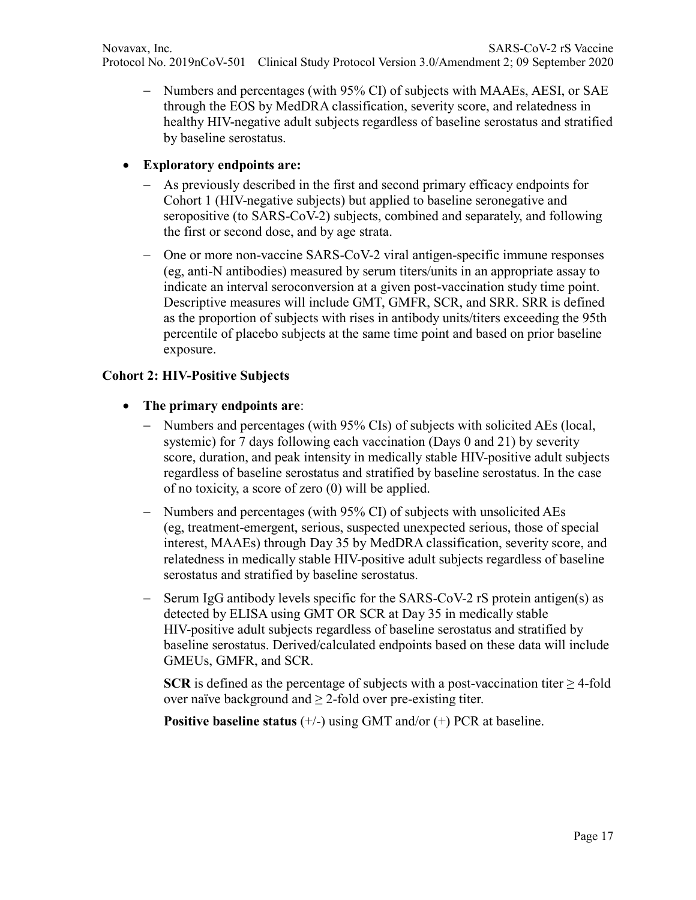− Numbers and percentages (with 95% CI) of subjects with MAAEs, AESI, or SAE through the EOS by MedDRA classification, severity score, and relatedness in healthy HIV-negative adult subjects regardless of baseline serostatus and stratified by baseline serostatus.

### • **Exploratory endpoints are:**

- − As previously described in the first and second primary efficacy endpoints for Cohort 1 (HIV-negative subjects) but applied to baseline seronegative and seropositive (to SARS-CoV-2) subjects, combined and separately, and following the first or second dose, and by age strata.
- − One or more non-vaccine SARS-CoV-2 viral antigen-specific immune responses (eg, anti-N antibodies) measured by serum titers/units in an appropriate assay to indicate an interval seroconversion at a given post-vaccination study time point. Descriptive measures will include GMT, GMFR, SCR, and SRR. SRR is defined as the proportion of subjects with rises in antibody units/titers exceeding the 95th percentile of placebo subjects at the same time point and based on prior baseline exposure.

## **Cohort 2: HIV-Positive Subjects**

- **The primary endpoints are**:
	- − Numbers and percentages (with 95% CIs) of subjects with solicited AEs (local, systemic) for 7 days following each vaccination (Days 0 and 21) by severity score, duration, and peak intensity in medically stable HIV-positive adult subjects regardless of baseline serostatus and stratified by baseline serostatus. In the case of no toxicity, a score of zero (0) will be applied.
	- − Numbers and percentages (with 95% CI) of subjects with unsolicited AEs (eg, treatment-emergent, serious, suspected unexpected serious, those of special interest, MAAEs) through Day 35 by MedDRA classification, severity score, and relatedness in medically stable HIV-positive adult subjects regardless of baseline serostatus and stratified by baseline serostatus.
	- Serum IgG antibody levels specific for the SARS-CoV-2 rS protein antigen(s) as detected by ELISA using GMT OR SCR at Day 35 in medically stable HIV-positive adult subjects regardless of baseline serostatus and stratified by baseline serostatus. Derived/calculated endpoints based on these data will include GMEUs, GMFR, and SCR.

**SCR** is defined as the percentage of subjects with a post-vaccination titer  $\geq$  4-fold over naïve background and  $\geq$  2-fold over pre-existing titer.

**Positive baseline status** (+/-) using GMT and/or (+) PCR at baseline.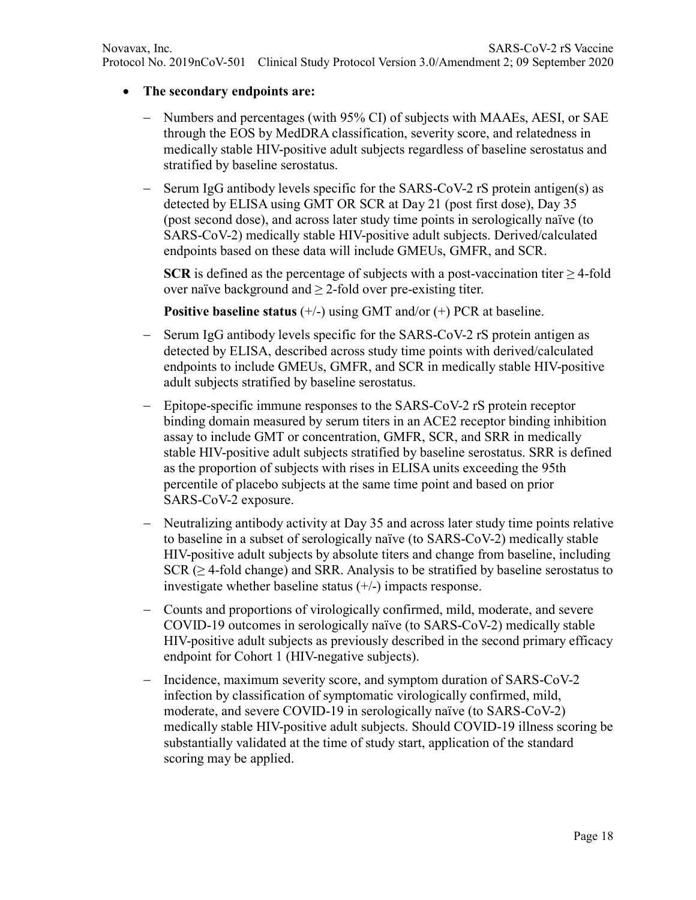## • **The secondary endpoints are:**

- − Numbers and percentages (with 95% CI) of subjects with MAAEs, AESI, or SAE through the EOS by MedDRA classification, severity score, and relatedness in medically stable HIV-positive adult subjects regardless of baseline serostatus and stratified by baseline serostatus.
- Serum IgG antibody levels specific for the SARS-CoV-2 rS protein antigen(s) as detected by ELISA using GMT OR SCR at Day 21 (post first dose), Day 35 (post second dose), and across later study time points in serologically naïve (to SARS-CoV-2) medically stable HIV-positive adult subjects. Derived/calculated endpoints based on these data will include GMEUs, GMFR, and SCR.

**SCR** is defined as the percentage of subjects with a post-vaccination titer  $\geq$  4-fold over naïve background and  $\geq$  2-fold over pre-existing titer.

**Positive baseline status** (+/-) using GMT and/or (+) PCR at baseline.

- Serum IgG antibody levels specific for the SARS-CoV-2 rS protein antigen as detected by ELISA, described across study time points with derived/calculated endpoints to include GMEUs, GMFR, and SCR in medically stable HIV-positive adult subjects stratified by baseline serostatus.
- − Epitope-specific immune responses to the SARS-CoV-2 rS protein receptor binding domain measured by serum titers in an ACE2 receptor binding inhibition assay to include GMT or concentration, GMFR, SCR, and SRR in medically stable HIV-positive adult subjects stratified by baseline serostatus. SRR is defined as the proportion of subjects with rises in ELISA units exceeding the 95th percentile of placebo subjects at the same time point and based on prior SARS-CoV-2 exposure.
- − Neutralizing antibody activity at Day 35 and across later study time points relative to baseline in a subset of serologically naïve (to SARS-CoV-2) medically stable HIV-positive adult subjects by absolute titers and change from baseline, including  $SCR \geq 4$ -fold change) and SRR. Analysis to be stratified by baseline serostatus to investigate whether baseline status  $(+/-)$  impacts response.
- − Counts and proportions of virologically confirmed, mild, moderate, and severe COVID-19 outcomes in serologically naïve (to SARS-CoV-2) medically stable HIV-positive adult subjects as previously described in the second primary efficacy endpoint for Cohort 1 (HIV-negative subjects).
- − Incidence, maximum severity score, and symptom duration of SARS-CoV-2 infection by classification of symptomatic virologically confirmed, mild, moderate, and severe COVID-19 in serologically naïve (to SARS-CoV-2) medically stable HIV-positive adult subjects. Should COVID-19 illness scoring be substantially validated at the time of study start, application of the standard scoring may be applied.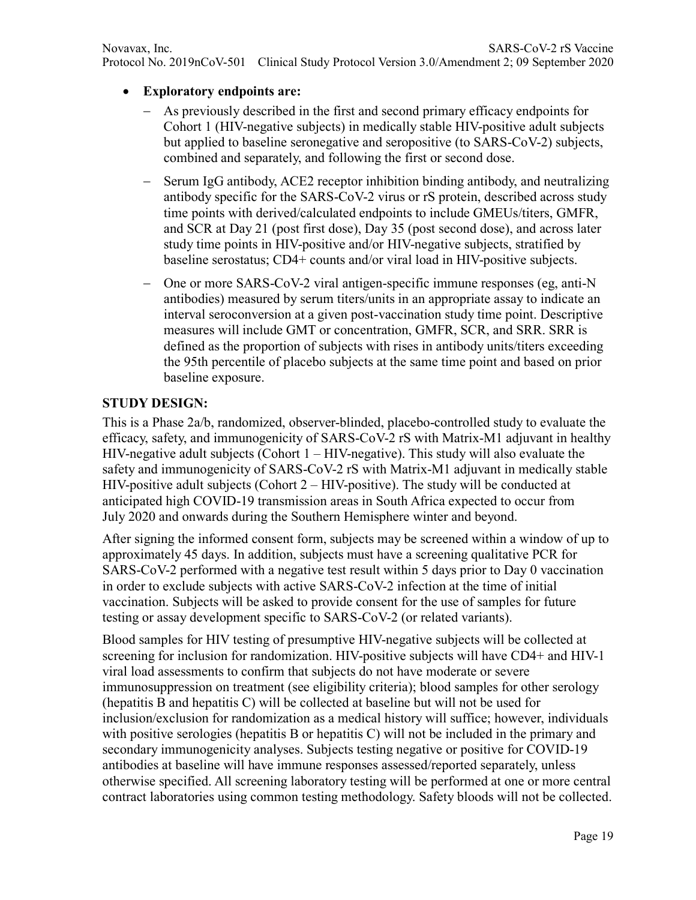- **Exploratory endpoints are:**
	- − As previously described in the first and second primary efficacy endpoints for Cohort 1 (HIV-negative subjects) in medically stable HIV-positive adult subjects but applied to baseline seronegative and seropositive (to SARS-CoV-2) subjects, combined and separately, and following the first or second dose.
	- − Serum IgG antibody, ACE2 receptor inhibition binding antibody, and neutralizing antibody specific for the SARS-CoV-2 virus or rS protein, described across study time points with derived/calculated endpoints to include GMEUs/titers, GMFR, and SCR at Day 21 (post first dose), Day 35 (post second dose), and across later study time points in HIV-positive and/or HIV-negative subjects, stratified by baseline serostatus; CD4+ counts and/or viral load in HIV-positive subjects.
	- − One or more SARS-CoV-2 viral antigen-specific immune responses (eg, anti-N antibodies) measured by serum titers/units in an appropriate assay to indicate an interval seroconversion at a given post-vaccination study time point. Descriptive measures will include GMT or concentration, GMFR, SCR, and SRR. SRR is defined as the proportion of subjects with rises in antibody units/titers exceeding the 95th percentile of placebo subjects at the same time point and based on prior baseline exposure.

### **STUDY DESIGN:**

This is a Phase 2a/b, randomized, observer-blinded, placebo-controlled study to evaluate the efficacy, safety, and immunogenicity of SARS-CoV-2 rS with Matrix-M1 adjuvant in healthy HIV-negative adult subjects (Cohort 1 – HIV-negative). This study will also evaluate the safety and immunogenicity of SARS-CoV-2 rS with Matrix-M1 adjuvant in medically stable HIV-positive adult subjects (Cohort 2 – HIV-positive). The study will be conducted at anticipated high COVID-19 transmission areas in South Africa expected to occur from July 2020 and onwards during the Southern Hemisphere winter and beyond.

After signing the informed consent form, subjects may be screened within a window of up to approximately 45 days. In addition, subjects must have a screening qualitative PCR for SARS-CoV-2 performed with a negative test result within 5 days prior to Day 0 vaccination in order to exclude subjects with active SARS-CoV-2 infection at the time of initial vaccination. Subjects will be asked to provide consent for the use of samples for future testing or assay development specific to SARS-CoV-2 (or related variants).

Blood samples for HIV testing of presumptive HIV-negative subjects will be collected at screening for inclusion for randomization. HIV-positive subjects will have CD4+ and HIV-1 viral load assessments to confirm that subjects do not have moderate or severe immunosuppression on treatment (see eligibility criteria); blood samples for other serology (hepatitis B and hepatitis C) will be collected at baseline but will not be used for inclusion/exclusion for randomization as a medical history will suffice; however, individuals with positive serologies (hepatitis B or hepatitis C) will not be included in the primary and secondary immunogenicity analyses. Subjects testing negative or positive for COVID-19 antibodies at baseline will have immune responses assessed/reported separately, unless otherwise specified. All screening laboratory testing will be performed at one or more central contract laboratories using common testing methodology. Safety bloods will not be collected.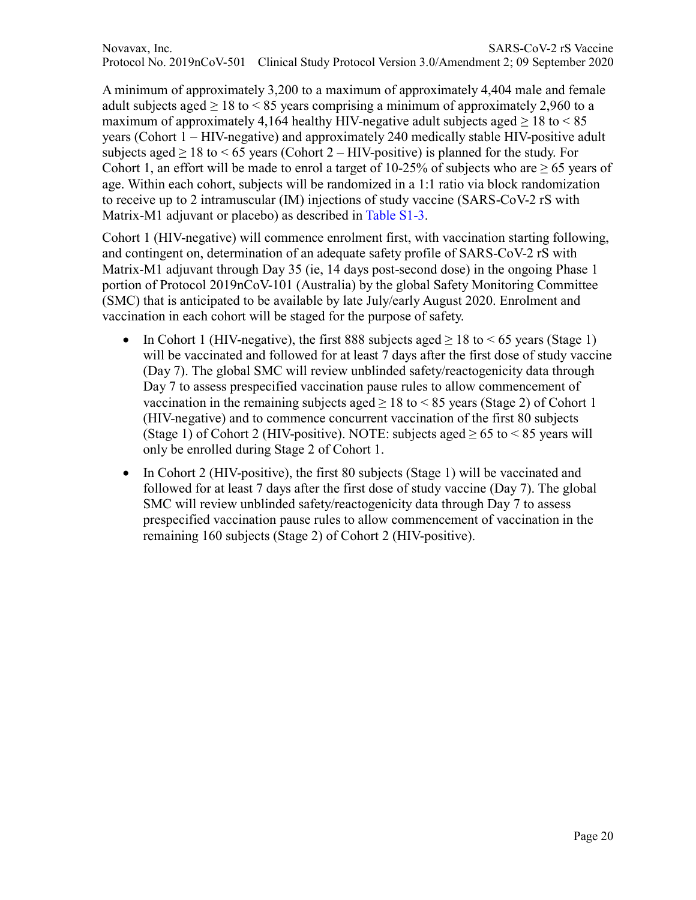Novavax, Inc. SARS-CoV-2 rS Vaccine Protocol No. 2019nCoV-501 Clinical Study Protocol Version 3.0/Amendment 2; 09 September 2020

A minimum of approximately 3,200 to a maximum of approximately 4,404 male and female adult subjects aged  $\geq 18$  to  $\leq 85$  years comprising a minimum of approximately 2,960 to a maximum of approximately 4,164 healthy HIV-negative adult subjects aged  $> 18$  to  $< 85$ years (Cohort 1 – HIV-negative) and approximately 240 medically stable HIV-positive adult subjects aged  $> 18$  to  $< 65$  years (Cohort 2 – HIV-positive) is planned for the study. For Cohort 1, an effort will be made to enrol a target of 10-25% of subjects who are  $\geq 65$  years of age. Within each cohort, subjects will be randomized in a 1:1 ratio via block randomization to receive up to 2 intramuscular (IM) injections of study vaccine (SARS-CoV-2 rS with Matrix-M1 adjuvant or placebo) as described in Table S1-3.

Cohort 1 (HIV-negative) will commence enrolment first, with vaccination starting following, and contingent on, determination of an adequate safety profile of SARS-CoV-2 rS with Matrix-M1 adjuvant through Day 35 (ie, 14 days post-second dose) in the ongoing Phase 1 portion of Protocol 2019nCoV-101 (Australia) by the global Safety Monitoring Committee (SMC) that is anticipated to be available by late July/early August 2020. Enrolment and vaccination in each cohort will be staged for the purpose of safety.

- In Cohort 1 (HIV-negative), the first 888 subjects aged  $\geq 18$  to  $\leq 65$  years (Stage 1) will be vaccinated and followed for at least 7 days after the first dose of study vaccine (Day 7). The global SMC will review unblinded safety/reactogenicity data through Day 7 to assess prespecified vaccination pause rules to allow commencement of vaccination in the remaining subjects aged  $> 18$  to  $< 85$  years (Stage 2) of Cohort 1 (HIV-negative) and to commence concurrent vaccination of the first 80 subjects (Stage 1) of Cohort 2 (HIV-positive). NOTE: subjects aged  $\geq 65$  to  $\leq 85$  years will only be enrolled during Stage 2 of Cohort 1.
- In Cohort 2 (HIV-positive), the first 80 subjects (Stage 1) will be vaccinated and followed for at least 7 days after the first dose of study vaccine (Day 7). The global SMC will review unblinded safety/reactogenicity data through Day 7 to assess prespecified vaccination pause rules to allow commencement of vaccination in the remaining 160 subjects (Stage 2) of Cohort 2 (HIV-positive).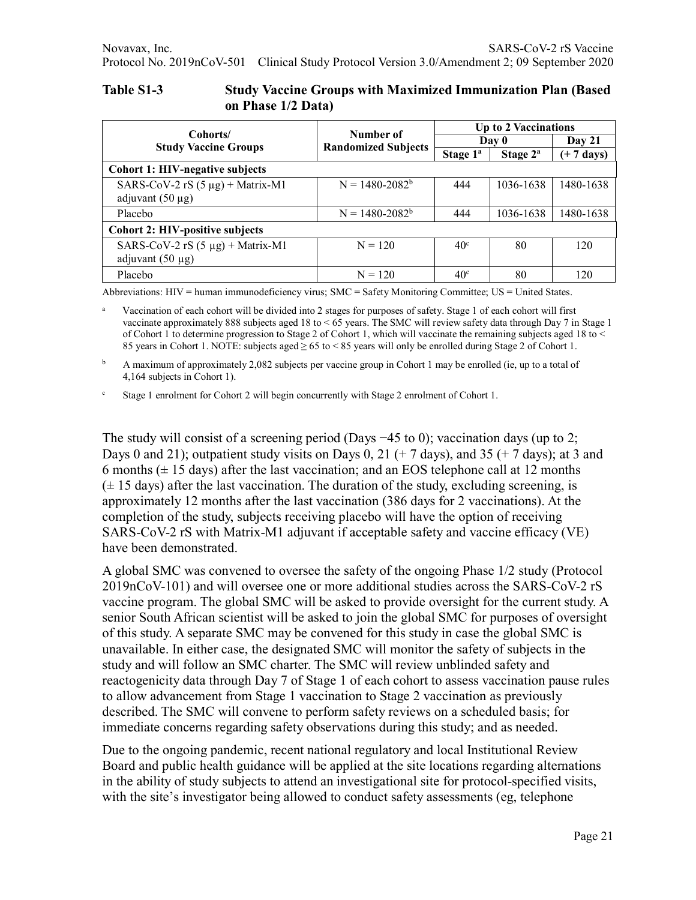| Table S1-3 | <b>Study Vaccine Groups with Maximized Immunization Plan (Based)</b> |
|------------|----------------------------------------------------------------------|
|            | on Phase 1/2 Data)                                                   |

|                                        |                            | <b>Up to 2 Vaccinations</b> |                      |                      |  |
|----------------------------------------|----------------------------|-----------------------------|----------------------|----------------------|--|
| Cohorts/                               | Number of                  | Day 0                       |                      | Day $21$             |  |
| <b>Study Vaccine Groups</b>            | <b>Randomized Subjects</b> | Stage $1^a$                 | Stage 2 <sup>a</sup> | $(+ 7 \text{ days})$ |  |
| <b>Cohort 1: HIV-negative subjects</b> |                            |                             |                      |                      |  |
| SARS-CoV-2 rS $(5 \mu g)$ + Matrix-M1  | $N = 1480 - 2082^b$        | 444                         | 1036-1638            | 1480-1638            |  |
| adjuvant $(50 \mu g)$                  |                            |                             |                      |                      |  |
| Placebo                                | $N = 1480 - 2082^b$        | 444                         | 1036-1638            | 1480-1638            |  |
| <b>Cohort 2: HIV-positive subjects</b> |                            |                             |                      |                      |  |
| SARS-CoV-2 rS $(5 \mu g)$ + Matrix-M1  | $N = 120$                  | 40 <sup>c</sup>             | 80                   | 120                  |  |
| adjuvant $(50 \mu g)$                  |                            |                             |                      |                      |  |
| Placebo                                | $N = 120$                  | 40 <sup>c</sup>             | 80                   | 120                  |  |

Abbreviations: HIV = human immunodeficiency virus; SMC = Safety Monitoring Committee; US = United States.

a Vaccination of each cohort will be divided into 2 stages for purposes of safety. Stage 1 of each cohort will first vaccinate approximately 888 subjects aged 18 to < 65 years. The SMC will review safety data through Day 7 in Stage 1 of Cohort 1 to determine progression to Stage 2 of Cohort 1, which will vaccinate the remaining subjects aged 18 to < 85 years in Cohort 1. NOTE: subjects aged ≥ 65 to < 85 years will only be enrolled during Stage 2 of Cohort 1.

<sup>b</sup> A maximum of approximately 2,082 subjects per vaccine group in Cohort 1 may be enrolled (ie, up to a total of 4,164 subjects in Cohort 1).

<sup>c</sup> Stage 1 enrolment for Cohort 2 will begin concurrently with Stage 2 enrolment of Cohort 1.

The study will consist of a screening period (Days −45 to 0); vaccination days (up to 2; Days 0 and 21); outpatient study visits on Days 0, 21 (+ 7 days), and 35 (+ 7 days); at 3 and 6 months  $(\pm 15$  days) after the last vaccination; and an EOS telephone call at 12 months  $(\pm 15$  days) after the last vaccination. The duration of the study, excluding screening, is approximately 12 months after the last vaccination (386 days for 2 vaccinations). At the completion of the study, subjects receiving placebo will have the option of receiving SARS-CoV-2 rS with Matrix-M1 adjuvant if acceptable safety and vaccine efficacy (VE) have been demonstrated.

A global SMC was convened to oversee the safety of the ongoing Phase 1/2 study (Protocol 2019nCoV-101) and will oversee one or more additional studies across the SARS-CoV-2 rS vaccine program. The global SMC will be asked to provide oversight for the current study. A senior South African scientist will be asked to join the global SMC for purposes of oversight of this study. A separate SMC may be convened for this study in case the global SMC is unavailable. In either case, the designated SMC will monitor the safety of subjects in the study and will follow an SMC charter. The SMC will review unblinded safety and reactogenicity data through Day 7 of Stage 1 of each cohort to assess vaccination pause rules to allow advancement from Stage 1 vaccination to Stage 2 vaccination as previously described. The SMC will convene to perform safety reviews on a scheduled basis; for immediate concerns regarding safety observations during this study; and as needed.

Due to the ongoing pandemic, recent national regulatory and local Institutional Review Board and public health guidance will be applied at the site locations regarding alternations in the ability of study subjects to attend an investigational site for protocol-specified visits, with the site's investigator being allowed to conduct safety assessments (eg, telephone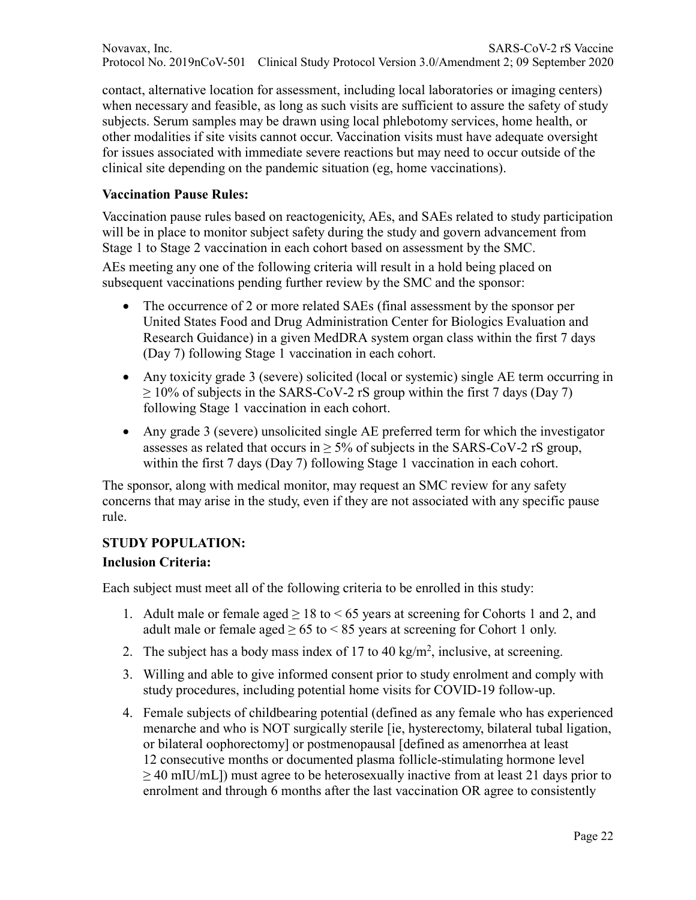contact, alternative location for assessment, including local laboratories or imaging centers) when necessary and feasible, as long as such visits are sufficient to assure the safety of study subjects. Serum samples may be drawn using local phlebotomy services, home health, or other modalities if site visits cannot occur. Vaccination visits must have adequate oversight for issues associated with immediate severe reactions but may need to occur outside of the clinical site depending on the pandemic situation (eg, home vaccinations).

### **Vaccination Pause Rules:**

Vaccination pause rules based on reactogenicity, AEs, and SAEs related to study participation will be in place to monitor subject safety during the study and govern advancement from Stage 1 to Stage 2 vaccination in each cohort based on assessment by the SMC.

AEs meeting any one of the following criteria will result in a hold being placed on subsequent vaccinations pending further review by the SMC and the sponsor:

- The occurrence of 2 or more related SAEs (final assessment by the sponsor per United States Food and Drug Administration Center for Biologics Evaluation and Research Guidance) in a given MedDRA system organ class within the first 7 days (Day 7) following Stage 1 vaccination in each cohort.
- Any toxicity grade 3 (severe) solicited (local or systemic) single AE term occurring in  $\geq$  10% of subjects in the SARS-CoV-2 rS group within the first 7 days (Day 7) following Stage 1 vaccination in each cohort.
- Any grade 3 (severe) unsolicited single AE preferred term for which the investigator assesses as related that occurs in  $\geq$  5% of subjects in the SARS-CoV-2 rS group, within the first 7 days (Day 7) following Stage 1 vaccination in each cohort.

The sponsor, along with medical monitor, may request an SMC review for any safety concerns that may arise in the study, even if they are not associated with any specific pause rule.

# **STUDY POPULATION:**

### **Inclusion Criteria:**

Each subject must meet all of the following criteria to be enrolled in this study:

- 1. Adult male or female aged  $> 18$  to  $< 65$  years at screening for Cohorts 1 and 2, and adult male or female aged  $\geq 65$  to  $\leq 85$  years at screening for Cohort 1 only.
- 2. The subject has a body mass index of 17 to 40 kg/m<sup>2</sup>, inclusive, at screening.
- 3. Willing and able to give informed consent prior to study enrolment and comply with study procedures, including potential home visits for COVID-19 follow-up.
- 4. Female subjects of childbearing potential (defined as any female who has experienced menarche and who is NOT surgically sterile [ie, hysterectomy, bilateral tubal ligation, or bilateral oophorectomy] or postmenopausal [defined as amenorrhea at least 12 consecutive months or documented plasma follicle-stimulating hormone level  $\geq$  40 mIU/mL]) must agree to be heterosexually inactive from at least 21 days prior to enrolment and through 6 months after the last vaccination OR agree to consistently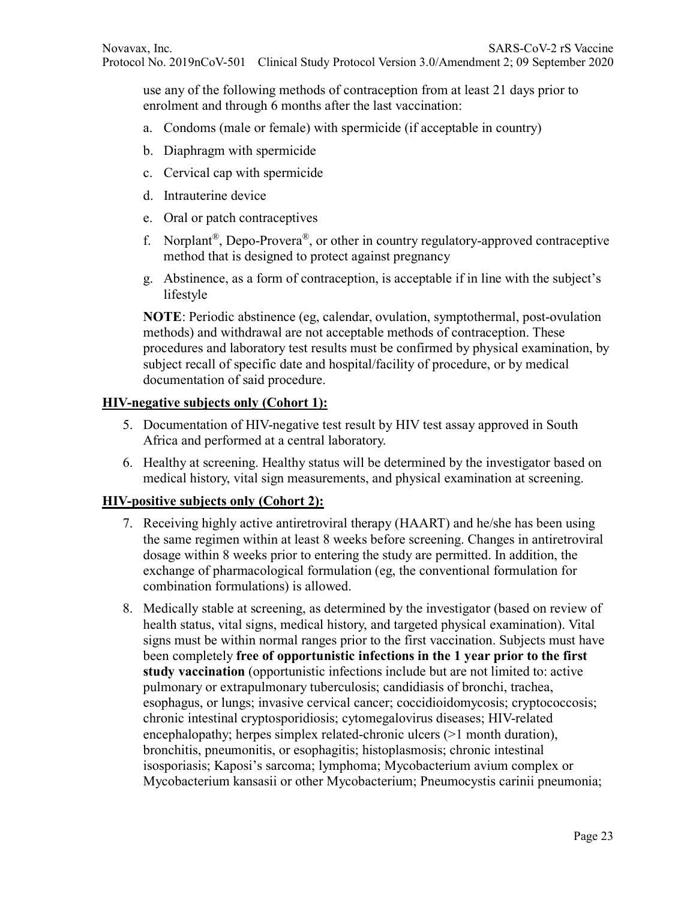use any of the following methods of contraception from at least 21 days prior to enrolment and through 6 months after the last vaccination:

- a. Condoms (male or female) with spermicide (if acceptable in country)
- b. Diaphragm with spermicide
- c. Cervical cap with spermicide
- d. Intrauterine device
- e. Oral or patch contraceptives
- f. Norplant®, Depo-Provera®, or other in country regulatory-approved contraceptive method that is designed to protect against pregnancy
- g. Abstinence, as a form of contraception, is acceptable if in line with the subject's lifestyle

**NOTE**: Periodic abstinence (eg, calendar, ovulation, symptothermal, post-ovulation methods) and withdrawal are not acceptable methods of contraception. These procedures and laboratory test results must be confirmed by physical examination, by subject recall of specific date and hospital/facility of procedure, or by medical documentation of said procedure.

#### **HIV-negative subjects only (Cohort 1):**

- 5. Documentation of HIV-negative test result by HIV test assay approved in South Africa and performed at a central laboratory.
- 6. Healthy at screening. Healthy status will be determined by the investigator based on medical history, vital sign measurements, and physical examination at screening.

### **HIV-positive subjects only (Cohort 2):**

- 7. Receiving highly active antiretroviral therapy (HAART) and he/she has been using the same regimen within at least 8 weeks before screening. Changes in antiretroviral dosage within 8 weeks prior to entering the study are permitted. In addition, the exchange of pharmacological formulation (eg, the conventional formulation for combination formulations) is allowed.
- 8. Medically stable at screening, as determined by the investigator (based on review of health status, vital signs, medical history, and targeted physical examination). Vital signs must be within normal ranges prior to the first vaccination. Subjects must have been completely **free of opportunistic infections in the 1 year prior to the first study vaccination** (opportunistic infections include but are not limited to: active pulmonary or extrapulmonary tuberculosis; candidiasis of bronchi, trachea, esophagus, or lungs; invasive cervical cancer; coccidioidomycosis; cryptococcosis; chronic intestinal cryptosporidiosis; cytomegalovirus diseases; HIV-related encephalopathy; herpes simplex related-chronic ulcers (>1 month duration), bronchitis, pneumonitis, or esophagitis; histoplasmosis; chronic intestinal isosporiasis; Kaposi's sarcoma; lymphoma; Mycobacterium avium complex or Mycobacterium kansasii or other Mycobacterium; Pneumocystis carinii pneumonia;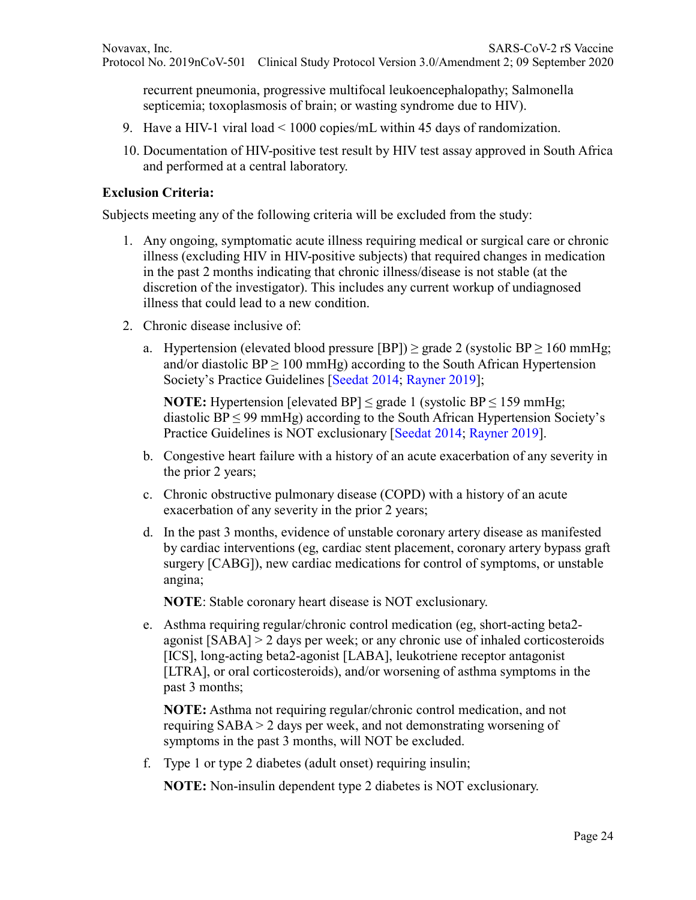recurrent pneumonia, progressive multifocal leukoencephalopathy; Salmonella septicemia; toxoplasmosis of brain; or wasting syndrome due to HIV).

- 9. Have a HIV-1 viral load < 1000 copies/mL within 45 days of randomization.
- 10. Documentation of HIV-positive test result by HIV test assay approved in South Africa and performed at a central laboratory.

#### **Exclusion Criteria:**

Subjects meeting any of the following criteria will be excluded from the study:

- 1. Any ongoing, symptomatic acute illness requiring medical or surgical care or chronic illness (excluding HIV in HIV-positive subjects) that required changes in medication in the past 2 months indicating that chronic illness/disease is not stable (at the discretion of the investigator). This includes any current workup of undiagnosed illness that could lead to a new condition.
- 2. Chronic disease inclusive of:
	- a. Hypertension (elevated blood pressure [BP])  $\geq$  grade 2 (systolic BP  $\geq$  160 mmHg; and/or diastolic  $BP \ge 100$  mmHg) according to the South African Hypertension Society's Practice Guidelines [Seedat 2014; Rayner 2019];

**NOTE:** Hypertension [elevated BP]  $\leq$  grade 1 (systolic BP  $\leq$  159 mmHg; diastolic  $BP \leq 99$  mmHg) according to the South African Hypertension Society's Practice Guidelines is NOT exclusionary [Seedat 2014; Rayner 2019].

- b. Congestive heart failure with a history of an acute exacerbation of any severity in the prior 2 years;
- c. Chronic obstructive pulmonary disease (COPD) with a history of an acute exacerbation of any severity in the prior 2 years;
- d. In the past 3 months, evidence of unstable coronary artery disease as manifested by cardiac interventions (eg, cardiac stent placement, coronary artery bypass graft surgery [CABG]), new cardiac medications for control of symptoms, or unstable angina;

**NOTE**: Stable coronary heart disease is NOT exclusionary.

e. Asthma requiring regular/chronic control medication (eg, short-acting beta2 agonist [SABA] > 2 days per week; or any chronic use of inhaled corticosteroids [ICS], long-acting beta2-agonist [LABA], leukotriene receptor antagonist [LTRA], or oral corticosteroids), and/or worsening of asthma symptoms in the past 3 months;

**NOTE:** Asthma not requiring regular/chronic control medication, and not requiring SABA > 2 days per week, and not demonstrating worsening of symptoms in the past 3 months, will NOT be excluded.

f. Type 1 or type 2 diabetes (adult onset) requiring insulin;

**NOTE:** Non-insulin dependent type 2 diabetes is NOT exclusionary.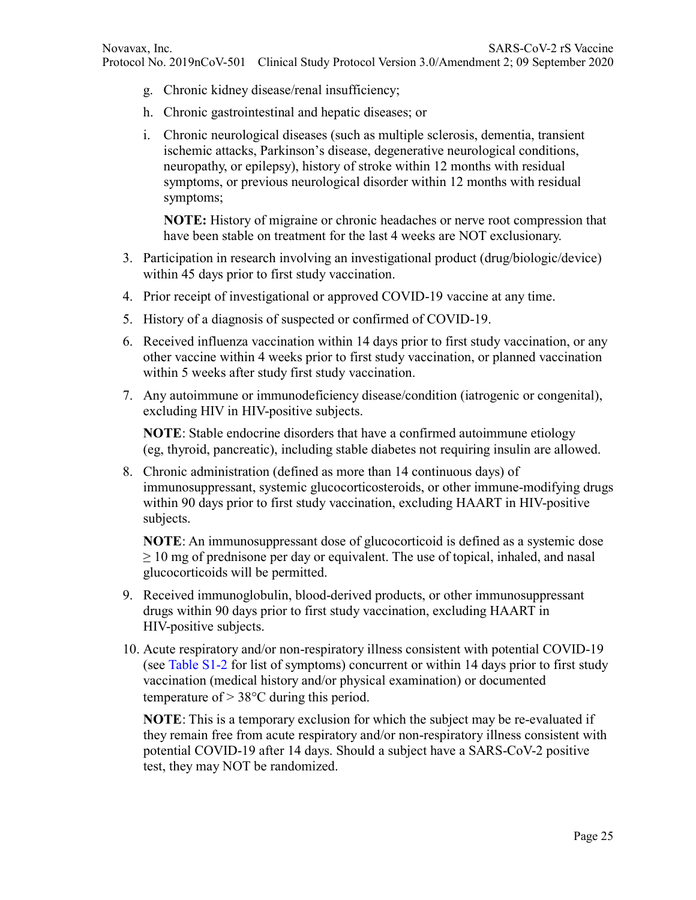- g. Chronic kidney disease/renal insufficiency;
- h. Chronic gastrointestinal and hepatic diseases; or
- i. Chronic neurological diseases (such as multiple sclerosis, dementia, transient ischemic attacks, Parkinson's disease, degenerative neurological conditions, neuropathy, or epilepsy), history of stroke within 12 months with residual symptoms, or previous neurological disorder within 12 months with residual symptoms;

**NOTE:** History of migraine or chronic headaches or nerve root compression that have been stable on treatment for the last 4 weeks are NOT exclusionary.

- 3. Participation in research involving an investigational product (drug/biologic/device) within 45 days prior to first study vaccination.
- 4. Prior receipt of investigational or approved COVID-19 vaccine at any time.
- 5. History of a diagnosis of suspected or confirmed of COVID-19.
- 6. Received influenza vaccination within 14 days prior to first study vaccination, or any other vaccine within 4 weeks prior to first study vaccination, or planned vaccination within 5 weeks after study first study vaccination.
- 7. Any autoimmune or immunodeficiency disease/condition (iatrogenic or congenital), excluding HIV in HIV-positive subjects.

**NOTE**: Stable endocrine disorders that have a confirmed autoimmune etiology (eg, thyroid, pancreatic), including stable diabetes not requiring insulin are allowed.

8. Chronic administration (defined as more than 14 continuous days) of immunosuppressant, systemic glucocorticosteroids, or other immune-modifying drugs within 90 days prior to first study vaccination, excluding HAART in HIV-positive subjects.

**NOTE**: An immunosuppressant dose of glucocorticoid is defined as a systemic dose  $\geq 10$  mg of prednisone per day or equivalent. The use of topical, inhaled, and nasal glucocorticoids will be permitted.

- 9. Received immunoglobulin, blood-derived products, or other immunosuppressant drugs within 90 days prior to first study vaccination, excluding HAART in HIV-positive subjects.
- 10. Acute respiratory and/or non-respiratory illness consistent with potential COVID-19 (see Table S1-2 for list of symptoms) concurrent or within 14 days prior to first study vaccination (medical history and/or physical examination) or documented temperature of  $> 38^{\circ}$ C during this period.

**NOTE**: This is a temporary exclusion for which the subject may be re-evaluated if they remain free from acute respiratory and/or non-respiratory illness consistent with potential COVID-19 after 14 days. Should a subject have a SARS-CoV-2 positive test, they may NOT be randomized.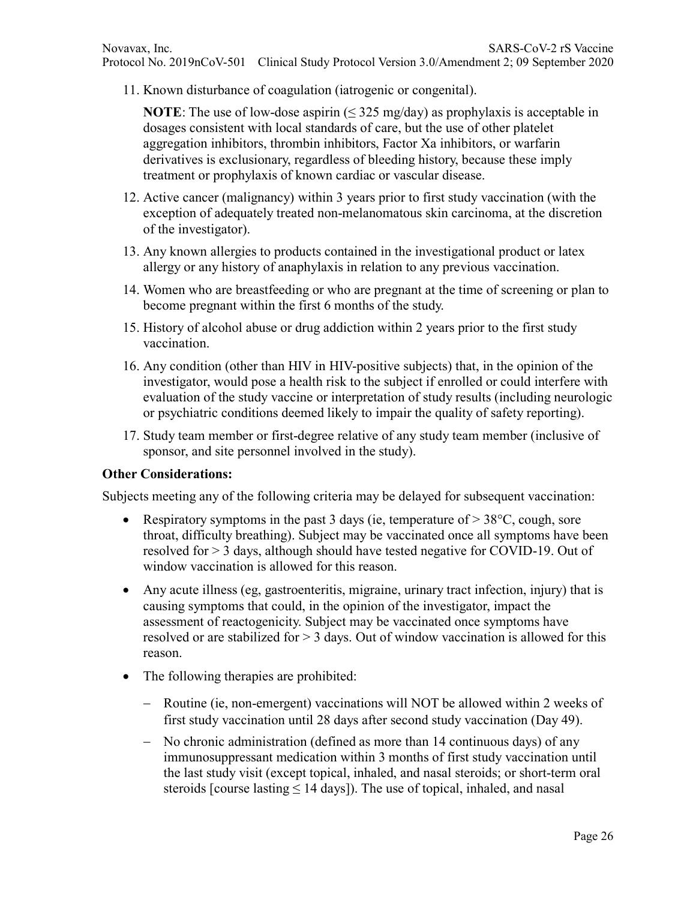11. Known disturbance of coagulation (iatrogenic or congenital).

**NOTE**: The use of low-dose aspirin  $(\leq 325 \text{ mg/day})$  as prophylaxis is acceptable in dosages consistent with local standards of care, but the use of other platelet aggregation inhibitors, thrombin inhibitors, Factor Xa inhibitors, or warfarin derivatives is exclusionary, regardless of bleeding history, because these imply treatment or prophylaxis of known cardiac or vascular disease.

- 12. Active cancer (malignancy) within 3 years prior to first study vaccination (with the exception of adequately treated non-melanomatous skin carcinoma, at the discretion of the investigator).
- 13. Any known allergies to products contained in the investigational product or latex allergy or any history of anaphylaxis in relation to any previous vaccination.
- 14. Women who are breastfeeding or who are pregnant at the time of screening or plan to become pregnant within the first 6 months of the study.
- 15. History of alcohol abuse or drug addiction within 2 years prior to the first study vaccination.
- 16. Any condition (other than HIV in HIV-positive subjects) that, in the opinion of the investigator, would pose a health risk to the subject if enrolled or could interfere with evaluation of the study vaccine or interpretation of study results (including neurologic or psychiatric conditions deemed likely to impair the quality of safety reporting).
- 17. Study team member or first-degree relative of any study team member (inclusive of sponsor, and site personnel involved in the study).

### **Other Considerations:**

Subjects meeting any of the following criteria may be delayed for subsequent vaccination:

- Respiratory symptoms in the past 3 days (ie, temperature of  $> 38$ °C, cough, sore throat, difficulty breathing). Subject may be vaccinated once all symptoms have been resolved for > 3 days, although should have tested negative for COVID-19. Out of window vaccination is allowed for this reason.
- Any acute illness (eg, gastroenteritis, migraine, urinary tract infection, injury) that is causing symptoms that could, in the opinion of the investigator, impact the assessment of reactogenicity. Subject may be vaccinated once symptoms have resolved or are stabilized for > 3 days. Out of window vaccination is allowed for this reason.
- The following therapies are prohibited:
	- − Routine (ie, non-emergent) vaccinations will NOT be allowed within 2 weeks of first study vaccination until 28 days after second study vaccination (Day 49).
	- − No chronic administration (defined as more than 14 continuous days) of any immunosuppressant medication within 3 months of first study vaccination until the last study visit (except topical, inhaled, and nasal steroids; or short-term oral steroids [course lasting ≤ 14 days]). The use of topical, inhaled, and nasal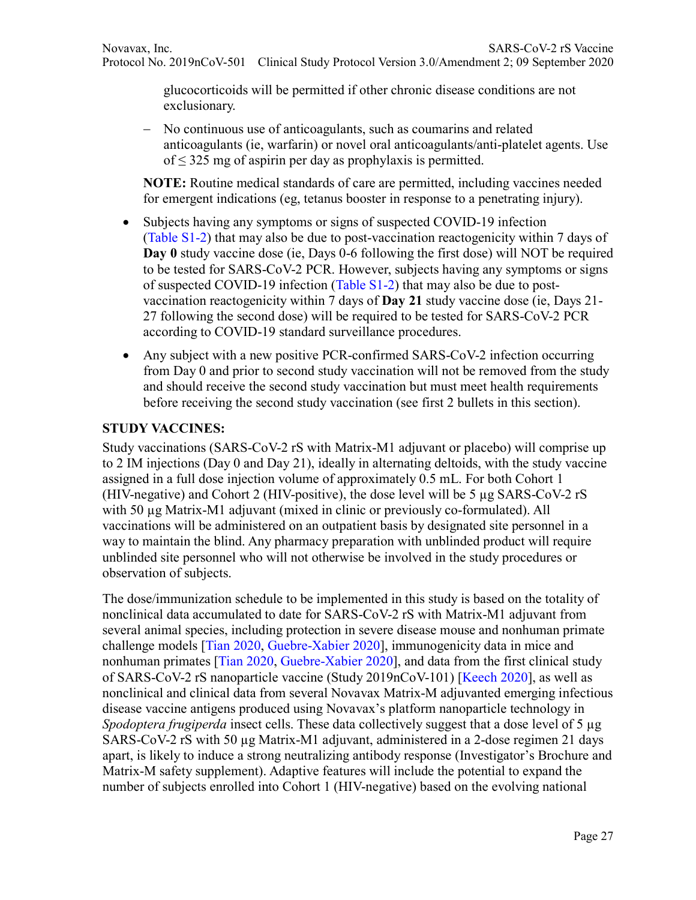glucocorticoids will be permitted if other chronic disease conditions are not exclusionary.

− No continuous use of anticoagulants, such as coumarins and related anticoagulants (ie, warfarin) or novel oral anticoagulants/anti-platelet agents. Use of  $\leq$  325 mg of aspirin per day as prophylaxis is permitted.

**NOTE:** Routine medical standards of care are permitted, including vaccines needed for emergent indications (eg, tetanus booster in response to a penetrating injury).

- Subjects having any symptoms or signs of suspected COVID-19 infection (Table S1-2) that may also be due to post-vaccination reactogenicity within 7 days of **Day 0** study vaccine dose (ie, Days 0-6 following the first dose) will NOT be required to be tested for SARS-CoV-2 PCR. However, subjects having any symptoms or signs of suspected COVID-19 infection (Table S1-2) that may also be due to postvaccination reactogenicity within 7 days of **Day 21** study vaccine dose (ie, Days 21- 27 following the second dose) will be required to be tested for SARS-CoV-2 PCR according to COVID-19 standard surveillance procedures.
- Any subject with a new positive PCR-confirmed SARS-CoV-2 infection occurring from Day 0 and prior to second study vaccination will not be removed from the study and should receive the second study vaccination but must meet health requirements before receiving the second study vaccination (see first 2 bullets in this section).

## **STUDY VACCINES:**

Study vaccinations (SARS-CoV-2 rS with Matrix-M1 adjuvant or placebo) will comprise up to 2 IM injections (Day 0 and Day 21), ideally in alternating deltoids, with the study vaccine assigned in a full dose injection volume of approximately 0.5 mL. For both Cohort 1 (HIV-negative) and Cohort 2 (HIV-positive), the dose level will be 5 µg SARS-CoV-2 rS with 50  $\mu$ g Matrix-M1 adjuvant (mixed in clinic or previously co-formulated). All vaccinations will be administered on an outpatient basis by designated site personnel in a way to maintain the blind. Any pharmacy preparation with unblinded product will require unblinded site personnel who will not otherwise be involved in the study procedures or observation of subjects.

The dose/immunization schedule to be implemented in this study is based on the totality of nonclinical data accumulated to date for SARS-CoV-2 rS with Matrix-M1 adjuvant from several animal species, including protection in severe disease mouse and nonhuman primate challenge models [Tian 2020, Guebre-Xabier 2020], immunogenicity data in mice and nonhuman primates [Tian 2020, Guebre-Xabier 2020], and data from the first clinical study of SARS-CoV-2 rS nanoparticle vaccine (Study 2019nCoV-101) [Keech 2020], as well as nonclinical and clinical data from several Novavax Matrix-M adjuvanted emerging infectious disease vaccine antigens produced using Novavax's platform nanoparticle technology in *Spodoptera frugiperda* insect cells. These data collectively suggest that a dose level of 5 µg SARS-CoV-2 rS with 50 ug Matrix-M1 adjuvant, administered in a 2-dose regimen 21 days apart, is likely to induce a strong neutralizing antibody response (Investigator's Brochure and Matrix-M safety supplement). Adaptive features will include the potential to expand the number of subjects enrolled into Cohort 1 (HIV-negative) based on the evolving national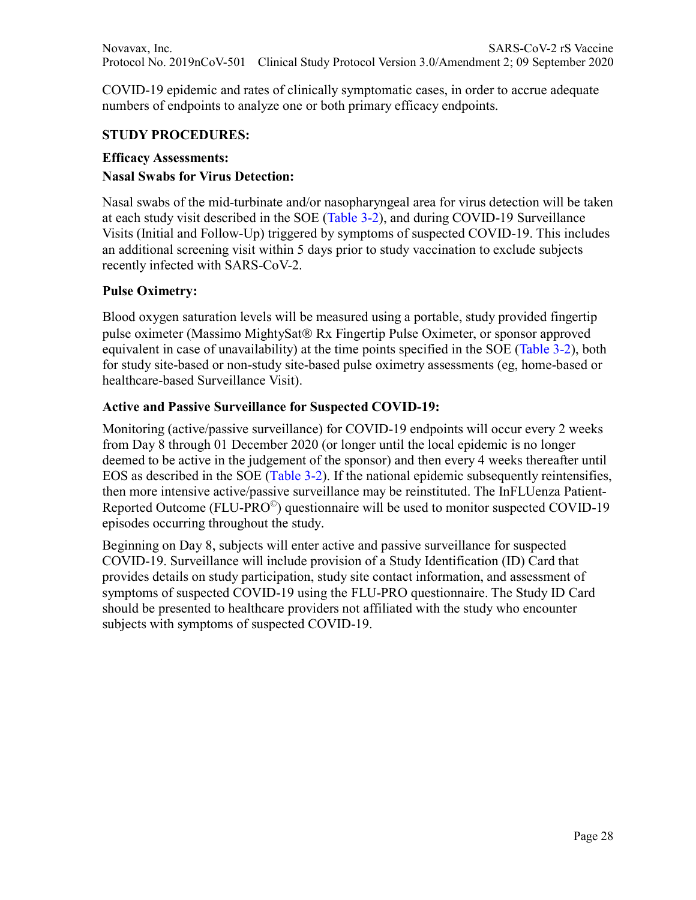COVID-19 epidemic and rates of clinically symptomatic cases, in order to accrue adequate numbers of endpoints to analyze one or both primary efficacy endpoints.

### **STUDY PROCEDURES:**

#### **Efficacy Assessments:**

### **Nasal Swabs for Virus Detection:**

Nasal swabs of the mid-turbinate and/or nasopharyngeal area for virus detection will be taken at each study visit described in the SOE (Table 3-2), and during COVID-19 Surveillance Visits (Initial and Follow-Up) triggered by symptoms of suspected COVID-19. This includes an additional screening visit within 5 days prior to study vaccination to exclude subjects recently infected with SARS-CoV-2.

#### **Pulse Oximetry:**

Blood oxygen saturation levels will be measured using a portable, study provided fingertip pulse oximeter (Massimo MightySat® Rx Fingertip Pulse Oximeter, or sponsor approved equivalent in case of unavailability) at the time points specified in the SOE (Table 3-2), both for study site-based or non-study site-based pulse oximetry assessments (eg, home-based or healthcare-based Surveillance Visit).

#### **Active and Passive Surveillance for Suspected COVID-19:**

Monitoring (active/passive surveillance) for COVID-19 endpoints will occur every 2 weeks from Day 8 through 01 December 2020 (or longer until the local epidemic is no longer deemed to be active in the judgement of the sponsor) and then every 4 weeks thereafter until EOS as described in the SOE (Table 3-2). If the national epidemic subsequently reintensifies, then more intensive active/passive surveillance may be reinstituted. The InFLUenza Patient-Reported Outcome (FLU-PRO©) questionnaire will be used to monitor suspected COVID-19 episodes occurring throughout the study.

Beginning on Day 8, subjects will enter active and passive surveillance for suspected COVID-19. Surveillance will include provision of a Study Identification (ID) Card that provides details on study participation, study site contact information, and assessment of symptoms of suspected COVID-19 using the FLU-PRO questionnaire. The Study ID Card should be presented to healthcare providers not affiliated with the study who encounter subjects with symptoms of suspected COVID-19.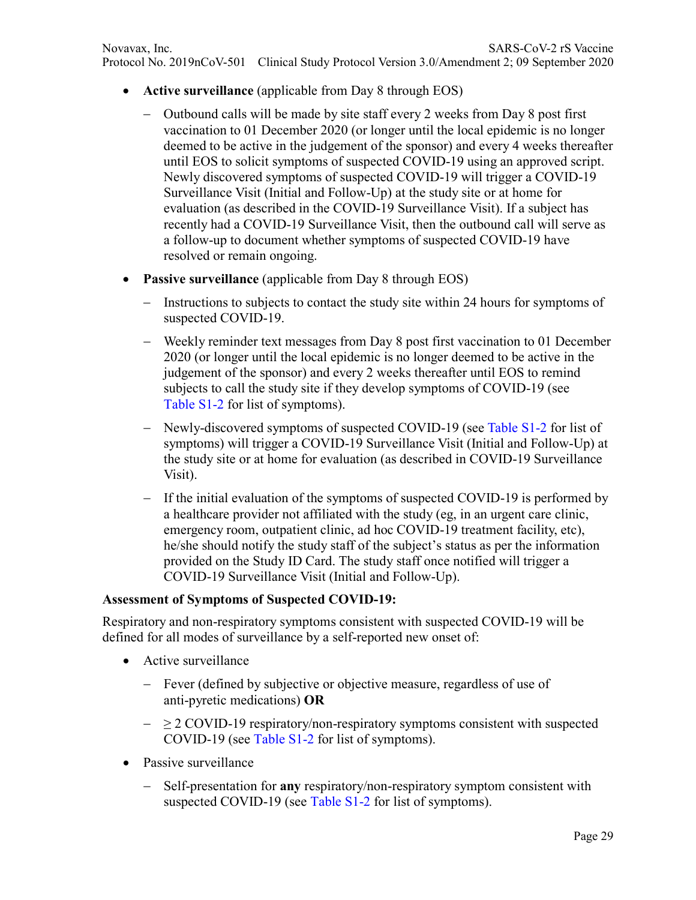- **Active surveillance** (applicable from Day 8 through EOS)
	- − Outbound calls will be made by site staff every 2 weeks from Day 8 post first vaccination to 01 December 2020 (or longer until the local epidemic is no longer deemed to be active in the judgement of the sponsor) and every 4 weeks thereafter until EOS to solicit symptoms of suspected COVID-19 using an approved script. Newly discovered symptoms of suspected COVID-19 will trigger a COVID-19 Surveillance Visit (Initial and Follow-Up) at the study site or at home for evaluation (as described in the COVID-19 Surveillance Visit). If a subject has recently had a COVID-19 Surveillance Visit, then the outbound call will serve as a follow-up to document whether symptoms of suspected COVID-19 have resolved or remain ongoing.
- **Passive surveillance** (applicable from Day 8 through EOS)
	- − Instructions to subjects to contact the study site within 24 hours for symptoms of suspected COVID-19.
	- − Weekly reminder text messages from Day 8 post first vaccination to 01 December 2020 (or longer until the local epidemic is no longer deemed to be active in the judgement of the sponsor) and every 2 weeks thereafter until EOS to remind subjects to call the study site if they develop symptoms of COVID-19 (see Table S1-2 for list of symptoms).
	- − Newly-discovered symptoms of suspected COVID-19 (see Table S1-2 for list of symptoms) will trigger a COVID-19 Surveillance Visit (Initial and Follow-Up) at the study site or at home for evaluation (as described in COVID-19 Surveillance Visit).
	- − If the initial evaluation of the symptoms of suspected COVID-19 is performed by a healthcare provider not affiliated with the study (eg, in an urgent care clinic, emergency room, outpatient clinic, ad hoc COVID-19 treatment facility, etc), he/she should notify the study staff of the subject's status as per the information provided on the Study ID Card. The study staff once notified will trigger a COVID-19 Surveillance Visit (Initial and Follow-Up).

### **Assessment of Symptoms of Suspected COVID-19:**

Respiratory and non-respiratory symptoms consistent with suspected COVID-19 will be defined for all modes of surveillance by a self-reported new onset of:

- Active surveillance
	- − Fever (defined by subjective or objective measure, regardless of use of anti-pyretic medications) **OR**
	- − ≥ 2 COVID-19 respiratory/non-respiratory symptoms consistent with suspected COVID-19 (see Table S1-2 for list of symptoms).
- Passive surveillance
	- − Self-presentation for **any** respiratory/non-respiratory symptom consistent with suspected COVID-19 (see Table S1-2 for list of symptoms).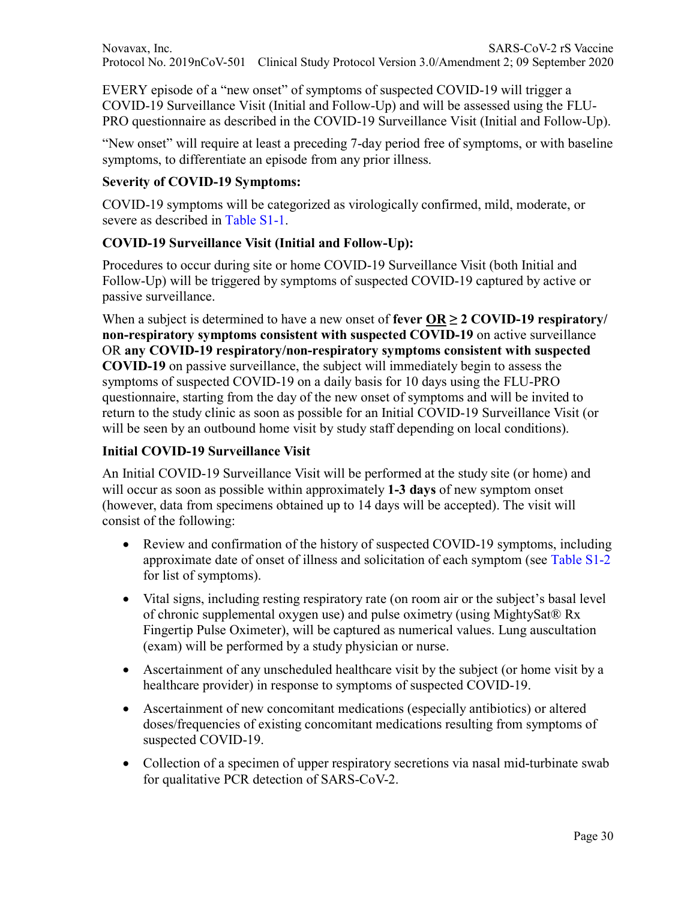EVERY episode of a "new onset" of symptoms of suspected COVID-19 will trigger a COVID-19 Surveillance Visit (Initial and Follow-Up) and will be assessed using the FLU-PRO questionnaire as described in the COVID-19 Surveillance Visit (Initial and Follow-Up).

"New onset" will require at least a preceding 7-day period free of symptoms, or with baseline symptoms, to differentiate an episode from any prior illness.

# **Severity of COVID-19 Symptoms:**

COVID-19 symptoms will be categorized as virologically confirmed, mild, moderate, or severe as described in Table S1-1.

## **COVID-19 Surveillance Visit (Initial and Follow-Up):**

Procedures to occur during site or home COVID-19 Surveillance Visit (both Initial and Follow-Up) will be triggered by symptoms of suspected COVID-19 captured by active or passive surveillance.

When a subject is determined to have a new onset of **fever OR**  $\geq$  2 **COVID-19 respiratory non-respiratory symptoms consistent with suspected COVID-19** on active surveillance OR **any COVID-19 respiratory/non-respiratory symptoms consistent with suspected COVID-19** on passive surveillance, the subject will immediately begin to assess the symptoms of suspected COVID-19 on a daily basis for 10 days using the FLU-PRO questionnaire, starting from the day of the new onset of symptoms and will be invited to return to the study clinic as soon as possible for an Initial COVID-19 Surveillance Visit (or will be seen by an outbound home visit by study staff depending on local conditions).

# **Initial COVID-19 Surveillance Visit**

An Initial COVID-19 Surveillance Visit will be performed at the study site (or home) and will occur as soon as possible within approximately **1-3 days** of new symptom onset (however, data from specimens obtained up to 14 days will be accepted). The visit will consist of the following:

- Review and confirmation of the history of suspected COVID-19 symptoms, including approximate date of onset of illness and solicitation of each symptom (see Table S1-2 for list of symptoms).
- Vital signs, including resting respiratory rate (on room air or the subject's basal level of chronic supplemental oxygen use) and pulse oximetry (using MightySat® Rx Fingertip Pulse Oximeter), will be captured as numerical values. Lung auscultation (exam) will be performed by a study physician or nurse.
- Ascertainment of any unscheduled healthcare visit by the subject (or home visit by a healthcare provider) in response to symptoms of suspected COVID-19.
- Ascertainment of new concomitant medications (especially antibiotics) or altered doses/frequencies of existing concomitant medications resulting from symptoms of suspected COVID-19.
- Collection of a specimen of upper respiratory secretions via nasal mid-turbinate swab for qualitative PCR detection of SARS-CoV-2.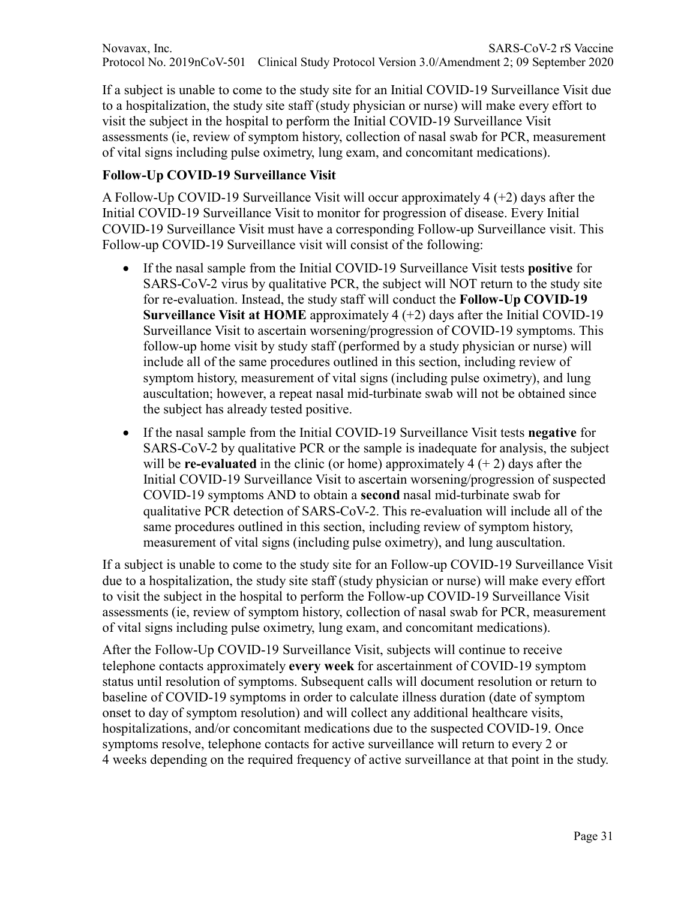If a subject is unable to come to the study site for an Initial COVID-19 Surveillance Visit due to a hospitalization, the study site staff (study physician or nurse) will make every effort to visit the subject in the hospital to perform the Initial COVID-19 Surveillance Visit assessments (ie, review of symptom history, collection of nasal swab for PCR, measurement of vital signs including pulse oximetry, lung exam, and concomitant medications).

## **Follow-Up COVID-19 Surveillance Visit**

A Follow-Up COVID-19 Surveillance Visit will occur approximately 4 (+2) days after the Initial COVID-19 Surveillance Visit to monitor for progression of disease. Every Initial COVID-19 Surveillance Visit must have a corresponding Follow-up Surveillance visit. This Follow-up COVID-19 Surveillance visit will consist of the following:

- If the nasal sample from the Initial COVID-19 Surveillance Visit tests **positive** for SARS-CoV-2 virus by qualitative PCR, the subject will NOT return to the study site for re-evaluation. Instead, the study staff will conduct the **Follow-Up COVID-19 Surveillance Visit at HOME** approximately 4 (+2) days after the Initial COVID-19 Surveillance Visit to ascertain worsening/progression of COVID-19 symptoms. This follow-up home visit by study staff (performed by a study physician or nurse) will include all of the same procedures outlined in this section, including review of symptom history, measurement of vital signs (including pulse oximetry), and lung auscultation; however, a repeat nasal mid-turbinate swab will not be obtained since the subject has already tested positive.
- If the nasal sample from the Initial COVID-19 Surveillance Visit tests **negative** for SARS-CoV-2 by qualitative PCR or the sample is inadequate for analysis, the subject will be **re-evaluated** in the clinic (or home) approximately  $4 (+ 2)$  days after the Initial COVID-19 Surveillance Visit to ascertain worsening/progression of suspected COVID-19 symptoms AND to obtain a **second** nasal mid-turbinate swab for qualitative PCR detection of SARS-CoV-2. This re-evaluation will include all of the same procedures outlined in this section, including review of symptom history, measurement of vital signs (including pulse oximetry), and lung auscultation.

If a subject is unable to come to the study site for an Follow-up COVID-19 Surveillance Visit due to a hospitalization, the study site staff (study physician or nurse) will make every effort to visit the subject in the hospital to perform the Follow-up COVID-19 Surveillance Visit assessments (ie, review of symptom history, collection of nasal swab for PCR, measurement of vital signs including pulse oximetry, lung exam, and concomitant medications).

After the Follow-Up COVID-19 Surveillance Visit, subjects will continue to receive telephone contacts approximately **every week** for ascertainment of COVID-19 symptom status until resolution of symptoms. Subsequent calls will document resolution or return to baseline of COVID-19 symptoms in order to calculate illness duration (date of symptom onset to day of symptom resolution) and will collect any additional healthcare visits, hospitalizations, and/or concomitant medications due to the suspected COVID-19. Once symptoms resolve, telephone contacts for active surveillance will return to every 2 or 4 weeks depending on the required frequency of active surveillance at that point in the study.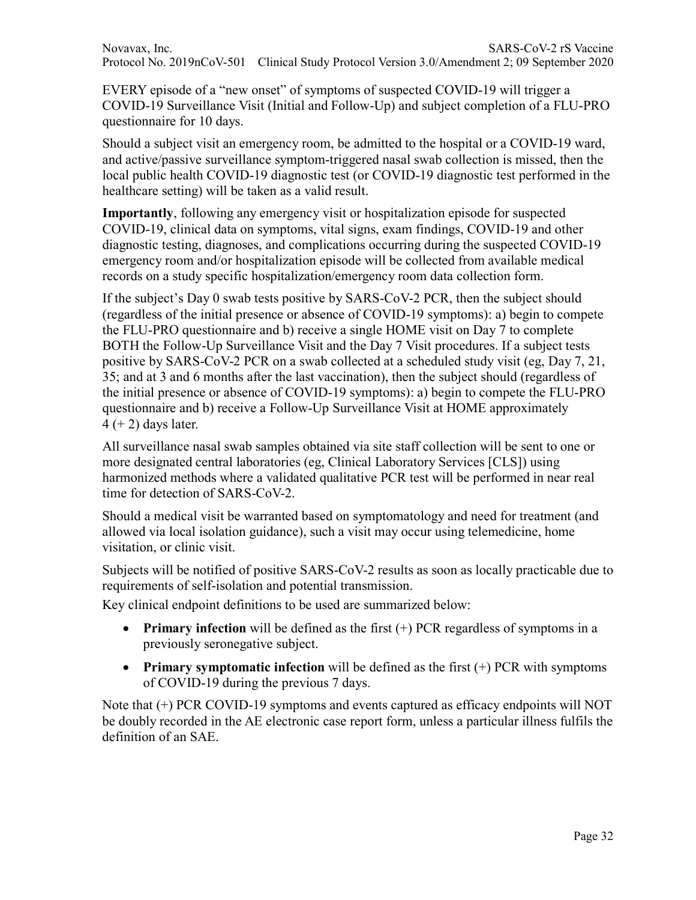EVERY episode of a "new onset" of symptoms of suspected COVID-19 will trigger a COVID-19 Surveillance Visit (Initial and Follow-Up) and subject completion of a FLU-PRO questionnaire for 10 days.

Should a subject visit an emergency room, be admitted to the hospital or a COVID-19 ward, and active/passive surveillance symptom-triggered nasal swab collection is missed, then the local public health COVID-19 diagnostic test (or COVID-19 diagnostic test performed in the healthcare setting) will be taken as a valid result.

**Importantly**, following any emergency visit or hospitalization episode for suspected COVID-19, clinical data on symptoms, vital signs, exam findings, COVID-19 and other diagnostic testing, diagnoses, and complications occurring during the suspected COVID-19 emergency room and/or hospitalization episode will be collected from available medical records on a study specific hospitalization/emergency room data collection form.

If the subject's Day 0 swab tests positive by SARS-CoV-2 PCR, then the subject should (regardless of the initial presence or absence of COVID-19 symptoms): a) begin to compete the FLU-PRO questionnaire and b) receive a single HOME visit on Day 7 to complete BOTH the Follow-Up Surveillance Visit and the Day 7 Visit procedures. If a subject tests positive by SARS-CoV-2 PCR on a swab collected at a scheduled study visit (eg, Day 7, 21, 35; and at 3 and 6 months after the last vaccination), then the subject should (regardless of the initial presence or absence of COVID-19 symptoms): a) begin to compete the FLU-PRO questionnaire and b) receive a Follow-Up Surveillance Visit at HOME approximately  $4 (+ 2)$  days later.

All surveillance nasal swab samples obtained via site staff collection will be sent to one or more designated central laboratories (eg, Clinical Laboratory Services [CLS]) using harmonized methods where a validated qualitative PCR test will be performed in near real time for detection of SARS-CoV-2.

Should a medical visit be warranted based on symptomatology and need for treatment (and allowed via local isolation guidance), such a visit may occur using telemedicine, home visitation, or clinic visit.

Subjects will be notified of positive SARS-CoV-2 results as soon as locally practicable due to requirements of self-isolation and potential transmission.

Key clinical endpoint definitions to be used are summarized below:

- **Primary infection** will be defined as the first (+) PCR regardless of symptoms in a previously seronegative subject.
- **Primary symptomatic infection** will be defined as the first (+) PCR with symptoms of COVID-19 during the previous 7 days.

Note that (+) PCR COVID-19 symptoms and events captured as efficacy endpoints will NOT be doubly recorded in the AE electronic case report form, unless a particular illness fulfils the definition of an SAE.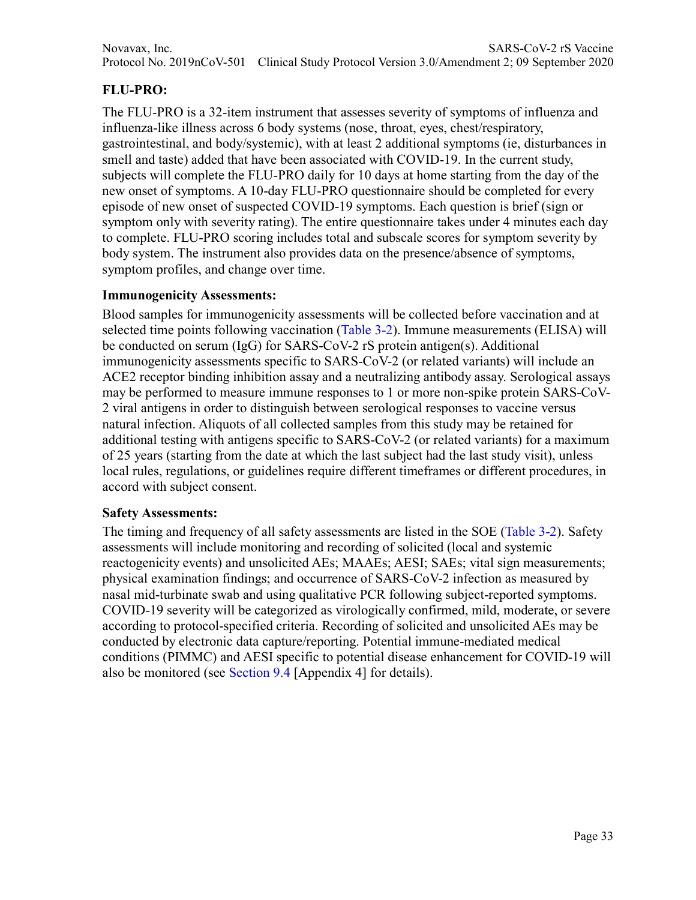# **FLU-PRO:**

The FLU-PRO is a 32-item instrument that assesses severity of symptoms of influenza and influenza-like illness across 6 body systems (nose, throat, eyes, chest/respiratory, gastrointestinal, and body/systemic), with at least 2 additional symptoms (ie, disturbances in smell and taste) added that have been associated with COVID-19. In the current study, subjects will complete the FLU-PRO daily for 10 days at home starting from the day of the new onset of symptoms. A 10-day FLU-PRO questionnaire should be completed for every episode of new onset of suspected COVID-19 symptoms. Each question is brief (sign or symptom only with severity rating). The entire questionnaire takes under 4 minutes each day to complete. FLU-PRO scoring includes total and subscale scores for symptom severity by body system. The instrument also provides data on the presence/absence of symptoms, symptom profiles, and change over time.

## **Immunogenicity Assessments:**

Blood samples for immunogenicity assessments will be collected before vaccination and at selected time points following vaccination (Table 3-2). Immune measurements (ELISA) will be conducted on serum (IgG) for SARS-CoV-2 rS protein antigen(s). Additional immunogenicity assessments specific to SARS-CoV-2 (or related variants) will include an ACE2 receptor binding inhibition assay and a neutralizing antibody assay. Serological assays may be performed to measure immune responses to 1 or more non-spike protein SARS-CoV-2 viral antigens in order to distinguish between serological responses to vaccine versus natural infection. Aliquots of all collected samples from this study may be retained for additional testing with antigens specific to SARS-CoV-2 (or related variants) for a maximum of 25 years (starting from the date at which the last subject had the last study visit), unless local rules, regulations, or guidelines require different timeframes or different procedures, in accord with subject consent.

### **Safety Assessments:**

The timing and frequency of all safety assessments are listed in the SOE (Table 3-2). Safety assessments will include monitoring and recording of solicited (local and systemic reactogenicity events) and unsolicited AEs; MAAEs; AESI; SAEs; vital sign measurements; physical examination findings; and occurrence of SARS-CoV-2 infection as measured by nasal mid-turbinate swab and using qualitative PCR following subject-reported symptoms. COVID-19 severity will be categorized as virologically confirmed, mild, moderate, or severe according to protocol-specified criteria. Recording of solicited and unsolicited AEs may be conducted by electronic data capture/reporting. Potential immune-mediated medical conditions (PIMMC) and AESI specific to potential disease enhancement for COVID-19 will also be monitored (see Section 9.4 [Appendix 4] for details).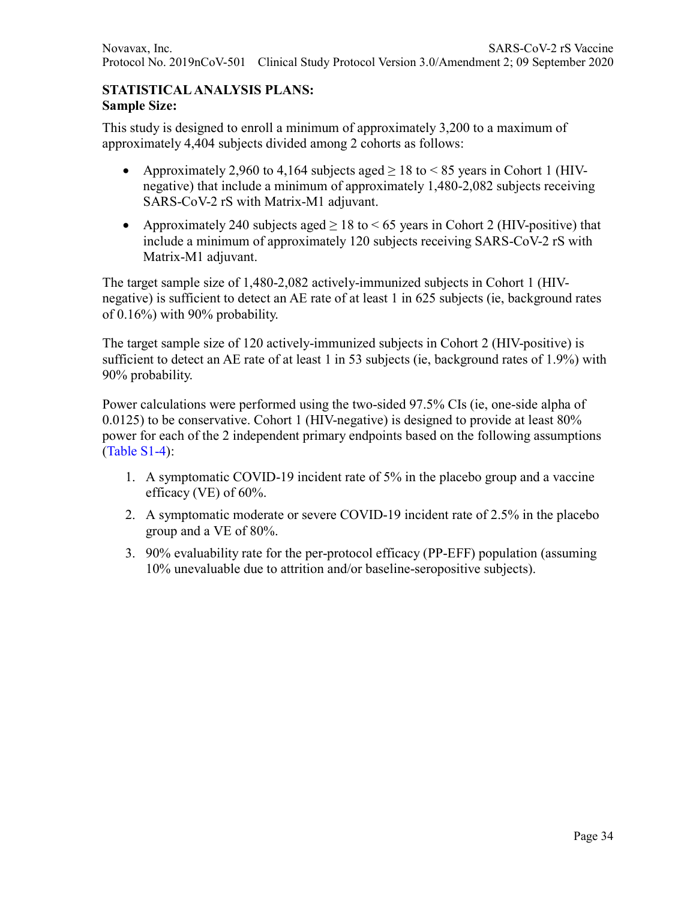### **STATISTICAL ANALYSIS PLANS: Sample Size:**

This study is designed to enroll a minimum of approximately 3,200 to a maximum of approximately 4,404 subjects divided among 2 cohorts as follows:

- Approximately 2,960 to 4,164 subjects aged  $> 18$  to  $< 85$  years in Cohort 1 (HIVnegative) that include a minimum of approximately 1,480-2,082 subjects receiving SARS-CoV-2 rS with Matrix-M1 adjuvant.
- Approximately 240 subjects aged  $\geq 18$  to  $\leq 65$  years in Cohort 2 (HIV-positive) that include a minimum of approximately 120 subjects receiving SARS-CoV-2 rS with Matrix-M1 adjuvant.

The target sample size of 1,480-2,082 actively-immunized subjects in Cohort 1 (HIVnegative) is sufficient to detect an AE rate of at least 1 in 625 subjects (ie, background rates of 0.16%) with 90% probability.

The target sample size of 120 actively-immunized subjects in Cohort 2 (HIV-positive) is sufficient to detect an AE rate of at least 1 in 53 subjects (ie, background rates of 1.9%) with 90% probability.

Power calculations were performed using the two-sided 97.5% CIs (ie, one-side alpha of  $0.0125$ ) to be conservative. Cohort 1 (HIV-negative) is designed to provide at least  $80\%$ power for each of the 2 independent primary endpoints based on the following assumptions (Table S1-4):

- 1. A symptomatic COVID-19 incident rate of 5% in the placebo group and a vaccine efficacy (VE) of 60%.
- 2. A symptomatic moderate or severe COVID-19 incident rate of 2.5% in the placebo group and a VE of 80%.
- 3. 90% evaluability rate for the per-protocol efficacy (PP-EFF) population (assuming 10% unevaluable due to attrition and/or baseline-seropositive subjects).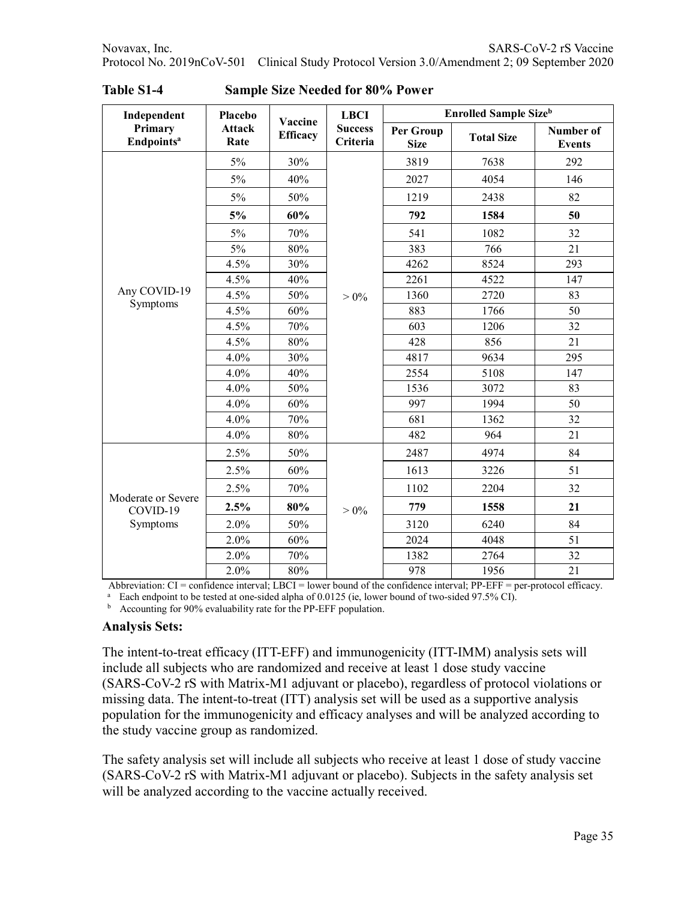| Independent                                | Placebo               | Vaccine                     | <b>LBCI</b><br><b>Success</b><br>Criteria | <b>Enrolled Sample Size</b> b |                      |                                   |  |
|--------------------------------------------|-----------------------|-----------------------------|-------------------------------------------|-------------------------------|----------------------|-----------------------------------|--|
| Primary<br><b>Endpoints<sup>a</sup></b>    | <b>Attack</b><br>Rate | <b>Efficacy</b>             |                                           | Per Group<br><b>Size</b>      | <b>Total Size</b>    | <b>Number of</b><br><b>Events</b> |  |
|                                            | 5%                    | 30%                         |                                           | 3819                          | 7638                 | 292                               |  |
|                                            | 5%                    | 40%                         |                                           | 2027                          | 4054                 | 146                               |  |
|                                            | 5%                    | 50%                         |                                           | 1219                          | 2438                 | 82                                |  |
|                                            | 5%                    | 60%                         |                                           | 792                           | 1584                 | 50                                |  |
|                                            | 5%                    | 70%                         |                                           | 541                           | 1082                 | 32                                |  |
|                                            | 5%                    | 80%                         |                                           | 383                           | 766                  | 21                                |  |
|                                            | 4.5%                  | 30%                         |                                           | 4262                          | 8524                 | 293                               |  |
|                                            | 4.5%                  | 40%                         |                                           | 2261                          | 4522                 | 147                               |  |
| Any COVID-19                               | 4.5%                  | 50%                         | $> 0\%$                                   | 1360                          | 2720                 | 83                                |  |
| Symptoms                                   | 4.5%                  | 60%                         |                                           | 883                           | 1766                 | 50                                |  |
|                                            | 4.5%                  | 70%                         |                                           | 603                           | 1206                 | 32                                |  |
|                                            | 4.5%                  | 80%                         |                                           | 428                           | 856                  | 21                                |  |
|                                            | 4.0%                  | 30%                         |                                           | 4817                          | 9634                 | 295                               |  |
|                                            | 4.0%                  | 40%                         |                                           | 2554                          | 5108                 | 147                               |  |
|                                            | 4.0%                  | 50%                         |                                           | 1536                          | 3072                 | 83                                |  |
|                                            | 4.0%                  | 60%                         |                                           | 997                           | 1994                 | 50                                |  |
|                                            | 4.0%                  | 70%                         |                                           | 681                           | 1362                 | 32                                |  |
|                                            | 4.0%                  | 80%                         |                                           | 482                           | 964                  | 21                                |  |
|                                            | 2.5%                  | 50%                         |                                           | 2487                          | 4974                 | 84                                |  |
|                                            | 2.5%                  | 60%                         |                                           | 1613                          | 3226                 | 51                                |  |
|                                            | 2.5%                  | 70%                         |                                           | 1102                          | 2204                 | 32                                |  |
| Moderate or Severe<br>COVID-19<br>Symptoms | 2.5%                  | 80%                         | $> 0\%$                                   | 779                           | 1558                 | 21                                |  |
|                                            | 2.0%                  | 50%                         |                                           | 3120                          | 6240                 | 84                                |  |
|                                            | 2.0%                  | 60%                         |                                           | 2024                          | 4048                 | 51                                |  |
|                                            | 2.0%                  | 70%                         |                                           | 1382                          | 2764                 | 32                                |  |
| 411<br>$\sim$                              | 2.0%<br>$^{\prime}$ 1 | $80\%$<br>1.7 <sub>DT</sub> | 0.1                                       | 978<br>$\overline{C}$ 1       | 1956<br>$1$ DD $EFE$ | 21<br>$1 - Co$                    |  |

**Table S1-4 Sample Size Needed for 80% Power**

Abbreviation: CI = confidence interval; LBCI = lower bound of the confidence interval; PP-EFF = per-protocol efficacy.

<sup>a</sup> Each endpoint to be tested at one-sided alpha of 0.0125 (ie, lower bound of two-sided 97.5% CI).

<sup>b</sup> Accounting for 90% evaluability rate for the PP-EFF population.

#### **Analysis Sets:**

The intent-to-treat efficacy (ITT-EFF) and immunogenicity (ITT-IMM) analysis sets will include all subjects who are randomized and receive at least 1 dose study vaccine (SARS-CoV-2 rS with Matrix-M1 adjuvant or placebo), regardless of protocol violations or missing data. The intent-to-treat (ITT) analysis set will be used as a supportive analysis population for the immunogenicity and efficacy analyses and will be analyzed according to the study vaccine group as randomized.

The safety analysis set will include all subjects who receive at least 1 dose of study vaccine (SARS-CoV-2 rS with Matrix-M1 adjuvant or placebo). Subjects in the safety analysis set will be analyzed according to the vaccine actually received.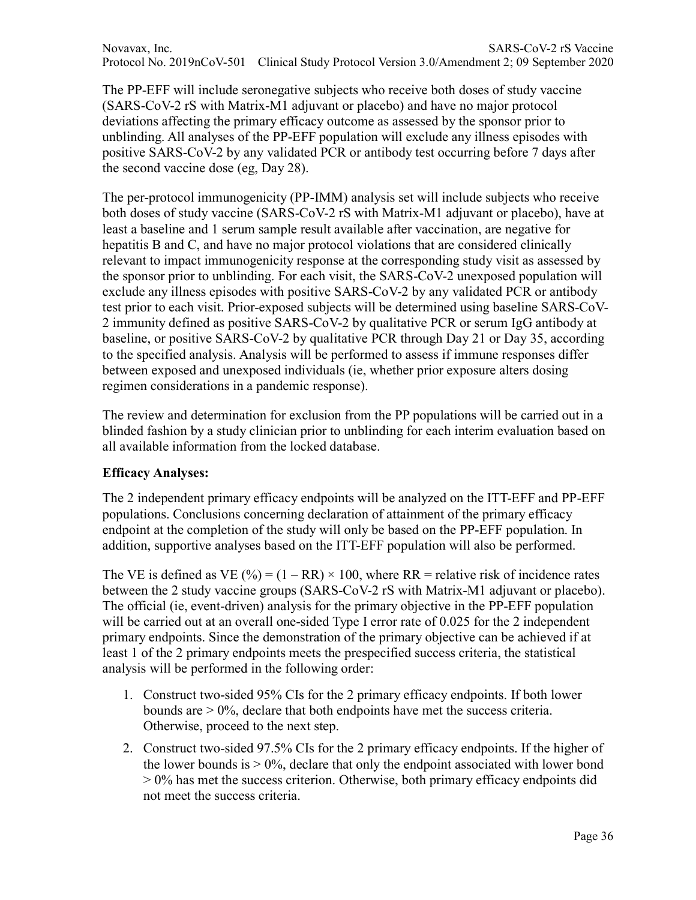Novavax, Inc. SARS-CoV-2 rS Vaccine Protocol No. 2019nCoV-501 Clinical Study Protocol Version 3.0/Amendment 2; 09 September 2020

The PP-EFF will include seronegative subjects who receive both doses of study vaccine (SARS-CoV-2 rS with Matrix-M1 adjuvant or placebo) and have no major protocol deviations affecting the primary efficacy outcome as assessed by the sponsor prior to unblinding. All analyses of the PP-EFF population will exclude any illness episodes with positive SARS-CoV-2 by any validated PCR or antibody test occurring before 7 days after the second vaccine dose (eg, Day 28).

The per-protocol immunogenicity (PP-IMM) analysis set will include subjects who receive both doses of study vaccine (SARS-CoV-2 rS with Matrix-M1 adjuvant or placebo), have at least a baseline and 1 serum sample result available after vaccination, are negative for hepatitis B and C, and have no major protocol violations that are considered clinically relevant to impact immunogenicity response at the corresponding study visit as assessed by the sponsor prior to unblinding. For each visit, the SARS-CoV-2 unexposed population will exclude any illness episodes with positive SARS-CoV-2 by any validated PCR or antibody test prior to each visit. Prior-exposed subjects will be determined using baseline SARS-CoV-2 immunity defined as positive SARS-CoV-2 by qualitative PCR or serum IgG antibody at baseline, or positive SARS-CoV-2 by qualitative PCR through Day 21 or Day 35, according to the specified analysis. Analysis will be performed to assess if immune responses differ between exposed and unexposed individuals (ie, whether prior exposure alters dosing regimen considerations in a pandemic response).

The review and determination for exclusion from the PP populations will be carried out in a blinded fashion by a study clinician prior to unblinding for each interim evaluation based on all available information from the locked database.

### **Efficacy Analyses:**

The 2 independent primary efficacy endpoints will be analyzed on the ITT-EFF and PP-EFF populations. Conclusions concerning declaration of attainment of the primary efficacy endpoint at the completion of the study will only be based on the PP-EFF population. In addition, supportive analyses based on the ITT-EFF population will also be performed.

The VE is defined as VE (%) =  $(1 - RR) \times 100$ , where RR = relative risk of incidence rates between the 2 study vaccine groups (SARS-CoV-2 rS with Matrix-M1 adjuvant or placebo). The official (ie, event-driven) analysis for the primary objective in the PP-EFF population will be carried out at an overall one-sided Type I error rate of 0.025 for the 2 independent primary endpoints. Since the demonstration of the primary objective can be achieved if at least 1 of the 2 primary endpoints meets the prespecified success criteria, the statistical analysis will be performed in the following order:

- 1. Construct two-sided 95% CIs for the 2 primary efficacy endpoints. If both lower bounds are > 0%, declare that both endpoints have met the success criteria. Otherwise, proceed to the next step.
- 2. Construct two-sided 97.5% CIs for the 2 primary efficacy endpoints. If the higher of the lower bounds is  $> 0\%$ , declare that only the endpoint associated with lower bond > 0% has met the success criterion. Otherwise, both primary efficacy endpoints did not meet the success criteria.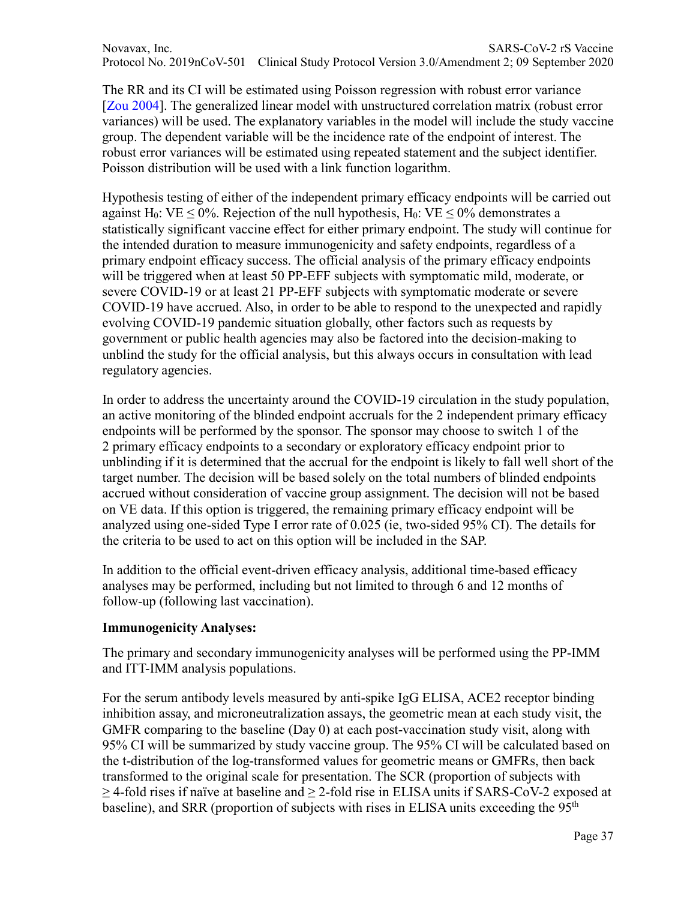Novavax, Inc. SARS-CoV-2 rS Vaccine Protocol No. 2019nCoV-501 Clinical Study Protocol Version 3.0/Amendment 2; 09 September 2020

The RR and its CI will be estimated using Poisson regression with robust error variance [Zou 2004]. The generalized linear model with unstructured correlation matrix (robust error variances) will be used. The explanatory variables in the model will include the study vaccine group. The dependent variable will be the incidence rate of the endpoint of interest. The robust error variances will be estimated using repeated statement and the subject identifier. Poisson distribution will be used with a link function logarithm.

Hypothesis testing of either of the independent primary efficacy endpoints will be carried out against H<sub>0</sub>: VE < 0%. Rejection of the null hypothesis, H<sub>0</sub>: VE < 0% demonstrates a statistically significant vaccine effect for either primary endpoint. The study will continue for the intended duration to measure immunogenicity and safety endpoints, regardless of a primary endpoint efficacy success. The official analysis of the primary efficacy endpoints will be triggered when at least 50 PP-EFF subjects with symptomatic mild, moderate, or severe COVID-19 or at least 21 PP-EFF subjects with symptomatic moderate or severe COVID-19 have accrued. Also, in order to be able to respond to the unexpected and rapidly evolving COVID-19 pandemic situation globally, other factors such as requests by government or public health agencies may also be factored into the decision-making to unblind the study for the official analysis, but this always occurs in consultation with lead regulatory agencies.

In order to address the uncertainty around the COVID-19 circulation in the study population, an active monitoring of the blinded endpoint accruals for the 2 independent primary efficacy endpoints will be performed by the sponsor. The sponsor may choose to switch 1 of the 2 primary efficacy endpoints to a secondary or exploratory efficacy endpoint prior to unblinding if it is determined that the accrual for the endpoint is likely to fall well short of the target number. The decision will be based solely on the total numbers of blinded endpoints accrued without consideration of vaccine group assignment. The decision will not be based on VE data. If this option is triggered, the remaining primary efficacy endpoint will be analyzed using one-sided Type I error rate of 0.025 (ie, two-sided 95% CI). The details for the criteria to be used to act on this option will be included in the SAP.

In addition to the official event-driven efficacy analysis, additional time-based efficacy analyses may be performed, including but not limited to through 6 and 12 months of follow-up (following last vaccination).

#### **Immunogenicity Analyses:**

The primary and secondary immunogenicity analyses will be performed using the PP-IMM and ITT-IMM analysis populations.

For the serum antibody levels measured by anti-spike IgG ELISA, ACE2 receptor binding inhibition assay, and microneutralization assays, the geometric mean at each study visit, the GMFR comparing to the baseline (Day 0) at each post-vaccination study visit, along with 95% CI will be summarized by study vaccine group. The 95% CI will be calculated based on the t-distribution of the log-transformed values for geometric means or GMFRs, then back transformed to the original scale for presentation. The SCR (proportion of subjects with  $\geq$  4-fold rises if naïve at baseline and  $\geq$  2-fold rise in ELISA units if SARS-CoV-2 exposed at baseline), and SRR (proportion of subjects with rises in ELISA units exceeding the 95<sup>th</sup>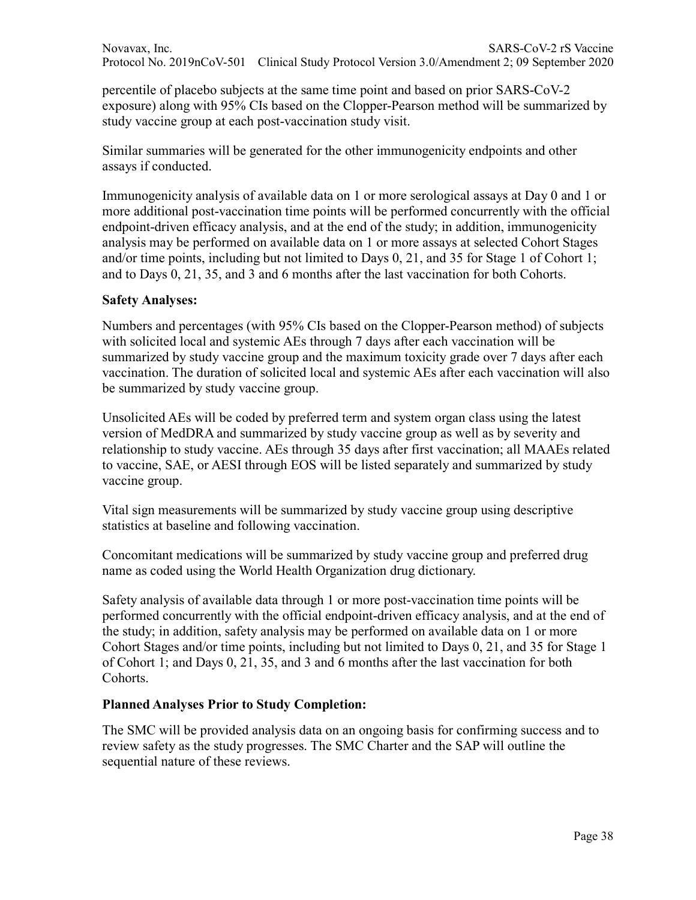percentile of placebo subjects at the same time point and based on prior SARS-CoV-2 exposure) along with 95% CIs based on the Clopper-Pearson method will be summarized by study vaccine group at each post-vaccination study visit.

Similar summaries will be generated for the other immunogenicity endpoints and other assays if conducted.

Immunogenicity analysis of available data on 1 or more serological assays at Day 0 and 1 or more additional post-vaccination time points will be performed concurrently with the official endpoint-driven efficacy analysis, and at the end of the study; in addition, immunogenicity analysis may be performed on available data on 1 or more assays at selected Cohort Stages and/or time points, including but not limited to Days 0, 21, and 35 for Stage 1 of Cohort 1; and to Days 0, 21, 35, and 3 and 6 months after the last vaccination for both Cohorts.

#### **Safety Analyses:**

Numbers and percentages (with 95% CIs based on the Clopper-Pearson method) of subjects with solicited local and systemic AEs through 7 days after each vaccination will be summarized by study vaccine group and the maximum toxicity grade over 7 days after each vaccination. The duration of solicited local and systemic AEs after each vaccination will also be summarized by study vaccine group.

Unsolicited AEs will be coded by preferred term and system organ class using the latest version of MedDRA and summarized by study vaccine group as well as by severity and relationship to study vaccine. AEs through 35 days after first vaccination; all MAAEs related to vaccine, SAE, or AESI through EOS will be listed separately and summarized by study vaccine group.

Vital sign measurements will be summarized by study vaccine group using descriptive statistics at baseline and following vaccination.

Concomitant medications will be summarized by study vaccine group and preferred drug name as coded using the World Health Organization drug dictionary.

Safety analysis of available data through 1 or more post-vaccination time points will be performed concurrently with the official endpoint-driven efficacy analysis, and at the end of the study; in addition, safety analysis may be performed on available data on 1 or more Cohort Stages and/or time points, including but not limited to Days 0, 21, and 35 for Stage 1 of Cohort 1; and Days 0, 21, 35, and 3 and 6 months after the last vaccination for both Cohorts.

#### **Planned Analyses Prior to Study Completion:**

The SMC will be provided analysis data on an ongoing basis for confirming success and to review safety as the study progresses. The SMC Charter and the SAP will outline the sequential nature of these reviews.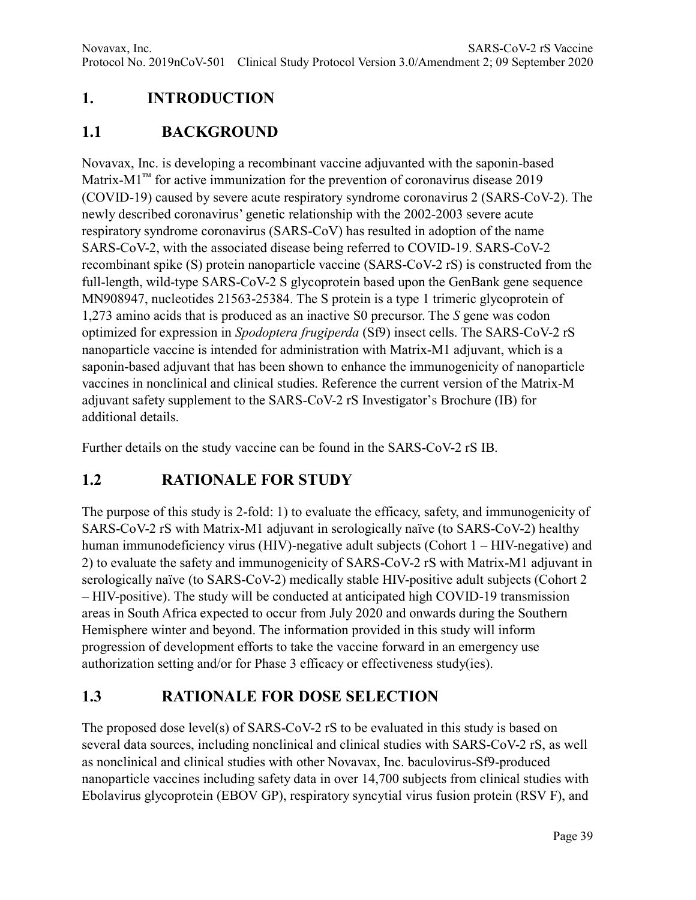# **1. INTRODUCTION**

## **1.1 BACKGROUND**

Novavax, Inc. is developing a recombinant vaccine adjuvanted with the saponin-based Matrix-M1<sup>™</sup> for active immunization for the prevention of coronavirus disease 2019 (COVID-19) caused by severe acute respiratory syndrome coronavirus 2 (SARS-CoV-2). The newly described coronavirus' genetic relationship with the 2002-2003 severe acute respiratory syndrome coronavirus (SARS-CoV) has resulted in adoption of the name SARS-CoV-2, with the associated disease being referred to COVID-19. SARS-CoV-2 recombinant spike (S) protein nanoparticle vaccine (SARS-CoV-2 rS) is constructed from the full-length, wild-type SARS-CoV-2 S glycoprotein based upon the GenBank gene sequence MN908947, nucleotides 21563-25384. The S protein is a type 1 trimeric glycoprotein of 1,273 amino acids that is produced as an inactive S0 precursor. The *S* gene was codon optimized for expression in *Spodoptera frugiperda* (Sf9) insect cells. The SARS-CoV-2 rS nanoparticle vaccine is intended for administration with Matrix-M1 adjuvant, which is a saponin-based adjuvant that has been shown to enhance the immunogenicity of nanoparticle vaccines in nonclinical and clinical studies. Reference the current version of the Matrix-M adjuvant safety supplement to the SARS-CoV-2 rS Investigator's Brochure (IB) for additional details.

Further details on the study vaccine can be found in the SARS-CoV-2 rS IB.

# **1.2 RATIONALE FOR STUDY**

The purpose of this study is 2-fold: 1) to evaluate the efficacy, safety, and immunogenicity of SARS-CoV-2 rS with Matrix-M1 adjuvant in serologically naïve (to SARS-CoV-2) healthy human immunodeficiency virus (HIV)-negative adult subjects (Cohort 1 – HIV-negative) and 2) to evaluate the safety and immunogenicity of SARS-CoV-2 rS with Matrix-M1 adjuvant in serologically naïve (to SARS-CoV-2) medically stable HIV-positive adult subjects (Cohort 2 – HIV-positive). The study will be conducted at anticipated high COVID-19 transmission areas in South Africa expected to occur from July 2020 and onwards during the Southern Hemisphere winter and beyond. The information provided in this study will inform progression of development efforts to take the vaccine forward in an emergency use authorization setting and/or for Phase 3 efficacy or effectiveness study(ies).

# **1.3 RATIONALE FOR DOSE SELECTION**

The proposed dose level(s) of SARS-CoV-2 rS to be evaluated in this study is based on several data sources, including nonclinical and clinical studies with SARS-CoV-2 rS, as well as nonclinical and clinical studies with other Novavax, Inc. baculovirus-Sf9-produced nanoparticle vaccines including safety data in over 14,700 subjects from clinical studies with Ebolavirus glycoprotein (EBOV GP), respiratory syncytial virus fusion protein (RSV F), and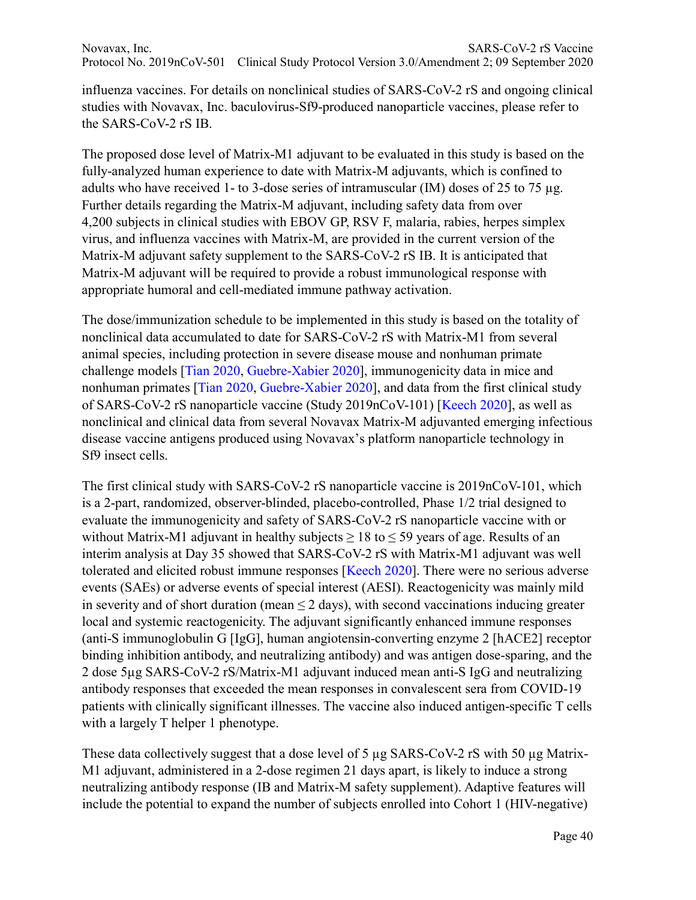influenza vaccines. For details on nonclinical studies of SARS-CoV-2 rS and ongoing clinical studies with Novavax, Inc. baculovirus-Sf9-produced nanoparticle vaccines, please refer to the SARS-CoV-2 rS IB.

The proposed dose level of Matrix-M1 adjuvant to be evaluated in this study is based on the fully-analyzed human experience to date with Matrix-M adjuvants, which is confined to adults who have received 1- to 3-dose series of intramuscular (IM) doses of 25 to 75 µg. Further details regarding the Matrix-M adjuvant, including safety data from over 4,200 subjects in clinical studies with EBOV GP, RSV F, malaria, rabies, herpes simplex virus, and influenza vaccines with Matrix-M, are provided in the current version of the Matrix-M adjuvant safety supplement to the SARS-CoV-2 rS IB. It is anticipated that Matrix-M adjuvant will be required to provide a robust immunological response with appropriate humoral and cell-mediated immune pathway activation.

The dose/immunization schedule to be implemented in this study is based on the totality of nonclinical data accumulated to date for SARS-CoV-2 rS with Matrix-M1 from several animal species, including protection in severe disease mouse and nonhuman primate challenge models [Tian 2020, Guebre-Xabier 2020], immunogenicity data in mice and nonhuman primates [Tian 2020, Guebre-Xabier 2020], and data from the first clinical study of SARS-CoV-2 rS nanoparticle vaccine (Study 2019nCoV-101) [Keech 2020], as well as nonclinical and clinical data from several Novavax Matrix-M adjuvanted emerging infectious disease vaccine antigens produced using Novavax's platform nanoparticle technology in Sf9 insect cells.

The first clinical study with SARS-CoV-2 rS nanoparticle vaccine is 2019nCoV-101, which is a 2-part, randomized, observer-blinded, placebo-controlled, Phase 1/2 trial designed to evaluate the immunogenicity and safety of SARS-CoV-2 rS nanoparticle vaccine with or without Matrix-M1 adjuvant in healthy subjects  $\geq 18$  to  $\leq 59$  years of age. Results of an interim analysis at Day 35 showed that SARS-CoV-2 rS with Matrix-M1 adjuvant was well tolerated and elicited robust immune responses [Keech 2020]. There were no serious adverse events (SAEs) or adverse events of special interest (AESI). Reactogenicity was mainly mild in severity and of short duration (mean  $\leq 2$  days), with second vaccinations inducing greater local and systemic reactogenicity. The adjuvant significantly enhanced immune responses (anti-S immunoglobulin G [IgG], human angiotensin-converting enzyme 2 [hACE2] receptor binding inhibition antibody, and neutralizing antibody) and was antigen dose-sparing, and the 2 dose 5µg SARS-CoV-2 rS/Matrix-M1 adjuvant induced mean anti-S IgG and neutralizing antibody responses that exceeded the mean responses in convalescent sera from COVID-19 patients with clinically significant illnesses. The vaccine also induced antigen-specific T cells with a largely T helper 1 phenotype.

These data collectively suggest that a dose level of 5 µg SARS-CoV-2 rS with 50 µg Matrix-M1 adjuvant, administered in a 2-dose regimen 21 days apart, is likely to induce a strong neutralizing antibody response (IB and Matrix-M safety supplement). Adaptive features will include the potential to expand the number of subjects enrolled into Cohort 1 (HIV-negative)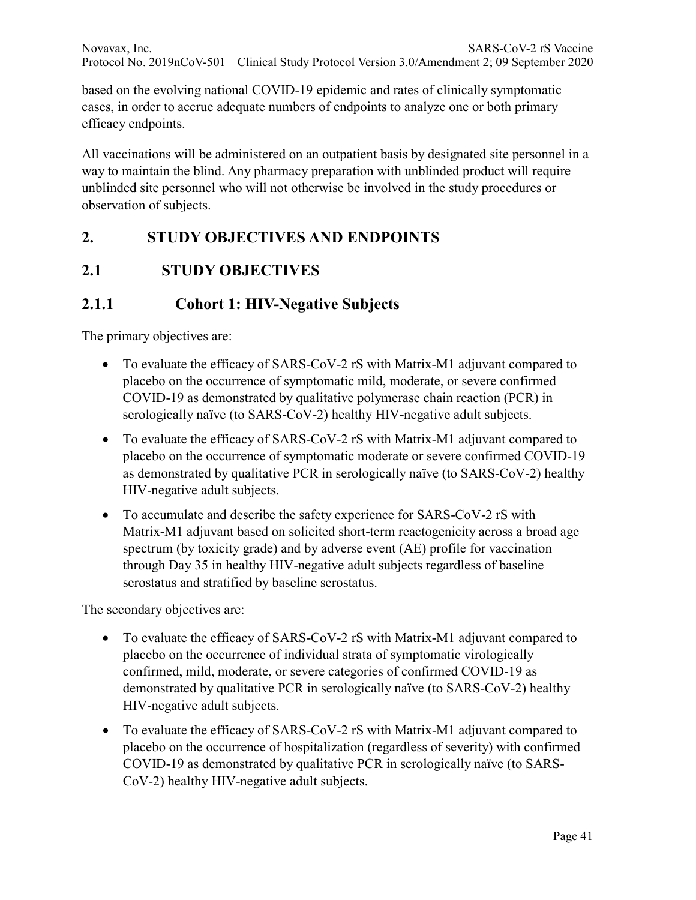based on the evolving national COVID-19 epidemic and rates of clinically symptomatic cases, in order to accrue adequate numbers of endpoints to analyze one or both primary efficacy endpoints.

All vaccinations will be administered on an outpatient basis by designated site personnel in a way to maintain the blind. Any pharmacy preparation with unblinded product will require unblinded site personnel who will not otherwise be involved in the study procedures or observation of subjects.

# **2. STUDY OBJECTIVES AND ENDPOINTS**

# **2.1 STUDY OBJECTIVES**

## **2.1.1 Cohort 1: HIV-Negative Subjects**

The primary objectives are:

- To evaluate the efficacy of SARS-CoV-2 rS with Matrix-M1 adjuvant compared to placebo on the occurrence of symptomatic mild, moderate, or severe confirmed COVID-19 as demonstrated by qualitative polymerase chain reaction (PCR) in serologically naïve (to SARS-CoV-2) healthy HIV-negative adult subjects.
- To evaluate the efficacy of SARS-CoV-2 rS with Matrix-M1 adjuvant compared to placebo on the occurrence of symptomatic moderate or severe confirmed COVID-19 as demonstrated by qualitative PCR in serologically naïve (to SARS-CoV-2) healthy HIV-negative adult subjects.
- To accumulate and describe the safety experience for SARS-CoV-2 rS with Matrix-M1 adjuvant based on solicited short-term reactogenicity across a broad age spectrum (by toxicity grade) and by adverse event (AE) profile for vaccination through Day 35 in healthy HIV-negative adult subjects regardless of baseline serostatus and stratified by baseline serostatus.

The secondary objectives are:

- To evaluate the efficacy of SARS-CoV-2 rS with Matrix-M1 adjuvant compared to placebo on the occurrence of individual strata of symptomatic virologically confirmed, mild, moderate, or severe categories of confirmed COVID-19 as demonstrated by qualitative PCR in serologically naïve (to SARS-CoV-2) healthy HIV-negative adult subjects.
- To evaluate the efficacy of SARS-CoV-2 rS with Matrix-M1 adjuvant compared to placebo on the occurrence of hospitalization (regardless of severity) with confirmed COVID-19 as demonstrated by qualitative PCR in serologically naïve (to SARS-CoV-2) healthy HIV-negative adult subjects.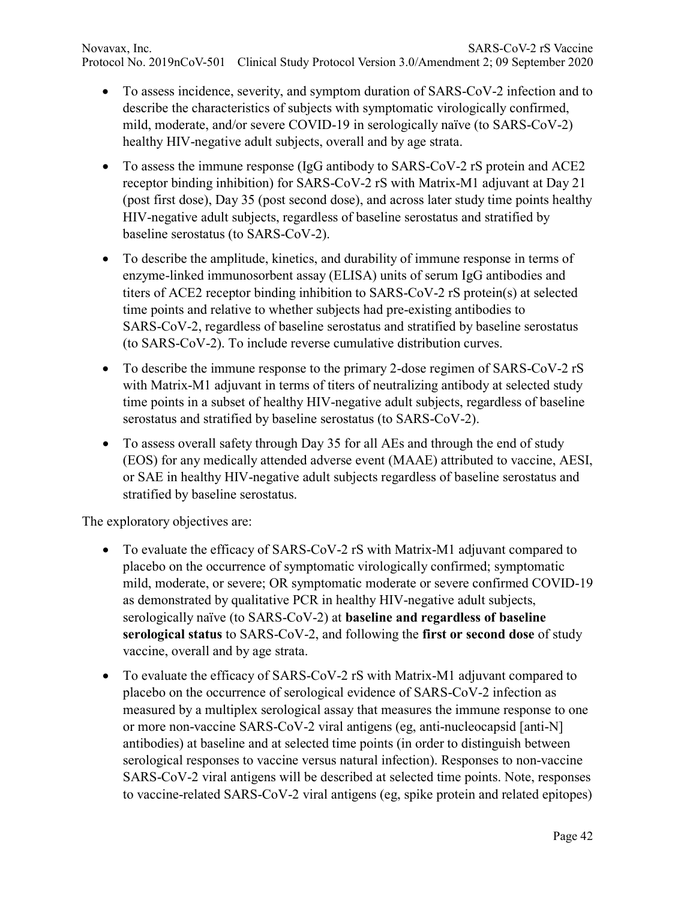Novavax, Inc. SARS-CoV-2 rS Vaccine Protocol No. 2019nCoV-501 Clinical Study Protocol Version 3.0/Amendment 2; 09 September 2020

- To assess incidence, severity, and symptom duration of SARS-CoV-2 infection and to describe the characteristics of subjects with symptomatic virologically confirmed, mild, moderate, and/or severe COVID-19 in serologically naïve (to SARS-CoV-2) healthy HIV-negative adult subjects, overall and by age strata.
- To assess the immune response (IgG antibody to SARS-CoV-2 rS protein and ACE2 receptor binding inhibition) for SARS-CoV-2 rS with Matrix-M1 adjuvant at Day 21 (post first dose), Day 35 (post second dose), and across later study time points healthy HIV-negative adult subjects, regardless of baseline serostatus and stratified by baseline serostatus (to SARS-CoV-2).
- To describe the amplitude, kinetics, and durability of immune response in terms of enzyme-linked immunosorbent assay (ELISA) units of serum IgG antibodies and titers of ACE2 receptor binding inhibition to SARS-CoV-2 rS protein(s) at selected time points and relative to whether subjects had pre-existing antibodies to SARS-CoV-2, regardless of baseline serostatus and stratified by baseline serostatus (to SARS-CoV-2). To include reverse cumulative distribution curves.
- To describe the immune response to the primary 2-dose regimen of SARS-CoV-2 rS with Matrix-M1 adjuvant in terms of titers of neutralizing antibody at selected study time points in a subset of healthy HIV-negative adult subjects, regardless of baseline serostatus and stratified by baseline serostatus (to SARS-CoV-2).
- To assess overall safety through Day 35 for all AEs and through the end of study (EOS) for any medically attended adverse event (MAAE) attributed to vaccine, AESI, or SAE in healthy HIV-negative adult subjects regardless of baseline serostatus and stratified by baseline serostatus.

The exploratory objectives are:

- To evaluate the efficacy of SARS-CoV-2 rS with Matrix-M1 adjuvant compared to placebo on the occurrence of symptomatic virologically confirmed; symptomatic mild, moderate, or severe; OR symptomatic moderate or severe confirmed COVID-19 as demonstrated by qualitative PCR in healthy HIV-negative adult subjects, serologically naïve (to SARS-CoV-2) at **baseline and regardless of baseline serological status** to SARS-CoV-2, and following the **first or second dose** of study vaccine, overall and by age strata.
- To evaluate the efficacy of SARS-CoV-2 rS with Matrix-M1 adjuvant compared to placebo on the occurrence of serological evidence of SARS-CoV-2 infection as measured by a multiplex serological assay that measures the immune response to one or more non-vaccine SARS-CoV-2 viral antigens (eg, anti-nucleocapsid [anti-N] antibodies) at baseline and at selected time points (in order to distinguish between serological responses to vaccine versus natural infection). Responses to non-vaccine SARS-CoV-2 viral antigens will be described at selected time points. Note, responses to vaccine-related SARS-CoV-2 viral antigens (eg, spike protein and related epitopes)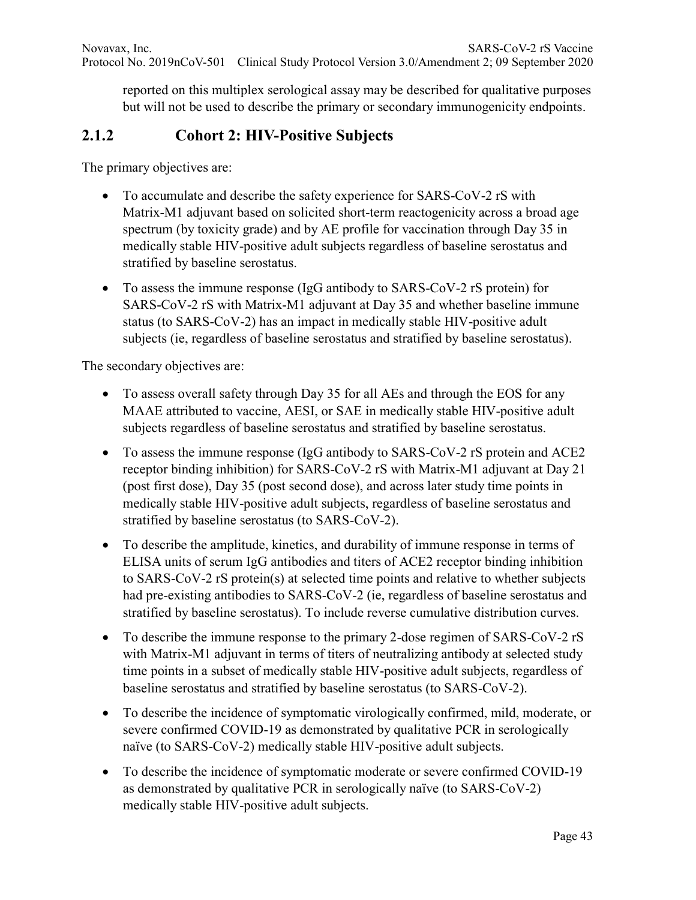reported on this multiplex serological assay may be described for qualitative purposes but will not be used to describe the primary or secondary immunogenicity endpoints.

#### **2.1.2 Cohort 2: HIV-Positive Subjects**

The primary objectives are:

- To accumulate and describe the safety experience for SARS-CoV-2 rS with Matrix-M1 adjuvant based on solicited short-term reactogenicity across a broad age spectrum (by toxicity grade) and by AE profile for vaccination through Day 35 in medically stable HIV-positive adult subjects regardless of baseline serostatus and stratified by baseline serostatus.
- To assess the immune response (IgG antibody to SARS-CoV-2 rS protein) for SARS-CoV-2 rS with Matrix-M1 adjuvant at Day 35 and whether baseline immune status (to SARS-CoV-2) has an impact in medically stable HIV-positive adult subjects (ie, regardless of baseline serostatus and stratified by baseline serostatus).

The secondary objectives are:

- To assess overall safety through Day 35 for all AEs and through the EOS for any MAAE attributed to vaccine, AESI, or SAE in medically stable HIV-positive adult subjects regardless of baseline serostatus and stratified by baseline serostatus.
- To assess the immune response (IgG antibody to SARS-CoV-2 rS protein and ACE2 receptor binding inhibition) for SARS-CoV-2 rS with Matrix-M1 adjuvant at Day 21 (post first dose), Day 35 (post second dose), and across later study time points in medically stable HIV-positive adult subjects, regardless of baseline serostatus and stratified by baseline serostatus (to SARS-CoV-2).
- To describe the amplitude, kinetics, and durability of immune response in terms of ELISA units of serum IgG antibodies and titers of ACE2 receptor binding inhibition to SARS-CoV-2 rS protein(s) at selected time points and relative to whether subjects had pre-existing antibodies to SARS-CoV-2 (ie, regardless of baseline serostatus and stratified by baseline serostatus). To include reverse cumulative distribution curves.
- To describe the immune response to the primary 2-dose regimen of SARS-CoV-2 rS with Matrix-M1 adjuvant in terms of titers of neutralizing antibody at selected study time points in a subset of medically stable HIV-positive adult subjects, regardless of baseline serostatus and stratified by baseline serostatus (to SARS-CoV-2).
- To describe the incidence of symptomatic virologically confirmed, mild, moderate, or severe confirmed COVID-19 as demonstrated by qualitative PCR in serologically naïve (to SARS-CoV-2) medically stable HIV-positive adult subjects.
- To describe the incidence of symptomatic moderate or severe confirmed COVID-19 as demonstrated by qualitative PCR in serologically naïve (to SARS-CoV-2) medically stable HIV-positive adult subjects.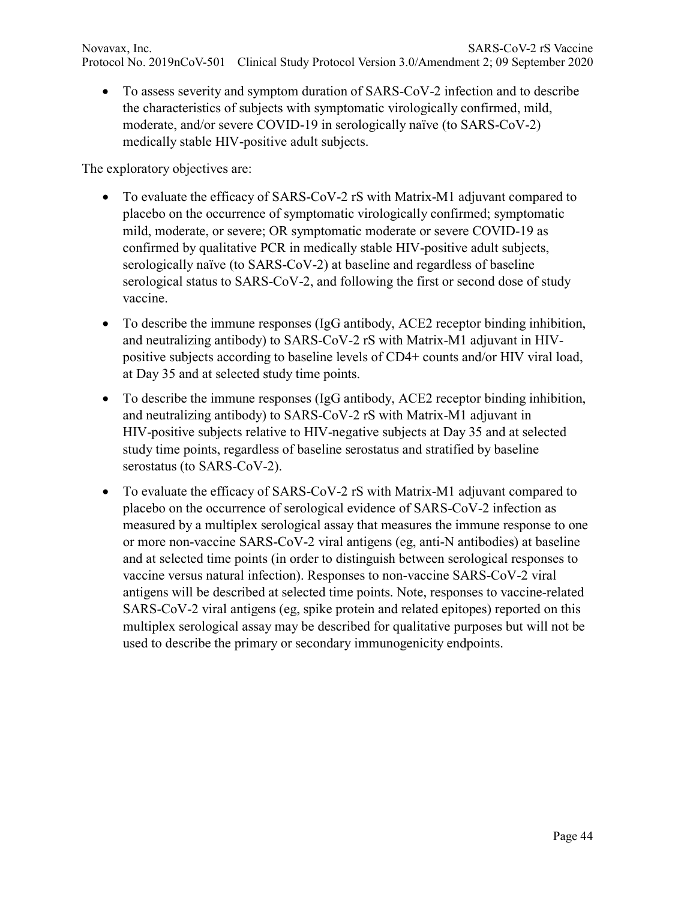• To assess severity and symptom duration of SARS-CoV-2 infection and to describe the characteristics of subjects with symptomatic virologically confirmed, mild, moderate, and/or severe COVID-19 in serologically naïve (to SARS-CoV-2) medically stable HIV-positive adult subjects.

The exploratory objectives are:

- To evaluate the efficacy of SARS-CoV-2 rS with Matrix-M1 adjuvant compared to placebo on the occurrence of symptomatic virologically confirmed; symptomatic mild, moderate, or severe; OR symptomatic moderate or severe COVID-19 as confirmed by qualitative PCR in medically stable HIV-positive adult subjects, serologically naïve (to SARS-CoV-2) at baseline and regardless of baseline serological status to SARS-CoV-2, and following the first or second dose of study vaccine.
- To describe the immune responses (IgG antibody, ACE2 receptor binding inhibition, and neutralizing antibody) to SARS-CoV-2 rS with Matrix-M1 adjuvant in HIVpositive subjects according to baseline levels of CD4+ counts and/or HIV viral load, at Day 35 and at selected study time points.
- To describe the immune responses (IgG antibody, ACE2 receptor binding inhibition, and neutralizing antibody) to SARS-CoV-2 rS with Matrix-M1 adjuvant in HIV-positive subjects relative to HIV-negative subjects at Day 35 and at selected study time points, regardless of baseline serostatus and stratified by baseline serostatus (to SARS-CoV-2).
- To evaluate the efficacy of SARS-CoV-2 rS with Matrix-M1 adjuvant compared to placebo on the occurrence of serological evidence of SARS-CoV-2 infection as measured by a multiplex serological assay that measures the immune response to one or more non-vaccine SARS-CoV-2 viral antigens (eg, anti-N antibodies) at baseline and at selected time points (in order to distinguish between serological responses to vaccine versus natural infection). Responses to non-vaccine SARS-CoV-2 viral antigens will be described at selected time points. Note, responses to vaccine-related SARS-CoV-2 viral antigens (eg, spike protein and related epitopes) reported on this multiplex serological assay may be described for qualitative purposes but will not be used to describe the primary or secondary immunogenicity endpoints.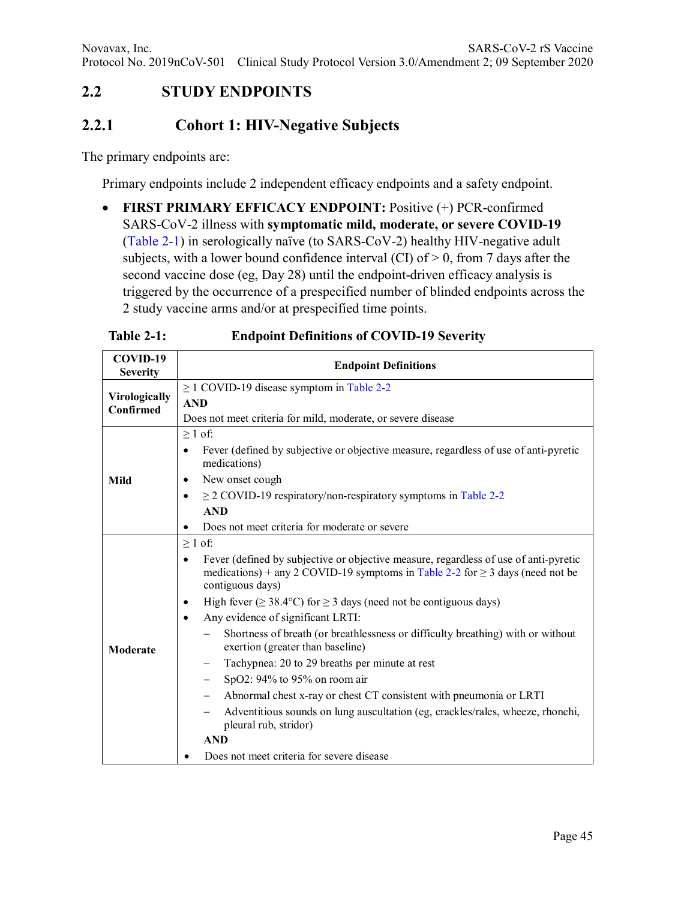#### **2.2 STUDY ENDPOINTS**

#### **2.2.1 Cohort 1: HIV-Negative Subjects**

The primary endpoints are:

Primary endpoints include 2 independent efficacy endpoints and a safety endpoint.

• **FIRST PRIMARY EFFICACY ENDPOINT:** Positive (+) PCR-confirmed SARS-CoV-2 illness with **symptomatic mild, moderate, or severe COVID-19** (Table 2-1) in serologically naïve (to SARS-CoV-2) healthy HIV-negative adult subjects, with a lower bound confidence interval (CI) of  $> 0$ , from 7 days after the second vaccine dose (eg, Day 28) until the endpoint-driven efficacy analysis is triggered by the occurrence of a prespecified number of blinded endpoints across the 2 study vaccine arms and/or at prespecified time points.

| COVID-19<br><b>Severity</b> | <b>Endpoint Definitions</b>                                                                                                                                                                    |  |  |  |  |  |  |  |
|-----------------------------|------------------------------------------------------------------------------------------------------------------------------------------------------------------------------------------------|--|--|--|--|--|--|--|
| Virologically               | $\geq$ 1 COVID-19 disease symptom in Table 2-2                                                                                                                                                 |  |  |  |  |  |  |  |
| Confirmed                   | <b>AND</b>                                                                                                                                                                                     |  |  |  |  |  |  |  |
|                             | Does not meet criteria for mild, moderate, or severe disease                                                                                                                                   |  |  |  |  |  |  |  |
|                             | $\geq 1$ of:                                                                                                                                                                                   |  |  |  |  |  |  |  |
|                             | Fever (defined by subjective or objective measure, regardless of use of anti-pyretic<br>$\bullet$<br>medications)                                                                              |  |  |  |  |  |  |  |
| Mild                        | New onset cough<br>٠                                                                                                                                                                           |  |  |  |  |  |  |  |
|                             | $\geq$ 2 COVID-19 respiratory/non-respiratory symptoms in Table 2-2<br>$\bullet$                                                                                                               |  |  |  |  |  |  |  |
|                             | <b>AND</b>                                                                                                                                                                                     |  |  |  |  |  |  |  |
|                             | Does not meet criteria for moderate or severe                                                                                                                                                  |  |  |  |  |  |  |  |
|                             | $\geq 1$ of:                                                                                                                                                                                   |  |  |  |  |  |  |  |
|                             | Fever (defined by subjective or objective measure, regardless of use of anti-pyretic<br>medications) + any 2 COVID-19 symptoms in Table 2-2 for $\geq$ 3 days (need not be<br>contiguous days) |  |  |  |  |  |  |  |
|                             | High fever ( $\geq$ 38.4°C) for $\geq$ 3 days (need not be contiguous days)<br>٠                                                                                                               |  |  |  |  |  |  |  |
|                             | Any evidence of significant LRTI:<br>$\bullet$                                                                                                                                                 |  |  |  |  |  |  |  |
| Moderate                    | Shortness of breath (or breathlessness or difficulty breathing) with or without<br>exertion (greater than baseline)                                                                            |  |  |  |  |  |  |  |
|                             | Tachypnea: 20 to 29 breaths per minute at rest                                                                                                                                                 |  |  |  |  |  |  |  |
|                             | SpO2: 94% to 95% on room air                                                                                                                                                                   |  |  |  |  |  |  |  |
|                             | Abnormal chest x-ray or chest CT consistent with pneumonia or LRTI<br>$\qquad \qquad -$                                                                                                        |  |  |  |  |  |  |  |
|                             | Adventitious sounds on lung auscultation (eg, crackles/rales, wheeze, rhonchi,<br>pleural rub, stridor)                                                                                        |  |  |  |  |  |  |  |
|                             | <b>AND</b>                                                                                                                                                                                     |  |  |  |  |  |  |  |
|                             | Does not meet criteria for severe disease                                                                                                                                                      |  |  |  |  |  |  |  |

#### **Table 2-1: Endpoint Definitions of COVID-19 Severity**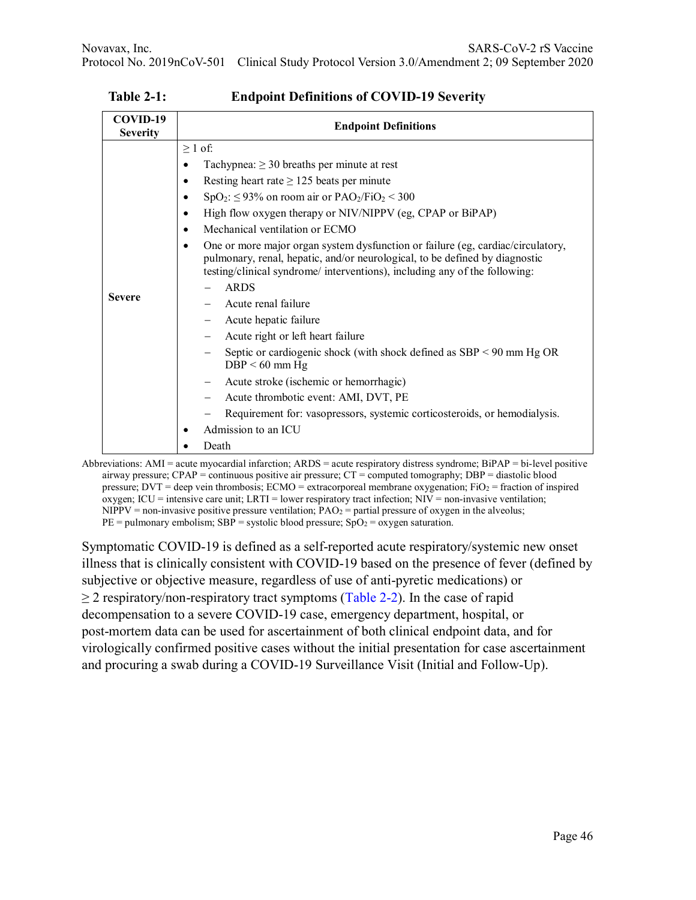| COVID-19<br><b>Severity</b> | <b>Endpoint Definitions</b>                                                                                                                                                                                                                                                                                                                                                                                                                                                                                                                                                                                                                                                                                                                                                                                                                                                                                                                                              |
|-----------------------------|--------------------------------------------------------------------------------------------------------------------------------------------------------------------------------------------------------------------------------------------------------------------------------------------------------------------------------------------------------------------------------------------------------------------------------------------------------------------------------------------------------------------------------------------------------------------------------------------------------------------------------------------------------------------------------------------------------------------------------------------------------------------------------------------------------------------------------------------------------------------------------------------------------------------------------------------------------------------------|
| <b>Severe</b>               | $\geq 1$ of:<br>Tachypnea: $\geq$ 30 breaths per minute at rest<br>Resting heart rate $\geq$ 125 beats per minute<br>$SpO2:$ $\leq$ 93% on room air or PAO <sub>2</sub> /FiO <sub>2</sub> $<$ 300<br>٠<br>High flow oxygen therapy or NIV/NIPPV (eg, CPAP or BiPAP)<br>Mechanical ventilation or ECMO<br>$\bullet$<br>One or more major organ system dysfunction or failure (eg, cardiac/circulatory,<br>٠<br>pulmonary, renal, hepatic, and/or neurological, to be defined by diagnostic<br>testing/clinical syndrome/ interventions), including any of the following:<br><b>ARDS</b><br>Acute renal failure<br>Acute hepatic failure<br>Acute right or left heart failure<br>Septic or cardiogenic shock (with shock defined as $SBP < 90$ mm Hg OR<br>$DBP < 60$ mm Hg<br>Acute stroke (ischemic or hemorrhagic)<br>Acute thrombotic event: AMI, DVT, PE<br>Requirement for: vasopressors, systemic corticosteroids, or hemodialysis.<br>Admission to an ICU<br>Death |

**Table 2-1: Endpoint Definitions of COVID-19 Severity**

Abbreviations: AMI = acute myocardial infarction; ARDS = acute respiratory distress syndrome; BiPAP = bi-level positive airway pressure; CPAP = continuous positive air pressure; CT = computed tomography; DBP = diastolic blood pressure;  $DVT =$  deep vein thrombosis;  $ECMO =$  extracorporeal membrane oxygenation;  $FiO<sub>2</sub> =$  fraction of inspired oxygen; ICU = intensive care unit; LRTI = lower respiratory tract infection; NIV = non-invasive ventilation;  $NIPPV =$  non-invasive positive pressure ventilation;  $PAO<sub>2</sub>$  = partial pressure of oxygen in the alveolus;  $PE = \text{pulmonary embolism}$ ; SBP = systolic blood pressure; SpO<sub>2</sub> = oxygen saturation.

Symptomatic COVID-19 is defined as a self-reported acute respiratory/systemic new onset illness that is clinically consistent with COVID-19 based on the presence of fever (defined by subjective or objective measure, regardless of use of anti-pyretic medications) or  $\geq$  2 respiratory/non-respiratory tract symptoms (Table 2-2). In the case of rapid decompensation to a severe COVID-19 case, emergency department, hospital, or post-mortem data can be used for ascertainment of both clinical endpoint data, and for virologically confirmed positive cases without the initial presentation for case ascertainment and procuring a swab during a COVID-19 Surveillance Visit (Initial and Follow-Up).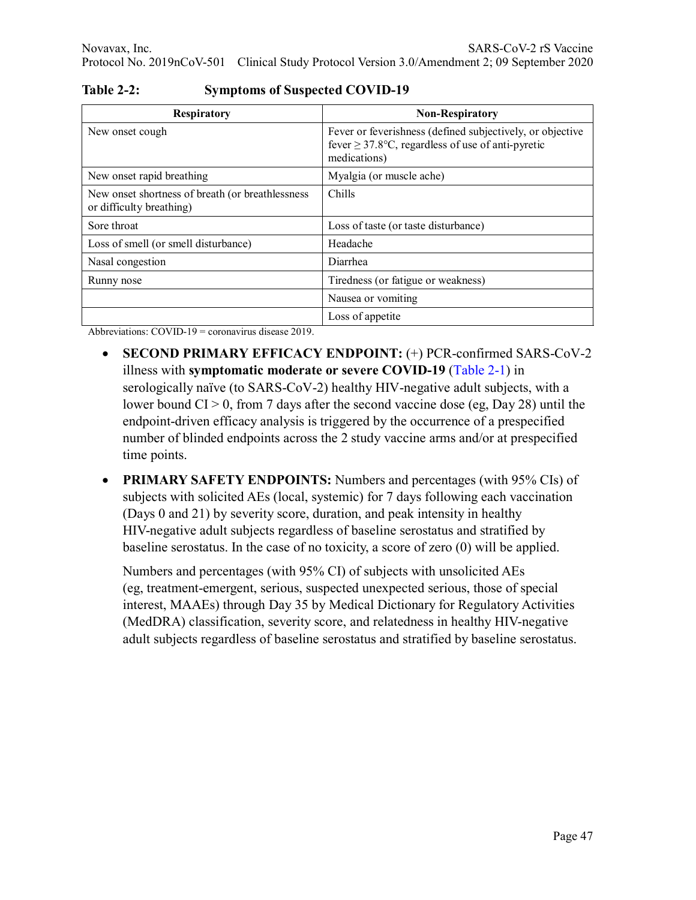| <b>Respiratory</b>                                                           | <b>Non-Respiratory</b>                                                                                                              |
|------------------------------------------------------------------------------|-------------------------------------------------------------------------------------------------------------------------------------|
| New onset cough                                                              | Fever or feverishness (defined subjectively, or objective<br>fever $\geq$ 37.8°C, regardless of use of anti-pyretic<br>medications) |
| New onset rapid breathing                                                    | Myalgia (or muscle ache)                                                                                                            |
| New onset shortness of breath (or breathlessness<br>or difficulty breathing) | Chills                                                                                                                              |
| Sore throat                                                                  | Loss of taste (or taste disturbance)                                                                                                |
| Loss of smell (or smell disturbance)                                         | Headache                                                                                                                            |
| Nasal congestion                                                             | Diarrhea                                                                                                                            |
| Runny nose                                                                   | Tiredness (or fatigue or weakness)                                                                                                  |
|                                                                              | Nausea or vomiting                                                                                                                  |
|                                                                              | Loss of appetite                                                                                                                    |

**Table 2-2: Symptoms of Suspected COVID-19** 

Abbreviations: COVID-19 = coronavirus disease 2019.

- **SECOND PRIMARY EFFICACY ENDPOINT:** (+) PCR-confirmed SARS-CoV-2 illness with **symptomatic moderate or severe COVID-19** (Table 2-1) in serologically naïve (to SARS-CoV-2) healthy HIV-negative adult subjects, with a lower bound CI > 0, from 7 days after the second vaccine dose (eg, Day 28) until the endpoint-driven efficacy analysis is triggered by the occurrence of a prespecified number of blinded endpoints across the 2 study vaccine arms and/or at prespecified time points.
- **PRIMARY SAFETY ENDPOINTS:** Numbers and percentages (with 95% CIs) of subjects with solicited AEs (local, systemic) for 7 days following each vaccination (Days 0 and 21) by severity score, duration, and peak intensity in healthy HIV-negative adult subjects regardless of baseline serostatus and stratified by baseline serostatus. In the case of no toxicity, a score of zero (0) will be applied.

Numbers and percentages (with 95% CI) of subjects with unsolicited AEs (eg, treatment-emergent, serious, suspected unexpected serious, those of special interest, MAAEs) through Day 35 by Medical Dictionary for Regulatory Activities (MedDRA) classification, severity score, and relatedness in healthy HIV-negative adult subjects regardless of baseline serostatus and stratified by baseline serostatus.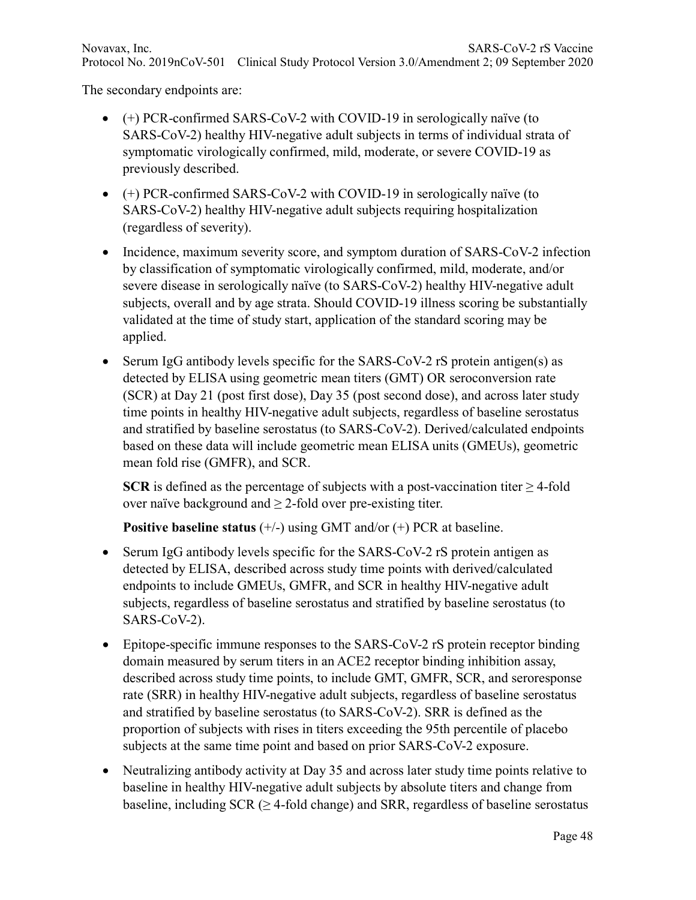The secondary endpoints are:

- (+) PCR-confirmed SARS-CoV-2 with COVID-19 in serologically naïve (to SARS-CoV-2) healthy HIV-negative adult subjects in terms of individual strata of symptomatic virologically confirmed, mild, moderate, or severe COVID-19 as previously described.
- (+) PCR-confirmed SARS-CoV-2 with COVID-19 in serologically naïve (to SARS-CoV-2) healthy HIV-negative adult subjects requiring hospitalization (regardless of severity).
- Incidence, maximum severity score, and symptom duration of SARS-CoV-2 infection by classification of symptomatic virologically confirmed, mild, moderate, and/or severe disease in serologically naïve (to SARS-CoV-2) healthy HIV-negative adult subjects, overall and by age strata. Should COVID-19 illness scoring be substantially validated at the time of study start, application of the standard scoring may be applied.
- Serum IgG antibody levels specific for the SARS-CoV-2 rS protein antigen(s) as detected by ELISA using geometric mean titers (GMT) OR seroconversion rate (SCR) at Day 21 (post first dose), Day 35 (post second dose), and across later study time points in healthy HIV-negative adult subjects, regardless of baseline serostatus and stratified by baseline serostatus (to SARS-CoV-2). Derived/calculated endpoints based on these data will include geometric mean ELISA units (GMEUs), geometric mean fold rise (GMFR), and SCR.

**SCR** is defined as the percentage of subjects with a post-vaccination titer  $\geq$  4-fold over naïve background and  $\geq$  2-fold over pre-existing titer.

**Positive baseline status** (+/-) using GMT and/or (+) PCR at baseline.

- Serum IgG antibody levels specific for the SARS-CoV-2 rS protein antigen as detected by ELISA, described across study time points with derived/calculated endpoints to include GMEUs, GMFR, and SCR in healthy HIV-negative adult subjects, regardless of baseline serostatus and stratified by baseline serostatus (to SARS-CoV-2).
- Epitope-specific immune responses to the SARS-CoV-2 rS protein receptor binding domain measured by serum titers in an ACE2 receptor binding inhibition assay, described across study time points, to include GMT, GMFR, SCR, and seroresponse rate (SRR) in healthy HIV-negative adult subjects, regardless of baseline serostatus and stratified by baseline serostatus (to SARS-CoV-2). SRR is defined as the proportion of subjects with rises in titers exceeding the 95th percentile of placebo subjects at the same time point and based on prior SARS-CoV-2 exposure.
- Neutralizing antibody activity at Day 35 and across later study time points relative to baseline in healthy HIV-negative adult subjects by absolute titers and change from baseline, including  $SCR \geq 4$ -fold change) and SRR, regardless of baseline serostatus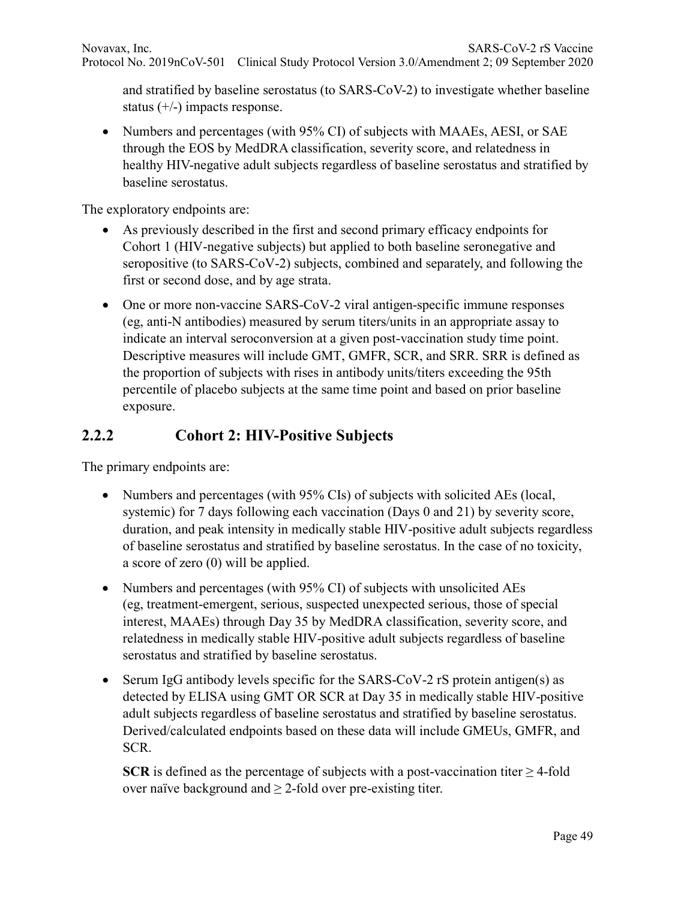and stratified by baseline serostatus (to SARS-CoV-2) to investigate whether baseline status (+/-) impacts response.

• Numbers and percentages (with 95% CI) of subjects with MAAEs, AESI, or SAE through the EOS by MedDRA classification, severity score, and relatedness in healthy HIV-negative adult subjects regardless of baseline serostatus and stratified by baseline serostatus.

The exploratory endpoints are:

- As previously described in the first and second primary efficacy endpoints for Cohort 1 (HIV-negative subjects) but applied to both baseline seronegative and seropositive (to SARS-CoV-2) subjects, combined and separately, and following the first or second dose, and by age strata.
- One or more non-vaccine SARS-CoV-2 viral antigen-specific immune responses (eg, anti-N antibodies) measured by serum titers/units in an appropriate assay to indicate an interval seroconversion at a given post-vaccination study time point. Descriptive measures will include GMT, GMFR, SCR, and SRR. SRR is defined as the proportion of subjects with rises in antibody units/titers exceeding the 95th percentile of placebo subjects at the same time point and based on prior baseline exposure.

## **2.2.2 Cohort 2: HIV-Positive Subjects**

The primary endpoints are:

- Numbers and percentages (with 95% CIs) of subjects with solicited AEs (local, systemic) for 7 days following each vaccination (Days 0 and 21) by severity score, duration, and peak intensity in medically stable HIV-positive adult subjects regardless of baseline serostatus and stratified by baseline serostatus. In the case of no toxicity, a score of zero (0) will be applied.
- Numbers and percentages (with 95% CI) of subjects with unsolicited AEs (eg, treatment-emergent, serious, suspected unexpected serious, those of special interest, MAAEs) through Day 35 by MedDRA classification, severity score, and relatedness in medically stable HIV-positive adult subjects regardless of baseline serostatus and stratified by baseline serostatus.
- Serum IgG antibody levels specific for the SARS-CoV-2 rS protein antigen(s) as detected by ELISA using GMT OR SCR at Day 35 in medically stable HIV-positive adult subjects regardless of baseline serostatus and stratified by baseline serostatus. Derived/calculated endpoints based on these data will include GMEUs, GMFR, and SCR.

**SCR** is defined as the percentage of subjects with a post-vaccination titer  $\geq$  4-fold over naïve background and  $\geq$  2-fold over pre-existing titer.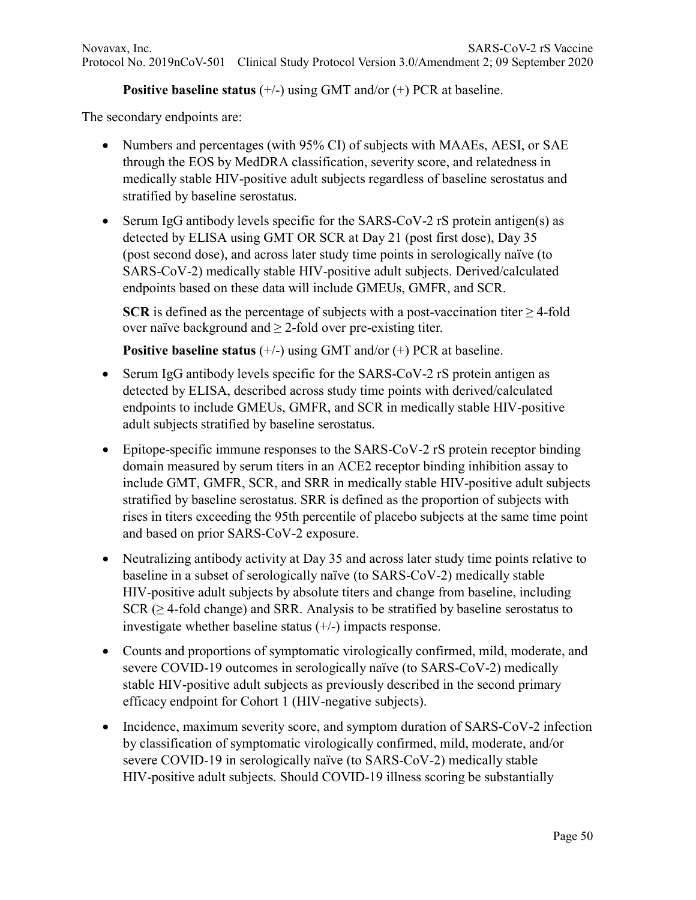#### **Positive baseline status** (+/-) using GMT and/or (+) PCR at baseline.

The secondary endpoints are:

- Numbers and percentages (with 95% CI) of subjects with MAAEs, AESI, or SAE through the EOS by MedDRA classification, severity score, and relatedness in medically stable HIV-positive adult subjects regardless of baseline serostatus and stratified by baseline serostatus.
- Serum IgG antibody levels specific for the SARS-CoV-2 rS protein antigen(s) as detected by ELISA using GMT OR SCR at Day 21 (post first dose), Day 35 (post second dose), and across later study time points in serologically naïve (to SARS-CoV-2) medically stable HIV-positive adult subjects. Derived/calculated endpoints based on these data will include GMEUs, GMFR, and SCR.

**SCR** is defined as the percentage of subjects with a post-vaccination titer  $\geq$  4-fold over naïve background and  $\geq$  2-fold over pre-existing titer.

**Positive baseline status** (+/-) using GMT and/or (+) PCR at baseline.

- Serum IgG antibody levels specific for the SARS-CoV-2 rS protein antigen as detected by ELISA, described across study time points with derived/calculated endpoints to include GMEUs, GMFR, and SCR in medically stable HIV-positive adult subjects stratified by baseline serostatus.
- Epitope-specific immune responses to the SARS-CoV-2 rS protein receptor binding domain measured by serum titers in an ACE2 receptor binding inhibition assay to include GMT, GMFR, SCR, and SRR in medically stable HIV-positive adult subjects stratified by baseline serostatus. SRR is defined as the proportion of subjects with rises in titers exceeding the 95th percentile of placebo subjects at the same time point and based on prior SARS-CoV-2 exposure.
- Neutralizing antibody activity at Day 35 and across later study time points relative to baseline in a subset of serologically naïve (to SARS-CoV-2) medically stable HIV-positive adult subjects by absolute titers and change from baseline, including SCR ( $\geq$  4-fold change) and SRR. Analysis to be stratified by baseline serostatus to investigate whether baseline status (+/-) impacts response.
- Counts and proportions of symptomatic virologically confirmed, mild, moderate, and severe COVID-19 outcomes in serologically naïve (to SARS-CoV-2) medically stable HIV-positive adult subjects as previously described in the second primary efficacy endpoint for Cohort 1 (HIV-negative subjects).
- Incidence, maximum severity score, and symptom duration of SARS-CoV-2 infection by classification of symptomatic virologically confirmed, mild, moderate, and/or severe COVID-19 in serologically naïve (to SARS-CoV-2) medically stable HIV-positive adult subjects. Should COVID-19 illness scoring be substantially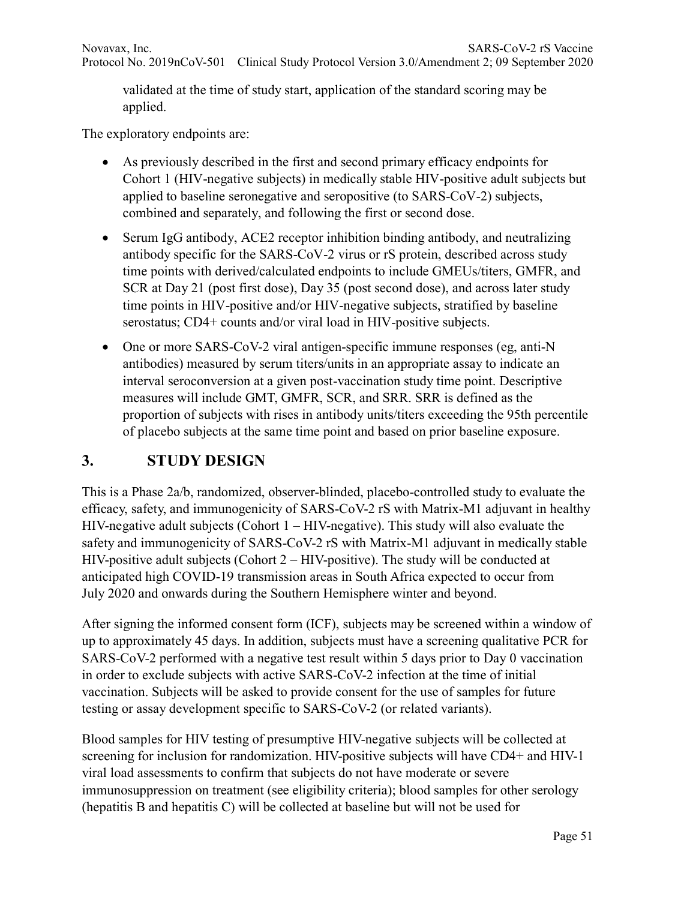Novavax, Inc. SARS-CoV-2 rS Vaccine Protocol No. 2019nCoV-501 Clinical Study Protocol Version 3.0/Amendment 2; 09 September 2020

validated at the time of study start, application of the standard scoring may be applied.

The exploratory endpoints are:

- As previously described in the first and second primary efficacy endpoints for Cohort 1 (HIV-negative subjects) in medically stable HIV-positive adult subjects but applied to baseline seronegative and seropositive (to SARS-CoV-2) subjects, combined and separately, and following the first or second dose.
- Serum IgG antibody, ACE2 receptor inhibition binding antibody, and neutralizing antibody specific for the SARS-CoV-2 virus or rS protein, described across study time points with derived/calculated endpoints to include GMEUs/titers, GMFR, and SCR at Day 21 (post first dose), Day 35 (post second dose), and across later study time points in HIV-positive and/or HIV-negative subjects, stratified by baseline serostatus; CD4+ counts and/or viral load in HIV-positive subjects.
- One or more SARS-CoV-2 viral antigen-specific immune responses (eg, anti-N) antibodies) measured by serum titers/units in an appropriate assay to indicate an interval seroconversion at a given post-vaccination study time point. Descriptive measures will include GMT, GMFR, SCR, and SRR. SRR is defined as the proportion of subjects with rises in antibody units/titers exceeding the 95th percentile of placebo subjects at the same time point and based on prior baseline exposure.

#### **3. STUDY DESIGN**

This is a Phase 2a/b, randomized, observer-blinded, placebo-controlled study to evaluate the efficacy, safety, and immunogenicity of SARS-CoV-2 rS with Matrix-M1 adjuvant in healthy HIV-negative adult subjects (Cohort  $1 - HIV$ -negative). This study will also evaluate the safety and immunogenicity of SARS-CoV-2 rS with Matrix-M1 adjuvant in medically stable HIV-positive adult subjects (Cohort 2 – HIV-positive). The study will be conducted at anticipated high COVID-19 transmission areas in South Africa expected to occur from July 2020 and onwards during the Southern Hemisphere winter and beyond.

After signing the informed consent form (ICF), subjects may be screened within a window of up to approximately 45 days. In addition, subjects must have a screening qualitative PCR for SARS-CoV-2 performed with a negative test result within 5 days prior to Day 0 vaccination in order to exclude subjects with active SARS-CoV-2 infection at the time of initial vaccination. Subjects will be asked to provide consent for the use of samples for future testing or assay development specific to SARS-CoV-2 (or related variants).

Blood samples for HIV testing of presumptive HIV-negative subjects will be collected at screening for inclusion for randomization. HIV-positive subjects will have CD4+ and HIV-1 viral load assessments to confirm that subjects do not have moderate or severe immunosuppression on treatment (see eligibility criteria); blood samples for other serology (hepatitis B and hepatitis C) will be collected at baseline but will not be used for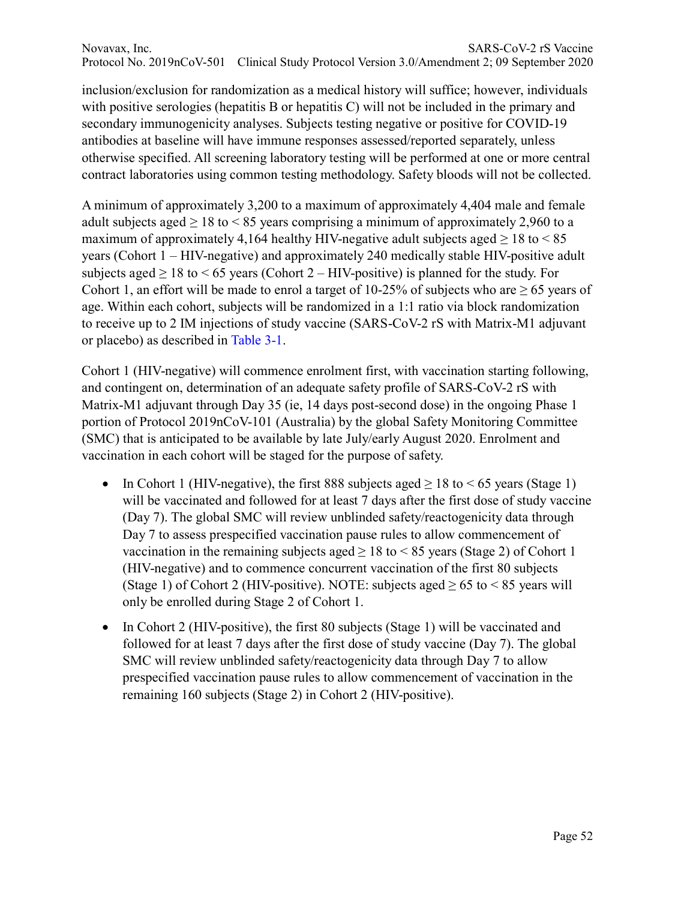Novavax, Inc. SARS-CoV-2 rS Vaccine Protocol No. 2019nCoV-501 Clinical Study Protocol Version 3.0/Amendment 2; 09 September 2020

inclusion/exclusion for randomization as a medical history will suffice; however, individuals with positive serologies (hepatitis B or hepatitis C) will not be included in the primary and secondary immunogenicity analyses. Subjects testing negative or positive for COVID-19 antibodies at baseline will have immune responses assessed/reported separately, unless otherwise specified. All screening laboratory testing will be performed at one or more central contract laboratories using common testing methodology. Safety bloods will not be collected.

A minimum of approximately 3,200 to a maximum of approximately 4,404 male and female adult subjects aged  $\geq 18$  to  $\leq 85$  years comprising a minimum of approximately 2,960 to a maximum of approximately 4,164 healthy HIV-negative adult subjects aged  $> 18$  to  $< 85$ years (Cohort 1 – HIV-negative) and approximately 240 medically stable HIV-positive adult subjects aged  $\geq 18$  to  $\leq 65$  years (Cohort 2 – HIV-positive) is planned for the study. For Cohort 1, an effort will be made to enrol a target of 10-25% of subjects who are  $\geq 65$  years of age. Within each cohort, subjects will be randomized in a 1:1 ratio via block randomization to receive up to 2 IM injections of study vaccine (SARS-CoV-2 rS with Matrix-M1 adjuvant or placebo) as described in Table 3-1.

Cohort 1 (HIV-negative) will commence enrolment first, with vaccination starting following, and contingent on, determination of an adequate safety profile of SARS-CoV-2 rS with Matrix-M1 adjuvant through Day 35 (ie, 14 days post-second dose) in the ongoing Phase 1 portion of Protocol 2019nCoV-101 (Australia) by the global Safety Monitoring Committee (SMC) that is anticipated to be available by late July/early August 2020. Enrolment and vaccination in each cohort will be staged for the purpose of safety.

- In Cohort 1 (HIV-negative), the first 888 subjects aged  $\geq 18$  to  $\leq 65$  years (Stage 1) will be vaccinated and followed for at least 7 days after the first dose of study vaccine (Day 7). The global SMC will review unblinded safety/reactogenicity data through Day 7 to assess prespecified vaccination pause rules to allow commencement of vaccination in the remaining subjects aged  $\geq 18$  to < 85 years (Stage 2) of Cohort 1 (HIV-negative) and to commence concurrent vaccination of the first 80 subjects (Stage 1) of Cohort 2 (HIV-positive). NOTE: subjects aged  $\geq 65$  to  $\leq 85$  years will only be enrolled during Stage 2 of Cohort 1.
- In Cohort 2 (HIV-positive), the first 80 subjects (Stage 1) will be vaccinated and followed for at least 7 days after the first dose of study vaccine (Day 7). The global SMC will review unblinded safety/reactogenicity data through Day 7 to allow prespecified vaccination pause rules to allow commencement of vaccination in the remaining 160 subjects (Stage 2) in Cohort 2 (HIV-positive).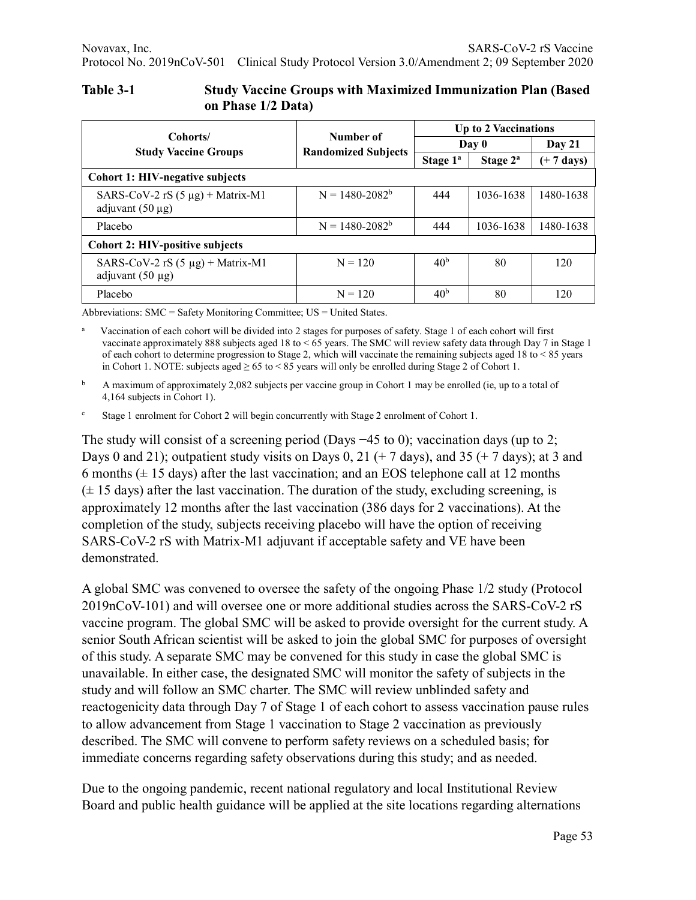| Cohorts/                                                       |                                         | Up to 2 Vaccinations |             |                      |  |  |  |  |
|----------------------------------------------------------------|-----------------------------------------|----------------------|-------------|----------------------|--|--|--|--|
|                                                                | Number of<br><b>Randomized Subjects</b> | Day 0                | Day $21$    |                      |  |  |  |  |
| <b>Study Vaccine Groups</b>                                    |                                         | Stage $1^a$          | Stage $2^a$ | $(+ 7 \text{ days})$ |  |  |  |  |
| <b>Cohort 1: HIV-negative subjects</b>                         |                                         |                      |             |                      |  |  |  |  |
| SARS-CoV-2 rS $(5 \mu g)$ + Matrix-M1<br>adjuvant $(50 \mu g)$ | $N = 1480 - 2082^b$                     | 444                  | 1036-1638   | 1480-1638            |  |  |  |  |
| Placebo                                                        | $N = 1480 - 2082^b$                     | 444                  | 1036-1638   | 1480-1638            |  |  |  |  |
| <b>Cohort 2: HIV-positive subjects</b>                         |                                         |                      |             |                      |  |  |  |  |
| SARS-CoV-2 rS $(5 \mu g)$ + Matrix-M1<br>adjuvant $(50 \mu g)$ | $N = 120$                               | 40 <sup>b</sup>      | 80          | 120                  |  |  |  |  |
| Placebo                                                        | $N = 120$                               | 40 <sup>b</sup>      | 80          | 120                  |  |  |  |  |

#### **Table 3-1 Study Vaccine Groups with Maximized Immunization Plan (Based on Phase 1/2 Data)**

Abbreviations: SMC = Safety Monitoring Committee; US = United States.

a Vaccination of each cohort will be divided into 2 stages for purposes of safety. Stage 1 of each cohort will first vaccinate approximately 888 subjects aged 18 to < 65 years. The SMC will review safety data through Day 7 in Stage 1 of each cohort to determine progression to Stage 2, which will vaccinate the remaining subjects aged 18 to < 85 years in Cohort 1. NOTE: subjects aged  $\geq 65$  to < 85 years will only be enrolled during Stage 2 of Cohort 1.

<sup>b</sup> A maximum of approximately 2,082 subjects per vaccine group in Cohort 1 may be enrolled (ie, up to a total of 4,164 subjects in Cohort 1).

<sup>c</sup> Stage 1 enrolment for Cohort 2 will begin concurrently with Stage 2 enrolment of Cohort 1.

The study will consist of a screening period (Days −45 to 0); vaccination days (up to 2; Days 0 and 21); outpatient study visits on Days 0, 21 (+ 7 days), and 35 (+ 7 days); at 3 and 6 months  $(\pm 15 \text{ days})$  after the last vaccination; and an EOS telephone call at 12 months  $(\pm 15$  days) after the last vaccination. The duration of the study, excluding screening, is approximately 12 months after the last vaccination (386 days for 2 vaccinations). At the completion of the study, subjects receiving placebo will have the option of receiving SARS-CoV-2 rS with Matrix-M1 adjuvant if acceptable safety and VE have been demonstrated.

A global SMC was convened to oversee the safety of the ongoing Phase 1/2 study (Protocol 2019nCoV-101) and will oversee one or more additional studies across the SARS-CoV-2 rS vaccine program. The global SMC will be asked to provide oversight for the current study. A senior South African scientist will be asked to join the global SMC for purposes of oversight of this study. A separate SMC may be convened for this study in case the global SMC is unavailable. In either case, the designated SMC will monitor the safety of subjects in the study and will follow an SMC charter. The SMC will review unblinded safety and reactogenicity data through Day 7 of Stage 1 of each cohort to assess vaccination pause rules to allow advancement from Stage 1 vaccination to Stage 2 vaccination as previously described. The SMC will convene to perform safety reviews on a scheduled basis; for immediate concerns regarding safety observations during this study; and as needed.

Due to the ongoing pandemic, recent national regulatory and local Institutional Review Board and public health guidance will be applied at the site locations regarding alternations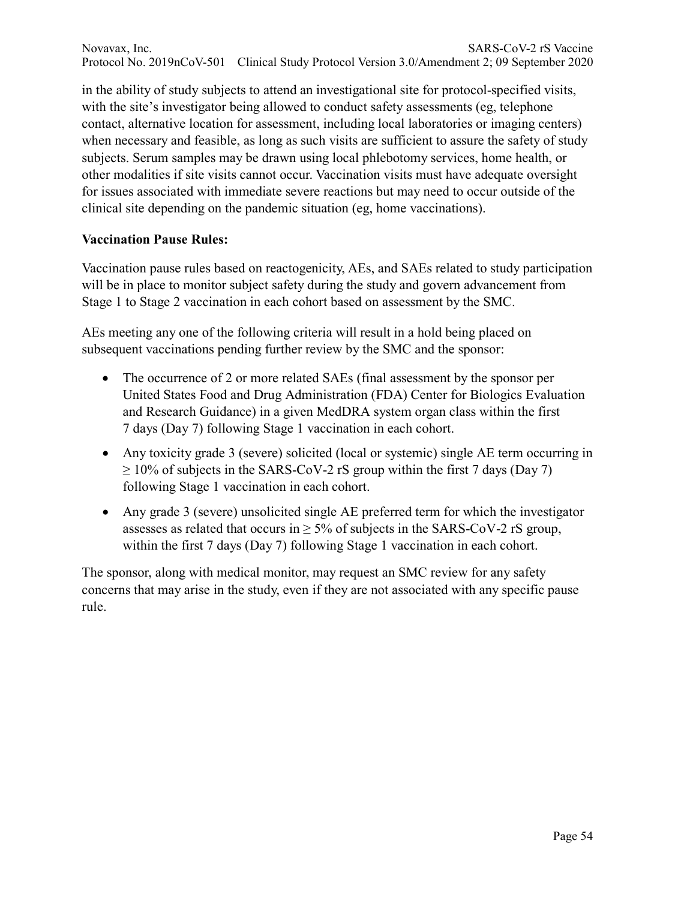in the ability of study subjects to attend an investigational site for protocol-specified visits, with the site's investigator being allowed to conduct safety assessments (eg, telephone contact, alternative location for assessment, including local laboratories or imaging centers) when necessary and feasible, as long as such visits are sufficient to assure the safety of study subjects. Serum samples may be drawn using local phlebotomy services, home health, or other modalities if site visits cannot occur. Vaccination visits must have adequate oversight for issues associated with immediate severe reactions but may need to occur outside of the clinical site depending on the pandemic situation (eg, home vaccinations).

#### **Vaccination Pause Rules:**

Vaccination pause rules based on reactogenicity, AEs, and SAEs related to study participation will be in place to monitor subject safety during the study and govern advancement from Stage 1 to Stage 2 vaccination in each cohort based on assessment by the SMC.

AEs meeting any one of the following criteria will result in a hold being placed on subsequent vaccinations pending further review by the SMC and the sponsor:

- The occurrence of 2 or more related SAEs (final assessment by the sponsor per United States Food and Drug Administration (FDA) Center for Biologics Evaluation and Research Guidance) in a given MedDRA system organ class within the first 7 days (Day 7) following Stage 1 vaccination in each cohort.
- Any toxicity grade 3 (severe) solicited (local or systemic) single AE term occurring in  $\geq$  10% of subjects in the SARS-CoV-2 rS group within the first 7 days (Day 7) following Stage 1 vaccination in each cohort.
- Any grade 3 (severe) unsolicited single AE preferred term for which the investigator assesses as related that occurs in  $\geq$  5% of subjects in the SARS-CoV-2 rS group, within the first 7 days (Day 7) following Stage 1 vaccination in each cohort.

The sponsor, along with medical monitor, may request an SMC review for any safety concerns that may arise in the study, even if they are not associated with any specific pause rule.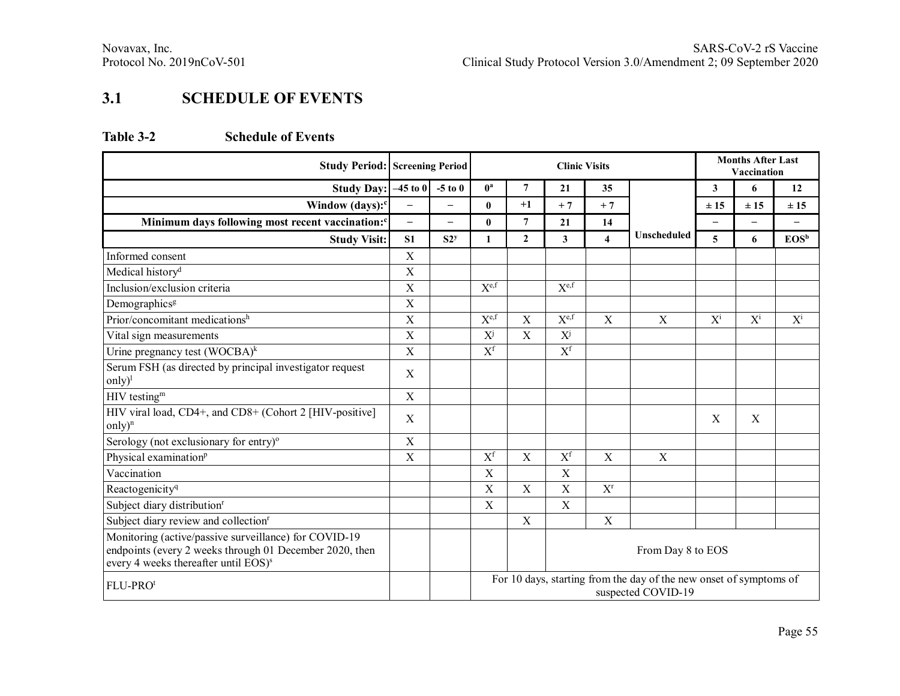## **3.1 SCHEDULE OF EVENTS**

#### **Table 3-2 Schedule of Events**

| <b>Study Period: Screening Period</b>                                                                                                                                |                   |                          | <b>Clinic Visits</b>                                                                     |                   |                         |                           |             |                          | <b>Months After Last</b><br>Vaccination |                   |  |
|----------------------------------------------------------------------------------------------------------------------------------------------------------------------|-------------------|--------------------------|------------------------------------------------------------------------------------------|-------------------|-------------------------|---------------------------|-------------|--------------------------|-----------------------------------------|-------------------|--|
| <b>Study Day:</b>                                                                                                                                                    | $-45$ to 0        | $-5$ to $0$              | $0^a$                                                                                    | $\overline{7}$    | 21                      | 35                        |             | $\mathbf{3}$             | 6                                       | 12                |  |
| Window (days): <sup>c</sup>                                                                                                                                          | $\equiv$          | $\overline{\phantom{0}}$ | $\mathbf{0}$                                                                             | $+1$              | $+7$                    | $+7$                      |             | ± 15                     | ±15                                     | ± 15              |  |
| Minimum days following most recent vaccination: <sup>c</sup>                                                                                                         | $\qquad \qquad -$ | $\overline{\phantom{0}}$ | $\bf{0}$                                                                                 | 7                 | 21                      | 14                        |             | $\overline{\phantom{0}}$ | $\overline{\phantom{0}}$                | $\qquad \qquad -$ |  |
| <b>Study Visit:</b>                                                                                                                                                  | S <sub>1</sub>    | S2 <sup>y</sup>          | 1                                                                                        | $\overline{2}$    | $\overline{\mathbf{3}}$ | $\overline{\bf{4}}$       | Unscheduled | 5                        | 6                                       | $EOS^b$           |  |
| Informed consent                                                                                                                                                     | $\mathbf X$       |                          |                                                                                          |                   |                         |                           |             |                          |                                         |                   |  |
| Medical history <sup>d</sup>                                                                                                                                         | $\mathbf X$       |                          |                                                                                          |                   |                         |                           |             |                          |                                         |                   |  |
| Inclusion/exclusion criteria                                                                                                                                         | $\mathbf X$       |                          | $X^{\text{e,f}}$                                                                         |                   | $X^{\text{e,f}}$        |                           |             |                          |                                         |                   |  |
| Demographics <sup>g</sup>                                                                                                                                            | $\mathbf X$       |                          |                                                                                          |                   |                         |                           |             |                          |                                         |                   |  |
| Prior/concomitant medicationsh                                                                                                                                       | X                 |                          | $X^{\text{e,f}}$                                                                         | $\mathbf X$       | $X^{\text{e,f}}$        | X                         | $\mathbf X$ | $X^{i}$                  | $X^{i}$                                 | $X^{i}$           |  |
| Vital sign measurements                                                                                                                                              | $\mathbf X$       |                          | $X^{j}$                                                                                  | X                 | $X^{j}$                 |                           |             |                          |                                         |                   |  |
| Urine pregnancy test $(WOCBA)^k$                                                                                                                                     | $\mathbf X$       |                          | $X^f$                                                                                    |                   | $X^f$                   |                           |             |                          |                                         |                   |  |
| Serum FSH (as directed by principal investigator request<br>only) <sup>1</sup>                                                                                       | $\mathbf X$       |                          |                                                                                          |                   |                         |                           |             |                          |                                         |                   |  |
| HIV testing <sup>m</sup>                                                                                                                                             | $\mathbf X$       |                          |                                                                                          |                   |                         |                           |             |                          |                                         |                   |  |
| HIV viral load, CD4+, and CD8+ (Cohort 2 [HIV-positive]<br>only) <sup>n</sup>                                                                                        | $\mathbf X$       |                          |                                                                                          |                   |                         |                           |             | $\mathbf X$              | $\mathbf X$                             |                   |  |
| Serology (not exclusionary for entry) <sup>o</sup>                                                                                                                   | $\mathbf X$       |                          |                                                                                          |                   |                         |                           |             |                          |                                         |                   |  |
| Physical examination <sup>p</sup>                                                                                                                                    | $\mathbf X$       |                          | $X^f$                                                                                    | $\mathbf X$       | $\mathbf{X}^\text{f}$   | $\boldsymbol{\mathrm{X}}$ | $\mathbf X$ |                          |                                         |                   |  |
| Vaccination                                                                                                                                                          |                   |                          | $\boldsymbol{\mathrm{X}}$                                                                |                   | $\mathbf X$             |                           |             |                          |                                         |                   |  |
| Reactogenicity <sup>q</sup>                                                                                                                                          |                   |                          | $\mathbf X$                                                                              | $\mathbf X$       | $\mathbf X$             | $X^r$                     |             |                          |                                         |                   |  |
| Subject diary distribution <sup>r</sup>                                                                                                                              |                   |                          | X                                                                                        |                   | $\mathbf X$             |                           |             |                          |                                         |                   |  |
| Subject diary review and collection <sup>r</sup>                                                                                                                     |                   |                          |                                                                                          | $\mathbf X$       |                         | $\mathbf X$               |             |                          |                                         |                   |  |
| Monitoring (active/passive surveillance) for COVID-19<br>endpoints (every 2 weeks through 01 December 2020, then<br>every 4 weeks thereafter until EOS) <sup>s</sup> |                   |                          |                                                                                          | From Day 8 to EOS |                         |                           |             |                          |                                         |                   |  |
| FLU-PRO <sup>t</sup>                                                                                                                                                 |                   |                          | For 10 days, starting from the day of the new onset of symptoms of<br>suspected COVID-19 |                   |                         |                           |             |                          |                                         |                   |  |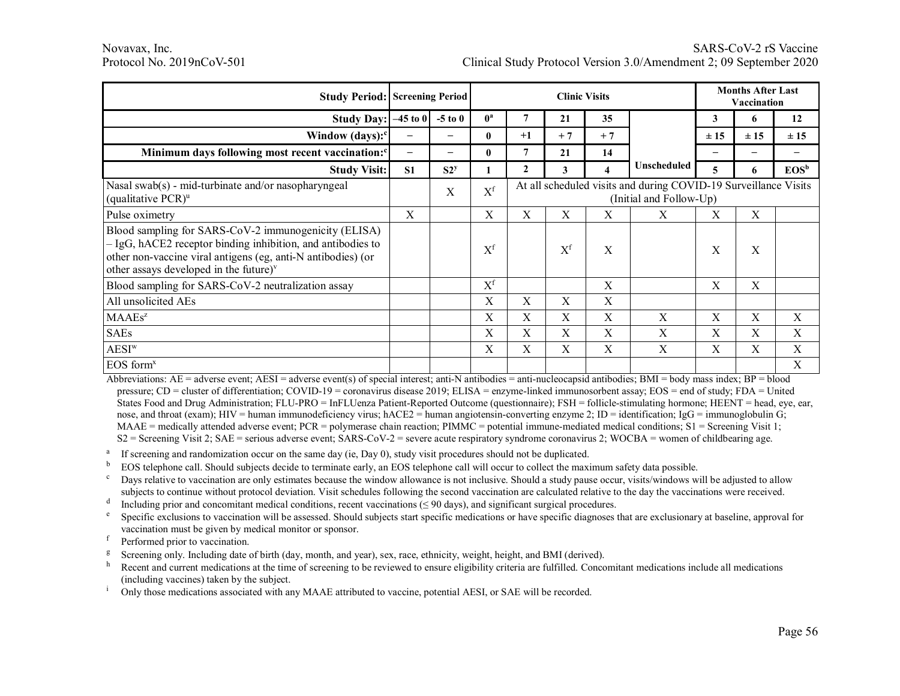#### Novavax, Inc. SARS-CoV-2 rS Vaccine Protocol No. 2019nCoV-501 Clinical Study Protocol Version 3.0/Amendment 2; 09 September 2020

|                                                                                                                                                                                                                                  | <b>Study Period: Screening Period</b> |                          | <b>Clinic Visits</b> |              |                           |              |                                                                                            | <b>Months After Last</b><br>Vaccination |             |             |  |
|----------------------------------------------------------------------------------------------------------------------------------------------------------------------------------------------------------------------------------|---------------------------------------|--------------------------|----------------------|--------------|---------------------------|--------------|--------------------------------------------------------------------------------------------|-----------------------------------------|-------------|-------------|--|
| <b>Study Day:</b>                                                                                                                                                                                                                | $-45$ to $02$                         | $-5$ to $0$              | $0^a$                | 7            | 21                        | 35           |                                                                                            | 3                                       | 6           | 12          |  |
| Window $(days):$ <sup>c</sup>                                                                                                                                                                                                    | -                                     | $\overline{\phantom{0}}$ | $\mathbf{0}$         | $+1$         | $+7$                      | $+7$         |                                                                                            | $\pm 15$                                | $\pm 15$    | $\pm 15$    |  |
| Minimum days following most recent vaccination: <sup>c</sup>                                                                                                                                                                     | $\qquad \qquad -$                     | $\overline{\phantom{0}}$ | $\bf{0}$             | 7            | 21                        | 14           |                                                                                            | —                                       | -           |             |  |
| <b>Study Visit:</b>                                                                                                                                                                                                              | S <sub>1</sub>                        | S2 <sup>y</sup>          |                      | $\mathbf{2}$ | 3                         | 4            | Unscheduled                                                                                | 5.                                      | 6           | $EOS^b$     |  |
| Nasal swab(s) - mid-turbinate and/or nasopharyngeal<br>(qualitative $PCR$ ) <sup>u</sup>                                                                                                                                         |                                       | X                        | $X^f$                |              |                           |              | At all scheduled visits and during COVID-19 Surveillance Visits<br>(Initial and Follow-Up) |                                         |             |             |  |
| Pulse oximetry                                                                                                                                                                                                                   | X                                     |                          | $\mathbf X$          | X            | X                         | X            | X                                                                                          | Χ                                       | $\mathbf X$ |             |  |
| Blood sampling for SARS-CoV-2 immunogenicity (ELISA)<br>- IgG, hACE2 receptor binding inhibition, and antibodies to<br>other non-vaccine viral antigens (eg, anti-N antibodies) (or<br>other assays developed in the future) $v$ |                                       |                          | $X^f$                |              | $X^f$                     | X            |                                                                                            | X                                       | X           |             |  |
| Blood sampling for SARS-CoV-2 neutralization assay                                                                                                                                                                               |                                       |                          | $X^f$                |              |                           | $\mathbf{X}$ |                                                                                            | X                                       | X           |             |  |
| All unsolicited AEs                                                                                                                                                                                                              |                                       |                          | X                    | X            | X                         | $\mathbf{X}$ |                                                                                            |                                         |             |             |  |
| $MAAEs^z$                                                                                                                                                                                                                        |                                       |                          | X                    | X            | X                         | X            | X                                                                                          | X                                       | X           | X           |  |
| <b>SAEs</b>                                                                                                                                                                                                                      |                                       |                          | $\mathbf X$          | X            | $\boldsymbol{\mathrm{X}}$ | X            | X                                                                                          | X                                       | $\mathbf X$ | X           |  |
| AESI <sup>w</sup>                                                                                                                                                                                                                |                                       |                          | $\mathbf X$          | X            | $\boldsymbol{\mathrm{X}}$ | X            | X                                                                                          | $\mathbf X$                             | $\mathbf X$ | $\mathbf X$ |  |
| $EOS$ form <sup>x</sup>                                                                                                                                                                                                          |                                       |                          |                      |              |                           |              |                                                                                            |                                         |             | X           |  |

Abbreviations:  $AE =$  adverse event;  $AESI =$  adverse event(s) of special interest; anti-N antibodies = anti-nucleocapsid antibodies;  $BMI =$  body mass index;  $BP =$  blood pressure; CD = cluster of differentiation; COVID-19 = coronavirus disease 2019; ELISA = enzyme-linked immunosorbent assay; EOS = end of study; FDA = United States Food and Drug Administration; FLU-PRO = InFLUenza Patient-Reported Outcome (questionnaire); FSH = follicle-stimulating hormone; HEENT = head, eye, ear, nose, and throat (exam); HIV = human immunodeficiency virus; hACE2 = human angiotensin-converting enzyme 2; ID = identification; IgG = immunoglobulin G;  $MAAE$  = medically attended adverse event;  $PCR$  = polymerase chain reaction;  $PIMMC$  = potential immune-mediated medical conditions;  $SI$  = Screening Visit 1;  $S2$  = Screening Visit 2; SAE = serious adverse event; SARS-CoV-2 = severe acute respiratory syndrome coronavirus 2; WOCBA = women of childbearing age.

<sup>a</sup> If screening and randomization occur on the same day (ie, Day 0), study visit procedures should not be duplicated.

<sup>b</sup> EOS telephone call. Should subjects decide to terminate early, an EOS telephone call will occur to collect the maximum safety data possible.

<sup>c</sup> Days relative to vaccination are only estimates because the window allowance is not inclusive. Should a study pause occur, visits/windows will be adjusted to allow subjects to continue without protocol deviation. Visit schedules following the second vaccination are calculated relative to the day the vaccinations were received.

 $d$  Including prior and concomitant medical conditions, recent vaccinations ( $\leq$  90 days), and significant surgical procedures.

<sup>e</sup> Specific exclusions to vaccination will be assessed. Should subjects start specific medications or have specific diagnoses that are exclusionary at baseline, approval for vaccination must be given by medical monitor or sponsor.

- 
- <sup>f</sup> Performed prior to vaccination.<br><sup>g</sup> Screening only. Including date of birth (day, month, and year), sex, race, ethnicity, weight, height, and BMI (derived).

Recent and current medications at the time of screening to be reviewed to ensure eligibility criteria are fulfilled. Concomitant medications include all medications (including vaccines) taken by the subject.

Only those medications associated with any MAAE attributed to vaccine, potential AESI, or SAE will be recorded.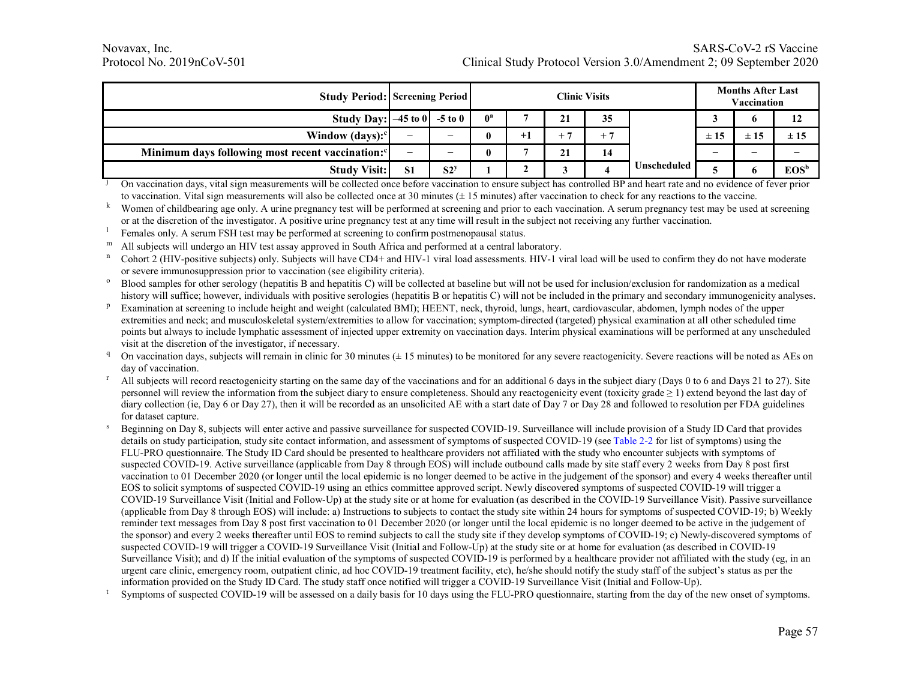|                                                              | <b>Study Period: Screening Period</b> |                 |              |      | <b>Clinic Visits</b> |      |                      |          | <b>Months After Last</b><br>Vaccination |         |
|--------------------------------------------------------------|---------------------------------------|-----------------|--------------|------|----------------------|------|----------------------|----------|-----------------------------------------|---------|
| Study Day: $-45$ to 0                                        |                                       | $-5$ to $0$     | $0^{\rm a}$  |      | 21                   | 35   |                      |          |                                         | 12      |
| Window $(days)$ :                                            | -                                     | -               | 0            | $+1$ | -                    | $+7$ |                      | $\pm 15$ | ±15                                     | ±15     |
| Minimum days following most recent vaccination: <sup>c</sup> | $\overline{\phantom{0}}$              | -               | $\mathbf{0}$ |      | 21                   | 14   |                      | -        | -                                       | -       |
| <b>Study Visit:</b>                                          | S <sub>1</sub>                        | S2 <sup>y</sup> |              |      |                      |      | <b>Unscheduled</b> I |          |                                         | $EOS^b$ |

<sup>j</sup> On vaccination days, vital sign measurements will be collected once before vaccination to ensure subject has controlled BP and heart rate and no evidence of fever prior to vaccination. Vital sign measurements will also be collected once at 30 minutes  $(\pm 15$  minutes) after vaccination to check for any reactions to the vaccine.

k Women of childbearing age only. A urine pregnancy test will be performed at screening and prior to each vaccination. A serum pregnancy test may be used at screening or at the discretion of the investigator. A positive urine pregnancy test at any time will result in the subject not receiving any further vaccination.

- <sup>1</sup> Females only. A serum FSH test may be performed at screening to confirm postmenopausal status.
- 

m All subjects will undergo an HIV test assay approved in South Africa and performed at a central laboratory.<br><sup>n</sup> Cohort 2 (HIV-positive subjects) only. Subjects will have CD4+ and HIV-1 viral load assessments. HIV-1 viral or severe immunosuppression prior to vaccination (see eligibility criteria).<br><sup>o</sup> Blood samples for other serology (hepatitis B and hepatitis C) will be collected at baseline but will not be used for inclusion/exclusion for

- history will suffice; however, individuals with positive serologies (hepatitis B or hepatitis C) will not be included in the primary and secondary immunogenicity analyses.
- <sup>p</sup> Examination at screening to include height and weight (calculated BMI); HEENT, neck, thyroid, lungs, heart, cardiovascular, abdomen, lymph nodes of the upper extremities and neck; and musculoskeletal system/extremities to allow for vaccination; symptom-directed (targeted) physical examination at all other scheduled time points but always to include lymphatic assessment of injected upper extremity on vaccination days. Interim physical examinations will be performed at any unscheduled visit at the discretion of the investigator, if necessary.<br><sup>q</sup> On vaccination days, subjects will remain in clinic for 30 minutes ( $\pm$  15 minutes) to be monitored for any severe reactogenicity. Severe reactions will be n
- day of vaccination.<br>All subjects will record reactogenicity starting on the same day of the vaccinations and for an additional 6 days in the subject diary (Days 0 to 6 and Days 21 to 27). Site
- personnel will review the information from the subject diary to ensure completeness. Should any reactogenicity event (toxicity grade  $\geq 1$ ) extend beyond the last day of diary collection (ie, Day 6 or Day 27), then it will be recorded as an unsolicited AE with a start date of Day 7 or Day 28 and followed to resolution per FDA guidelines for dataset capture.
- <sup>s</sup> Beginning on Day 8, subjects will enter active and passive surveillance for suspected COVID-19. Surveillance will include provision of a Study ID Card that provides details on study participation, study site contact information, and assessment of symptoms of suspected COVID-19 (see Table 2-2 for list of symptoms) using the FLU-PRO questionnaire. The Study ID Card should be presented to healthcare providers not affiliated with the study who encounter subjects with symptoms of suspected COVID-19. Active surveillance (applicable from Day 8 through EOS) will include outbound calls made by site staff every 2 weeks from Day 8 post first vaccination to 01 December 2020 (or longer until the local epidemic is no longer deemed to be active in the judgement of the sponsor) and every 4 weeks thereafter until EOS to solicit symptoms of suspected COVID-19 using an ethics committee approved script. Newly discovered symptoms of suspected COVID-19 will trigger a COVID-19 Surveillance Visit (Initial and Follow-Up) at the study site or at home for evaluation (as described in the COVID-19 Surveillance Visit). Passive surveillance (applicable from Day 8 through EOS) will include: a) Instructions to subjects to contact the study site within 24 hours for symptoms of suspected COVID-19; b) Weekly reminder text messages from Day 8 post first vaccination to 01 December 2020 (or longer until the local epidemic is no longer deemed to be active in the judgement of the sponsor) and every 2 weeks thereafter until EOS to remind subjects to call the study site if they develop symptoms of COVID-19; c) Newly-discovered symptoms of suspected COVID-19 will trigger a COVID-19 Surveillance Visit (Initial and Follow-Up) at the study site or at home for evaluation (as described in COVID-19 Surveillance Visit); and d) If the initial evaluation of the symptoms of suspected COVID-19 is performed by a healthcare provider not affiliated with the study (eg, in an urgent care clinic, emergency room, outpatient clinic, ad hoc COVID-19 treatment facility, etc), he/she should notify the study staff of the subject's status as per the information provided on the Study ID Card. The study staff once notified will trigger a COVID-19 Surveillance Visit (Initial and Follow-Up).<br>Symptoms of suspected COVID-19 will be assessed on a daily basis for 10 days usin
-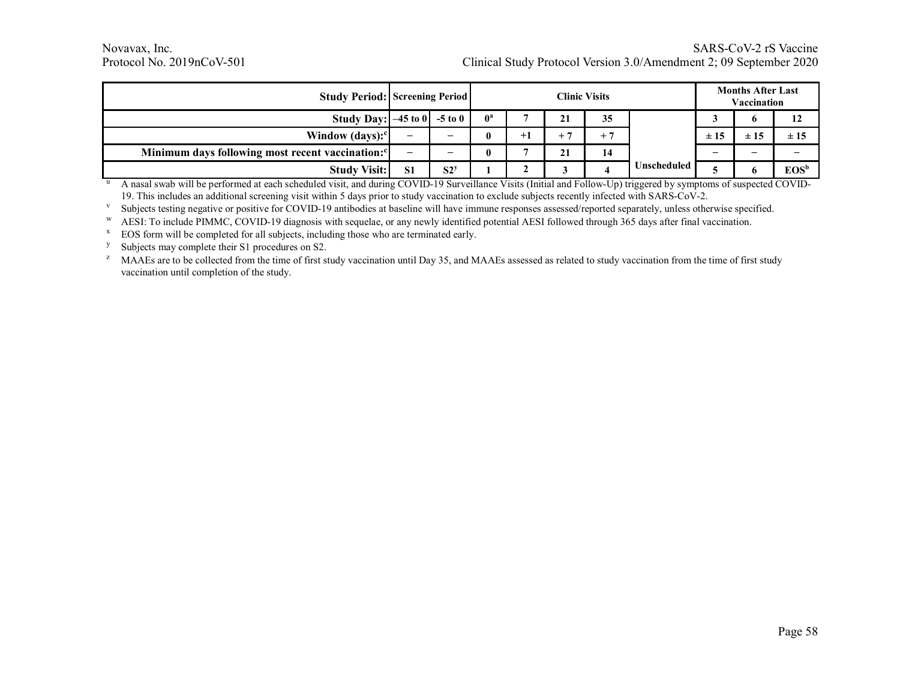|                                                              | <b>Study Period: Screening Period</b> |                          |              |      | <b>Clinic Visits</b> |      |             |     | <b>Months After Last</b><br>Vaccination |          |
|--------------------------------------------------------------|---------------------------------------|--------------------------|--------------|------|----------------------|------|-------------|-----|-----------------------------------------|----------|
| Study Day: $-45$ to 0                                        |                                       | $-5$ to $0$              | $0^a$        |      | 21                   | 35   |             |     | o                                       | 12       |
| Window $(days)$ :                                            | -                                     |                          | $\mathbf{0}$ | $+1$ |                      | $+7$ |             | ±15 | ±15                                     | $\pm 15$ |
| Minimum days following most recent vaccination: <sup>c</sup> | -                                     | $\overline{\phantom{0}}$ | $\bf{0}$     |      | 21                   | 14   |             |     | -                                       |          |
| <b>Study Visit:</b>                                          | S <sub>1</sub>                        | S2 <sup>y</sup>          |              |      |                      |      | Unscheduled |     |                                         | $EOS^b$  |

<sup>u</sup> A nasal swab will be performed at each scheduled visit, and during COVID-19 Surveillance Visits (Initial and Follow-Up) triggered by symptoms of suspected COVID-19. This includes an additional screening visit within 5 days prior to study vaccination to exclude subjects recently infected with SARS-CoV-2.

<sup>v</sup> Subjects testing negative or positive for COVID-19 antibodies at baseline will have immune responses assessed/reported separately, unless otherwise specified.<br><sup>W</sup> AESI: To include PIMMC, COVID-19 diagnosis with sequela

 $x \text{ EOS form will be completed for all subjects, including those who are terminated early.}$ 

<sup>y</sup> Subjects may complete their S1 procedures on S2.

<sup>z</sup> MAAEs are to be collected from the time of first study vaccination until Day 35, and MAAEs assessed as related to study vaccination from the time of first study vaccination until completion of the study.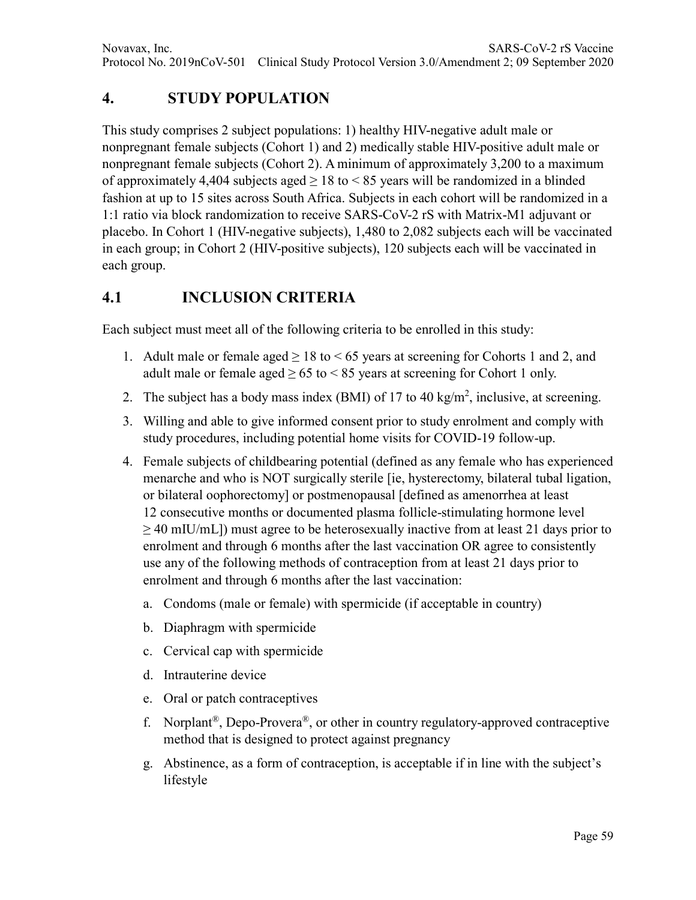# **4. STUDY POPULATION**

This study comprises 2 subject populations: 1) healthy HIV-negative adult male or nonpregnant female subjects (Cohort 1) and 2) medically stable HIV-positive adult male or nonpregnant female subjects (Cohort 2). A minimum of approximately 3,200 to a maximum of approximately 4,404 subjects aged  $\geq$  18 to  $\leq$  85 years will be randomized in a blinded fashion at up to 15 sites across South Africa. Subjects in each cohort will be randomized in a 1:1 ratio via block randomization to receive SARS-CoV-2 rS with Matrix-M1 adjuvant or placebo. In Cohort 1 (HIV-negative subjects), 1,480 to 2,082 subjects each will be vaccinated in each group; in Cohort 2 (HIV-positive subjects), 120 subjects each will be vaccinated in each group.

#### **4.1 INCLUSION CRITERIA**

Each subject must meet all of the following criteria to be enrolled in this study:

- 1. Adult male or female aged  $\geq 18$  to  $\leq 65$  years at screening for Cohorts 1 and 2, and adult male or female aged  $\geq 65$  to  $\leq 85$  years at screening for Cohort 1 only.
- 2. The subject has a body mass index (BMI) of 17 to 40 kg/m<sup>2</sup>, inclusive, at screening.
- 3. Willing and able to give informed consent prior to study enrolment and comply with study procedures, including potential home visits for COVID-19 follow-up.
- 4. Female subjects of childbearing potential (defined as any female who has experienced menarche and who is NOT surgically sterile [ie, hysterectomy, bilateral tubal ligation, or bilateral oophorectomy] or postmenopausal [defined as amenorrhea at least 12 consecutive months or documented plasma follicle-stimulating hormone level  $\geq$  40 mIU/mL]) must agree to be heterosexually inactive from at least 21 days prior to enrolment and through 6 months after the last vaccination OR agree to consistently use any of the following methods of contraception from at least 21 days prior to enrolment and through 6 months after the last vaccination:
	- a. Condoms (male or female) with spermicide (if acceptable in country)
	- b. Diaphragm with spermicide
	- c. Cervical cap with spermicide
	- d. Intrauterine device
	- e. Oral or patch contraceptives
	- f. Norplant<sup>®</sup>, Depo-Provera<sup>®</sup>, or other in country regulatory-approved contraceptive method that is designed to protect against pregnancy
	- g. Abstinence, as a form of contraception, is acceptable if in line with the subject's lifestyle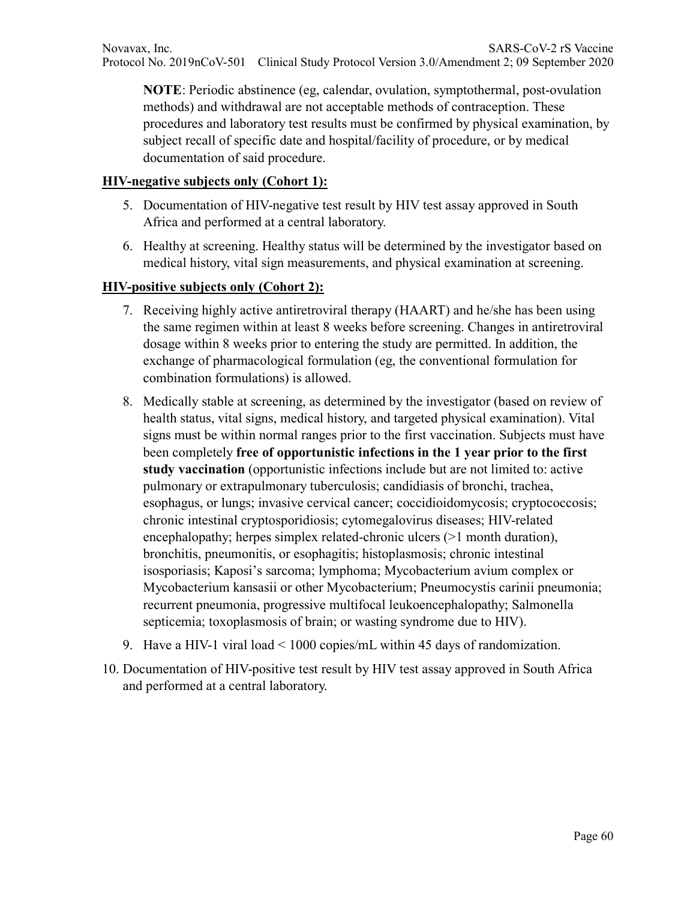**NOTE**: Periodic abstinence (eg, calendar, ovulation, symptothermal, post-ovulation methods) and withdrawal are not acceptable methods of contraception. These procedures and laboratory test results must be confirmed by physical examination, by subject recall of specific date and hospital/facility of procedure, or by medical documentation of said procedure.

#### **HIV-negative subjects only (Cohort 1):**

- 5. Documentation of HIV-negative test result by HIV test assay approved in South Africa and performed at a central laboratory.
- 6. Healthy at screening. Healthy status will be determined by the investigator based on medical history, vital sign measurements, and physical examination at screening.

#### **HIV-positive subjects only (Cohort 2):**

- 7. Receiving highly active antiretroviral therapy (HAART) and he/she has been using the same regimen within at least 8 weeks before screening. Changes in antiretroviral dosage within 8 weeks prior to entering the study are permitted. In addition, the exchange of pharmacological formulation (eg, the conventional formulation for combination formulations) is allowed.
- 8. Medically stable at screening, as determined by the investigator (based on review of health status, vital signs, medical history, and targeted physical examination). Vital signs must be within normal ranges prior to the first vaccination. Subjects must have been completely **free of opportunistic infections in the 1 year prior to the first study vaccination** (opportunistic infections include but are not limited to: active pulmonary or extrapulmonary tuberculosis; candidiasis of bronchi, trachea, esophagus, or lungs; invasive cervical cancer; coccidioidomycosis; cryptococcosis; chronic intestinal cryptosporidiosis; cytomegalovirus diseases; HIV-related encephalopathy; herpes simplex related-chronic ulcers (>1 month duration), bronchitis, pneumonitis, or esophagitis; histoplasmosis; chronic intestinal isosporiasis; Kaposi's sarcoma; lymphoma; Mycobacterium avium complex or Mycobacterium kansasii or other Mycobacterium; Pneumocystis carinii pneumonia; recurrent pneumonia, progressive multifocal leukoencephalopathy; Salmonella septicemia; toxoplasmosis of brain; or wasting syndrome due to HIV).
- 9. Have a HIV-1 viral load < 1000 copies/mL within 45 days of randomization.
- 10. Documentation of HIV-positive test result by HIV test assay approved in South Africa and performed at a central laboratory.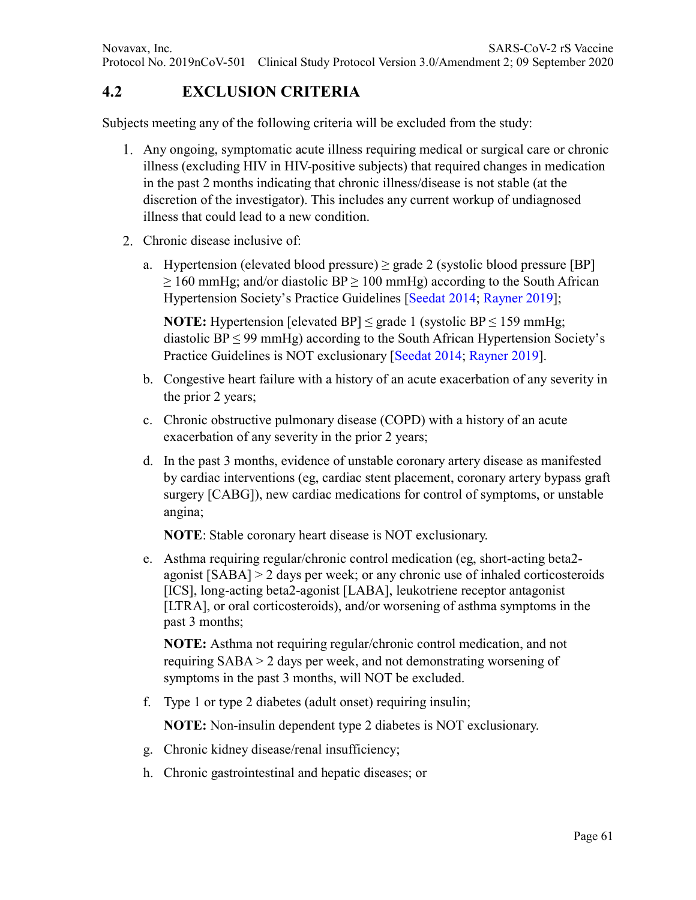#### **4.2 EXCLUSION CRITERIA**

Subjects meeting any of the following criteria will be excluded from the study:

- Any ongoing, symptomatic acute illness requiring medical or surgical care or chronic illness (excluding HIV in HIV-positive subjects) that required changes in medication in the past 2 months indicating that chronic illness/disease is not stable (at the discretion of the investigator). This includes any current workup of undiagnosed illness that could lead to a new condition.
- 2. Chronic disease inclusive of:
	- a. Hypertension (elevated blood pressure)  $\geq$  grade 2 (systolic blood pressure [BP]  $\geq$  160 mmHg; and/or diastolic BP  $\geq$  100 mmHg) according to the South African Hypertension Society's Practice Guidelines [Seedat 2014; Rayner 2019];

**NOTE:** Hypertension [elevated BP]  $\leq$  grade 1 (systolic BP  $\leq$  159 mmHg; diastolic  $BP \leq 99$  mmHg) according to the South African Hypertension Society's Practice Guidelines is NOT exclusionary [Seedat 2014; Rayner 2019].

- b. Congestive heart failure with a history of an acute exacerbation of any severity in the prior 2 years;
- c. Chronic obstructive pulmonary disease (COPD) with a history of an acute exacerbation of any severity in the prior 2 years;
- d. In the past 3 months, evidence of unstable coronary artery disease as manifested by cardiac interventions (eg, cardiac stent placement, coronary artery bypass graft surgery [CABG]), new cardiac medications for control of symptoms, or unstable angina;

**NOTE**: Stable coronary heart disease is NOT exclusionary.

e. Asthma requiring regular/chronic control medication (eg, short-acting beta2 agonist [SABA] > 2 days per week; or any chronic use of inhaled corticosteroids [ICS], long-acting beta2-agonist [LABA], leukotriene receptor antagonist [LTRA], or oral corticosteroids), and/or worsening of asthma symptoms in the past 3 months;

**NOTE:** Asthma not requiring regular/chronic control medication, and not requiring SABA > 2 days per week, and not demonstrating worsening of symptoms in the past 3 months, will NOT be excluded.

f. Type 1 or type 2 diabetes (adult onset) requiring insulin;

**NOTE:** Non-insulin dependent type 2 diabetes is NOT exclusionary.

- g. Chronic kidney disease/renal insufficiency;
- h. Chronic gastrointestinal and hepatic diseases; or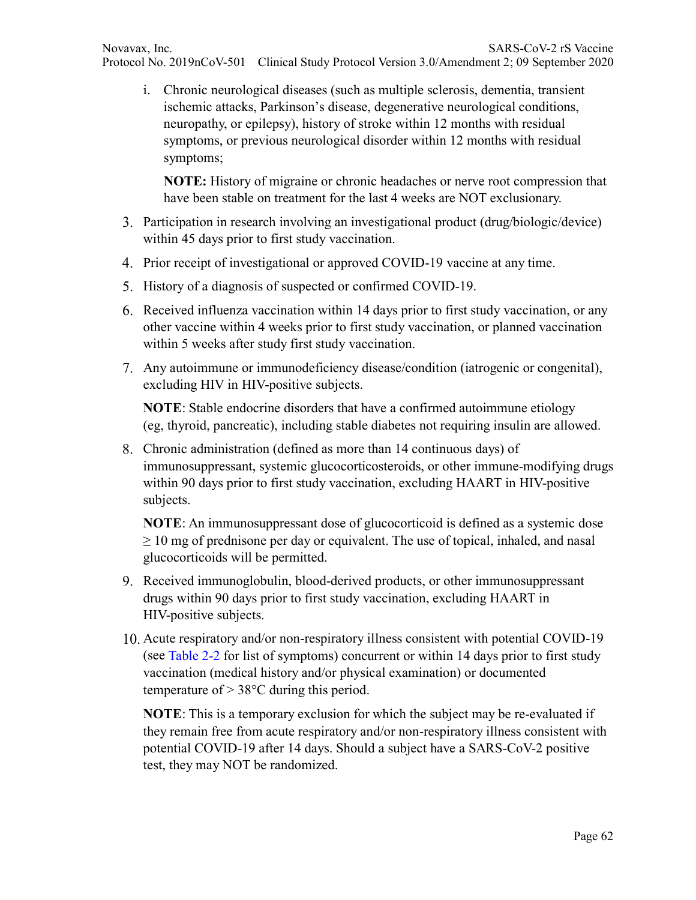i. Chronic neurological diseases (such as multiple sclerosis, dementia, transient ischemic attacks, Parkinson's disease, degenerative neurological conditions, neuropathy, or epilepsy), history of stroke within 12 months with residual symptoms, or previous neurological disorder within 12 months with residual symptoms;

**NOTE:** History of migraine or chronic headaches or nerve root compression that have been stable on treatment for the last 4 weeks are NOT exclusionary.

- Participation in research involving an investigational product (drug/biologic/device) within 45 days prior to first study vaccination.
- 4. Prior receipt of investigational or approved COVID-19 vaccine at any time.
- 5. History of a diagnosis of suspected or confirmed COVID-19.
- Received influenza vaccination within 14 days prior to first study vaccination, or any other vaccine within 4 weeks prior to first study vaccination, or planned vaccination within 5 weeks after study first study vaccination.
- Any autoimmune or immunodeficiency disease/condition (iatrogenic or congenital), excluding HIV in HIV-positive subjects.

**NOTE**: Stable endocrine disorders that have a confirmed autoimmune etiology (eg, thyroid, pancreatic), including stable diabetes not requiring insulin are allowed.

Chronic administration (defined as more than 14 continuous days) of immunosuppressant, systemic glucocorticosteroids, or other immune-modifying drugs within 90 days prior to first study vaccination, excluding HAART in HIV-positive subjects.

**NOTE**: An immunosuppressant dose of glucocorticoid is defined as a systemic dose  $\geq 10$  mg of prednisone per day or equivalent. The use of topical, inhaled, and nasal glucocorticoids will be permitted.

- Received immunoglobulin, blood-derived products, or other immunosuppressant drugs within 90 days prior to first study vaccination, excluding HAART in HIV-positive subjects.
- Acute respiratory and/or non-respiratory illness consistent with potential COVID-19 (see Table 2-2 for list of symptoms) concurrent or within 14 days prior to first study vaccination (medical history and/or physical examination) or documented temperature of  $> 38^{\circ}$ C during this period.

**NOTE**: This is a temporary exclusion for which the subject may be re-evaluated if they remain free from acute respiratory and/or non-respiratory illness consistent with potential COVID-19 after 14 days. Should a subject have a SARS-CoV-2 positive test, they may NOT be randomized.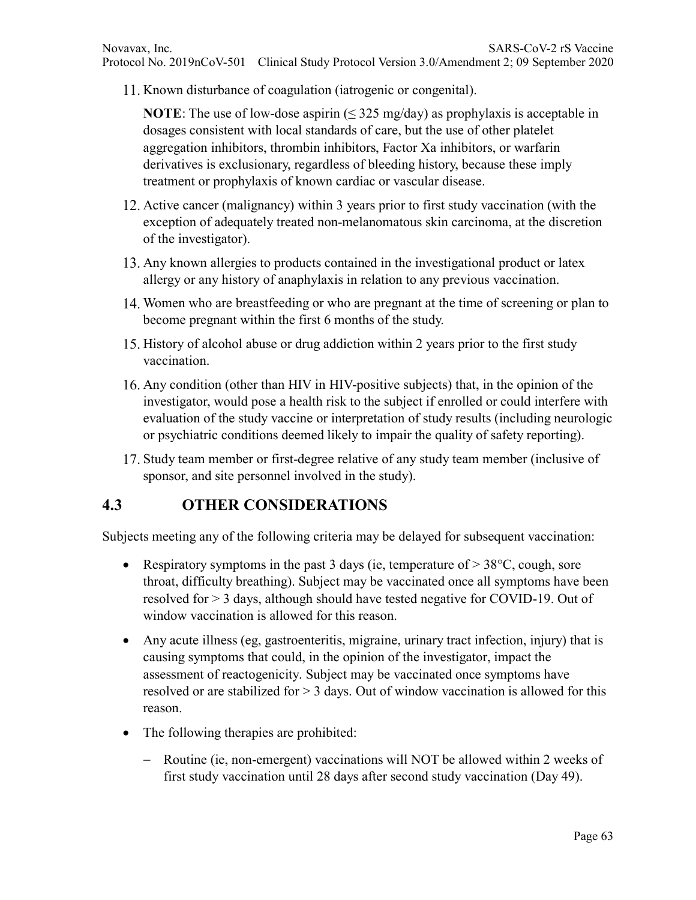11. Known disturbance of coagulation (iatrogenic or congenital).

**NOTE**: The use of low-dose aspirin  $(\leq 325 \text{ mg/day})$  as prophylaxis is acceptable in dosages consistent with local standards of care, but the use of other platelet aggregation inhibitors, thrombin inhibitors, Factor Xa inhibitors, or warfarin derivatives is exclusionary, regardless of bleeding history, because these imply treatment or prophylaxis of known cardiac or vascular disease.

- 12. Active cancer (malignancy) within 3 years prior to first study vaccination (with the exception of adequately treated non-melanomatous skin carcinoma, at the discretion of the investigator).
- 13. Any known allergies to products contained in the investigational product or latex allergy or any history of anaphylaxis in relation to any previous vaccination.
- 14. Women who are breastfeeding or who are pregnant at the time of screening or plan to become pregnant within the first 6 months of the study.
- 15. History of alcohol abuse or drug addiction within 2 years prior to the first study vaccination.
- Any condition (other than HIV in HIV-positive subjects) that, in the opinion of the investigator, would pose a health risk to the subject if enrolled or could interfere with evaluation of the study vaccine or interpretation of study results (including neurologic or psychiatric conditions deemed likely to impair the quality of safety reporting).
- 17. Study team member or first-degree relative of any study team member (inclusive of sponsor, and site personnel involved in the study).

#### **4.3 OTHER CONSIDERATIONS**

Subjects meeting any of the following criteria may be delayed for subsequent vaccination:

- Respiratory symptoms in the past 3 days (ie, temperature of  $> 38^{\circ}$ C, cough, sore throat, difficulty breathing). Subject may be vaccinated once all symptoms have been resolved for > 3 days, although should have tested negative for COVID-19. Out of window vaccination is allowed for this reason.
- Any acute illness (eg, gastroenteritis, migraine, urinary tract infection, injury) that is causing symptoms that could, in the opinion of the investigator, impact the assessment of reactogenicity. Subject may be vaccinated once symptoms have resolved or are stabilized for > 3 days. Out of window vaccination is allowed for this reason.
- The following therapies are prohibited:
	- − Routine (ie, non-emergent) vaccinations will NOT be allowed within 2 weeks of first study vaccination until 28 days after second study vaccination (Day 49).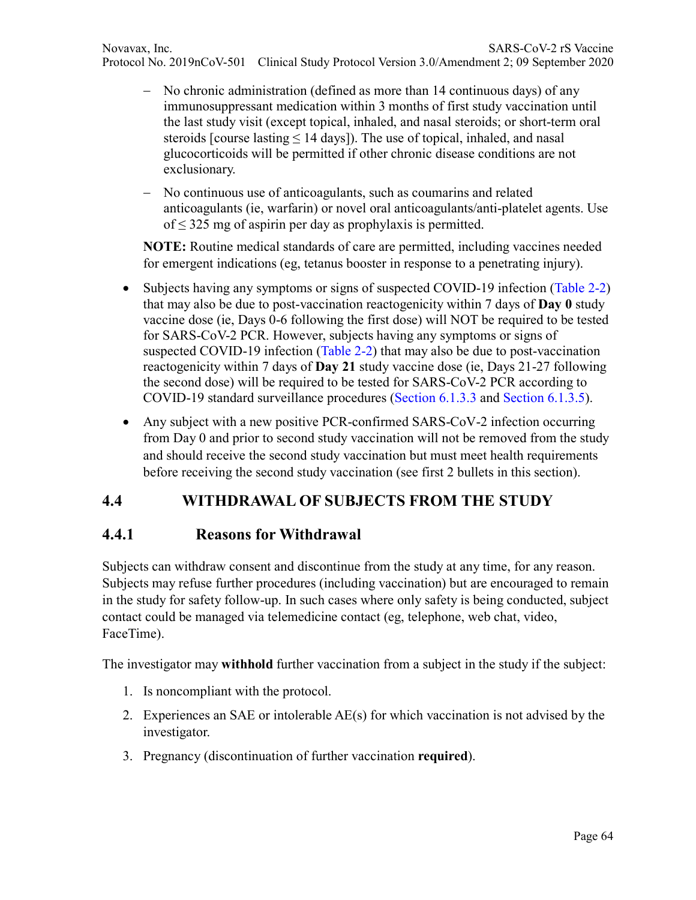- − No chronic administration (defined as more than 14 continuous days) of any immunosuppressant medication within 3 months of first study vaccination until the last study visit (except topical, inhaled, and nasal steroids; or short-term oral steroids [course lasting  $\leq 14$  days]). The use of topical, inhaled, and nasal glucocorticoids will be permitted if other chronic disease conditions are not exclusionary.
- − No continuous use of anticoagulants, such as coumarins and related anticoagulants (ie, warfarin) or novel oral anticoagulants/anti-platelet agents. Use of  $\leq$  325 mg of aspirin per day as prophylaxis is permitted.

**NOTE:** Routine medical standards of care are permitted, including vaccines needed for emergent indications (eg, tetanus booster in response to a penetrating injury).

- Subjects having any symptoms or signs of suspected COVID-19 infection (Table 2-2) that may also be due to post-vaccination reactogenicity within 7 days of **Day 0** study vaccine dose (ie, Days 0-6 following the first dose) will NOT be required to be tested for SARS-CoV-2 PCR. However, subjects having any symptoms or signs of suspected COVID-19 infection (Table 2-2) that may also be due to post-vaccination reactogenicity within 7 days of **Day 21** study vaccine dose (ie, Days 21-27 following the second dose) will be required to be tested for SARS-CoV-2 PCR according to COVID-19 standard surveillance procedures (Section 6.1.3.3 and Section 6.1.3.5).
- Any subject with a new positive PCR-confirmed SARS-CoV-2 infection occurring from Day 0 and prior to second study vaccination will not be removed from the study and should receive the second study vaccination but must meet health requirements before receiving the second study vaccination (see first 2 bullets in this section).

#### **4.4 WITHDRAWAL OF SUBJECTS FROM THE STUDY**

#### **4.4.1 Reasons for Withdrawal**

Subjects can withdraw consent and discontinue from the study at any time, for any reason. Subjects may refuse further procedures (including vaccination) but are encouraged to remain in the study for safety follow-up. In such cases where only safety is being conducted, subject contact could be managed via telemedicine contact (eg, telephone, web chat, video, FaceTime).

The investigator may **withhold** further vaccination from a subject in the study if the subject:

- 1. Is noncompliant with the protocol.
- 2. Experiences an SAE or intolerable AE(s) for which vaccination is not advised by the investigator.
- 3. Pregnancy (discontinuation of further vaccination **required**).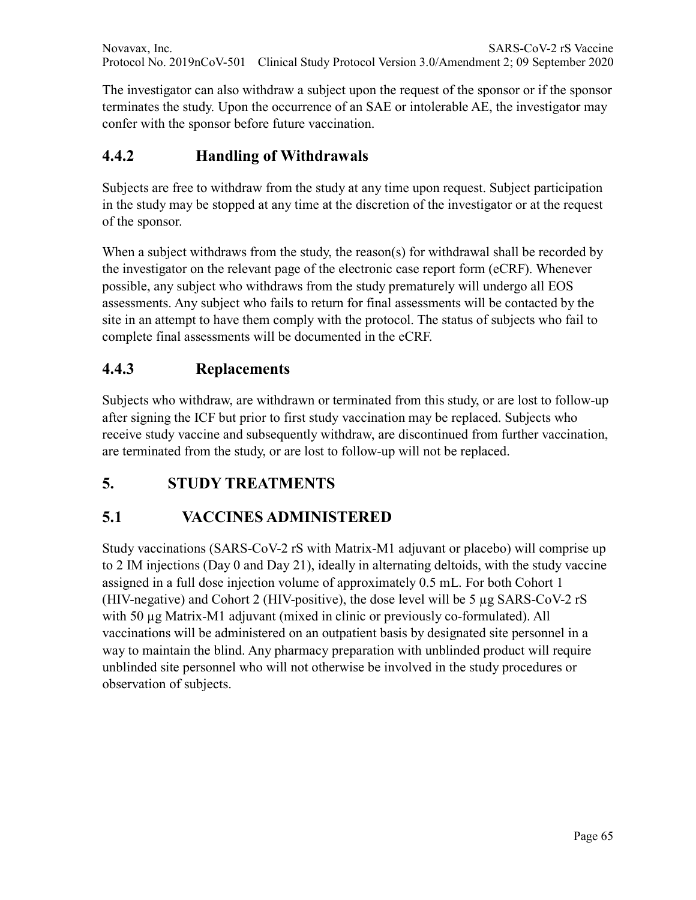Novavax, Inc. SARS-CoV-2 rS Vaccine Protocol No. 2019nCoV-501 Clinical Study Protocol Version 3.0/Amendment 2; 09 September 2020

The investigator can also withdraw a subject upon the request of the sponsor or if the sponsor terminates the study. Upon the occurrence of an SAE or intolerable AE, the investigator may confer with the sponsor before future vaccination.

#### **4.4.2 Handling of Withdrawals**

Subjects are free to withdraw from the study at any time upon request. Subject participation in the study may be stopped at any time at the discretion of the investigator or at the request of the sponsor.

When a subject withdraws from the study, the reason(s) for withdrawal shall be recorded by the investigator on the relevant page of the electronic case report form (eCRF). Whenever possible, any subject who withdraws from the study prematurely will undergo all EOS assessments. Any subject who fails to return for final assessments will be contacted by the site in an attempt to have them comply with the protocol. The status of subjects who fail to complete final assessments will be documented in the eCRF.

#### **4.4.3 Replacements**

Subjects who withdraw, are withdrawn or terminated from this study, or are lost to follow-up after signing the ICF but prior to first study vaccination may be replaced. Subjects who receive study vaccine and subsequently withdraw, are discontinued from further vaccination, are terminated from the study, or are lost to follow-up will not be replaced.

#### **5. STUDY TREATMENTS**

#### **5.1 VACCINES ADMINISTERED**

Study vaccinations (SARS-CoV-2 rS with Matrix-M1 adjuvant or placebo) will comprise up to 2 IM injections (Day 0 and Day 21), ideally in alternating deltoids, with the study vaccine assigned in a full dose injection volume of approximately 0.5 mL. For both Cohort 1 (HIV-negative) and Cohort 2 (HIV-positive), the dose level will be 5 µg SARS-CoV-2 rS with 50  $\mu$ g Matrix-M1 adjuvant (mixed in clinic or previously co-formulated). All vaccinations will be administered on an outpatient basis by designated site personnel in a way to maintain the blind. Any pharmacy preparation with unblinded product will require unblinded site personnel who will not otherwise be involved in the study procedures or observation of subjects.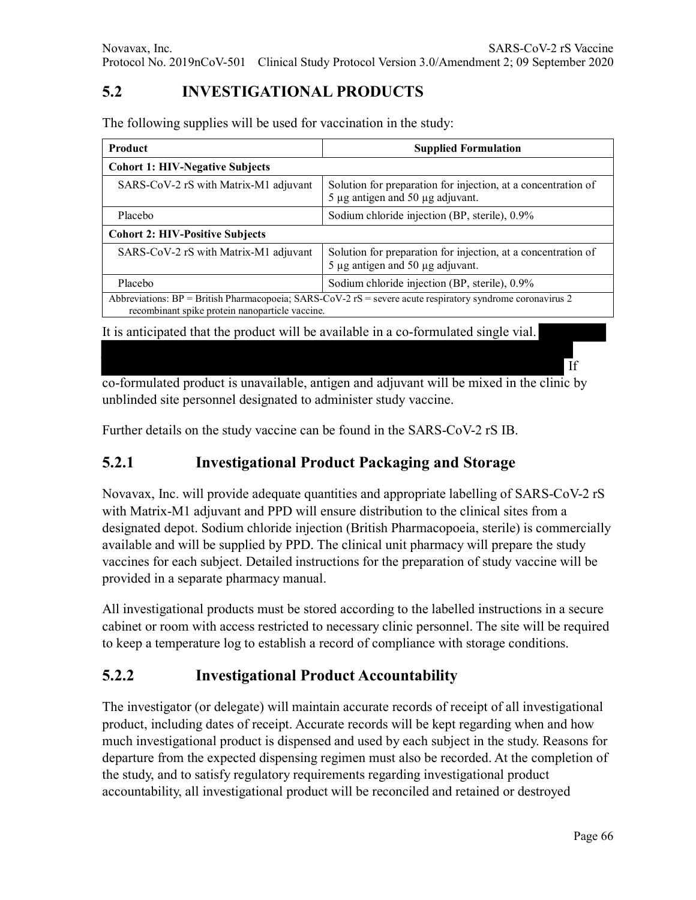# **5.2 INVESTIGATIONAL PRODUCTS**

The following supplies will be used for vaccination in the study:

| Product<br><b>Supplied Formulation</b>                                                                                                                             |                                                                                                             |  |  |  |  |  |
|--------------------------------------------------------------------------------------------------------------------------------------------------------------------|-------------------------------------------------------------------------------------------------------------|--|--|--|--|--|
| <b>Cohort 1: HIV-Negative Subjects</b>                                                                                                                             |                                                                                                             |  |  |  |  |  |
| SARS-CoV-2 rS with Matrix-M1 adjuvant                                                                                                                              | Solution for preparation for injection, at a concentration of<br>5 μg antigen and 50 μg adjuvant.           |  |  |  |  |  |
| Placebo                                                                                                                                                            | Sodium chloride injection (BP, sterile), 0.9%                                                               |  |  |  |  |  |
| <b>Cohort 2: HIV-Positive Subjects</b>                                                                                                                             |                                                                                                             |  |  |  |  |  |
| SARS-CoV-2 rS with Matrix-M1 adjuvant                                                                                                                              | Solution for preparation for injection, at a concentration of<br>$5 \mu$ g antigen and $50 \mu$ g adjuvant. |  |  |  |  |  |
| Placebo                                                                                                                                                            | Sodium chloride injection (BP, sterile), 0.9%                                                               |  |  |  |  |  |
| Abbreviations: $BP = British Pharmacopoeia$ ; $SARS-CoV-2$ rS = severe acute respiratory syndrome coronavirus 2<br>recombinant spike protein nanoparticle vaccine. |                                                                                                             |  |  |  |  |  |
|                                                                                                                                                                    |                                                                                                             |  |  |  |  |  |

It is anticipated that the product will be available in a co-formulated single vial.

co-formulated product is unavailable, antigen and adjuvant will be mixed in the clinic by unblinded site personnel designated to administer study vaccine.

Further details on the study vaccine can be found in the SARS-CoV-2 rS IB.

#### **5.2.1 Investigational Product Packaging and Storage**

Novavax, Inc. will provide adequate quantities and appropriate labelling of SARS-CoV-2 rS with Matrix-M1 adjuvant and PPD will ensure distribution to the clinical sites from a designated depot. Sodium chloride injection (British Pharmacopoeia, sterile) is commercially available and will be supplied by PPD. The clinical unit pharmacy will prepare the study vaccines for each subject. Detailed instructions for the preparation of study vaccine will be provided in a separate pharmacy manual.

All investigational products must be stored according to the labelled instructions in a secure cabinet or room with access restricted to necessary clinic personnel. The site will be required to keep a temperature log to establish a record of compliance with storage conditions.

#### **5.2.2 Investigational Product Accountability**

The investigator (or delegate) will maintain accurate records of receipt of all investigational product, including dates of receipt. Accurate records will be kept regarding when and how much investigational product is dispensed and used by each subject in the study. Reasons for departure from the expected dispensing regimen must also be recorded. At the completion of the study, and to satisfy regulatory requirements regarding investigational product accountability, all investigational product will be reconciled and retained or destroyed

If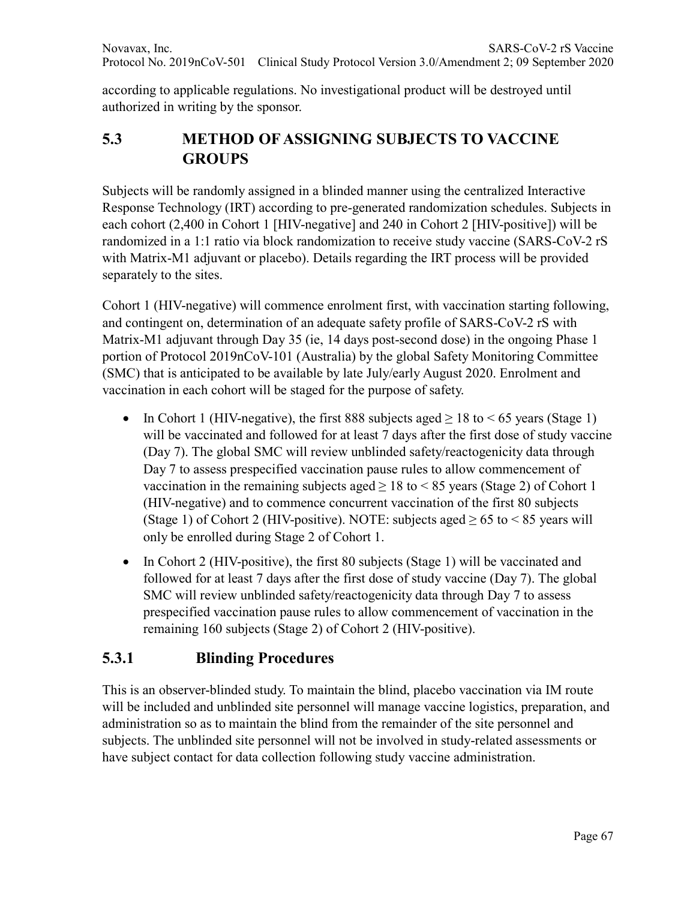according to applicable regulations. No investigational product will be destroyed until authorized in writing by the sponsor.

## **5.3 METHOD OF ASSIGNING SUBJECTS TO VACCINE GROUPS**

Subjects will be randomly assigned in a blinded manner using the centralized Interactive Response Technology (IRT) according to pre-generated randomization schedules. Subjects in each cohort (2,400 in Cohort 1 [HIV-negative] and 240 in Cohort 2 [HIV-positive]) will be randomized in a 1:1 ratio via block randomization to receive study vaccine (SARS-CoV-2 rS with Matrix-M1 adjuvant or placebo). Details regarding the IRT process will be provided separately to the sites.

Cohort 1 (HIV-negative) will commence enrolment first, with vaccination starting following, and contingent on, determination of an adequate safety profile of SARS-CoV-2 rS with Matrix-M1 adjuvant through Day 35 (ie, 14 days post-second dose) in the ongoing Phase 1 portion of Protocol 2019nCoV-101 (Australia) by the global Safety Monitoring Committee (SMC) that is anticipated to be available by late July/early August 2020. Enrolment and vaccination in each cohort will be staged for the purpose of safety.

- In Cohort 1 (HIV-negative), the first 888 subjects aged  $\geq 18$  to  $\leq 65$  years (Stage 1) will be vaccinated and followed for at least 7 days after the first dose of study vaccine (Day 7). The global SMC will review unblinded safety/reactogenicity data through Day 7 to assess prespecified vaccination pause rules to allow commencement of vaccination in the remaining subjects aged  $\geq 18$  to  $\leq 85$  years (Stage 2) of Cohort 1 (HIV-negative) and to commence concurrent vaccination of the first 80 subjects (Stage 1) of Cohort 2 (HIV-positive). NOTE: subjects aged  $\geq 65$  to < 85 years will only be enrolled during Stage 2 of Cohort 1.
- In Cohort 2 (HIV-positive), the first 80 subjects (Stage 1) will be vaccinated and followed for at least 7 days after the first dose of study vaccine (Day 7). The global SMC will review unblinded safety/reactogenicity data through Day 7 to assess prespecified vaccination pause rules to allow commencement of vaccination in the remaining 160 subjects (Stage 2) of Cohort 2 (HIV-positive).

# **5.3.1 Blinding Procedures**

This is an observer-blinded study. To maintain the blind, placebo vaccination via IM route will be included and unblinded site personnel will manage vaccine logistics, preparation, and administration so as to maintain the blind from the remainder of the site personnel and subjects. The unblinded site personnel will not be involved in study-related assessments or have subject contact for data collection following study vaccine administration.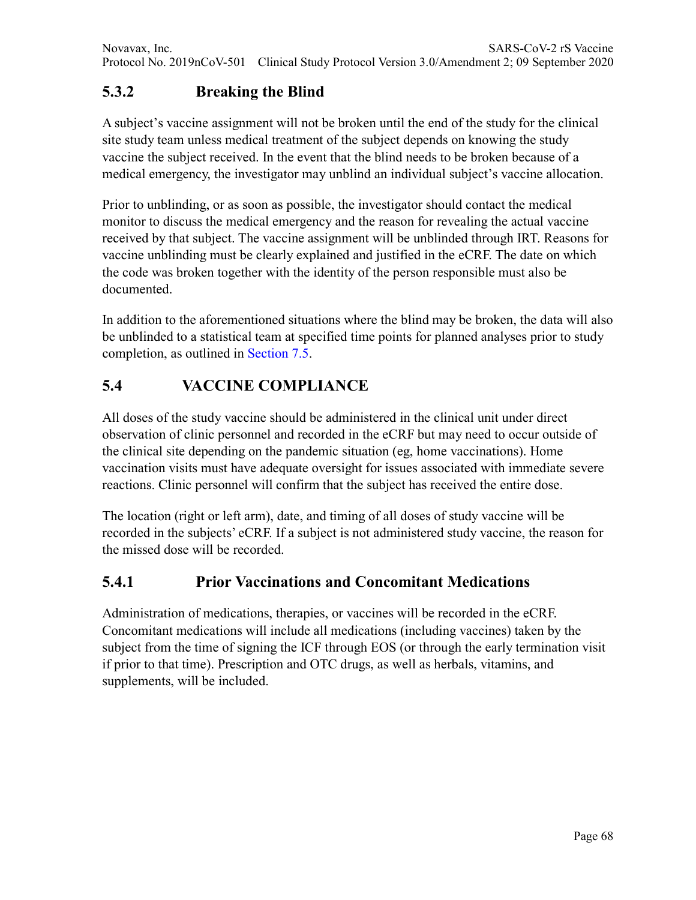# **5.3.2 Breaking the Blind**

A subject's vaccine assignment will not be broken until the end of the study for the clinical site study team unless medical treatment of the subject depends on knowing the study vaccine the subject received. In the event that the blind needs to be broken because of a medical emergency, the investigator may unblind an individual subject's vaccine allocation.

Prior to unblinding, or as soon as possible, the investigator should contact the medical monitor to discuss the medical emergency and the reason for revealing the actual vaccine received by that subject. The vaccine assignment will be unblinded through IRT. Reasons for vaccine unblinding must be clearly explained and justified in the eCRF. The date on which the code was broken together with the identity of the person responsible must also be documented.

In addition to the aforementioned situations where the blind may be broken, the data will also be unblinded to a statistical team at specified time points for planned analyses prior to study completion, as outlined in Section 7.5.

# **5.4 VACCINE COMPLIANCE**

All doses of the study vaccine should be administered in the clinical unit under direct observation of clinic personnel and recorded in the eCRF but may need to occur outside of the clinical site depending on the pandemic situation (eg, home vaccinations). Home vaccination visits must have adequate oversight for issues associated with immediate severe reactions. Clinic personnel will confirm that the subject has received the entire dose.

The location (right or left arm), date, and timing of all doses of study vaccine will be recorded in the subjects' eCRF. If a subject is not administered study vaccine, the reason for the missed dose will be recorded.

#### **5.4.1 Prior Vaccinations and Concomitant Medications**

Administration of medications, therapies, or vaccines will be recorded in the eCRF. Concomitant medications will include all medications (including vaccines) taken by the subject from the time of signing the ICF through EOS (or through the early termination visit if prior to that time). Prescription and OTC drugs, as well as herbals, vitamins, and supplements, will be included.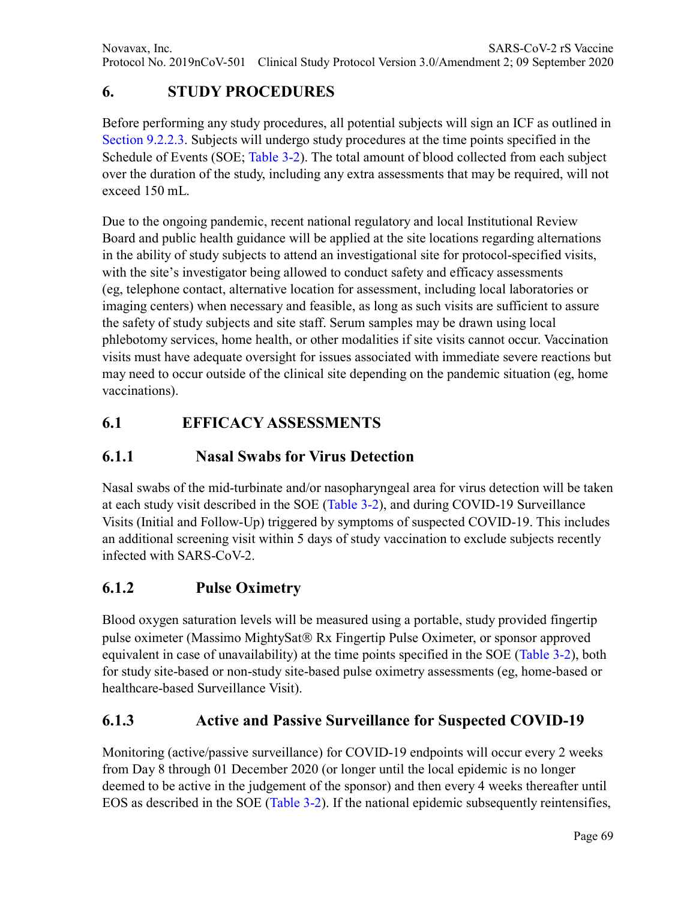# **6. STUDY PROCEDURES**

Before performing any study procedures, all potential subjects will sign an ICF as outlined in Section 9.2.2.3. Subjects will undergo study procedures at the time points specified in the Schedule of Events (SOE; Table 3-2). The total amount of blood collected from each subject over the duration of the study, including any extra assessments that may be required, will not exceed 150 mL.

Due to the ongoing pandemic, recent national regulatory and local Institutional Review Board and public health guidance will be applied at the site locations regarding alternations in the ability of study subjects to attend an investigational site for protocol-specified visits, with the site's investigator being allowed to conduct safety and efficacy assessments (eg, telephone contact, alternative location for assessment, including local laboratories or imaging centers) when necessary and feasible, as long as such visits are sufficient to assure the safety of study subjects and site staff. Serum samples may be drawn using local phlebotomy services, home health, or other modalities if site visits cannot occur. Vaccination visits must have adequate oversight for issues associated with immediate severe reactions but may need to occur outside of the clinical site depending on the pandemic situation (eg, home vaccinations).

## **6.1 EFFICACY ASSESSMENTS**

#### **6.1.1 Nasal Swabs for Virus Detection**

Nasal swabs of the mid-turbinate and/or nasopharyngeal area for virus detection will be taken at each study visit described in the SOE (Table 3-2), and during COVID-19 Surveillance Visits (Initial and Follow-Up) triggered by symptoms of suspected COVID-19. This includes an additional screening visit within 5 days of study vaccination to exclude subjects recently infected with SARS-CoV-2.

#### **6.1.2 Pulse Oximetry**

Blood oxygen saturation levels will be measured using a portable, study provided fingertip pulse oximeter (Massimo MightySat® Rx Fingertip Pulse Oximeter, or sponsor approved equivalent in case of unavailability) at the time points specified in the SOE (Table 3-2), both for study site-based or non-study site-based pulse oximetry assessments (eg, home-based or healthcare-based Surveillance Visit).

#### **6.1.3 Active and Passive Surveillance for Suspected COVID-19**

Monitoring (active/passive surveillance) for COVID-19 endpoints will occur every 2 weeks from Day 8 through 01 December 2020 (or longer until the local epidemic is no longer deemed to be active in the judgement of the sponsor) and then every 4 weeks thereafter until EOS as described in the SOE (Table 3-2). If the national epidemic subsequently reintensifies,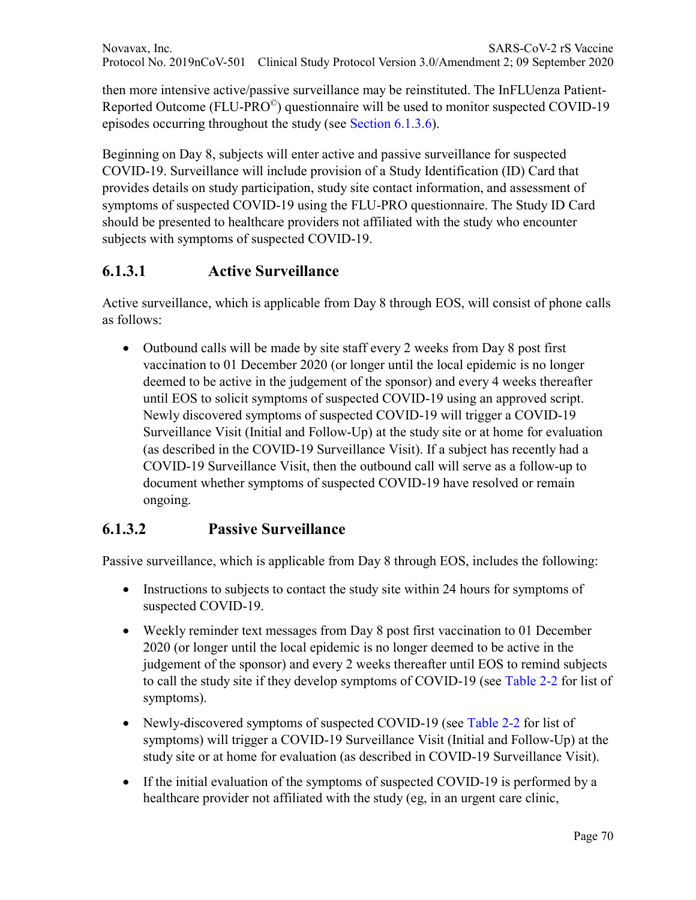then more intensive active/passive surveillance may be reinstituted. The InFLUenza Patient-Reported Outcome (FLU-PRO©) questionnaire will be used to monitor suspected COVID-19 episodes occurring throughout the study (see Section 6.1.3.6).

Beginning on Day 8, subjects will enter active and passive surveillance for suspected COVID-19. Surveillance will include provision of a Study Identification (ID) Card that provides details on study participation, study site contact information, and assessment of symptoms of suspected COVID-19 using the FLU-PRO questionnaire. The Study ID Card should be presented to healthcare providers not affiliated with the study who encounter subjects with symptoms of suspected COVID-19.

## **6.1.3.1 Active Surveillance**

Active surveillance, which is applicable from Day 8 through EOS, will consist of phone calls as follows:

• Outbound calls will be made by site staff every 2 weeks from Day 8 post first vaccination to 01 December 2020 (or longer until the local epidemic is no longer deemed to be active in the judgement of the sponsor) and every 4 weeks thereafter until EOS to solicit symptoms of suspected COVID-19 using an approved script. Newly discovered symptoms of suspected COVID-19 will trigger a COVID-19 Surveillance Visit (Initial and Follow-Up) at the study site or at home for evaluation (as described in the COVID-19 Surveillance Visit). If a subject has recently had a COVID-19 Surveillance Visit, then the outbound call will serve as a follow-up to document whether symptoms of suspected COVID-19 have resolved or remain ongoing.

#### **6.1.3.2 Passive Surveillance**

Passive surveillance, which is applicable from Day 8 through EOS, includes the following:

- Instructions to subjects to contact the study site within 24 hours for symptoms of suspected COVID-19.
- Weekly reminder text messages from Day 8 post first vaccination to 01 December 2020 (or longer until the local epidemic is no longer deemed to be active in the judgement of the sponsor) and every 2 weeks thereafter until EOS to remind subjects to call the study site if they develop symptoms of COVID-19 (see Table 2-2 for list of symptoms).
- Newly-discovered symptoms of suspected COVID-19 (see Table 2-2 for list of symptoms) will trigger a COVID-19 Surveillance Visit (Initial and Follow-Up) at the study site or at home for evaluation (as described in COVID-19 Surveillance Visit).
- If the initial evaluation of the symptoms of suspected COVID-19 is performed by a healthcare provider not affiliated with the study (eg, in an urgent care clinic,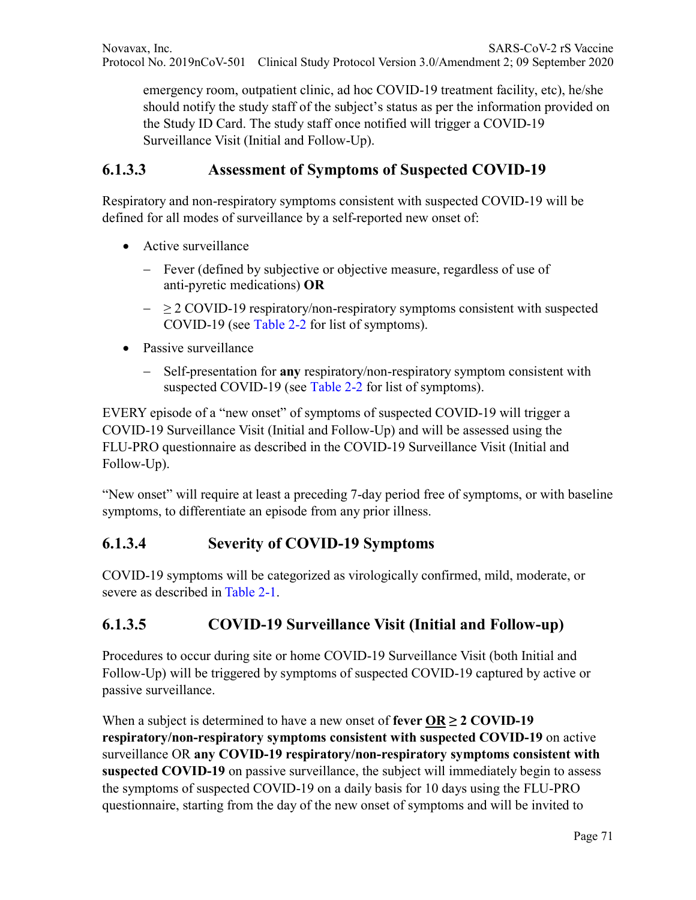emergency room, outpatient clinic, ad hoc COVID-19 treatment facility, etc), he/she should notify the study staff of the subject's status as per the information provided on the Study ID Card. The study staff once notified will trigger a COVID-19 Surveillance Visit (Initial and Follow-Up).

#### **6.1.3.3 Assessment of Symptoms of Suspected COVID-19**

Respiratory and non-respiratory symptoms consistent with suspected COVID-19 will be defined for all modes of surveillance by a self-reported new onset of:

- Active surveillance
	- − Fever (defined by subjective or objective measure, regardless of use of anti-pyretic medications) **OR**
	- − ≥ 2 COVID-19 respiratory/non-respiratory symptoms consistent with suspected COVID-19 (see Table 2-2 for list of symptoms).
- Passive surveillance
	- − Self-presentation for **any** respiratory/non-respiratory symptom consistent with suspected COVID-19 (see Table 2-2 for list of symptoms).

EVERY episode of a "new onset" of symptoms of suspected COVID-19 will trigger a COVID-19 Surveillance Visit (Initial and Follow-Up) and will be assessed using the FLU-PRO questionnaire as described in the COVID-19 Surveillance Visit (Initial and Follow-Up).

"New onset" will require at least a preceding 7-day period free of symptoms, or with baseline symptoms, to differentiate an episode from any prior illness.

#### **6.1.3.4 Severity of COVID-19 Symptoms**

COVID-19 symptoms will be categorized as virologically confirmed, mild, moderate, or severe as described in Table 2-1.

# **6.1.3.5 COVID-19 Surveillance Visit (Initial and Follow-up)**

Procedures to occur during site or home COVID-19 Surveillance Visit (both Initial and Follow-Up) will be triggered by symptoms of suspected COVID-19 captured by active or passive surveillance.

When a subject is determined to have a new onset of **fever OR**  $\geq$  **2 COVID-19 respiratory/non-respiratory symptoms consistent with suspected COVID-19** on active surveillance OR **any COVID-19 respiratory/non-respiratory symptoms consistent with suspected COVID-19** on passive surveillance, the subject will immediately begin to assess the symptoms of suspected COVID-19 on a daily basis for 10 days using the FLU-PRO questionnaire, starting from the day of the new onset of symptoms and will be invited to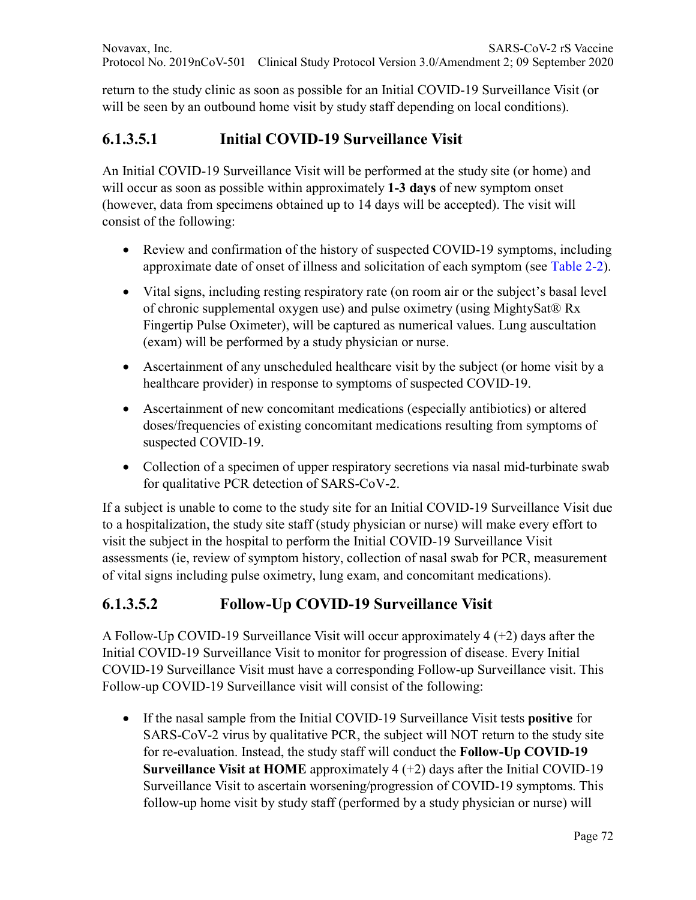return to the study clinic as soon as possible for an Initial COVID-19 Surveillance Visit (or will be seen by an outbound home visit by study staff depending on local conditions).

## **6.1.3.5.1 Initial COVID-19 Surveillance Visit**

An Initial COVID-19 Surveillance Visit will be performed at the study site (or home) and will occur as soon as possible within approximately **1-3 days** of new symptom onset (however, data from specimens obtained up to 14 days will be accepted). The visit will consist of the following:

- Review and confirmation of the history of suspected COVID-19 symptoms, including approximate date of onset of illness and solicitation of each symptom (see Table 2-2).
- Vital signs, including resting respiratory rate (on room air or the subject's basal level of chronic supplemental oxygen use) and pulse oximetry (using MightySat® Rx Fingertip Pulse Oximeter), will be captured as numerical values. Lung auscultation (exam) will be performed by a study physician or nurse.
- Ascertainment of any unscheduled healthcare visit by the subject (or home visit by a healthcare provider) in response to symptoms of suspected COVID-19.
- Ascertainment of new concomitant medications (especially antibiotics) or altered doses/frequencies of existing concomitant medications resulting from symptoms of suspected COVID-19.
- Collection of a specimen of upper respiratory secretions via nasal mid-turbinate swab for qualitative PCR detection of SARS-CoV-2.

If a subject is unable to come to the study site for an Initial COVID-19 Surveillance Visit due to a hospitalization, the study site staff (study physician or nurse) will make every effort to visit the subject in the hospital to perform the Initial COVID-19 Surveillance Visit assessments (ie, review of symptom history, collection of nasal swab for PCR, measurement of vital signs including pulse oximetry, lung exam, and concomitant medications).

#### **6.1.3.5.2 Follow-Up COVID-19 Surveillance Visit**

A Follow-Up COVID-19 Surveillance Visit will occur approximately 4 (+2) days after the Initial COVID-19 Surveillance Visit to monitor for progression of disease. Every Initial COVID-19 Surveillance Visit must have a corresponding Follow-up Surveillance visit. This Follow-up COVID-19 Surveillance visit will consist of the following:

• If the nasal sample from the Initial COVID-19 Surveillance Visit tests **positive** for SARS-CoV-2 virus by qualitative PCR, the subject will NOT return to the study site for re-evaluation. Instead, the study staff will conduct the **Follow-Up COVID-19 Surveillance Visit at HOME** approximately 4 (+2) days after the Initial COVID-19 Surveillance Visit to ascertain worsening/progression of COVID-19 symptoms. This follow-up home visit by study staff (performed by a study physician or nurse) will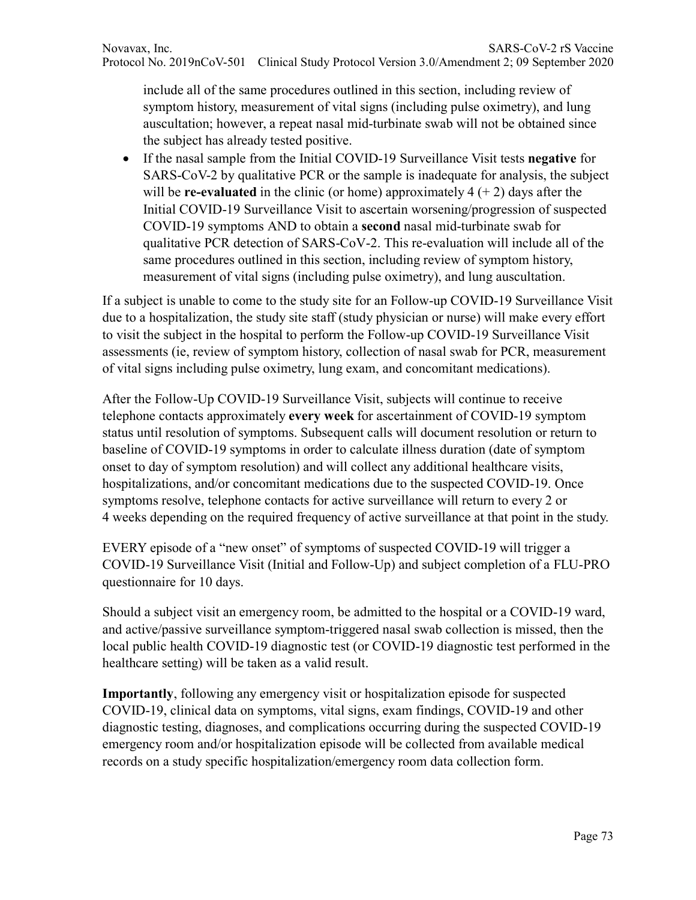include all of the same procedures outlined in this section, including review of symptom history, measurement of vital signs (including pulse oximetry), and lung auscultation; however, a repeat nasal mid-turbinate swab will not be obtained since the subject has already tested positive.

• If the nasal sample from the Initial COVID-19 Surveillance Visit tests **negative** for SARS-CoV-2 by qualitative PCR or the sample is inadequate for analysis, the subject will be **re-evaluated** in the clinic (or home) approximately  $4 (+ 2)$  days after the Initial COVID-19 Surveillance Visit to ascertain worsening/progression of suspected COVID-19 symptoms AND to obtain a **second** nasal mid-turbinate swab for qualitative PCR detection of SARS-CoV-2. This re-evaluation will include all of the same procedures outlined in this section, including review of symptom history, measurement of vital signs (including pulse oximetry), and lung auscultation.

If a subject is unable to come to the study site for an Follow-up COVID-19 Surveillance Visit due to a hospitalization, the study site staff (study physician or nurse) will make every effort to visit the subject in the hospital to perform the Follow-up COVID-19 Surveillance Visit assessments (ie, review of symptom history, collection of nasal swab for PCR, measurement of vital signs including pulse oximetry, lung exam, and concomitant medications).

After the Follow-Up COVID-19 Surveillance Visit, subjects will continue to receive telephone contacts approximately **every week** for ascertainment of COVID-19 symptom status until resolution of symptoms. Subsequent calls will document resolution or return to baseline of COVID-19 symptoms in order to calculate illness duration (date of symptom onset to day of symptom resolution) and will collect any additional healthcare visits, hospitalizations, and/or concomitant medications due to the suspected COVID-19. Once symptoms resolve, telephone contacts for active surveillance will return to every 2 or 4 weeks depending on the required frequency of active surveillance at that point in the study.

EVERY episode of a "new onset" of symptoms of suspected COVID-19 will trigger a COVID-19 Surveillance Visit (Initial and Follow-Up) and subject completion of a FLU-PRO questionnaire for 10 days.

Should a subject visit an emergency room, be admitted to the hospital or a COVID-19 ward, and active/passive surveillance symptom-triggered nasal swab collection is missed, then the local public health COVID-19 diagnostic test (or COVID-19 diagnostic test performed in the healthcare setting) will be taken as a valid result.

**Importantly**, following any emergency visit or hospitalization episode for suspected COVID-19, clinical data on symptoms, vital signs, exam findings, COVID-19 and other diagnostic testing, diagnoses, and complications occurring during the suspected COVID-19 emergency room and/or hospitalization episode will be collected from available medical records on a study specific hospitalization/emergency room data collection form.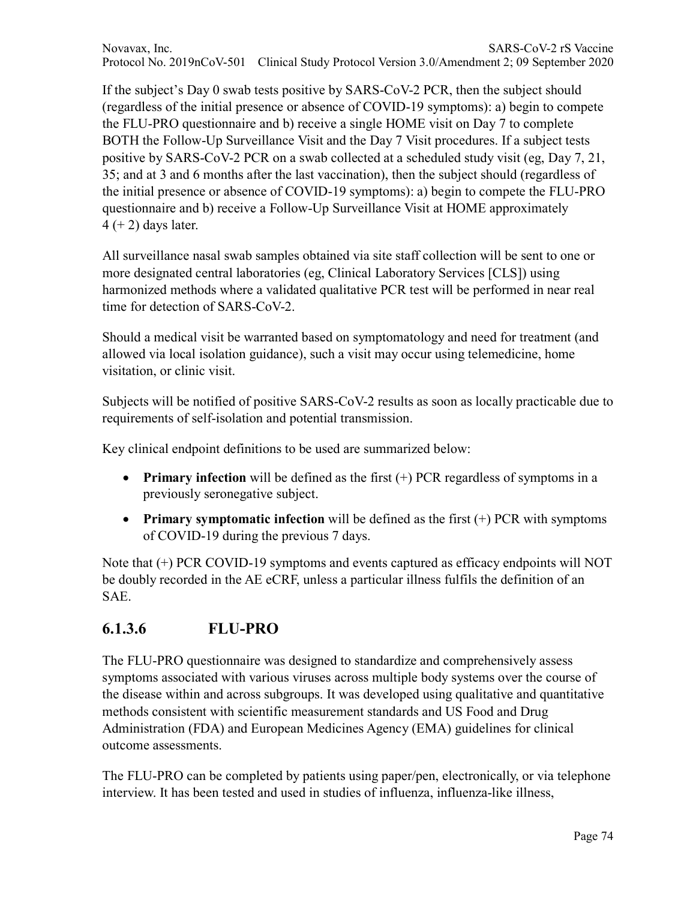Novavax, Inc. SARS-CoV-2 rS Vaccine Protocol No. 2019nCoV-501 Clinical Study Protocol Version 3.0/Amendment 2; 09 September 2020

If the subject's Day 0 swab tests positive by SARS-CoV-2 PCR, then the subject should (regardless of the initial presence or absence of COVID-19 symptoms): a) begin to compete the FLU-PRO questionnaire and b) receive a single HOME visit on Day 7 to complete BOTH the Follow-Up Surveillance Visit and the Day 7 Visit procedures. If a subject tests positive by SARS-CoV-2 PCR on a swab collected at a scheduled study visit (eg, Day 7, 21, 35; and at 3 and 6 months after the last vaccination), then the subject should (regardless of the initial presence or absence of COVID-19 symptoms): a) begin to compete the FLU-PRO questionnaire and b) receive a Follow-Up Surveillance Visit at HOME approximately  $4 (+ 2)$  days later.

All surveillance nasal swab samples obtained via site staff collection will be sent to one or more designated central laboratories (eg, Clinical Laboratory Services [CLS]) using harmonized methods where a validated qualitative PCR test will be performed in near real time for detection of SARS-CoV-2.

Should a medical visit be warranted based on symptomatology and need for treatment (and allowed via local isolation guidance), such a visit may occur using telemedicine, home visitation, or clinic visit.

Subjects will be notified of positive SARS-CoV-2 results as soon as locally practicable due to requirements of self-isolation and potential transmission.

Key clinical endpoint definitions to be used are summarized below:

- **Primary infection** will be defined as the first  $(+)$  PCR regardless of symptoms in a previously seronegative subject.
- **Primary symptomatic infection** will be defined as the first (+) PCR with symptoms of COVID-19 during the previous 7 days.

Note that (+) PCR COVID-19 symptoms and events captured as efficacy endpoints will NOT be doubly recorded in the AE eCRF, unless a particular illness fulfils the definition of an SAE.

### **6.1.3.6 FLU-PRO**

The FLU-PRO questionnaire was designed to standardize and comprehensively assess symptoms associated with various viruses across multiple body systems over the course of the disease within and across subgroups. It was developed using qualitative and quantitative methods consistent with scientific measurement standards and US Food and Drug Administration (FDA) and European Medicines Agency (EMA) guidelines for clinical outcome assessments.

The FLU-PRO can be completed by patients using paper/pen, electronically, or via telephone interview. It has been tested and used in studies of influenza, influenza-like illness,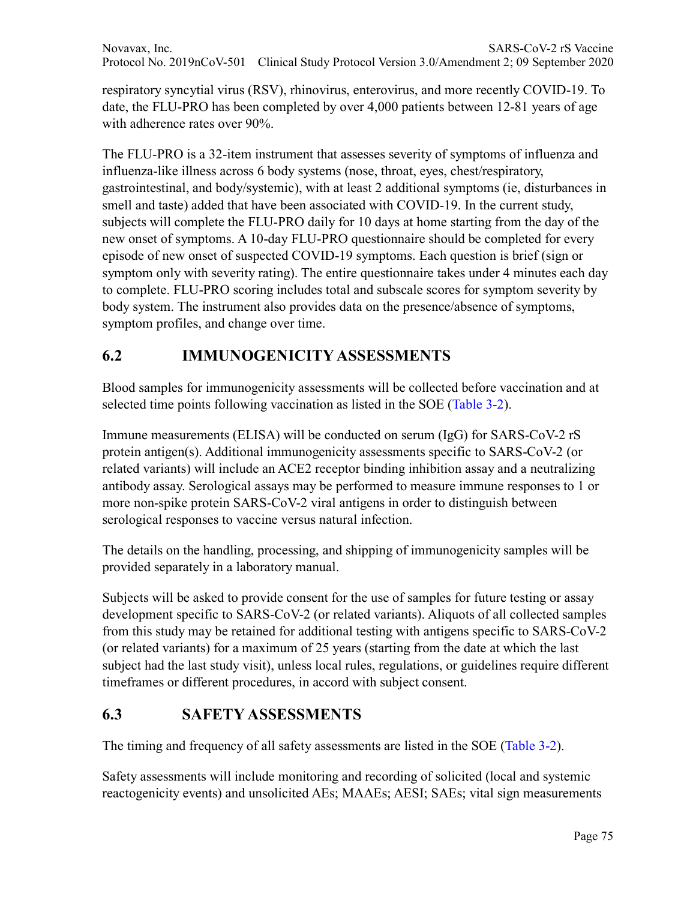respiratory syncytial virus (RSV), rhinovirus, enterovirus, and more recently COVID-19. To date, the FLU-PRO has been completed by over 4,000 patients between 12-81 years of age with adherence rates over 90%.

The FLU-PRO is a 32-item instrument that assesses severity of symptoms of influenza and influenza-like illness across 6 body systems (nose, throat, eyes, chest/respiratory, gastrointestinal, and body/systemic), with at least 2 additional symptoms (ie, disturbances in smell and taste) added that have been associated with COVID-19. In the current study, subjects will complete the FLU-PRO daily for 10 days at home starting from the day of the new onset of symptoms. A 10-day FLU-PRO questionnaire should be completed for every episode of new onset of suspected COVID-19 symptoms. Each question is brief (sign or symptom only with severity rating). The entire questionnaire takes under 4 minutes each day to complete. FLU-PRO scoring includes total and subscale scores for symptom severity by body system. The instrument also provides data on the presence/absence of symptoms, symptom profiles, and change over time.

# **6.2 IMMUNOGENICITY ASSESSMENTS**

Blood samples for immunogenicity assessments will be collected before vaccination and at selected time points following vaccination as listed in the SOE (Table 3-2).

Immune measurements (ELISA) will be conducted on serum (IgG) for SARS-CoV-2 rS protein antigen(s). Additional immunogenicity assessments specific to SARS-CoV-2 (or related variants) will include an ACE2 receptor binding inhibition assay and a neutralizing antibody assay. Serological assays may be performed to measure immune responses to 1 or more non-spike protein SARS-CoV-2 viral antigens in order to distinguish between serological responses to vaccine versus natural infection.

The details on the handling, processing, and shipping of immunogenicity samples will be provided separately in a laboratory manual.

Subjects will be asked to provide consent for the use of samples for future testing or assay development specific to SARS-CoV-2 (or related variants). Aliquots of all collected samples from this study may be retained for additional testing with antigens specific to SARS-CoV-2 (or related variants) for a maximum of 25 years (starting from the date at which the last subject had the last study visit), unless local rules, regulations, or guidelines require different timeframes or different procedures, in accord with subject consent.

# **6.3 SAFETY ASSESSMENTS**

The timing and frequency of all safety assessments are listed in the SOE (Table 3-2).

Safety assessments will include monitoring and recording of solicited (local and systemic reactogenicity events) and unsolicited AEs; MAAEs; AESI; SAEs; vital sign measurements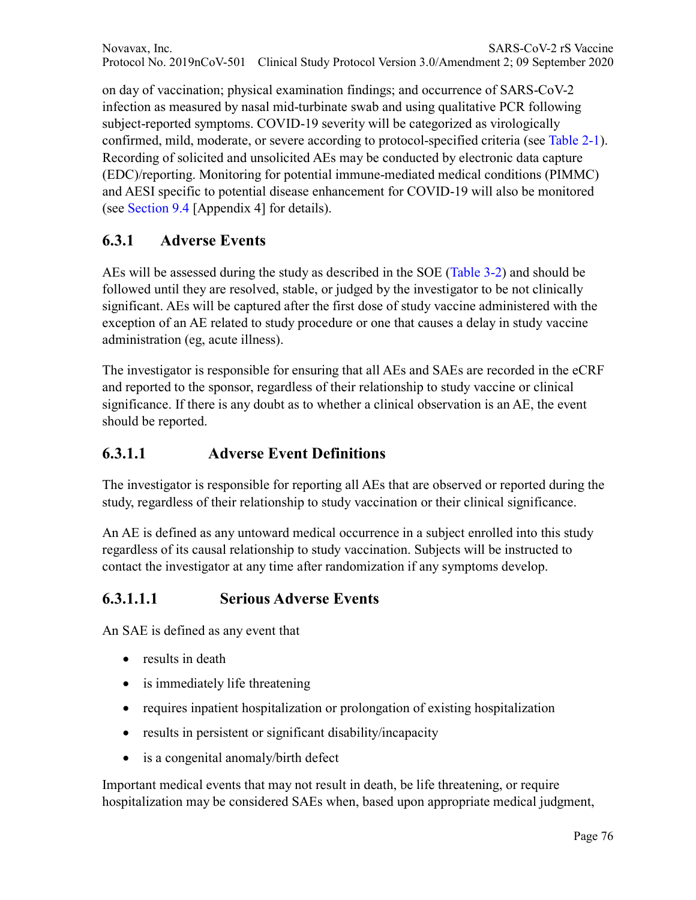Novavax, Inc. SARS-CoV-2 rS Vaccine Protocol No. 2019nCoV-501 Clinical Study Protocol Version 3.0/Amendment 2; 09 September 2020

on day of vaccination; physical examination findings; and occurrence of SARS-CoV-2 infection as measured by nasal mid-turbinate swab and using qualitative PCR following subject-reported symptoms. COVID-19 severity will be categorized as virologically confirmed, mild, moderate, or severe according to protocol-specified criteria (see Table 2-1). Recording of solicited and unsolicited AEs may be conducted by electronic data capture (EDC)/reporting. Monitoring for potential immune-mediated medical conditions (PIMMC) and AESI specific to potential disease enhancement for COVID-19 will also be monitored (see Section 9.4 [Appendix 4] for details).

### **6.3.1 Adverse Events**

AEs will be assessed during the study as described in the SOE (Table 3-2) and should be followed until they are resolved, stable, or judged by the investigator to be not clinically significant. AEs will be captured after the first dose of study vaccine administered with the exception of an AE related to study procedure or one that causes a delay in study vaccine administration (eg, acute illness).

The investigator is responsible for ensuring that all AEs and SAEs are recorded in the eCRF and reported to the sponsor, regardless of their relationship to study vaccine or clinical significance. If there is any doubt as to whether a clinical observation is an AE, the event should be reported.

#### **6.3.1.1 Adverse Event Definitions**

The investigator is responsible for reporting all AEs that are observed or reported during the study, regardless of their relationship to study vaccination or their clinical significance.

An AE is defined as any untoward medical occurrence in a subject enrolled into this study regardless of its causal relationship to study vaccination. Subjects will be instructed to contact the investigator at any time after randomization if any symptoms develop.

### **6.3.1.1.1 Serious Adverse Events**

An SAE is defined as any event that

- results in death
- is immediately life threatening
- requires inpatient hospitalization or prolongation of existing hospitalization
- results in persistent or significant disability/incapacity
- is a congenital anomaly/birth defect

Important medical events that may not result in death, be life threatening, or require hospitalization may be considered SAEs when, based upon appropriate medical judgment,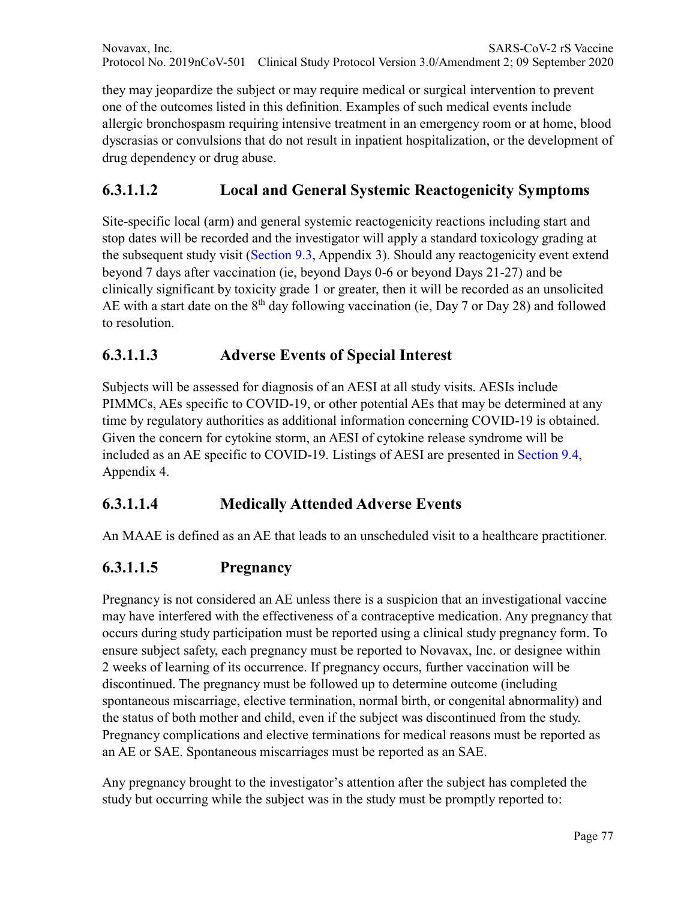Novavax, Inc. SARS-CoV-2 rS Vaccine Protocol No. 2019nCoV-501 Clinical Study Protocol Version 3.0/Amendment 2; 09 September 2020

they may jeopardize the subject or may require medical or surgical intervention to prevent one of the outcomes listed in this definition. Examples of such medical events include allergic bronchospasm requiring intensive treatment in an emergency room or at home, blood dyscrasias or convulsions that do not result in inpatient hospitalization, or the development of drug dependency or drug abuse.

## **6.3.1.1.2 Local and General Systemic Reactogenicity Symptoms**

Site-specific local (arm) and general systemic reactogenicity reactions including start and stop dates will be recorded and the investigator will apply a standard toxicology grading at the subsequent study visit (Section 9.3, Appendix 3). Should any reactogenicity event extend beyond 7 days after vaccination (ie, beyond Days 0-6 or beyond Days 21-27) and be clinically significant by toxicity grade 1 or greater, then it will be recorded as an unsolicited AE with a start date on the  $8<sup>th</sup>$  day following vaccination (ie, Day 7 or Day 28) and followed to resolution.

### **6.3.1.1.3 Adverse Events of Special Interest**

Subjects will be assessed for diagnosis of an AESI at all study visits. AESIs include PIMMCs, AEs specific to COVID-19, or other potential AEs that may be determined at any time by regulatory authorities as additional information concerning COVID-19 is obtained. Given the concern for cytokine storm, an AESI of cytokine release syndrome will be included as an AE specific to COVID-19. Listings of AESI are presented in Section 9.4, Appendix 4.

### **6.3.1.1.4 Medically Attended Adverse Events**

An MAAE is defined as an AE that leads to an unscheduled visit to a healthcare practitioner.

## **6.3.1.1.5 Pregnancy**

Pregnancy is not considered an AE unless there is a suspicion that an investigational vaccine may have interfered with the effectiveness of a contraceptive medication. Any pregnancy that occurs during study participation must be reported using a clinical study pregnancy form. To ensure subject safety, each pregnancy must be reported to Novavax, Inc. or designee within 2 weeks of learning of its occurrence. If pregnancy occurs, further vaccination will be discontinued. The pregnancy must be followed up to determine outcome (including spontaneous miscarriage, elective termination, normal birth, or congenital abnormality) and the status of both mother and child, even if the subject was discontinued from the study. Pregnancy complications and elective terminations for medical reasons must be reported as an AE or SAE. Spontaneous miscarriages must be reported as an SAE.

Any pregnancy brought to the investigator's attention after the subject has completed the study but occurring while the subject was in the study must be promptly reported to: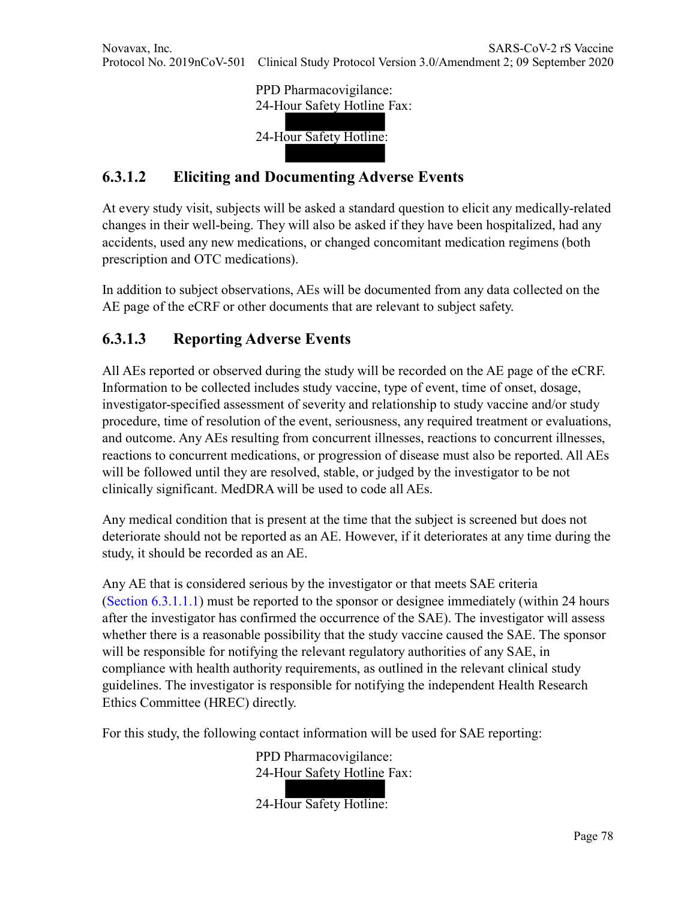PPD Pharmacovigilance: 24-Hour Safety Hotline Fax:

24-Hour Safety Hotline:

# **6.3.1.2 Eliciting and Documenting Adverse Events**

At every study visit, subjects will be asked a standard question to elicit any medically-related changes in their well-being. They will also be asked if they have been hospitalized, had any accidents, used any new medications, or changed concomitant medication regimens (both prescription and OTC medications).

In addition to subject observations, AEs will be documented from any data collected on the AE page of the eCRF or other documents that are relevant to subject safety.

# **6.3.1.3 Reporting Adverse Events**

All AEs reported or observed during the study will be recorded on the AE page of the eCRF. Information to be collected includes study vaccine, type of event, time of onset, dosage, investigator-specified assessment of severity and relationship to study vaccine and/or study procedure, time of resolution of the event, seriousness, any required treatment or evaluations, and outcome. Any AEs resulting from concurrent illnesses, reactions to concurrent illnesses, reactions to concurrent medications, or progression of disease must also be reported. All AEs will be followed until they are resolved, stable, or judged by the investigator to be not clinically significant. MedDRA will be used to code all AEs.

Any medical condition that is present at the time that the subject is screened but does not deteriorate should not be reported as an AE. However, if it deteriorates at any time during the study, it should be recorded as an AE.

Any AE that is considered serious by the investigator or that meets SAE criteria (Section 6.3.1.1.1) must be reported to the sponsor or designee immediately (within 24 hours after the investigator has confirmed the occurrence of the SAE). The investigator will assess whether there is a reasonable possibility that the study vaccine caused the SAE. The sponsor will be responsible for notifying the relevant regulatory authorities of any SAE, in compliance with health authority requirements, as outlined in the relevant clinical study guidelines. The investigator is responsible for notifying the independent Health Research Ethics Committee (HREC) directly.

For this study, the following contact information will be used for SAE reporting:

PPD Pharmacovigilance: 24-Hour Safety Hotline Fax:

24-Hour Safety Hotline: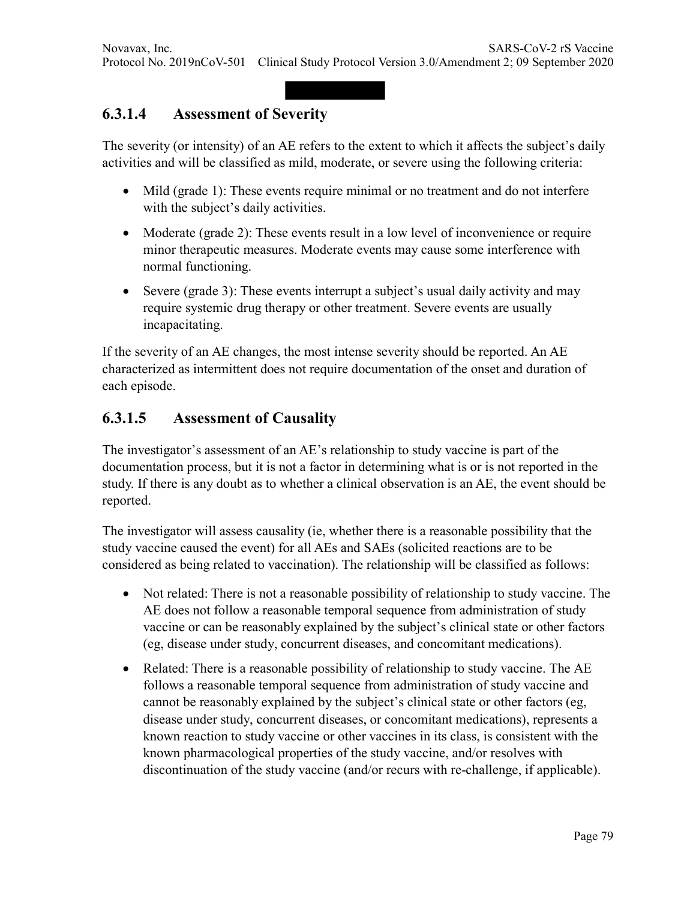## **6.3.1.4 Assessment of Severity**

The severity (or intensity) of an AE refers to the extent to which it affects the subject's daily activities and will be classified as mild, moderate, or severe using the following criteria:

- Mild (grade 1): These events require minimal or no treatment and do not interfere with the subject's daily activities.
- Moderate (grade 2): These events result in a low level of inconvenience or require minor therapeutic measures. Moderate events may cause some interference with normal functioning.
- Severe (grade 3): These events interrupt a subject's usual daily activity and may require systemic drug therapy or other treatment. Severe events are usually incapacitating.

If the severity of an AE changes, the most intense severity should be reported. An AE characterized as intermittent does not require documentation of the onset and duration of each episode.

### **6.3.1.5 Assessment of Causality**

The investigator's assessment of an AE's relationship to study vaccine is part of the documentation process, but it is not a factor in determining what is or is not reported in the study. If there is any doubt as to whether a clinical observation is an AE, the event should be reported.

The investigator will assess causality (ie, whether there is a reasonable possibility that the study vaccine caused the event) for all AEs and SAEs (solicited reactions are to be considered as being related to vaccination). The relationship will be classified as follows:

- Not related: There is not a reasonable possibility of relationship to study vaccine. The AE does not follow a reasonable temporal sequence from administration of study vaccine or can be reasonably explained by the subject's clinical state or other factors (eg, disease under study, concurrent diseases, and concomitant medications).
- Related: There is a reasonable possibility of relationship to study vaccine. The AE follows a reasonable temporal sequence from administration of study vaccine and cannot be reasonably explained by the subject's clinical state or other factors (eg, disease under study, concurrent diseases, or concomitant medications), represents a known reaction to study vaccine or other vaccines in its class, is consistent with the known pharmacological properties of the study vaccine, and/or resolves with discontinuation of the study vaccine (and/or recurs with re-challenge, if applicable).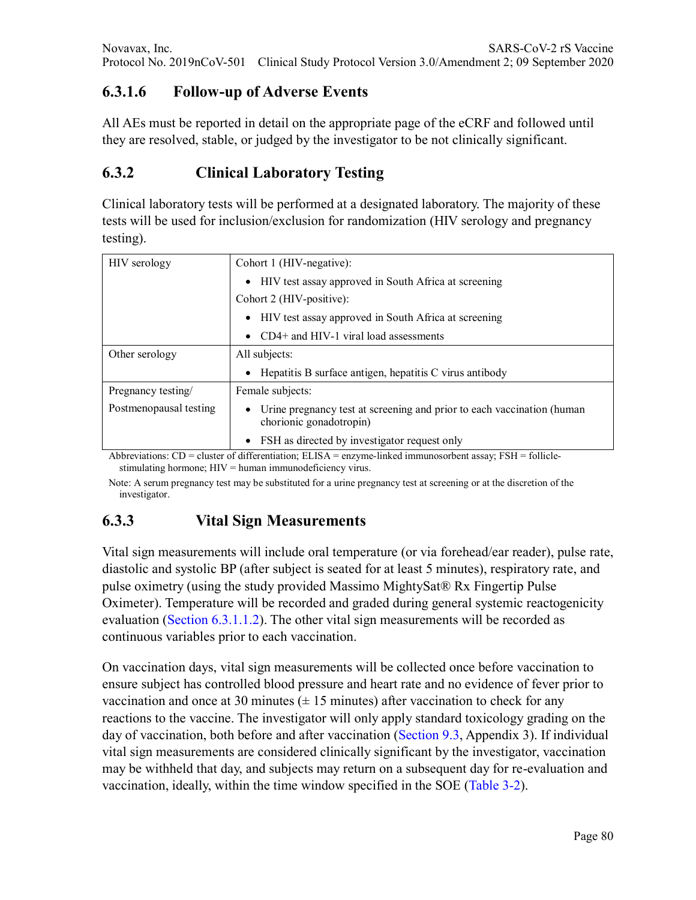# **6.3.1.6 Follow-up of Adverse Events**

All AEs must be reported in detail on the appropriate page of the eCRF and followed until they are resolved, stable, or judged by the investigator to be not clinically significant.

# **6.3.2 Clinical Laboratory Testing**

Clinical laboratory tests will be performed at a designated laboratory. The majority of these tests will be used for inclusion/exclusion for randomization (HIV serology and pregnancy testing).

| HIV serology           | Cohort 1 (HIV-negative):                                                                          |  |  |
|------------------------|---------------------------------------------------------------------------------------------------|--|--|
|                        | • HIV test assay approved in South Africa at screening                                            |  |  |
|                        | Cohort 2 (HIV-positive):                                                                          |  |  |
|                        | HIV test assay approved in South Africa at screening<br>$\bullet$                                 |  |  |
|                        | • CD4+ and HIV-1 viral load assessments                                                           |  |  |
| Other serology         | All subjects:                                                                                     |  |  |
|                        | • Hepatitis B surface antigen, hepatitis C virus antibody                                         |  |  |
| Pregnancy testing/     | Female subjects:                                                                                  |  |  |
| Postmenopausal testing | Urine pregnancy test at screening and prior to each vaccination (human<br>chorionic gonadotropin) |  |  |
|                        | • FSH as directed by investigator request only                                                    |  |  |

Abbreviations:  $CD =$  cluster of differentiation;  $ELISA =$  enzyme-linked immunosorbent assay;  $FSH =$  folliclestimulating hormone; HIV = human immunodeficiency virus.

Note: A serum pregnancy test may be substituted for a urine pregnancy test at screening or at the discretion of the investigator.

## **6.3.3 Vital Sign Measurements**

Vital sign measurements will include oral temperature (or via forehead/ear reader), pulse rate, diastolic and systolic BP (after subject is seated for at least 5 minutes), respiratory rate, and pulse oximetry (using the study provided Massimo MightySat® Rx Fingertip Pulse Oximeter). Temperature will be recorded and graded during general systemic reactogenicity evaluation (Section 6.3.1.1.2). The other vital sign measurements will be recorded as continuous variables prior to each vaccination.

On vaccination days, vital sign measurements will be collected once before vaccination to ensure subject has controlled blood pressure and heart rate and no evidence of fever prior to vaccination and once at 30 minutes  $(\pm 15 \text{ minutes})$  after vaccination to check for any reactions to the vaccine. The investigator will only apply standard toxicology grading on the day of vaccination, both before and after vaccination (Section 9.3, Appendix 3). If individual vital sign measurements are considered clinically significant by the investigator, vaccination may be withheld that day, and subjects may return on a subsequent day for re-evaluation and vaccination, ideally, within the time window specified in the SOE (Table 3-2).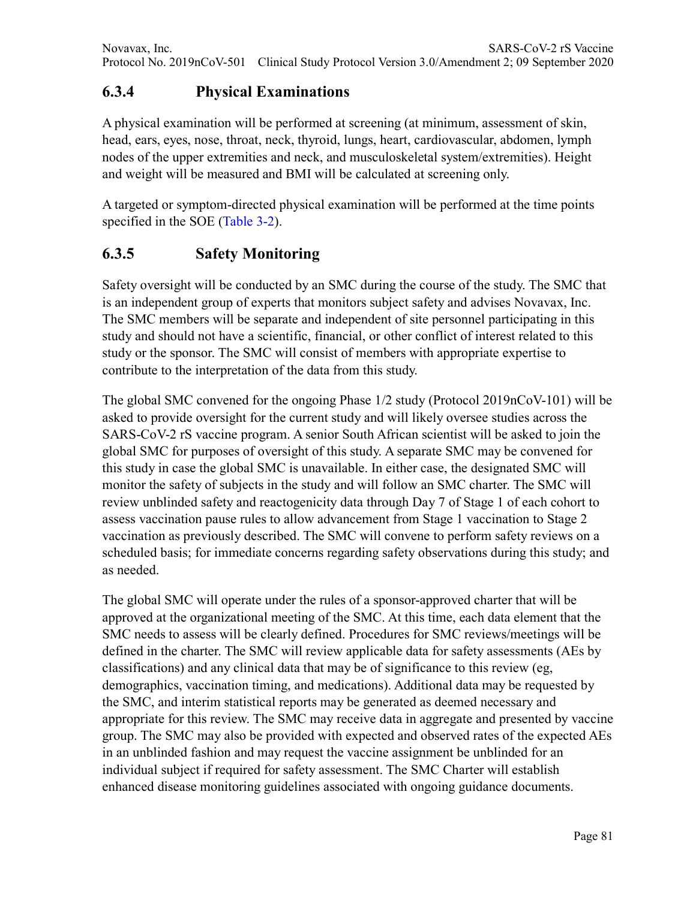# **6.3.4 Physical Examinations**

A physical examination will be performed at screening (at minimum, assessment of skin, head, ears, eyes, nose, throat, neck, thyroid, lungs, heart, cardiovascular, abdomen, lymph nodes of the upper extremities and neck, and musculoskeletal system/extremities). Height and weight will be measured and BMI will be calculated at screening only.

A targeted or symptom-directed physical examination will be performed at the time points specified in the SOE (Table 3-2).

## **6.3.5 Safety Monitoring**

Safety oversight will be conducted by an SMC during the course of the study. The SMC that is an independent group of experts that monitors subject safety and advises Novavax, Inc. The SMC members will be separate and independent of site personnel participating in this study and should not have a scientific, financial, or other conflict of interest related to this study or the sponsor. The SMC will consist of members with appropriate expertise to contribute to the interpretation of the data from this study.

The global SMC convened for the ongoing Phase 1/2 study (Protocol 2019nCoV-101) will be asked to provide oversight for the current study and will likely oversee studies across the SARS-CoV-2 rS vaccine program. A senior South African scientist will be asked to join the global SMC for purposes of oversight of this study. A separate SMC may be convened for this study in case the global SMC is unavailable. In either case, the designated SMC will monitor the safety of subjects in the study and will follow an SMC charter. The SMC will review unblinded safety and reactogenicity data through Day 7 of Stage 1 of each cohort to assess vaccination pause rules to allow advancement from Stage 1 vaccination to Stage 2 vaccination as previously described. The SMC will convene to perform safety reviews on a scheduled basis; for immediate concerns regarding safety observations during this study; and as needed.

The global SMC will operate under the rules of a sponsor-approved charter that will be approved at the organizational meeting of the SMC. At this time, each data element that the SMC needs to assess will be clearly defined. Procedures for SMC reviews/meetings will be defined in the charter. The SMC will review applicable data for safety assessments (AEs by classifications) and any clinical data that may be of significance to this review (eg, demographics, vaccination timing, and medications). Additional data may be requested by the SMC, and interim statistical reports may be generated as deemed necessary and appropriate for this review. The SMC may receive data in aggregate and presented by vaccine group. The SMC may also be provided with expected and observed rates of the expected AEs in an unblinded fashion and may request the vaccine assignment be unblinded for an individual subject if required for safety assessment. The SMC Charter will establish enhanced disease monitoring guidelines associated with ongoing guidance documents.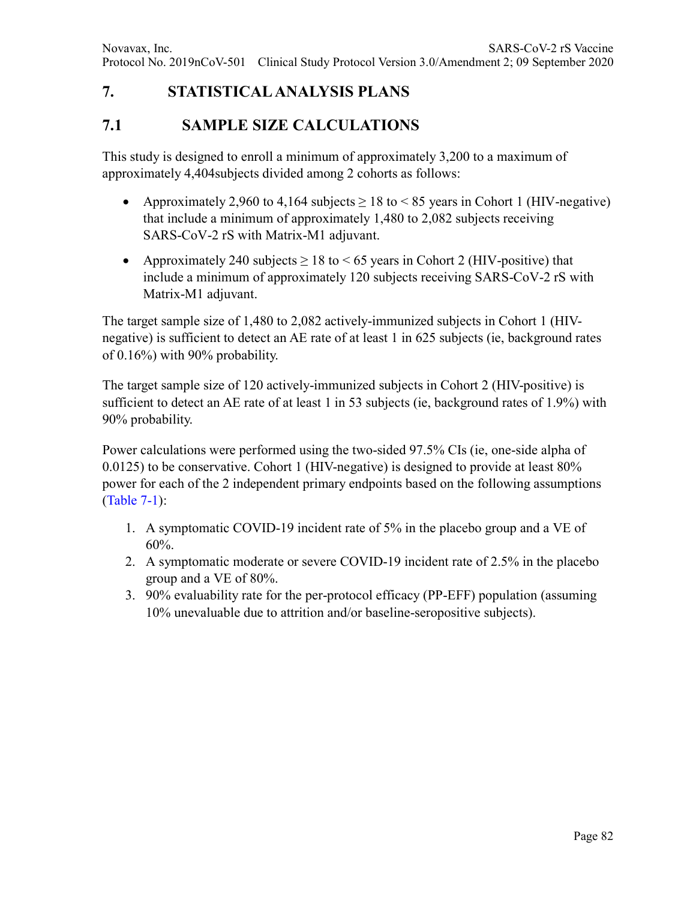# **7. STATISTICAL ANALYSIS PLANS**

### **7.1 SAMPLE SIZE CALCULATIONS**

This study is designed to enroll a minimum of approximately 3,200 to a maximum of approximately 4,404subjects divided among 2 cohorts as follows:

- Approximately 2,960 to 4,164 subjects  $\geq 18$  to  $\leq 85$  years in Cohort 1 (HIV-negative) that include a minimum of approximately 1,480 to 2,082 subjects receiving SARS-CoV-2 rS with Matrix-M1 adjuvant.
- Approximately 240 subjects  $\geq 18$  to  $\leq 65$  years in Cohort 2 (HIV-positive) that include a minimum of approximately 120 subjects receiving SARS-CoV-2 rS with Matrix-M1 adjuvant.

The target sample size of 1,480 to 2,082 actively-immunized subjects in Cohort 1 (HIVnegative) is sufficient to detect an AE rate of at least 1 in 625 subjects (ie, background rates of 0.16%) with 90% probability.

The target sample size of 120 actively-immunized subjects in Cohort 2 (HIV-positive) is sufficient to detect an AE rate of at least 1 in 53 subjects (ie, background rates of 1.9%) with 90% probability.

Power calculations were performed using the two-sided 97.5% CIs (ie, one-side alpha of 0.0125) to be conservative. Cohort 1 (HIV-negative) is designed to provide at least  $80\%$ power for each of the 2 independent primary endpoints based on the following assumptions (Table 7-1):

- 1. A symptomatic COVID-19 incident rate of 5% in the placebo group and a VE of 60%.
- 2. A symptomatic moderate or severe COVID-19 incident rate of 2.5% in the placebo group and a VE of 80%.
- 3. 90% evaluability rate for the per-protocol efficacy (PP-EFF) population (assuming 10% unevaluable due to attrition and/or baseline-seropositive subjects).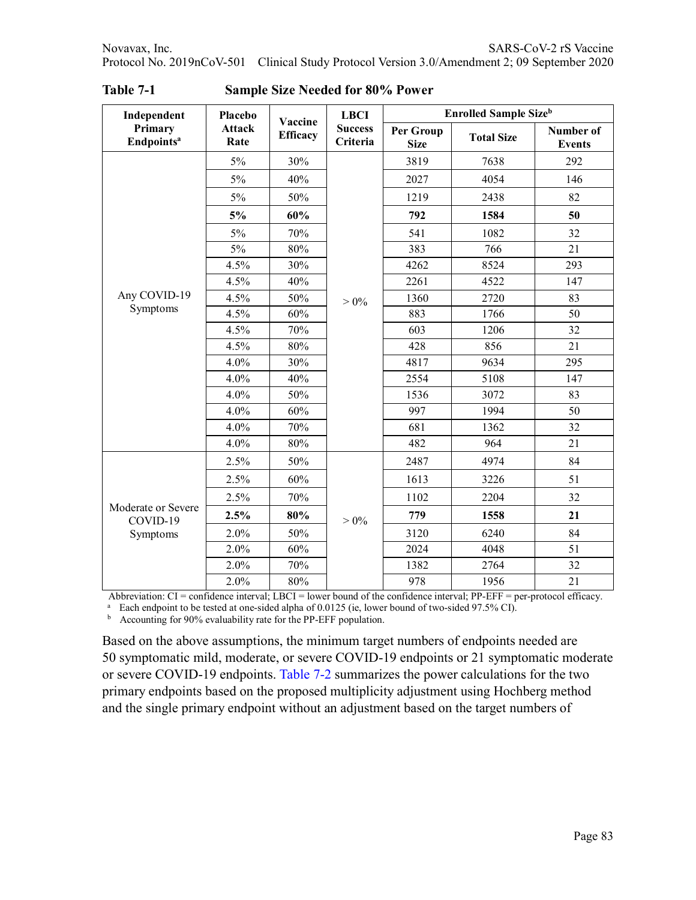| Independent                                | Placebo               | Vaccine         | <b>LBCI</b>                | <b>Enrolled Sample Size</b> b |                                |     |  |
|--------------------------------------------|-----------------------|-----------------|----------------------------|-------------------------------|--------------------------------|-----|--|
| Primary<br><b>Endpoints<sup>a</sup></b>    | <b>Attack</b><br>Rate | <b>Efficacy</b> | <b>Success</b><br>Criteria | Per Group<br><b>Size</b>      | Number of<br><b>Total Size</b> |     |  |
|                                            | 5%                    | 30%             |                            | 3819                          | 7638                           | 292 |  |
|                                            | 5%                    | 40%             |                            | 2027                          | 4054                           | 146 |  |
|                                            | $5\%$                 | 50%             |                            | 1219                          | 2438                           | 82  |  |
|                                            | 5%                    | 60%             |                            | 792                           | 1584                           | 50  |  |
|                                            | 5%                    | 70%             |                            | 541                           | 1082                           | 32  |  |
|                                            | 5%                    | 80%             |                            | 383                           | 766                            | 21  |  |
|                                            | 4.5%                  | 30%             |                            | 4262                          | 8524                           | 293 |  |
|                                            | 4.5%                  | 40%             |                            | 2261                          | 4522                           | 147 |  |
| Any COVID-19                               | 4.5%                  | 50%             | $> 0\%$                    | 1360                          | 2720                           | 83  |  |
| Symptoms                                   | 4.5%                  | 60%             |                            | 883                           | 1766                           | 50  |  |
|                                            | 4.5%                  | 70%             |                            | 603                           | 1206                           | 32  |  |
|                                            | 4.5%                  | $80\%$          |                            | 428                           | 856                            | 21  |  |
|                                            | 4.0%                  | 30%             |                            | 4817                          | 9634                           | 295 |  |
|                                            | 4.0%                  | 40%             |                            | 2554                          | 5108                           | 147 |  |
|                                            | 4.0%                  | 50%             |                            | 1536                          | 3072                           | 83  |  |
|                                            | 4.0%                  | 60%             |                            | 997                           | 1994                           | 50  |  |
|                                            | 4.0%                  | 70%             |                            | 681                           | 1362                           | 32  |  |
|                                            | 4.0%                  | 80%             |                            | 482                           | 964                            | 21  |  |
|                                            | 2.5%                  | 50%             |                            | 2487                          | 4974                           | 84  |  |
|                                            | 2.5%                  | 60%             |                            | 1613                          | 3226                           | 51  |  |
|                                            | 2.5%                  | 70%             |                            | 1102                          | 2204                           | 32  |  |
| Moderate or Severe<br>COVID-19<br>Symptoms | 2.5%                  | 80%             | $> 0\%$                    | 779                           | 1558                           | 21  |  |
|                                            | 2.0%                  | 50%             |                            | 3120                          | 6240                           | 84  |  |
|                                            | 2.0%                  | 60%             |                            | 2024                          | 4048                           | 51  |  |
|                                            | 2.0%                  | 70%             |                            | 1382                          | 2764                           | 32  |  |
|                                            | 2.0%                  | 80%             |                            | 978                           | 1956                           | 21  |  |

**Table 7-1 Sample Size Needed for 80% Power**

Abbreviation: CI = confidence interval; LBCI = lower bound of the confidence interval; PP-EFF = per-protocol efficacy.

<sup>a</sup> Each endpoint to be tested at one-sided alpha of 0.0125 (ie, lower bound of two-sided 97.5% CI).

<sup>b</sup> Accounting for 90% evaluability rate for the PP-EFF population.

Based on the above assumptions, the minimum target numbers of endpoints needed are 50 symptomatic mild, moderate, or severe COVID-19 endpoints or 21 symptomatic moderate or severe COVID-19 endpoints. Table 7-2 summarizes the power calculations for the two primary endpoints based on the proposed multiplicity adjustment using Hochberg method and the single primary endpoint without an adjustment based on the target numbers of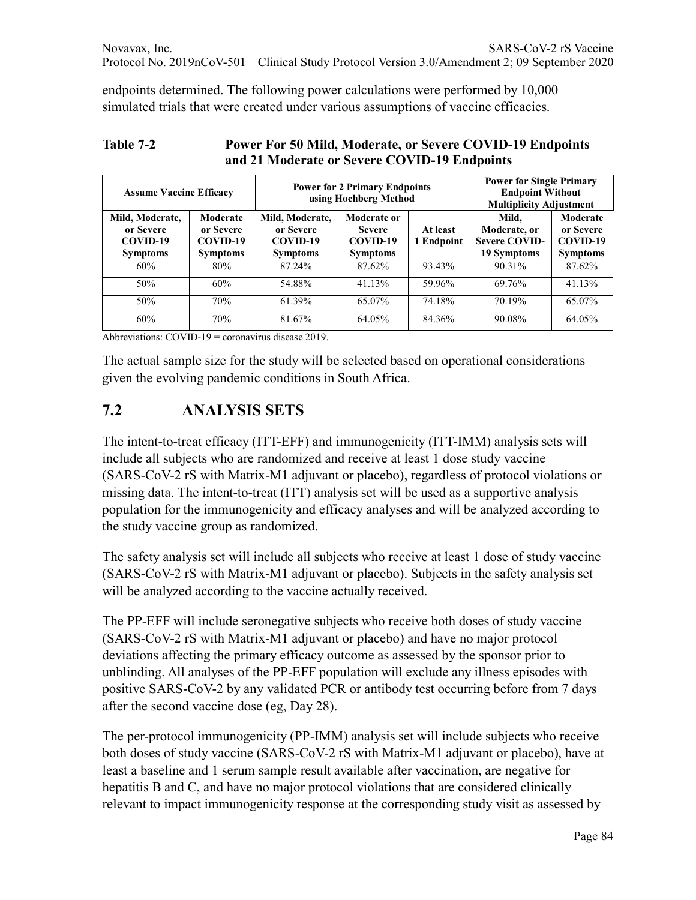endpoints determined. The following power calculations were performed by 10,000 simulated trials that were created under various assumptions of vaccine efficacies.

| <b>Assume Vaccine Efficacy</b>                              |                                                      |                                                             | <b>Power for 2 Primary Endpoints</b><br>using Hochberg Method | <b>Power for Single Primary</b><br><b>Endpoint Without</b><br><b>Multiplicity Adjustment</b> |                                                              |                                                      |
|-------------------------------------------------------------|------------------------------------------------------|-------------------------------------------------------------|---------------------------------------------------------------|----------------------------------------------------------------------------------------------|--------------------------------------------------------------|------------------------------------------------------|
| Mild, Moderate,<br>or Severe<br>COVID-19<br><b>Symptoms</b> | Moderate<br>or Severe<br>COVID-19<br><b>Symptoms</b> | Mild, Moderate,<br>or Severe<br>COVID-19<br><b>Symptoms</b> | Moderate or<br><b>Severe</b><br>COVID-19<br><b>Symptoms</b>   | At least<br>1 Endpoint                                                                       | Mild.<br>Moderate, or<br><b>Severe COVID-</b><br>19 Symptoms | Moderate<br>or Severe<br>COVID-19<br><b>Symptoms</b> |
| 60%                                                         | 80%                                                  | 87.24%                                                      | 87.62%                                                        | 93.43%                                                                                       | 90.31%                                                       | 87.62%                                               |
| 50%                                                         | 60%                                                  | 54.88%                                                      | 41.13%                                                        | 59.96%                                                                                       | 69.76%                                                       | 41.13%                                               |
| 50%                                                         | 70%                                                  | 61.39%                                                      | 65.07%                                                        | 74.18%                                                                                       | 70.19%                                                       | 65.07%                                               |
| 60%                                                         | 70%                                                  | 81.67%                                                      | 64.05%                                                        | 84.36%                                                                                       | 90.08%                                                       | 64.05%                                               |

#### **Table 7-2 Power For 50 Mild, Moderate, or Severe COVID-19 Endpoints and 21 Moderate or Severe COVID-19 Endpoints**

Abbreviations: COVID-19 = coronavirus disease 2019.

The actual sample size for the study will be selected based on operational considerations given the evolving pandemic conditions in South Africa.

## **7.2 ANALYSIS SETS**

The intent-to-treat efficacy (ITT-EFF) and immunogenicity (ITT-IMM) analysis sets will include all subjects who are randomized and receive at least 1 dose study vaccine (SARS-CoV-2 rS with Matrix-M1 adjuvant or placebo), regardless of protocol violations or missing data. The intent-to-treat (ITT) analysis set will be used as a supportive analysis population for the immunogenicity and efficacy analyses and will be analyzed according to the study vaccine group as randomized.

The safety analysis set will include all subjects who receive at least 1 dose of study vaccine (SARS-CoV-2 rS with Matrix-M1 adjuvant or placebo). Subjects in the safety analysis set will be analyzed according to the vaccine actually received.

The PP-EFF will include seronegative subjects who receive both doses of study vaccine (SARS-CoV-2 rS with Matrix-M1 adjuvant or placebo) and have no major protocol deviations affecting the primary efficacy outcome as assessed by the sponsor prior to unblinding. All analyses of the PP-EFF population will exclude any illness episodes with positive SARS-CoV-2 by any validated PCR or antibody test occurring before from 7 days after the second vaccine dose (eg, Day 28).

The per-protocol immunogenicity (PP-IMM) analysis set will include subjects who receive both doses of study vaccine (SARS-CoV-2 rS with Matrix-M1 adjuvant or placebo), have at least a baseline and 1 serum sample result available after vaccination, are negative for hepatitis B and C, and have no major protocol violations that are considered clinically relevant to impact immunogenicity response at the corresponding study visit as assessed by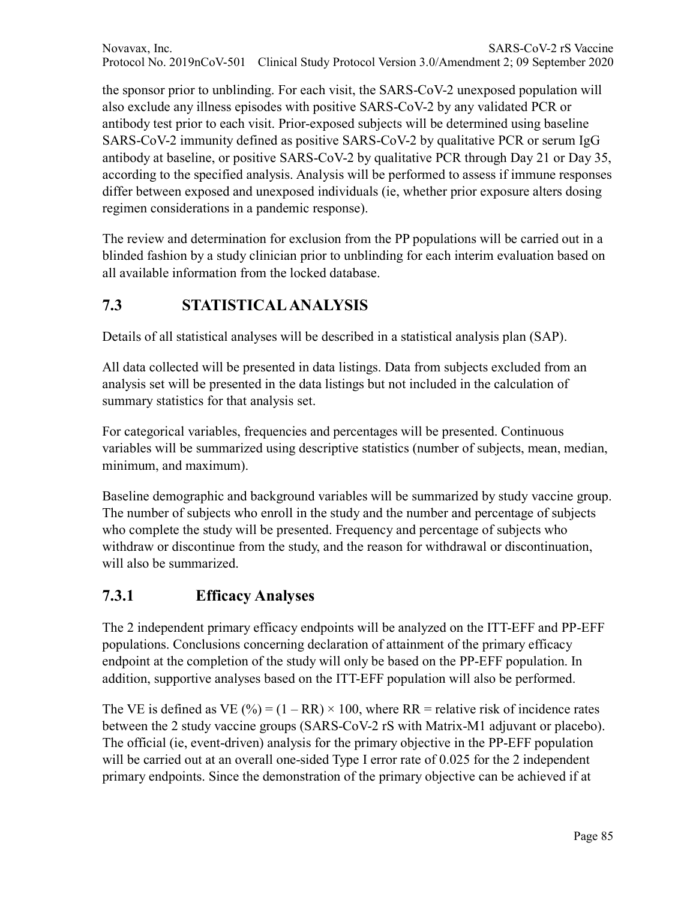Novavax, Inc. SARS-CoV-2 rS Vaccine Protocol No. 2019nCoV-501 Clinical Study Protocol Version 3.0/Amendment 2; 09 September 2020

the sponsor prior to unblinding. For each visit, the SARS-CoV-2 unexposed population will also exclude any illness episodes with positive SARS-CoV-2 by any validated PCR or antibody test prior to each visit. Prior-exposed subjects will be determined using baseline SARS-CoV-2 immunity defined as positive SARS-CoV-2 by qualitative PCR or serum IgG antibody at baseline, or positive SARS-CoV-2 by qualitative PCR through Day 21 or Day 35, according to the specified analysis. Analysis will be performed to assess if immune responses differ between exposed and unexposed individuals (ie, whether prior exposure alters dosing regimen considerations in a pandemic response).

The review and determination for exclusion from the PP populations will be carried out in a blinded fashion by a study clinician prior to unblinding for each interim evaluation based on all available information from the locked database.

## **7.3 STATISTICAL ANALYSIS**

Details of all statistical analyses will be described in a statistical analysis plan (SAP).

All data collected will be presented in data listings. Data from subjects excluded from an analysis set will be presented in the data listings but not included in the calculation of summary statistics for that analysis set.

For categorical variables, frequencies and percentages will be presented. Continuous variables will be summarized using descriptive statistics (number of subjects, mean, median, minimum, and maximum).

Baseline demographic and background variables will be summarized by study vaccine group. The number of subjects who enroll in the study and the number and percentage of subjects who complete the study will be presented. Frequency and percentage of subjects who withdraw or discontinue from the study, and the reason for withdrawal or discontinuation, will also be summarized.

### **7.3.1 Efficacy Analyses**

The 2 independent primary efficacy endpoints will be analyzed on the ITT-EFF and PP-EFF populations. Conclusions concerning declaration of attainment of the primary efficacy endpoint at the completion of the study will only be based on the PP-EFF population. In addition, supportive analyses based on the ITT-EFF population will also be performed.

The VE is defined as VE (%) =  $(1 - RR) \times 100$ , where RR = relative risk of incidence rates between the 2 study vaccine groups (SARS-CoV-2 rS with Matrix-M1 adjuvant or placebo). The official (ie, event-driven) analysis for the primary objective in the PP-EFF population will be carried out at an overall one-sided Type I error rate of 0.025 for the 2 independent primary endpoints. Since the demonstration of the primary objective can be achieved if at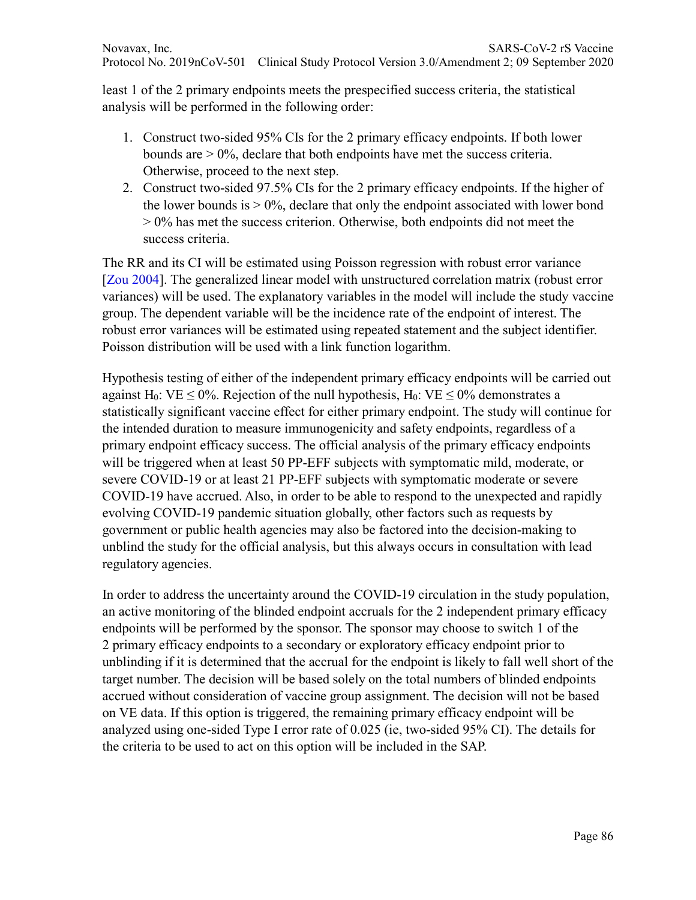least 1 of the 2 primary endpoints meets the prespecified success criteria, the statistical analysis will be performed in the following order:

- 1. Construct two-sided 95% CIs for the 2 primary efficacy endpoints. If both lower bounds are  $> 0\%$ , declare that both endpoints have met the success criteria. Otherwise, proceed to the next step.
- 2. Construct two-sided 97.5% CIs for the 2 primary efficacy endpoints. If the higher of the lower bounds is  $> 0\%$ , declare that only the endpoint associated with lower bond  $> 0\%$  has met the success criterion. Otherwise, both endpoints did not meet the success criteria.

The RR and its CI will be estimated using Poisson regression with robust error variance [Zou 2004]. The generalized linear model with unstructured correlation matrix (robust error variances) will be used. The explanatory variables in the model will include the study vaccine group. The dependent variable will be the incidence rate of the endpoint of interest. The robust error variances will be estimated using repeated statement and the subject identifier. Poisson distribution will be used with a link function logarithm.

Hypothesis testing of either of the independent primary efficacy endpoints will be carried out against H<sub>0</sub>: VE < 0%. Rejection of the null hypothesis, H<sub>0</sub>: VE < 0% demonstrates a statistically significant vaccine effect for either primary endpoint. The study will continue for the intended duration to measure immunogenicity and safety endpoints, regardless of a primary endpoint efficacy success. The official analysis of the primary efficacy endpoints will be triggered when at least 50 PP-EFF subjects with symptomatic mild, moderate, or severe COVID-19 or at least 21 PP-EFF subjects with symptomatic moderate or severe COVID-19 have accrued. Also, in order to be able to respond to the unexpected and rapidly evolving COVID-19 pandemic situation globally, other factors such as requests by government or public health agencies may also be factored into the decision-making to unblind the study for the official analysis, but this always occurs in consultation with lead regulatory agencies.

In order to address the uncertainty around the COVID-19 circulation in the study population, an active monitoring of the blinded endpoint accruals for the 2 independent primary efficacy endpoints will be performed by the sponsor. The sponsor may choose to switch 1 of the 2 primary efficacy endpoints to a secondary or exploratory efficacy endpoint prior to unblinding if it is determined that the accrual for the endpoint is likely to fall well short of the target number. The decision will be based solely on the total numbers of blinded endpoints accrued without consideration of vaccine group assignment. The decision will not be based on VE data. If this option is triggered, the remaining primary efficacy endpoint will be analyzed using one-sided Type I error rate of 0.025 (ie, two-sided 95% CI). The details for the criteria to be used to act on this option will be included in the SAP.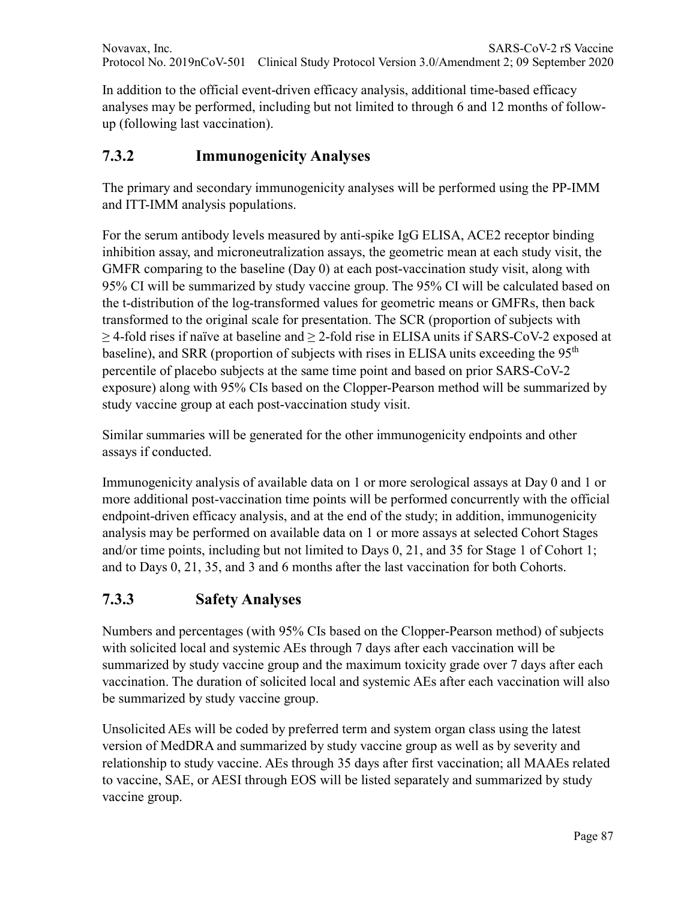In addition to the official event-driven efficacy analysis, additional time-based efficacy analyses may be performed, including but not limited to through 6 and 12 months of followup (following last vaccination).

# **7.3.2 Immunogenicity Analyses**

The primary and secondary immunogenicity analyses will be performed using the PP-IMM and ITT-IMM analysis populations.

For the serum antibody levels measured by anti-spike IgG ELISA, ACE2 receptor binding inhibition assay, and microneutralization assays, the geometric mean at each study visit, the GMFR comparing to the baseline (Day 0) at each post-vaccination study visit, along with 95% CI will be summarized by study vaccine group. The 95% CI will be calculated based on the t-distribution of the log-transformed values for geometric means or GMFRs, then back transformed to the original scale for presentation. The SCR (proportion of subjects with  $\geq$  4-fold rises if naïve at baseline and  $\geq$  2-fold rise in ELISA units if SARS-CoV-2 exposed at baseline), and SRR (proportion of subjects with rises in ELISA units exceeding the 95<sup>th</sup> percentile of placebo subjects at the same time point and based on prior SARS-CoV-2 exposure) along with 95% CIs based on the Clopper-Pearson method will be summarized by study vaccine group at each post-vaccination study visit.

Similar summaries will be generated for the other immunogenicity endpoints and other assays if conducted.

Immunogenicity analysis of available data on 1 or more serological assays at Day 0 and 1 or more additional post-vaccination time points will be performed concurrently with the official endpoint-driven efficacy analysis, and at the end of the study; in addition, immunogenicity analysis may be performed on available data on 1 or more assays at selected Cohort Stages and/or time points, including but not limited to Days 0, 21, and 35 for Stage 1 of Cohort 1; and to Days 0, 21, 35, and 3 and 6 months after the last vaccination for both Cohorts.

# **7.3.3 Safety Analyses**

Numbers and percentages (with 95% CIs based on the Clopper-Pearson method) of subjects with solicited local and systemic AEs through 7 days after each vaccination will be summarized by study vaccine group and the maximum toxicity grade over 7 days after each vaccination. The duration of solicited local and systemic AEs after each vaccination will also be summarized by study vaccine group.

Unsolicited AEs will be coded by preferred term and system organ class using the latest version of MedDRA and summarized by study vaccine group as well as by severity and relationship to study vaccine. AEs through 35 days after first vaccination; all MAAEs related to vaccine, SAE, or AESI through EOS will be listed separately and summarized by study vaccine group.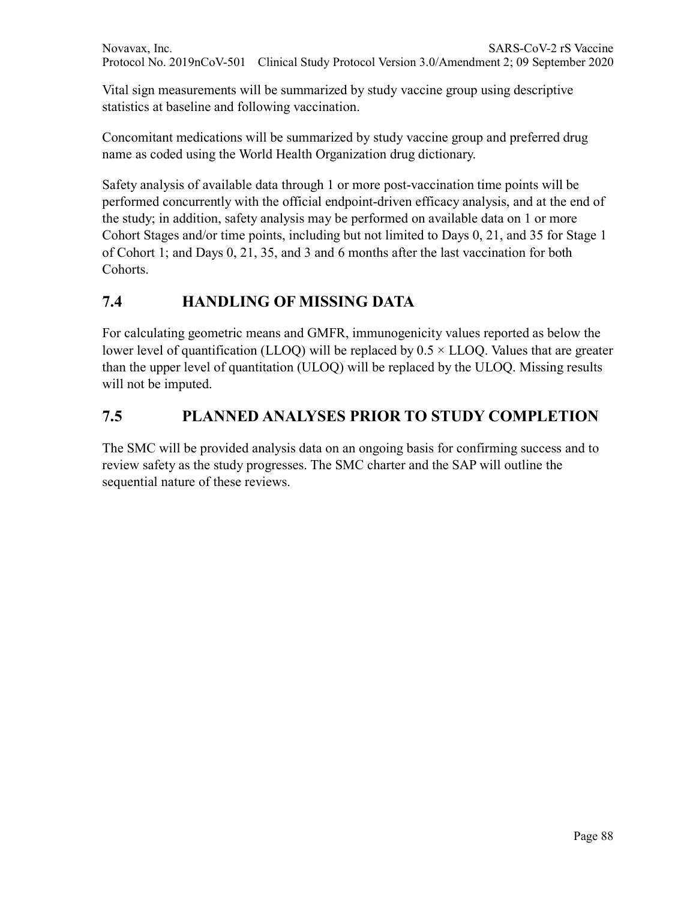Vital sign measurements will be summarized by study vaccine group using descriptive statistics at baseline and following vaccination.

Concomitant medications will be summarized by study vaccine group and preferred drug name as coded using the World Health Organization drug dictionary.

Safety analysis of available data through 1 or more post-vaccination time points will be performed concurrently with the official endpoint-driven efficacy analysis, and at the end of the study; in addition, safety analysis may be performed on available data on 1 or more Cohort Stages and/or time points, including but not limited to Days 0, 21, and 35 for Stage 1 of Cohort 1; and Days 0, 21, 35, and 3 and 6 months after the last vaccination for both Cohorts.

# **7.4 HANDLING OF MISSING DATA**

For calculating geometric means and GMFR, immunogenicity values reported as below the lower level of quantification (LLOQ) will be replaced by  $0.5 \times LLOQ$ . Values that are greater than the upper level of quantitation (ULOQ) will be replaced by the ULOQ. Missing results will not be imputed.

# **7.5 PLANNED ANALYSES PRIOR TO STUDY COMPLETION**

The SMC will be provided analysis data on an ongoing basis for confirming success and to review safety as the study progresses. The SMC charter and the SAP will outline the sequential nature of these reviews.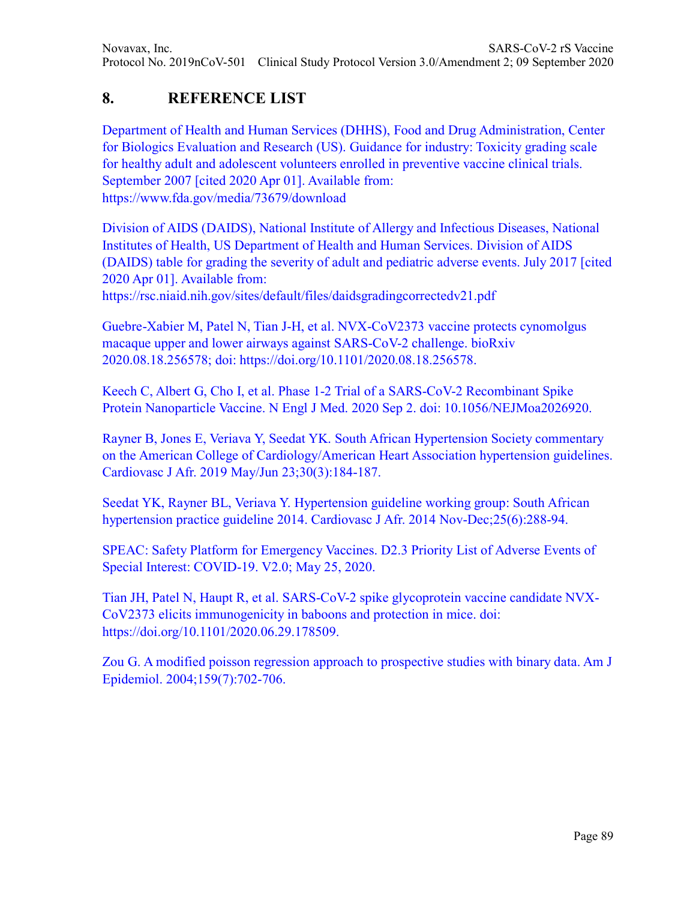# **8. REFERENCE LIST**

Department of Health and Human Services (DHHS), Food and Drug Administration, Center for Biologics Evaluation and Research (US). Guidance for industry: Toxicity grading scale for healthy adult and adolescent volunteers enrolled in preventive vaccine clinical trials. September 2007 [cited 2020 Apr 01]. Available from: https://www.fda.gov/media/73679/download

Division of AIDS (DAIDS), National Institute of Allergy and Infectious Diseases, National Institutes of Health, US Department of Health and Human Services. Division of AIDS (DAIDS) table for grading the severity of adult and pediatric adverse events. July 2017 [cited 2020 Apr 01]. Available from:

https://rsc.niaid.nih.gov/sites/default/files/daidsgradingcorrectedv21.pdf

Guebre-Xabier M, Patel N, Tian J-H, et al. NVX-CoV2373 vaccine protects cynomolgus macaque upper and lower airways against SARS-CoV-2 challenge. bioRxiv 2020.08.18.256578; doi: https://doi.org/10.1101/2020.08.18.256578.

Keech C, Albert G, Cho I, et al. Phase 1-2 Trial of a SARS-CoV-2 Recombinant Spike Protein Nanoparticle Vaccine. N Engl J Med. 2020 Sep 2. doi: 10.1056/NEJMoa2026920.

Rayner B, Jones E, Veriava Y, Seedat YK. South African Hypertension Society commentary on the American College of Cardiology/American Heart Association hypertension guidelines. Cardiovasc J Afr. 2019 May/Jun 23;30(3):184-187.

Seedat YK, Rayner BL, Veriava Y. Hypertension guideline working group: South African hypertension practice guideline 2014. Cardiovasc J Afr. 2014 Nov-Dec;25(6):288-94.

SPEAC: Safety Platform for Emergency Vaccines. D2.3 Priority List of Adverse Events of Special Interest: COVID-19. V2.0; May 25, 2020.

Tian JH, Patel N, Haupt R, et al. SARS-CoV-2 spike glycoprotein vaccine candidate NVX-CoV2373 elicits immunogenicity in baboons and protection in mice. doi: https://doi.org/10.1101/2020.06.29.178509.

Zou G. A modified poisson regression approach to prospective studies with binary data. Am J Epidemiol. 2004;159(7):702‐706.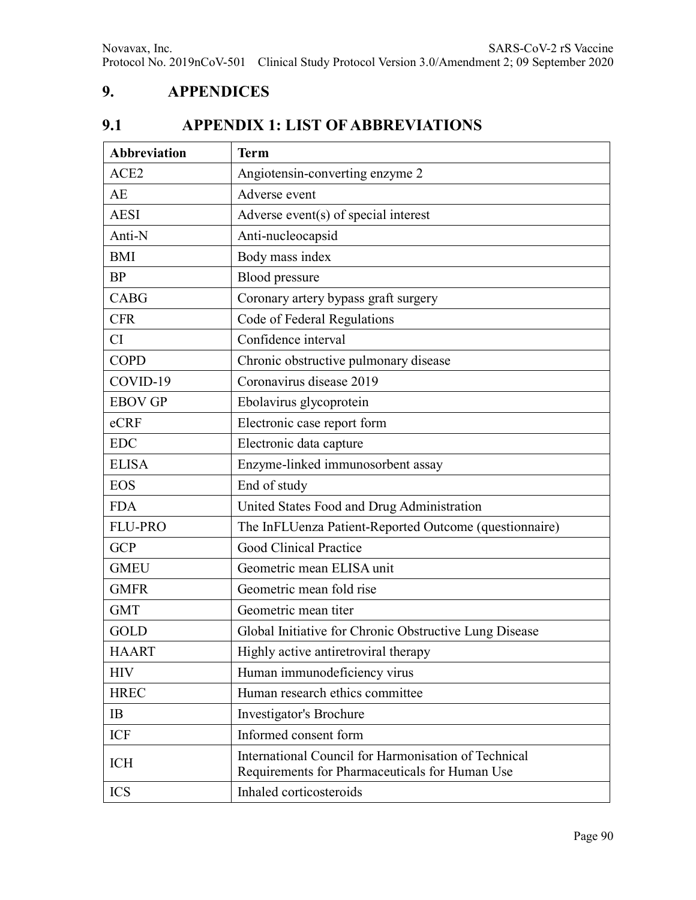## **9. APPENDICES**

# **9.1 APPENDIX 1: LIST OF ABBREVIATIONS**

| <b>Abbreviation</b> | <b>Term</b>                                                                                            |  |  |  |
|---------------------|--------------------------------------------------------------------------------------------------------|--|--|--|
| ACE <sub>2</sub>    | Angiotensin-converting enzyme 2                                                                        |  |  |  |
| AE                  | Adverse event                                                                                          |  |  |  |
| <b>AESI</b>         | Adverse event(s) of special interest                                                                   |  |  |  |
| Anti-N              | Anti-nucleocapsid                                                                                      |  |  |  |
| <b>BMI</b>          | Body mass index                                                                                        |  |  |  |
| <b>BP</b>           | Blood pressure                                                                                         |  |  |  |
| <b>CABG</b>         | Coronary artery bypass graft surgery                                                                   |  |  |  |
| <b>CFR</b>          | Code of Federal Regulations                                                                            |  |  |  |
| CI                  | Confidence interval                                                                                    |  |  |  |
| <b>COPD</b>         | Chronic obstructive pulmonary disease                                                                  |  |  |  |
| COVID-19            | Coronavirus disease 2019                                                                               |  |  |  |
| <b>EBOV GP</b>      | Ebolavirus glycoprotein                                                                                |  |  |  |
| eCRF                | Electronic case report form                                                                            |  |  |  |
| <b>EDC</b>          | Electronic data capture                                                                                |  |  |  |
| <b>ELISA</b>        | Enzyme-linked immunosorbent assay                                                                      |  |  |  |
| <b>EOS</b>          | End of study                                                                                           |  |  |  |
| <b>FDA</b>          | United States Food and Drug Administration                                                             |  |  |  |
| <b>FLU-PRO</b>      | The InFLUenza Patient-Reported Outcome (questionnaire)                                                 |  |  |  |
| <b>GCP</b>          | Good Clinical Practice                                                                                 |  |  |  |
| <b>GMEU</b>         | Geometric mean ELISA unit                                                                              |  |  |  |
| <b>GMFR</b>         | Geometric mean fold rise                                                                               |  |  |  |
| <b>GMT</b>          | Geometric mean titer                                                                                   |  |  |  |
| GOLD                | Global Initiative for Chronic Obstructive Lung Disease                                                 |  |  |  |
| <b>HAART</b>        | Highly active antiretroviral therapy                                                                   |  |  |  |
| <b>HIV</b>          | Human immunodeficiency virus                                                                           |  |  |  |
| <b>HREC</b>         | Human research ethics committee                                                                        |  |  |  |
| IB                  | Investigator's Brochure                                                                                |  |  |  |
| <b>ICF</b>          | Informed consent form                                                                                  |  |  |  |
| <b>ICH</b>          | International Council for Harmonisation of Technical<br>Requirements for Pharmaceuticals for Human Use |  |  |  |
| <b>ICS</b>          | Inhaled corticosteroids                                                                                |  |  |  |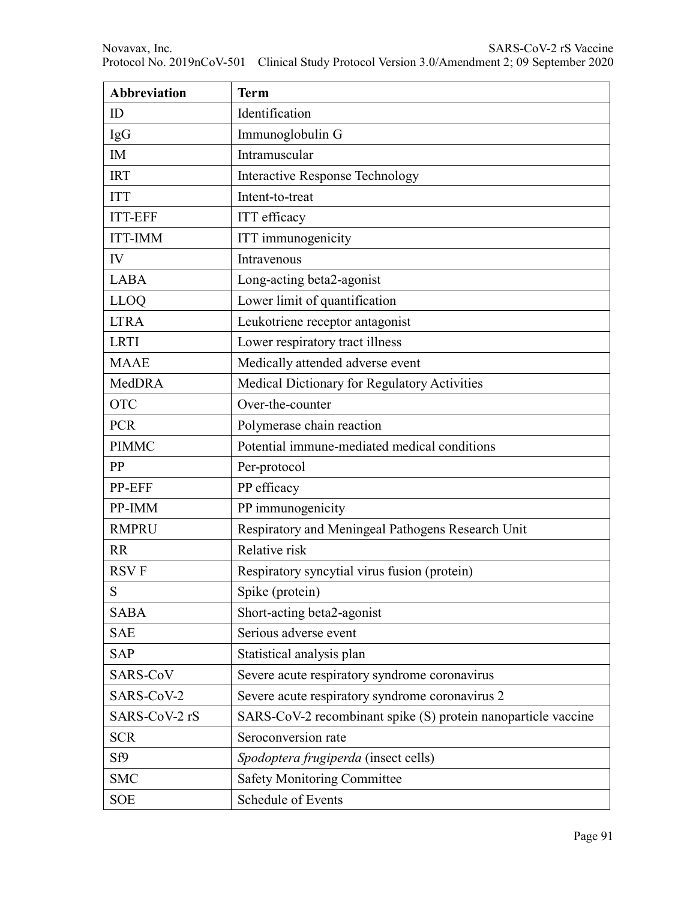| <b>Abbreviation</b> | <b>Term</b>                                                   |  |  |  |
|---------------------|---------------------------------------------------------------|--|--|--|
| ID                  | Identification                                                |  |  |  |
| IgG                 | Immunoglobulin G                                              |  |  |  |
| IM                  | Intramuscular                                                 |  |  |  |
| <b>IRT</b>          | <b>Interactive Response Technology</b>                        |  |  |  |
| <b>ITT</b>          | Intent-to-treat                                               |  |  |  |
| <b>ITT-EFF</b>      | <b>ITT</b> efficacy                                           |  |  |  |
| <b>ITT-IMM</b>      | ITT immunogenicity                                            |  |  |  |
| IV                  | Intravenous                                                   |  |  |  |
| <b>LABA</b>         | Long-acting beta2-agonist                                     |  |  |  |
| <b>LLOQ</b>         | Lower limit of quantification                                 |  |  |  |
| <b>LTRA</b>         | Leukotriene receptor antagonist                               |  |  |  |
| <b>LRTI</b>         | Lower respiratory tract illness                               |  |  |  |
| <b>MAAE</b>         | Medically attended adverse event                              |  |  |  |
| MedDRA              | Medical Dictionary for Regulatory Activities                  |  |  |  |
| <b>OTC</b>          | Over-the-counter                                              |  |  |  |
| <b>PCR</b>          | Polymerase chain reaction                                     |  |  |  |
| <b>PIMMC</b>        | Potential immune-mediated medical conditions                  |  |  |  |
| PP                  | Per-protocol                                                  |  |  |  |
| PP-EFF              | PP efficacy                                                   |  |  |  |
| PP-IMM              | PP immunogenicity                                             |  |  |  |
| <b>RMPRU</b>        | Respiratory and Meningeal Pathogens Research Unit             |  |  |  |
| <b>RR</b>           | Relative risk                                                 |  |  |  |
| <b>RSVF</b>         | Respiratory syncytial virus fusion (protein)                  |  |  |  |
| S                   | Spike (protein)                                               |  |  |  |
| <b>SABA</b>         | Short-acting beta2-agonist                                    |  |  |  |
| <b>SAE</b>          | Serious adverse event                                         |  |  |  |
| <b>SAP</b>          | Statistical analysis plan                                     |  |  |  |
| SARS-CoV            | Severe acute respiratory syndrome coronavirus                 |  |  |  |
| SARS-CoV-2          | Severe acute respiratory syndrome coronavirus 2               |  |  |  |
| SARS-CoV-2 rS       | SARS-CoV-2 recombinant spike (S) protein nanoparticle vaccine |  |  |  |
| <b>SCR</b>          | Seroconversion rate                                           |  |  |  |
| Sf9                 | Spodoptera frugiperda (insect cells)                          |  |  |  |
| <b>SMC</b>          | <b>Safety Monitoring Committee</b>                            |  |  |  |
| <b>SOE</b>          | Schedule of Events                                            |  |  |  |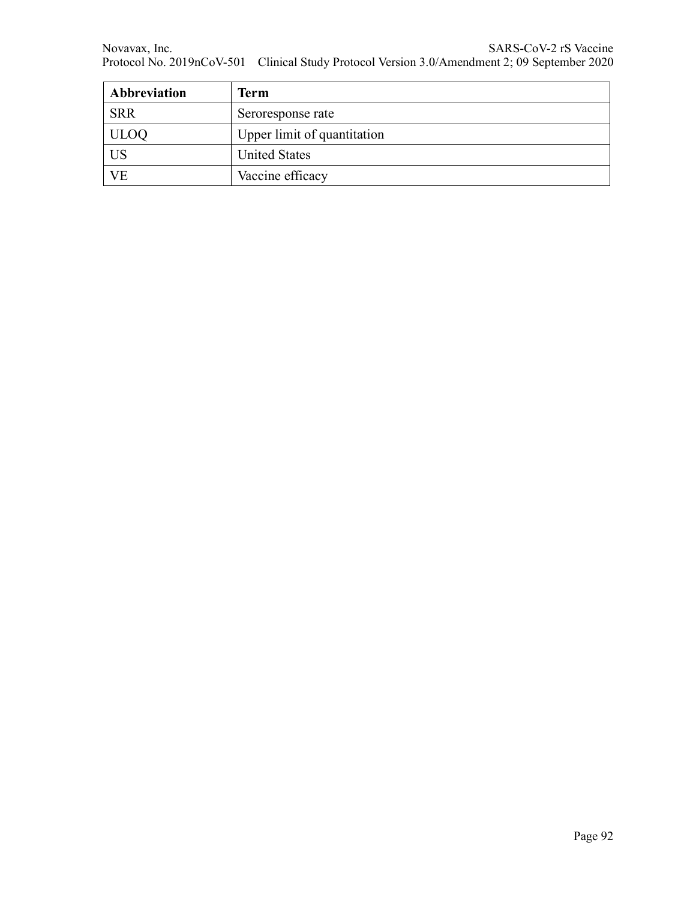| Abbreviation | <b>Term</b>                 |  |  |
|--------------|-----------------------------|--|--|
| <b>SRR</b>   | Seroresponse rate           |  |  |
| <b>ULOQ</b>  | Upper limit of quantitation |  |  |
| US           | <b>United States</b>        |  |  |
| VE           | Vaccine efficacy            |  |  |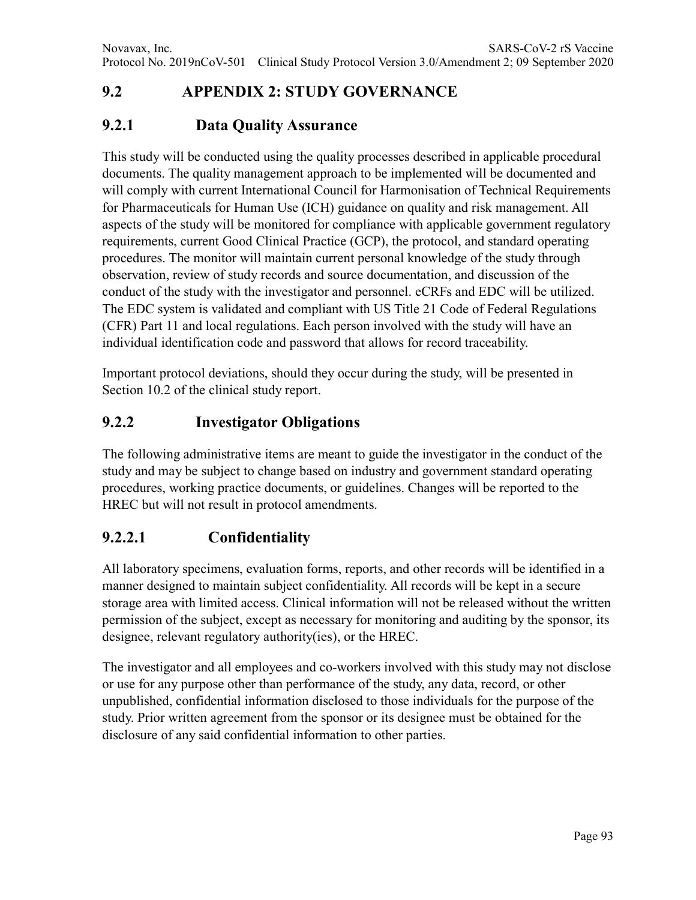# **9.2 APPENDIX 2: STUDY GOVERNANCE**

### **9.2.1 Data Quality Assurance**

This study will be conducted using the quality processes described in applicable procedural documents. The quality management approach to be implemented will be documented and will comply with current International Council for Harmonisation of Technical Requirements for Pharmaceuticals for Human Use (ICH) guidance on quality and risk management. All aspects of the study will be monitored for compliance with applicable government regulatory requirements, current Good Clinical Practice (GCP), the protocol, and standard operating procedures. The monitor will maintain current personal knowledge of the study through observation, review of study records and source documentation, and discussion of the conduct of the study with the investigator and personnel. eCRFs and EDC will be utilized. The EDC system is validated and compliant with US Title 21 Code of Federal Regulations (CFR) Part 11 and local regulations. Each person involved with the study will have an individual identification code and password that allows for record traceability.

Important protocol deviations, should they occur during the study, will be presented in Section 10.2 of the clinical study report.

### **9.2.2 Investigator Obligations**

The following administrative items are meant to guide the investigator in the conduct of the study and may be subject to change based on industry and government standard operating procedures, working practice documents, or guidelines. Changes will be reported to the HREC but will not result in protocol amendments.

### **9.2.2.1 Confidentiality**

All laboratory specimens, evaluation forms, reports, and other records will be identified in a manner designed to maintain subject confidentiality. All records will be kept in a secure storage area with limited access. Clinical information will not be released without the written permission of the subject, except as necessary for monitoring and auditing by the sponsor, its designee, relevant regulatory authority(ies), or the HREC.

The investigator and all employees and co-workers involved with this study may not disclose or use for any purpose other than performance of the study, any data, record, or other unpublished, confidential information disclosed to those individuals for the purpose of the study. Prior written agreement from the sponsor or its designee must be obtained for the disclosure of any said confidential information to other parties.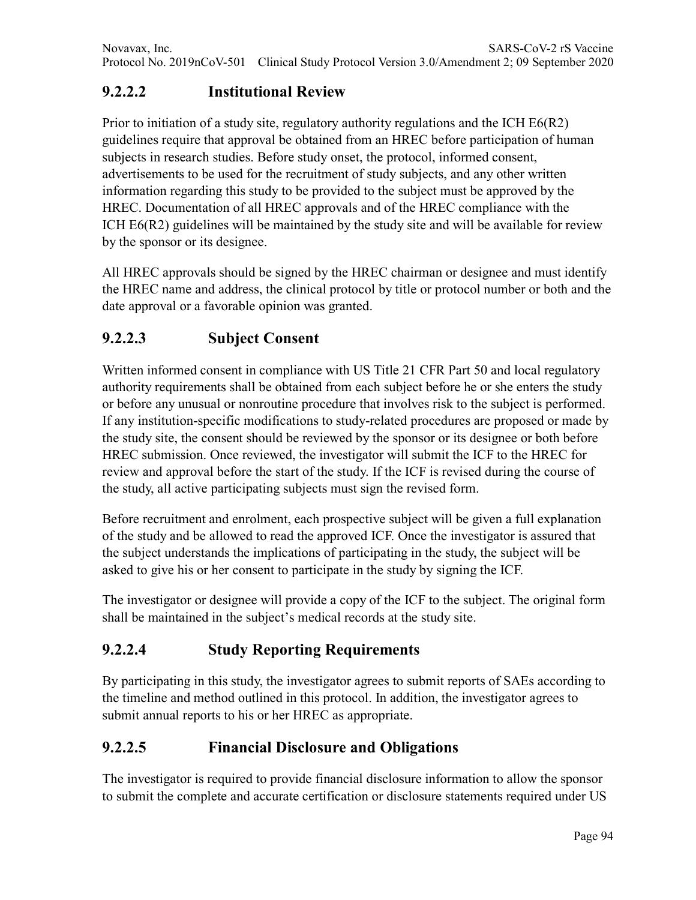# **9.2.2.2 Institutional Review**

Prior to initiation of a study site, regulatory authority regulations and the ICH E6(R2) guidelines require that approval be obtained from an HREC before participation of human subjects in research studies. Before study onset, the protocol, informed consent, advertisements to be used for the recruitment of study subjects, and any other written information regarding this study to be provided to the subject must be approved by the HREC. Documentation of all HREC approvals and of the HREC compliance with the ICH E6(R2) guidelines will be maintained by the study site and will be available for review by the sponsor or its designee.

All HREC approvals should be signed by the HREC chairman or designee and must identify the HREC name and address, the clinical protocol by title or protocol number or both and the date approval or a favorable opinion was granted.

# **9.2.2.3 Subject Consent**

Written informed consent in compliance with US Title 21 CFR Part 50 and local regulatory authority requirements shall be obtained from each subject before he or she enters the study or before any unusual or nonroutine procedure that involves risk to the subject is performed. If any institution-specific modifications to study-related procedures are proposed or made by the study site, the consent should be reviewed by the sponsor or its designee or both before HREC submission. Once reviewed, the investigator will submit the ICF to the HREC for review and approval before the start of the study. If the ICF is revised during the course of the study, all active participating subjects must sign the revised form.

Before recruitment and enrolment, each prospective subject will be given a full explanation of the study and be allowed to read the approved ICF. Once the investigator is assured that the subject understands the implications of participating in the study, the subject will be asked to give his or her consent to participate in the study by signing the ICF.

The investigator or designee will provide a copy of the ICF to the subject. The original form shall be maintained in the subject's medical records at the study site.

## **9.2.2.4 Study Reporting Requirements**

By participating in this study, the investigator agrees to submit reports of SAEs according to the timeline and method outlined in this protocol. In addition, the investigator agrees to submit annual reports to his or her HREC as appropriate.

## **9.2.2.5 Financial Disclosure and Obligations**

The investigator is required to provide financial disclosure information to allow the sponsor to submit the complete and accurate certification or disclosure statements required under US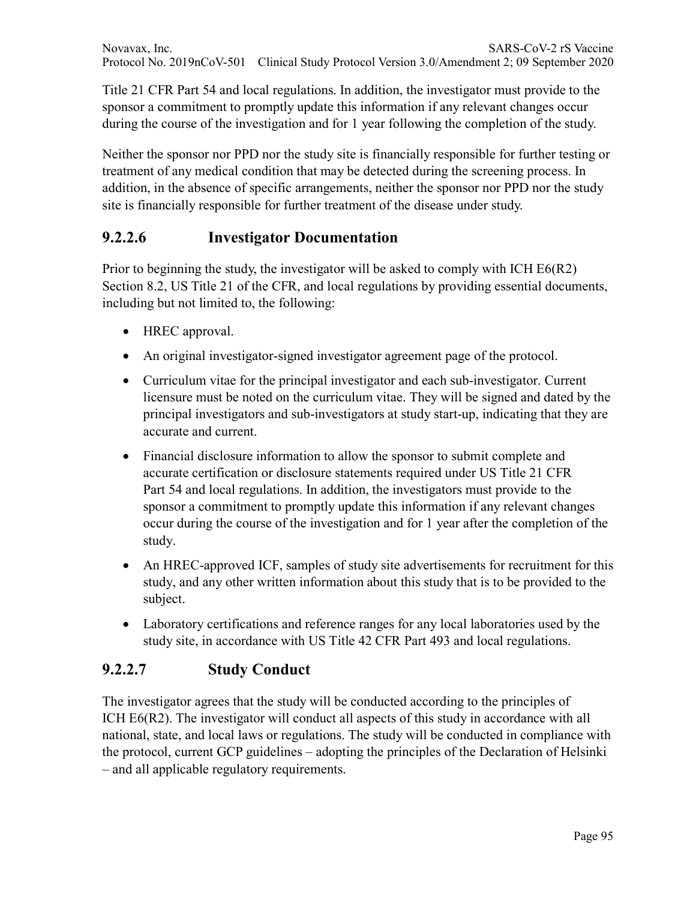Title 21 CFR Part 54 and local regulations. In addition, the investigator must provide to the sponsor a commitment to promptly update this information if any relevant changes occur during the course of the investigation and for 1 year following the completion of the study.

Neither the sponsor nor PPD nor the study site is financially responsible for further testing or treatment of any medical condition that may be detected during the screening process. In addition, in the absence of specific arrangements, neither the sponsor nor PPD nor the study site is financially responsible for further treatment of the disease under study.

## **9.2.2.6 Investigator Documentation**

Prior to beginning the study, the investigator will be asked to comply with ICH E6(R2) Section 8.2, US Title 21 of the CFR, and local regulations by providing essential documents, including but not limited to, the following:

- HREC approval.
- An original investigator-signed investigator agreement page of the protocol.
- Curriculum vitae for the principal investigator and each sub-investigator. Current licensure must be noted on the curriculum vitae. They will be signed and dated by the principal investigators and sub-investigators at study start-up, indicating that they are accurate and current.
- Financial disclosure information to allow the sponsor to submit complete and accurate certification or disclosure statements required under US Title 21 CFR Part 54 and local regulations. In addition, the investigators must provide to the sponsor a commitment to promptly update this information if any relevant changes occur during the course of the investigation and for 1 year after the completion of the study.
- An HREC-approved ICF, samples of study site advertisements for recruitment for this study, and any other written information about this study that is to be provided to the subject.
- Laboratory certifications and reference ranges for any local laboratories used by the study site, in accordance with US Title 42 CFR Part 493 and local regulations.

### **9.2.2.7 Study Conduct**

The investigator agrees that the study will be conducted according to the principles of ICH E6(R2). The investigator will conduct all aspects of this study in accordance with all national, state, and local laws or regulations. The study will be conducted in compliance with the protocol, current GCP guidelines – adopting the principles of the Declaration of Helsinki – and all applicable regulatory requirements.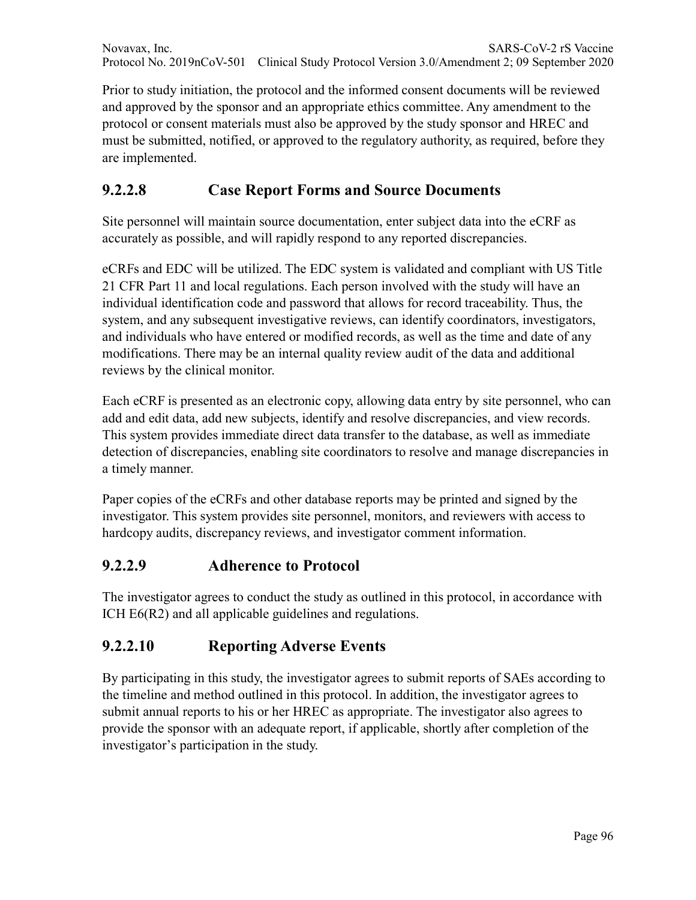Novavax, Inc. SARS-CoV-2 rS Vaccine Protocol No. 2019nCoV-501 Clinical Study Protocol Version 3.0/Amendment 2; 09 September 2020

Prior to study initiation, the protocol and the informed consent documents will be reviewed and approved by the sponsor and an appropriate ethics committee. Any amendment to the protocol or consent materials must also be approved by the study sponsor and HREC and must be submitted, notified, or approved to the regulatory authority, as required, before they are implemented.

## **9.2.2.8 Case Report Forms and Source Documents**

Site personnel will maintain source documentation, enter subject data into the eCRF as accurately as possible, and will rapidly respond to any reported discrepancies.

eCRFs and EDC will be utilized. The EDC system is validated and compliant with US Title 21 CFR Part 11 and local regulations. Each person involved with the study will have an individual identification code and password that allows for record traceability. Thus, the system, and any subsequent investigative reviews, can identify coordinators, investigators, and individuals who have entered or modified records, as well as the time and date of any modifications. There may be an internal quality review audit of the data and additional reviews by the clinical monitor.

Each eCRF is presented as an electronic copy, allowing data entry by site personnel, who can add and edit data, add new subjects, identify and resolve discrepancies, and view records. This system provides immediate direct data transfer to the database, as well as immediate detection of discrepancies, enabling site coordinators to resolve and manage discrepancies in a timely manner.

Paper copies of the eCRFs and other database reports may be printed and signed by the investigator. This system provides site personnel, monitors, and reviewers with access to hardcopy audits, discrepancy reviews, and investigator comment information.

#### **9.2.2.9 Adherence to Protocol**

The investigator agrees to conduct the study as outlined in this protocol, in accordance with ICH E6(R2) and all applicable guidelines and regulations.

### **9.2.2.10 Reporting Adverse Events**

By participating in this study, the investigator agrees to submit reports of SAEs according to the timeline and method outlined in this protocol. In addition, the investigator agrees to submit annual reports to his or her HREC as appropriate. The investigator also agrees to provide the sponsor with an adequate report, if applicable, shortly after completion of the investigator's participation in the study.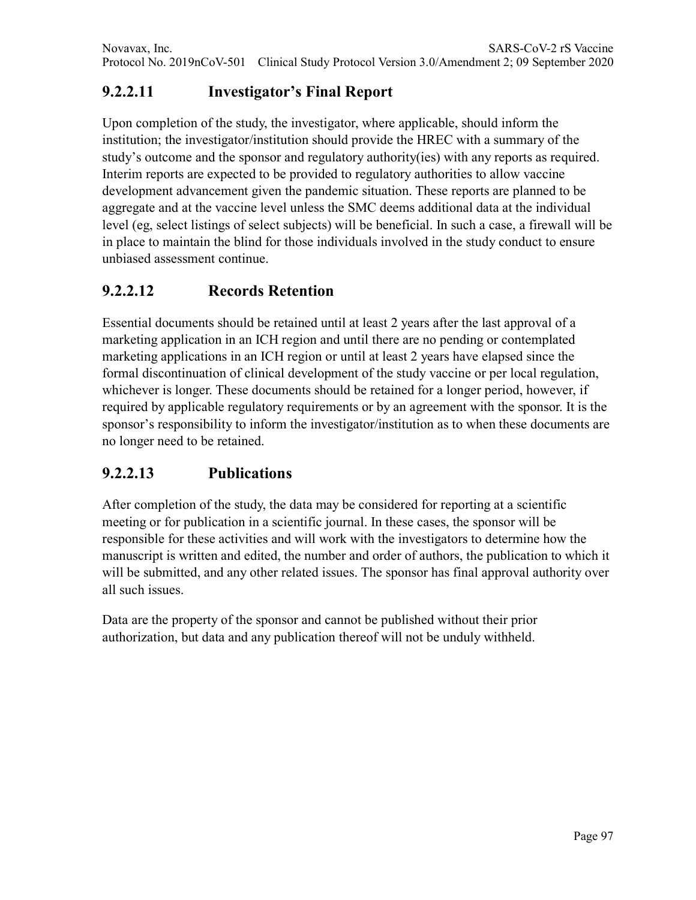# **9.2.2.11 Investigator's Final Report**

Upon completion of the study, the investigator, where applicable, should inform the institution; the investigator/institution should provide the HREC with a summary of the study's outcome and the sponsor and regulatory authority(ies) with any reports as required. Interim reports are expected to be provided to regulatory authorities to allow vaccine development advancement given the pandemic situation. These reports are planned to be aggregate and at the vaccine level unless the SMC deems additional data at the individual level (eg, select listings of select subjects) will be beneficial. In such a case, a firewall will be in place to maintain the blind for those individuals involved in the study conduct to ensure unbiased assessment continue.

# **9.2.2.12 Records Retention**

Essential documents should be retained until at least 2 years after the last approval of a marketing application in an ICH region and until there are no pending or contemplated marketing applications in an ICH region or until at least 2 years have elapsed since the formal discontinuation of clinical development of the study vaccine or per local regulation, whichever is longer. These documents should be retained for a longer period, however, if required by applicable regulatory requirements or by an agreement with the sponsor. It is the sponsor's responsibility to inform the investigator/institution as to when these documents are no longer need to be retained.

## **9.2.2.13 Publications**

After completion of the study, the data may be considered for reporting at a scientific meeting or for publication in a scientific journal. In these cases, the sponsor will be responsible for these activities and will work with the investigators to determine how the manuscript is written and edited, the number and order of authors, the publication to which it will be submitted, and any other related issues. The sponsor has final approval authority over all such issues.

Data are the property of the sponsor and cannot be published without their prior authorization, but data and any publication thereof will not be unduly withheld.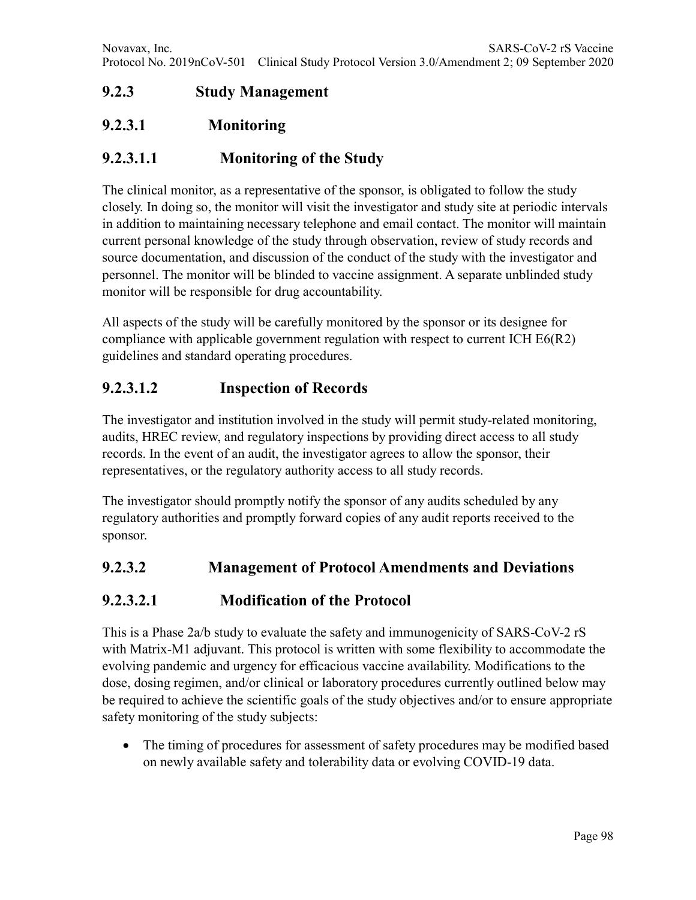# **9.2.3 Study Management**

### **9.2.3.1 Monitoring**

### **9.2.3.1.1 Monitoring of the Study**

The clinical monitor, as a representative of the sponsor, is obligated to follow the study closely. In doing so, the monitor will visit the investigator and study site at periodic intervals in addition to maintaining necessary telephone and email contact. The monitor will maintain current personal knowledge of the study through observation, review of study records and source documentation, and discussion of the conduct of the study with the investigator and personnel. The monitor will be blinded to vaccine assignment. A separate unblinded study monitor will be responsible for drug accountability.

All aspects of the study will be carefully monitored by the sponsor or its designee for compliance with applicable government regulation with respect to current ICH E6(R2) guidelines and standard operating procedures.

### **9.2.3.1.2 Inspection of Records**

The investigator and institution involved in the study will permit study-related monitoring, audits, HREC review, and regulatory inspections by providing direct access to all study records. In the event of an audit, the investigator agrees to allow the sponsor, their representatives, or the regulatory authority access to all study records.

The investigator should promptly notify the sponsor of any audits scheduled by any regulatory authorities and promptly forward copies of any audit reports received to the sponsor.

### **9.2.3.2 Management of Protocol Amendments and Deviations**

### **9.2.3.2.1 Modification of the Protocol**

This is a Phase 2a/b study to evaluate the safety and immunogenicity of SARS-CoV-2 rS with Matrix-M1 adjuvant. This protocol is written with some flexibility to accommodate the evolving pandemic and urgency for efficacious vaccine availability. Modifications to the dose, dosing regimen, and/or clinical or laboratory procedures currently outlined below may be required to achieve the scientific goals of the study objectives and/or to ensure appropriate safety monitoring of the study subjects:

• The timing of procedures for assessment of safety procedures may be modified based on newly available safety and tolerability data or evolving COVID-19 data.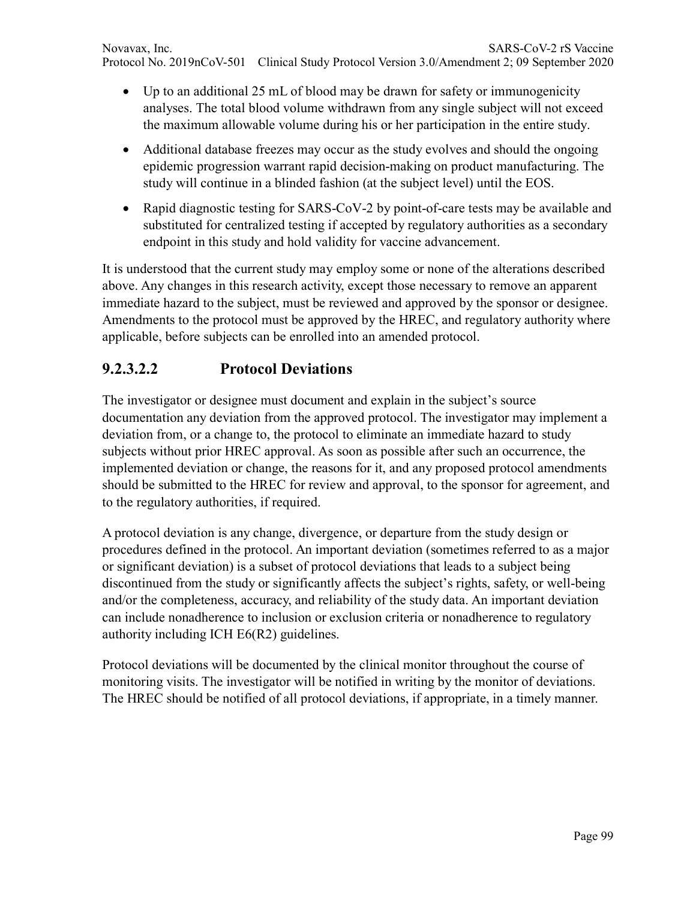- Up to an additional 25 mL of blood may be drawn for safety or immunogenicity analyses. The total blood volume withdrawn from any single subject will not exceed the maximum allowable volume during his or her participation in the entire study.
- Additional database freezes may occur as the study evolves and should the ongoing epidemic progression warrant rapid decision-making on product manufacturing. The study will continue in a blinded fashion (at the subject level) until the EOS.
- Rapid diagnostic testing for SARS-CoV-2 by point-of-care tests may be available and substituted for centralized testing if accepted by regulatory authorities as a secondary endpoint in this study and hold validity for vaccine advancement.

It is understood that the current study may employ some or none of the alterations described above. Any changes in this research activity, except those necessary to remove an apparent immediate hazard to the subject, must be reviewed and approved by the sponsor or designee. Amendments to the protocol must be approved by the HREC, and regulatory authority where applicable, before subjects can be enrolled into an amended protocol.

## **9.2.3.2.2 Protocol Deviations**

The investigator or designee must document and explain in the subject's source documentation any deviation from the approved protocol. The investigator may implement a deviation from, or a change to, the protocol to eliminate an immediate hazard to study subjects without prior HREC approval. As soon as possible after such an occurrence, the implemented deviation or change, the reasons for it, and any proposed protocol amendments should be submitted to the HREC for review and approval, to the sponsor for agreement, and to the regulatory authorities, if required.

A protocol deviation is any change, divergence, or departure from the study design or procedures defined in the protocol. An important deviation (sometimes referred to as a major or significant deviation) is a subset of protocol deviations that leads to a subject being discontinued from the study or significantly affects the subject's rights, safety, or well-being and/or the completeness, accuracy, and reliability of the study data. An important deviation can include nonadherence to inclusion or exclusion criteria or nonadherence to regulatory authority including ICH E6(R2) guidelines.

Protocol deviations will be documented by the clinical monitor throughout the course of monitoring visits. The investigator will be notified in writing by the monitor of deviations. The HREC should be notified of all protocol deviations, if appropriate, in a timely manner.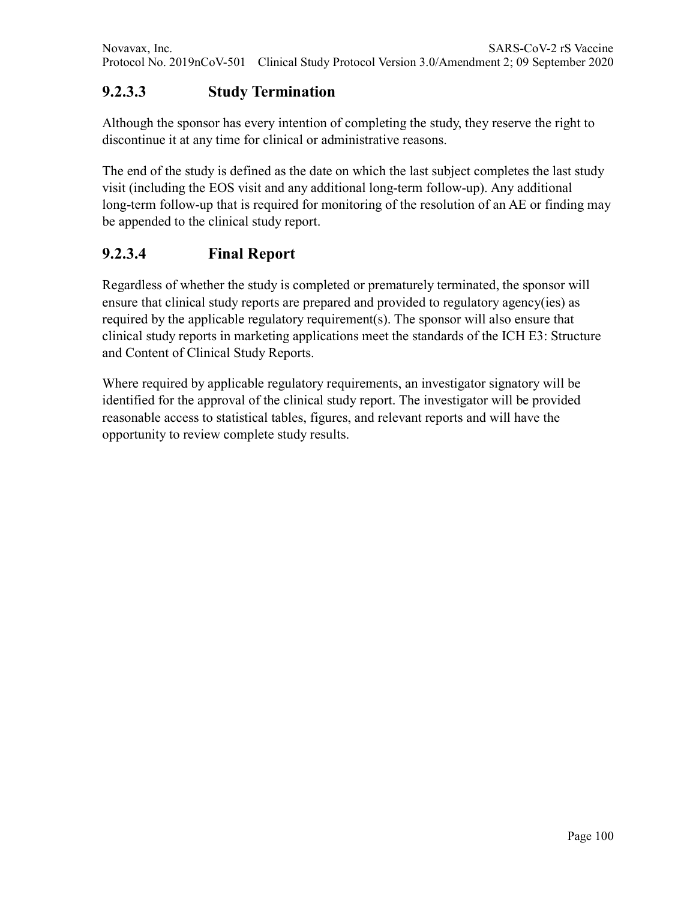### **9.2.3.3 Study Termination**

Although the sponsor has every intention of completing the study, they reserve the right to discontinue it at any time for clinical or administrative reasons.

The end of the study is defined as the date on which the last subject completes the last study visit (including the EOS visit and any additional long-term follow-up). Any additional long-term follow-up that is required for monitoring of the resolution of an AE or finding may be appended to the clinical study report.

### **9.2.3.4 Final Report**

Regardless of whether the study is completed or prematurely terminated, the sponsor will ensure that clinical study reports are prepared and provided to regulatory agency(ies) as required by the applicable regulatory requirement(s). The sponsor will also ensure that clinical study reports in marketing applications meet the standards of the ICH E3: Structure and Content of Clinical Study Reports.

Where required by applicable regulatory requirements, an investigator signatory will be identified for the approval of the clinical study report. The investigator will be provided reasonable access to statistical tables, figures, and relevant reports and will have the opportunity to review complete study results.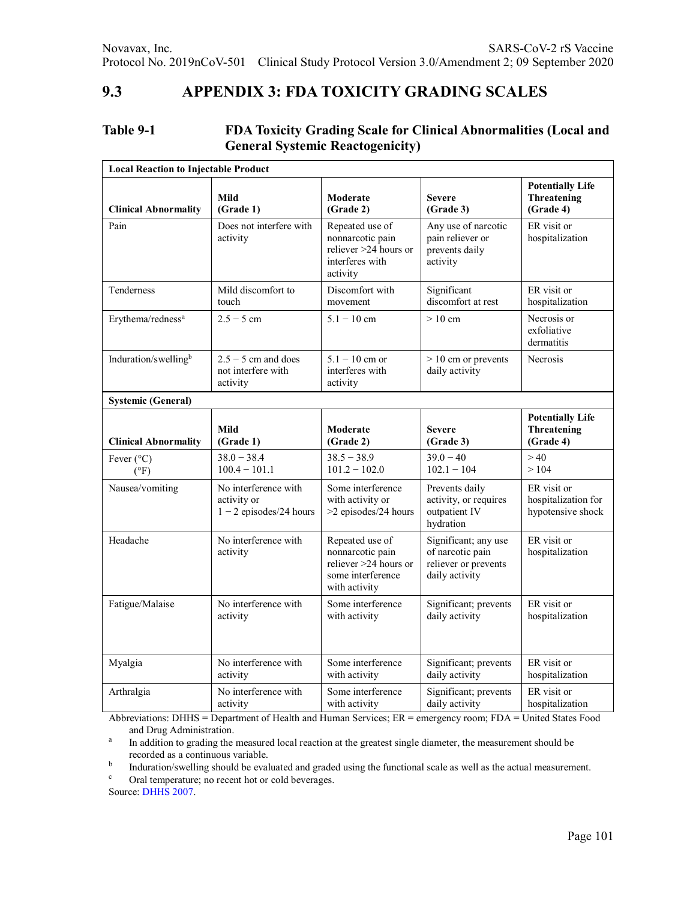#### **9.3 APPENDIX 3: FDA TOXICITY GRADING SCALES**

#### **Table 9-1 FDA Toxicity Grading Scale for Clinical Abnormalities (Local and General Systemic Reactogenicity)**

| <b>Local Reaction to Injectable Product</b> |                                                                  |                                                                                                    |                                                                                    |                                                         |  |
|---------------------------------------------|------------------------------------------------------------------|----------------------------------------------------------------------------------------------------|------------------------------------------------------------------------------------|---------------------------------------------------------|--|
| <b>Clinical Abnormality</b>                 | Mild<br>(Grade 1)                                                | Moderate<br>(Grade 2)                                                                              | <b>Severe</b><br>(Grade 3)                                                         | <b>Potentially Life</b><br>Threatening<br>(Grade 4)     |  |
| Pain                                        | Does not interfere with<br>activity                              | Repeated use of<br>nonnarcotic pain<br>reliever >24 hours or<br>interferes with<br>activity        | Any use of narcotic<br>pain reliever or<br>prevents daily<br>activity              | ER visit or<br>hospitalization                          |  |
| Tenderness                                  | Mild discomfort to<br>touch                                      | Discomfort with<br>movement                                                                        | Significant<br>discomfort at rest                                                  | ER visit or<br>hospitalization                          |  |
| Erythema/redness <sup>a</sup>               | $2.5 - 5$ cm                                                     | $5.1 - 10$ cm                                                                                      | $>10 \text{ cm}$                                                                   | Necrosis or<br>exfoliative<br>dermatitis                |  |
| Induration/swellingb                        | $2.5 - 5$ cm and does<br>not interfere with<br>activity          | $5.1 - 10$ cm or<br>interferes with<br>activity                                                    | $> 10$ cm or prevents<br>daily activity                                            | <b>Necrosis</b>                                         |  |
| <b>Systemic (General)</b>                   |                                                                  |                                                                                                    |                                                                                    |                                                         |  |
| <b>Clinical Abnormality</b>                 | Mild<br>(Grade 1)                                                | Moderate<br>(Grade 2)                                                                              | <b>Severe</b><br>(Grade 3)                                                         | <b>Potentially Life</b><br>Threatening<br>(Grade 4)     |  |
| Fever $(^{\circ}C)$<br>(°F)                 | $38.0 - 38.4$<br>$100.4 - 101.1$                                 | $38.5 - 38.9$<br>$101.2 - 102.0$                                                                   | $39.0 - 40$<br>$102.1 - 104$                                                       | >40<br>>104                                             |  |
| Nausea/vomiting                             | No interference with<br>activity or<br>$1 - 2$ episodes/24 hours | Some interference<br>with activity or<br>>2 episodes/24 hours                                      | Prevents daily<br>activity, or requires<br>outpatient IV<br>hydration              | ER visit or<br>hospitalization for<br>hypotensive shock |  |
| Headache                                    | No interference with<br>activity                                 | Repeated use of<br>nonnarcotic pain<br>reliever >24 hours or<br>some interference<br>with activity | Significant; any use<br>of narcotic pain<br>reliever or prevents<br>daily activity | ER visit or<br>hospitalization                          |  |
| Fatigue/Malaise                             | No interference with<br>activity                                 | Some interference<br>with activity                                                                 | Significant; prevents<br>daily activity                                            | ER visit or<br>hospitalization                          |  |
| Myalgia                                     | No interference with<br>activity                                 | Some interference<br>with activity                                                                 | Significant; prevents<br>daily activity                                            | ER visit or<br>hospitalization                          |  |
| Arthralgia                                  | No interference with<br>activity                                 | Some interference<br>with activity                                                                 | Significant; prevents<br>daily activity                                            | ER visit or<br>hospitalization                          |  |

Abbreviations: DHHS = Department of Health and Human Services; ER = emergency room; FDA = United States Food and Drug Administration.

<sup>a</sup> In addition to grading the measured local reaction at the greatest single diameter, the measurement should be recorded as a continuous variable.

b<br>Induration/swelling should be evaluated and graded using the functional scale as well as the actual measurement.<br>Cral temperature: no recent bot or cold beyerages

Oral temperature; no recent hot or cold beverages.

Source: DHHS 2007.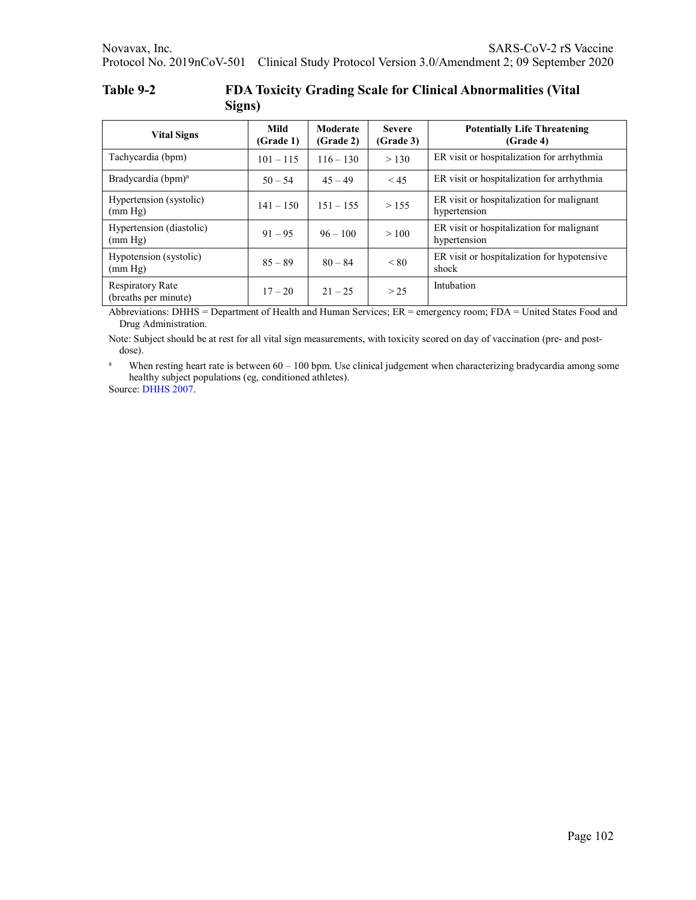| Table 9-2 | <b>FDA Toxicity Grading Scale for Clinical Abnormalities (Vital</b> |
|-----------|---------------------------------------------------------------------|
|           | Signs)                                                              |

| <b>Vital Signs</b>                              | Mild<br>(Grade <sub>1</sub> ) | Moderate<br>(Grade <sub>2</sub> ) | <b>Severe</b><br>(Grade 3) | <b>Potentially Life Threatening</b><br>(Grade 4)          |
|-------------------------------------------------|-------------------------------|-----------------------------------|----------------------------|-----------------------------------------------------------|
| Tachycardia (bpm)                               | $101 - 115$                   | $116 - 130$                       | > 130                      | ER visit or hospitalization for arrhythmia                |
| Bradycardia (bpm) <sup>a</sup>                  | $50 - 54$                     | $45 - 49$                         | < 45                       | ER visit or hospitalization for arrhythmia                |
| Hypertension (systolic)<br>(mm Hg)              | $141 - 150$                   | $151 - 155$                       | > 155                      | ER visit or hospitalization for malignant<br>hypertension |
| Hypertension (diastolic)<br>(mm Hg)             | $91 - 95$                     | $96 - 100$                        | >100                       | ER visit or hospitalization for malignant<br>hypertension |
| Hypotension (systolic)<br>(mm Hg)               | $85 - 89$                     | $80 - 84$                         | < 80                       | ER visit or hospitalization for hypotensive<br>shock      |
| <b>Respiratory Rate</b><br>(breaths per minute) | $17 - 20$                     | $21 - 25$                         | > 25                       | Intubation                                                |

Abbreviations: DHHS = Department of Health and Human Services; ER = emergency room; FDA = United States Food and Drug Administration.

Note: Subject should be at rest for all vital sign measurements, with toxicity scored on day of vaccination (pre- and postdose).

<sup>a</sup> When resting heart rate is between  $60 - 100$  bpm. Use clinical judgement when characterizing bradycardia among some healthy subject populations (eg, conditioned athletes).

Source: DHHS 2007.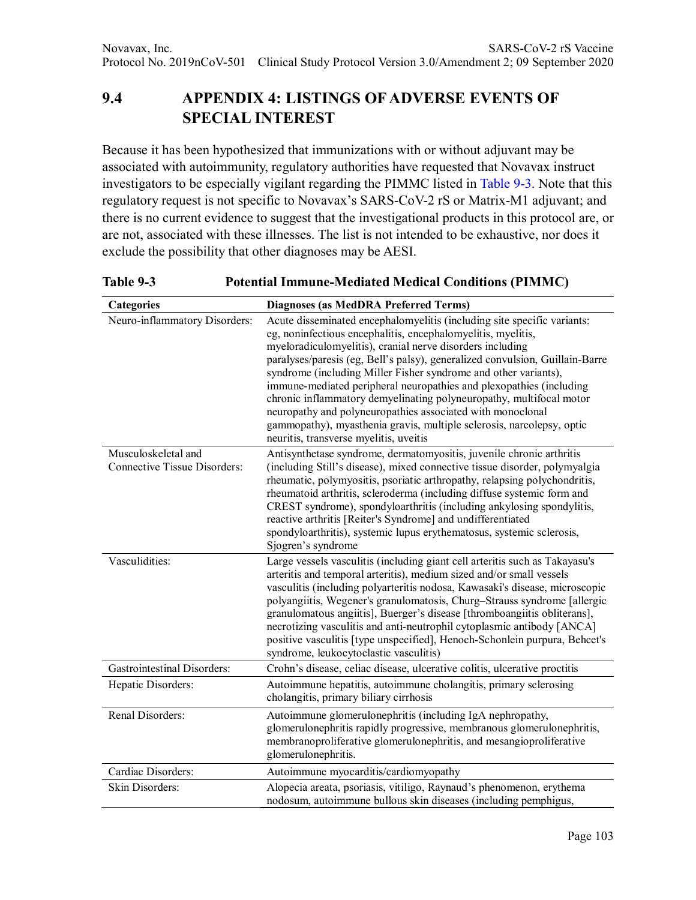# **9.4 APPENDIX 4: LISTINGS OF ADVERSE EVENTS OF SPECIAL INTEREST**

Because it has been hypothesized that immunizations with or without adjuvant may be associated with autoimmunity, regulatory authorities have requested that Novavax instruct investigators to be especially vigilant regarding the PIMMC listed in Table 9-3. Note that this regulatory request is not specific to Novavax's SARS-CoV-2 rS or Matrix-M1 adjuvant; and there is no current evidence to suggest that the investigational products in this protocol are, or are not, associated with these illnesses. The list is not intended to be exhaustive, nor does it exclude the possibility that other diagnoses may be AESI.

**Categories Diagnoses (as MedDRA Preferred Terms)** Neuro-inflammatory Disorders: Acute disseminated encephalomyelitis (including site specific variants: eg, noninfectious encephalitis, encephalomyelitis, myelitis, myeloradiculomyelitis), cranial nerve disorders including paralyses/paresis (eg, Bell's palsy), generalized convulsion, Guillain-Barre syndrome (including Miller Fisher syndrome and other variants), immune-mediated peripheral neuropathies and plexopathies (including chronic inflammatory demyelinating polyneuropathy, multifocal motor neuropathy and polyneuropathies associated with monoclonal gammopathy), myasthenia gravis, multiple sclerosis, narcolepsy, optic neuritis, transverse myelitis, uveitis Musculoskeletal and Connective Tissue Disorders: Antisynthetase syndrome, dermatomyositis, juvenile chronic arthritis (including Still's disease), mixed connective tissue disorder, polymyalgia rheumatic, polymyositis, psoriatic arthropathy, relapsing polychondritis, rheumatoid arthritis, scleroderma (including diffuse systemic form and CREST syndrome), spondyloarthritis (including ankylosing spondylitis, reactive arthritis [Reiter's Syndrome] and undifferentiated spondyloarthritis), systemic lupus erythematosus, systemic sclerosis, Sjogren's syndrome Vasculidities: Large vessels vasculitis (including giant cell arteritis such as Takayasu's arteritis and temporal arteritis), medium sized and/or small vessels vasculitis (including polyarteritis nodosa, Kawasaki's disease, microscopic polyangiitis, Wegener's granulomatosis, Churg–Strauss syndrome [allergic granulomatous angiitis], Buerger's disease [thromboangiitis obliterans], necrotizing vasculitis and anti-neutrophil cytoplasmic antibody [ANCA] positive vasculitis [type unspecified], Henoch-Schonlein purpura, Behcet's syndrome, leukocytoclastic vasculitis) Gastrointestinal Disorders: Crohn's disease, celiac disease, ulcerative colitis, ulcerative proctitis Hepatic Disorders: Autoimmune hepatitis, autoimmune cholangitis, primary sclerosing cholangitis, primary biliary cirrhosis Renal Disorders: Autoimmune glomerulonephritis (including IgA nephropathy, glomerulonephritis rapidly progressive, membranous glomerulonephritis, membranoproliferative glomerulonephritis, and mesangioproliferative glomerulonephritis. Cardiac Disorders: Autoimmune myocarditis/cardiomyopathy Skin Disorders: Alopecia areata, psoriasis, vitiligo, Raynaud's phenomenon, erythema nodosum, autoimmune bullous skin diseases (including pemphigus,

**Table 9-3 Potential Immune-Mediated Medical Conditions (PIMMC)**